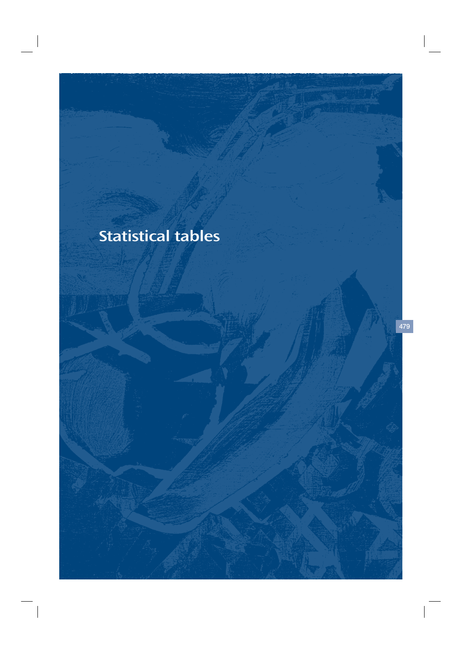# Statistical tables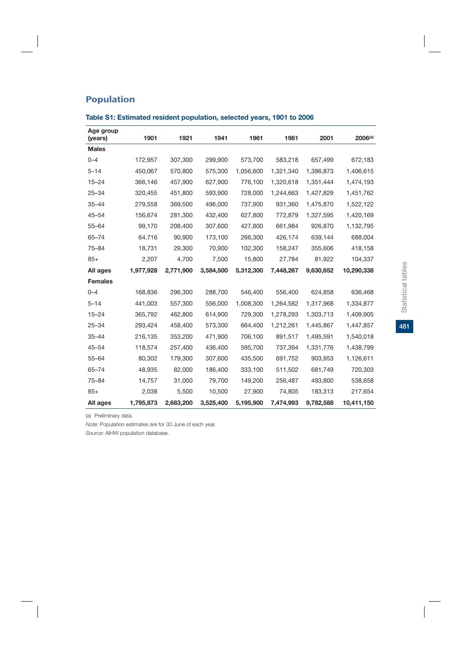| Age group<br>(years) | 1901      | 1921      | 1941      | 1961      | 1981      | 2001      | $2006^{(a)}$ |
|----------------------|-----------|-----------|-----------|-----------|-----------|-----------|--------------|
| <b>Males</b>         |           |           |           |           |           |           |              |
| $0 - 4$              | 172,957   | 307,300   | 299,900   | 573,700   | 583,218   | 657,499   | 672,183      |
| $5 - 14$             | 450,067   | 570,800   | 575,300   | 1,056,600 | 1,321,340 | 1,386,873 | 1,406,615    |
| $15 - 24$            | 366,146   | 457,900   | 627,900   | 776,100   | 1,320,618 | 1,351,444 | 1,474,193    |
| $25 - 34$            | 320,455   | 451,800   | 593,900   | 728,000   | 1,244,663 | 1,427,829 | 1,451,762    |
| $35 - 44$            | 279,558   | 369,500   | 496,000   | 737,900   | 931,360   | 1,475,870 | 1,522,122    |
| $45 - 54$            | 156,674   | 281,300   | 432,400   | 627,800   | 772,879   | 1,327,595 | 1,420,169    |
| $55 - 64$            | 99,170    | 208,400   | 307,600   | 427,800   | 661,984   | 926,870   | 1,132,795    |
| $65 - 74$            | 64,716    | 90,900    | 173,100   | 266,300   | 426,174   | 639,144   | 688,004      |
| $75 - 84$            | 18,731    | 29,300    | 70,900    | 102,300   | 158,247   | 355,606   | 418,158      |
| $85+$                | 2,207     | 4,700     | 7,500     | 15,800    | 27,784    | 81,922    | 104,337      |
| All ages             | 1,977,928 | 2,771,900 | 3,584,500 | 5,312,300 | 7,448,267 | 9,630,652 | 10,290,338   |
| <b>Females</b>       |           |           |           |           |           |           |              |
| $0 - 4$              | 168,836   | 296,300   | 288,700   | 546,400   | 556,400   | 624,858   | 636,468      |
| $5 - 14$             | 441,003   | 557,300   | 556,000   | 1,008,300 | 1,264,582 | 1,317,968 | 1,334,877    |
| $15 - 24$            | 365,792   | 462,800   | 614,900   | 729,300   | 1,278,293 | 1,303,713 | 1,409,905    |
| $25 - 34$            | 293,424   | 458,400   | 573,300   | 664,400   | 1,212,261 | 1,445,867 | 1,447,857    |
| $35 - 44$            | 216,135   | 353,200   | 471,900   | 706,100   | 891,517   | 1,495,591 | 1,540,018    |
| $45 - 54$            | 118,574   | 257,400   | 436,400   | 595,700   | 737,394   | 1,331,776 | 1,438,799    |
| $55 - 64$            | 80,302    | 179,300   | 307,600   | 435,500   | 691,752   | 903,953   | 1,126,611    |
| $65 - 74$            | 48,935    | 82,000    | 186,400   | 333,100   | 511,502   | 681,749   | 720,303      |
| $75 - 84$            | 14,757    | 31,000    | 79,700    | 149,200   | 256,487   | 493,800   | 538,658      |
| $85+$                | 2,038     | 5,500     | 10,500    | 27,900    | 74,805    | 183,313   | 217,654      |
| All ages             | 1,795,873 | 2,683,200 | 3,525,400 | 5,195,900 | 7,474,993 | 9,782,588 | 10,411,150   |

## **Table S1: Estimated resident population, selected years, 1901 to 2006**

(a) Preliminary data.

*Note*: Population estimates are for 30 June of each year.

*Source*: AIHW population database.

481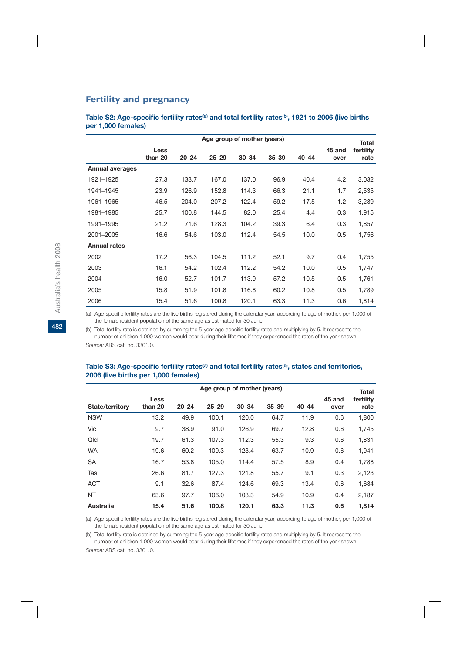## Fertility and pregnancy

Table S2: Age-specific fertility rates<sup>(a)</sup> and total fertility rates<sup>(b)</sup>, 1921 to 2006 (live births **per 1,000 females)**

|                        | Age group of mother (years) |           |           |           |           |           |                |                                   |  |
|------------------------|-----------------------------|-----------|-----------|-----------|-----------|-----------|----------------|-----------------------------------|--|
|                        | <b>Less</b><br>than 20      | $20 - 24$ | $25 - 29$ | $30 - 34$ | $35 - 39$ | $40 - 44$ | 45 and<br>over | <b>Total</b><br>fertility<br>rate |  |
| <b>Annual averages</b> |                             |           |           |           |           |           |                |                                   |  |
| 1921-1925              | 27.3                        | 133.7     | 167.0     | 137.0     | 96.9      | 40.4      | 4.2            | 3,032                             |  |
| 1941-1945              | 23.9                        | 126.9     | 152.8     | 114.3     | 66.3      | 21.1      | 1.7            | 2,535                             |  |
| 1961-1965              | 46.5                        | 204.0     | 207.2     | 122.4     | 59.2      | 17.5      | 1.2            | 3,289                             |  |
| 1981-1985              | 25.7                        | 100.8     | 144.5     | 82.0      | 25.4      | 4.4       | 0.3            | 1,915                             |  |
| 1991-1995              | 21.2                        | 71.6      | 128.3     | 104.2     | 39.3      | 6.4       | 0.3            | 1,857                             |  |
| 2001-2005              | 16.6                        | 54.6      | 103.0     | 112.4     | 54.5      | 10.0      | 0.5            | 1,756                             |  |
| <b>Annual rates</b>    |                             |           |           |           |           |           |                |                                   |  |
| 2002                   | 17.2                        | 56.3      | 104.5     | 111.2     | 52.1      | 9.7       | 0.4            | 1,755                             |  |
| 2003                   | 16.1                        | 54.2      | 102.4     | 112.2     | 54.2      | 10.0      | 0.5            | 1,747                             |  |
| 2004                   | 16.0                        | 52.7      | 101.7     | 113.9     | 57.2      | 10.5      | 0.5            | 1,761                             |  |
| 2005                   | 15.8                        | 51.9      | 101.8     | 116.8     | 60.2      | 10.8      | 0.5            | 1,789                             |  |
| 2006                   | 15.4                        | 51.6      | 100.8     | 120.1     | 63.3      | 11.3      | 0.6            | 1,814                             |  |

(a) Age-specific fertility rates are the live births registered during the calendar year, according to age of mother, per 1,000 of the female resident population of the same age as estimated for 30 June.

(b) Total fertility rate is obtained by summing the 5-year age-specific fertility rates and multiplying by 5. It represents the number of children 1,000 women would bear during their lifetimes if they experienced the rates of the year shown. *Source:* ABS cat. no. 3301.0.

| Age group of mother (years) |                 |           |           |           |           |           |                |                                   |
|-----------------------------|-----------------|-----------|-----------|-----------|-----------|-----------|----------------|-----------------------------------|
| <b>State/territory</b>      | Less<br>than 20 | $20 - 24$ | $25 - 29$ | $30 - 34$ | $35 - 39$ | $40 - 44$ | 45 and<br>over | <b>Total</b><br>fertility<br>rate |
| <b>NSW</b>                  | 13.2            | 49.9      | 100.1     | 120.0     | 64.7      | 11.9      | 0.6            | 1,800                             |
| Vic                         | 9.7             | 38.9      | 91.0      | 126.9     | 69.7      | 12.8      | 0.6            | 1,745                             |
| Qld                         | 19.7            | 61.3      | 107.3     | 112.3     | 55.3      | 9.3       | 0.6            | 1,831                             |
| <b>WA</b>                   | 19.6            | 60.2      | 109.3     | 123.4     | 63.7      | 10.9      | 0.6            | 1,941                             |
| <b>SA</b>                   | 16.7            | 53.8      | 105.0     | 114.4     | 57.5      | 8.9       | 0.4            | 1,788                             |
| Tas                         | 26.6            | 81.7      | 127.3     | 121.8     | 55.7      | 9.1       | 0.3            | 2,123                             |
| <b>ACT</b>                  | 9.1             | 32.6      | 87.4      | 124.6     | 69.3      | 13.4      | 0.6            | 1,684                             |
| <b>NT</b>                   | 63.6            | 97.7      | 106.0     | 103.3     | 54.9      | 10.9      | 0.4            | 2,187                             |
| Australia                   | 15.4            | 51.6      | 100.8     | 120.1     | 63.3      | 11.3      | 0.6            | 1,814                             |

#### Table S3: Age-specific fertility rates<sup>(a)</sup> and total fertility rates<sup>(b)</sup>, states and territories, **2006 (live births per 1,000 females)**

(a) Age-specific fertility rates are the live births registered during the calendar year, according to age of mother, per 1,000 of the female resident population of the same age as estimated for 30 June.

(b) Total fertility rate is obtained by summing the 5-year age-specific fertility rates and multiplying by 5. It represents the number of children 1,000 women would bear during their lifetimes if they experienced the rates of the year shown.

*Source:* ABS cat. no. 3301.0.

**482**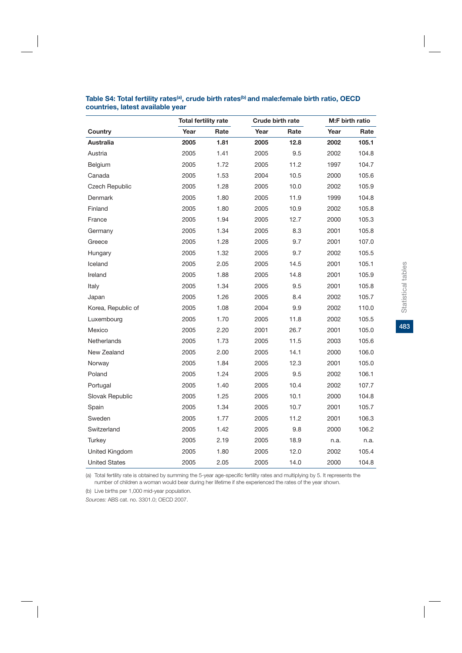|                      |      | <b>Total fertility rate</b> |      | <b>Crude birth rate</b> |      | M:F birth ratio |
|----------------------|------|-----------------------------|------|-------------------------|------|-----------------|
| Country              | Year | Rate                        | Year | Rate                    | Year | Rate            |
| Australia            | 2005 | 1.81                        | 2005 | 12.8                    | 2002 | 105.1           |
| Austria              | 2005 | 1.41                        | 2005 | 9.5                     | 2002 | 104.8           |
| Belgium              | 2005 | 1.72                        | 2005 | 11.2                    | 1997 | 104.7           |
| Canada               | 2005 | 1.53                        | 2004 | 10.5                    | 2000 | 105.6           |
| Czech Republic       | 2005 | 1.28                        | 2005 | 10.0                    | 2002 | 105.9           |
| Denmark              | 2005 | 1.80                        | 2005 | 11.9                    | 1999 | 104.8           |
| Finland              | 2005 | 1.80                        | 2005 | 10.9                    | 2002 | 105.8           |
| France               | 2005 | 1.94                        | 2005 | 12.7                    | 2000 | 105.3           |
| Germany              | 2005 | 1.34                        | 2005 | 8.3                     | 2001 | 105.8           |
| Greece               | 2005 | 1.28                        | 2005 | 9.7                     | 2001 | 107.0           |
| Hungary              | 2005 | 1.32                        | 2005 | 9.7                     | 2002 | 105.5           |
| Iceland              | 2005 | 2.05                        | 2005 | 14.5                    | 2001 | 105.1           |
| Ireland              | 2005 | 1.88                        | 2005 | 14.8                    | 2001 | 105.9           |
| Italy                | 2005 | 1.34                        | 2005 | 9.5                     | 2001 | 105.8           |
| Japan                | 2005 | 1.26                        | 2005 | 8.4                     | 2002 | 105.7           |
| Korea, Republic of   | 2005 | 1.08                        | 2004 | 9.9                     | 2002 | 110.0           |
| Luxembourg           | 2005 | 1.70                        | 2005 | 11.8                    | 2002 | 105.5           |
| Mexico               | 2005 | 2.20                        | 2001 | 26.7                    | 2001 | 105.0           |
| Netherlands          | 2005 | 1.73                        | 2005 | 11.5                    | 2003 | 105.6           |
| New Zealand          | 2005 | 2.00                        | 2005 | 14.1                    | 2000 | 106.0           |
| Norway               | 2005 | 1.84                        | 2005 | 12.3                    | 2001 | 105.0           |
| Poland               | 2005 | 1.24                        | 2005 | 9.5                     | 2002 | 106.1           |
| Portugal             | 2005 | 1.40                        | 2005 | 10.4                    | 2002 | 107.7           |
| Slovak Republic      | 2005 | 1.25                        | 2005 | 10.1                    | 2000 | 104.8           |
| Spain                | 2005 | 1.34                        | 2005 | 10.7                    | 2001 | 105.7           |
| Sweden               | 2005 | 1.77                        | 2005 | 11.2                    | 2001 | 106.3           |
| Switzerland          | 2005 | 1.42                        | 2005 | 9.8                     | 2000 | 106.2           |
| Turkey               | 2005 | 2.19                        | 2005 | 18.9                    | n.a. | n.a.            |
| United Kingdom       | 2005 | 1.80                        | 2005 | 12.0                    | 2002 | 105.4           |
| <b>United States</b> | 2005 | 2.05                        | 2005 | 14.0                    | 2000 | 104.8           |

## Table S4: Total fertility rates<sup>(a)</sup>, crude birth rates<sup>(b)</sup> and male:female birth ratio, OECD **countries, latest available year**

(a) Total fertility rate is obtained by summing the 5-year age-specific fertility rates and multiplying by 5. It represents the number of children a woman would bear during her lifetime if she experienced the rates of the year shown.

(b) Live births per 1,000 mid-year population.

*Sources:* ABS cat. no. 3301.0; OECD 2007.

Statistical tables **483**Statistical tables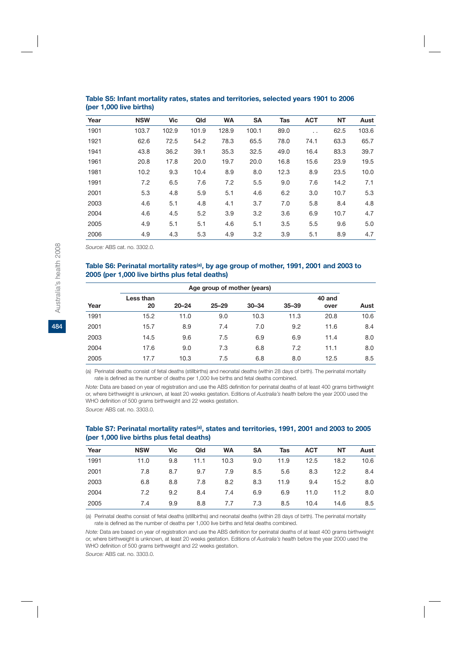| Year | <b>NSW</b> | <b>Vic</b> | Qld   | <b>WA</b> | <b>SA</b> | <b>Tas</b> | <b>ACT</b> | <b>NT</b> | Aust  |
|------|------------|------------|-------|-----------|-----------|------------|------------|-----------|-------|
| 1901 | 103.7      | 102.9      | 101.9 | 128.9     | 100.1     | 89.0       | $\cdot$ .  | 62.5      | 103.6 |
| 1921 | 62.6       | 72.5       | 54.2  | 78.3      | 65.5      | 78.0       | 74.1       | 63.3      | 65.7  |
| 1941 | 43.8       | 36.2       | 39.1  | 35.3      | 32.5      | 49.0       | 16.4       | 83.3      | 39.7  |
| 1961 | 20.8       | 17.8       | 20.0  | 19.7      | 20.0      | 16.8       | 15.6       | 23.9      | 19.5  |
| 1981 | 10.2       | 9.3        | 10.4  | 8.9       | 8.0       | 12.3       | 8.9        | 23.5      | 10.0  |
| 1991 | 7.2        | 6.5        | 7.6   | 7.2       | 5.5       | 9.0        | 7.6        | 14.2      | 7.1   |
| 2001 | 5.3        | 4.8        | 5.9   | 5.1       | 4.6       | 6.2        | 3.0        | 10.7      | 5.3   |
| 2003 | 4.6        | 5.1        | 4.8   | 4.1       | 3.7       | 7.0        | 5.8        | 8.4       | 4.8   |
| 2004 | 4.6        | 4.5        | 5.2   | 3.9       | 3.2       | 3.6        | 6.9        | 10.7      | 4.7   |
| 2005 | 4.9        | 5.1        | 5.1   | 4.6       | 5.1       | 3.5        | 5.5        | 9.6       | 5.0   |
| 2006 | 4.9        | 4.3        | 5.3   | 4.9       | 3.2       | 3.9        | 5.1        | 8.9       | 4.7   |

#### **Table S5: Infant mortality rates, states and territories, selected years 1901 to 2006 (per 1,000 live births)**

*Source:* ABS cat. no. 3302.0.

#### **Table S6: Perinatal mortality rates(a), by age group of mother, 1991, 2001 and 2003 to 2005 (per 1,000 live births plus fetal deaths)**

|      | Age group of mother (years) |           |           |           |           |                |      |  |  |  |
|------|-----------------------------|-----------|-----------|-----------|-----------|----------------|------|--|--|--|
| Year | Less than<br>20             | $20 - 24$ | $25 - 29$ | $30 - 34$ | $35 - 39$ | 40 and<br>over | Aust |  |  |  |
| 1991 | 15.2                        | 11.0      | 9.0       | 10.3      | 11.3      | 20.8           | 10.6 |  |  |  |
| 2001 | 15.7                        | 8.9       | 7.4       | 7.0       | 9.2       | 11.6           | 8.4  |  |  |  |
| 2003 | 14.5                        | 9.6       | 7.5       | 6.9       | 6.9       | 11.4           | 8.0  |  |  |  |
| 2004 | 17.6                        | 9.0       | 7.3       | 6.8       | 7.2       | 11.1           | 8.0  |  |  |  |
| 2005 | 17.7                        | 10.3      | 7.5       | 6.8       | 8.0       | 12.5           | 8.5  |  |  |  |

(a) Perinatal deaths consist of fetal deaths (stillbirths) and neonatal deaths (within 28 days of birth). The perinatal mortality rate is defined as the number of deaths per 1,000 live births and fetal deaths combined.

*Note:* Data are based on year of registration and use the ABS definition for perinatal deaths of at least 400 grams birthweight or, where birthweight is unknown, at least 20 weeks gestation. Editions of *Australia's health* before the year 2000 used the WHO definition of 500 grams birthweight and 22 weeks gestation.

*Source:* ABS cat. no. 3303.0.

#### **Table S7: Perinatal mortality rates(a), states and territories, 1991, 2001 and 2003 to 2005 (per 1,000 live births plus fetal deaths)**

| Year | <b>NSW</b> | Vic | Qld  | <b>WA</b> | SΑ  | Tas  | <b>ACT</b> | NΤ   | Aust |
|------|------------|-----|------|-----------|-----|------|------------|------|------|
| 1991 | 11.0       | 9.8 | 11.1 | 10.3      | 9.0 | 11.9 | 12.5       | 18.2 | 10.6 |
| 2001 | 7.8        | 8.7 | 9.7  | 7.9       | 8.5 | 5.6  | 8.3        | 12.2 | 8.4  |
| 2003 | 6.8        | 8.8 | 7.8  | 8.2       | 8.3 | 11.9 | 9.4        | 15.2 | 8.0  |
| 2004 | 7.2        | 9.2 | 8.4  | 7.4       | 6.9 | 6.9  | 11.0       | 11.2 | 8.0  |
| 2005 | 7.4        | 9.9 | 8.8  | 7.7       | 7.3 | 8.5  | 10.4       | 14.6 | 8.5  |

(a) Perinatal deaths consist of fetal deaths (stillbirths) and neonatal deaths (within 28 days of birth). The perinatal mortality rate is defined as the number of deaths per 1,000 live births and fetal deaths combined.

*Note:* Data are based on year of registration and use the ABS definition for perinatal deaths of at least 400 grams birthweight or, where birthweight is unknown, at least 20 weeks gestation. Editions of *Australia's health* before the year 2000 used the WHO definition of 500 grams birthweight and 22 weeks gestation.

*Source:* ABS cat. no. 3303.0.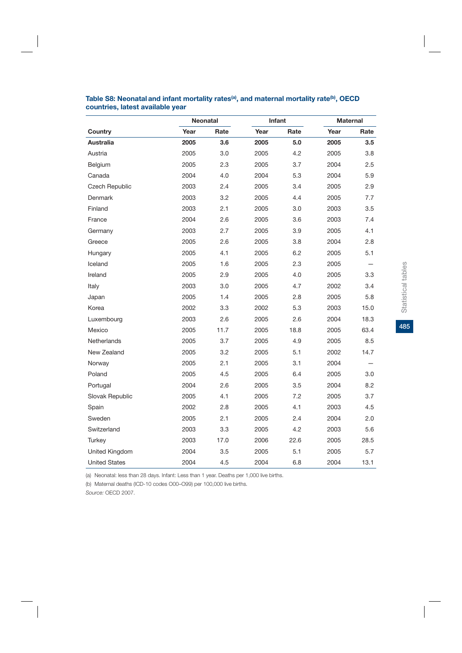|                      |      | Neonatal |      | <b>Infant</b> |      | <b>Maternal</b> |
|----------------------|------|----------|------|---------------|------|-----------------|
| Country              | Year | Rate     | Year | Rate          | Year | Rate            |
| Australia            | 2005 | 3.6      | 2005 | 5.0           | 2005 | 3.5             |
| Austria              | 2005 | 3.0      | 2005 | 4.2           | 2005 | 3.8             |
| Belgium              | 2005 | 2.3      | 2005 | 3.7           | 2004 | 2.5             |
| Canada               | 2004 | 4.0      | 2004 | 5.3           | 2004 | 5.9             |
| Czech Republic       | 2003 | 2.4      | 2005 | 3.4           | 2005 | 2.9             |
| Denmark              | 2003 | 3.2      | 2005 | 4.4           | 2005 | 7.7             |
| Finland              | 2003 | 2.1      | 2005 | 3.0           | 2003 | 3.5             |
| France               | 2004 | 2.6      | 2005 | 3.6           | 2003 | 7.4             |
| Germany              | 2003 | 2.7      | 2005 | 3.9           | 2005 | 4.1             |
| Greece               | 2005 | 2.6      | 2005 | 3.8           | 2004 | 2.8             |
| Hungary              | 2005 | 4.1      | 2005 | 6.2           | 2005 | 5.1             |
| Iceland              | 2005 | 1.6      | 2005 | 2.3           | 2005 |                 |
| Ireland              | 2005 | 2.9      | 2005 | 4.0           | 2005 | 3.3             |
| Italy                | 2003 | 3.0      | 2005 | 4.7           | 2002 | 3.4             |
| Japan                | 2005 | 1.4      | 2005 | 2.8           | 2005 | 5.8             |
| Korea                | 2002 | 3.3      | 2002 | 5.3           | 2003 | 15.0            |
| Luxembourg           | 2003 | 2.6      | 2005 | 2.6           | 2004 | 18.3            |
| Mexico               | 2005 | 11.7     | 2005 | 18.8          | 2005 | 63.4            |
| Netherlands          | 2005 | 3.7      | 2005 | 4.9           | 2005 | 8.5             |
| New Zealand          | 2005 | 3.2      | 2005 | 5.1           | 2002 | 14.7            |
| Norway               | 2005 | 2.1      | 2005 | 3.1           | 2004 |                 |
| Poland               | 2005 | 4.5      | 2005 | 6.4           | 2005 | 3.0             |
| Portugal             | 2004 | 2.6      | 2005 | 3.5           | 2004 | 8.2             |
| Slovak Republic      | 2005 | 4.1      | 2005 | 7.2           | 2005 | 3.7             |
| Spain                | 2002 | 2.8      | 2005 | 4.1           | 2003 | 4.5             |
| Sweden               | 2005 | 2.1      | 2005 | 2.4           | 2004 | 2.0             |
| Switzerland          | 2003 | 3.3      | 2005 | 4.2           | 2003 | 5.6             |
| Turkey               | 2003 | 17.0     | 2006 | 22.6          | 2005 | 28.5            |
| United Kingdom       | 2004 | 3.5      | 2005 | 5.1           | 2005 | 5.7             |
| <b>United States</b> | 2004 | 4.5      | 2004 | 6.8           | 2004 | 13.1            |

## Table S8: Neonatal and infant mortality rates<sup>(a)</sup>, and maternal mortality rate<sup>(b)</sup>, OECD **countries, latest available year**

(a) Neonatal: less than 28 days. Infant: Less than 1 year. Deaths per 1,000 live births.

(b) Maternal deaths (ICD-10 codes O00–O99) per 100,000 live births.

*Source:* OECD 2007.

485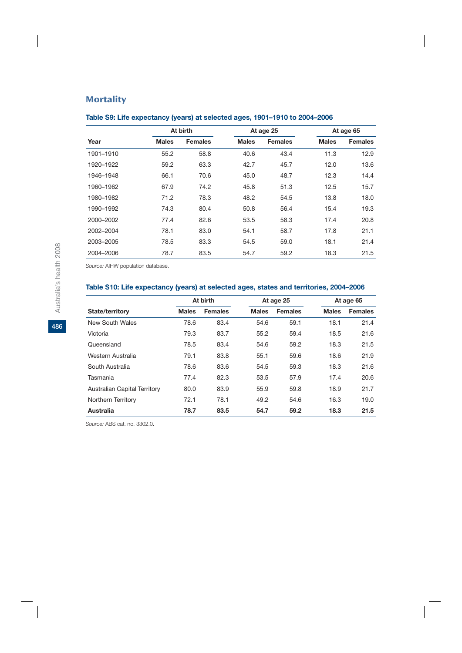## **Mortality**

## **Table S9: Life expectancy (years) at selected ages, 1901–1910 to 2004–2006**

|           |              | At birth       |              | At age 25      |              | At age 65      |
|-----------|--------------|----------------|--------------|----------------|--------------|----------------|
| Year      | <b>Males</b> | <b>Females</b> | <b>Males</b> | <b>Females</b> | <b>Males</b> | <b>Females</b> |
| 1901-1910 | 55.2         | 58.8           | 40.6         | 43.4           | 11.3         | 12.9           |
| 1920-1922 | 59.2         | 63.3           | 42.7         | 45.7           | 12.0         | 13.6           |
| 1946-1948 | 66.1         | 70.6           | 45.0         | 48.7           | 12.3         | 14.4           |
| 1960-1962 | 67.9         | 74.2           | 45.8         | 51.3           | 12.5         | 15.7           |
| 1980-1982 | 71.2         | 78.3           | 48.2         | 54.5           | 13.8         | 18.0           |
| 1990-1992 | 74.3         | 80.4           | 50.8         | 56.4           | 15.4         | 19.3           |
| 2000-2002 | 77.4         | 82.6           | 53.5         | 58.3           | 17.4         | 20.8           |
| 2002-2004 | 78.1         | 83.0           | 54.1         | 58.7           | 17.8         | 21.1           |
| 2003-2005 | 78.5         | 83.3           | 54.5         | 59.0           | 18.1         | 21.4           |
| 2004-2006 | 78.7         | 83.5           | 54.7         | 59.2           | 18.3         | 21.5           |

*Source:* AIHW population database.

## **Table S10: Life expectancy (years) at selected ages, states and territories, 2004–2006**

|                                     |              | At birth       |              | At age 25      |              | At age 65      |  |  |
|-------------------------------------|--------------|----------------|--------------|----------------|--------------|----------------|--|--|
| State/territory                     | <b>Males</b> | <b>Females</b> | <b>Males</b> | <b>Females</b> | <b>Males</b> | <b>Females</b> |  |  |
| New South Wales                     | 78.6         | 83.4           | 54.6         | 59.1           | 18.1         | 21.4           |  |  |
| Victoria                            | 79.3         | 83.7           | 55.2         | 59.4           | 18.5         | 21.6           |  |  |
| Queensland                          | 78.5         | 83.4           | 54.6         | 59.2           | 18.3         | 21.5           |  |  |
| Western Australia                   | 79.1         | 83.8           | 55.1         | 59.6           | 18.6         | 21.9           |  |  |
| South Australia                     | 78.6         | 83.6           | 54.5         | 59.3           | 18.3         | 21.6           |  |  |
| Tasmania                            | 77.4         | 82.3           | 53.5         | 57.9           | 17.4         | 20.6           |  |  |
| <b>Australian Capital Territory</b> | 80.0         | 83.9           | 55.9         | 59.8           | 18.9         | 21.7           |  |  |
| Northern Territory                  | 72.1         | 78.1           | 49.2         | 54.6           | 16.3         | 19.0           |  |  |
| Australia                           | 78.7         | 83.5           | 54.7         | 59.2           | 18.3         | 21.5           |  |  |

*Source:* ABS cat. no. 3302.0.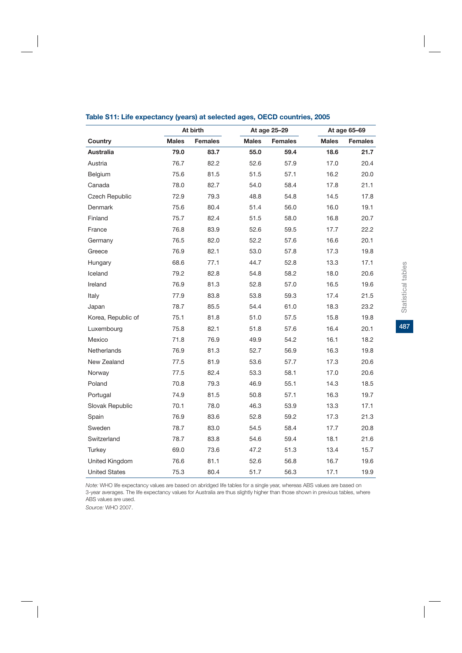|                       | At birth     |                |              | At age 25-29   |              | At age 65-69   |
|-----------------------|--------------|----------------|--------------|----------------|--------------|----------------|
| Country               | <b>Males</b> | <b>Females</b> | <b>Males</b> | <b>Females</b> | <b>Males</b> | <b>Females</b> |
| Australia             | 79.0         | 83.7           | 55.0         | 59.4           | 18.6         | 21.7           |
| Austria               | 76.7         | 82.2           | 52.6         | 57.9           | 17.0         | 20.4           |
| Belgium               | 75.6         | 81.5           | 51.5         | 57.1           | 16.2         | 20.0           |
| Canada                | 78.0         | 82.7           | 54.0         | 58.4           | 17.8         | 21.1           |
| <b>Czech Republic</b> | 72.9         | 79.3           | 48.8         | 54.8           | 14.5         | 17.8           |
| Denmark               | 75.6         | 80.4           | 51.4         | 56.0           | 16.0         | 19.1           |
| Finland               | 75.7         | 82.4           | 51.5         | 58.0           | 16.8         | 20.7           |
| France                | 76.8         | 83.9           | 52.6         | 59.5           | 17.7         | 22.2           |
| Germany               | 76.5         | 82.0           | 52.2         | 57.6           | 16.6         | 20.1           |
| Greece                | 76.9         | 82.1           | 53.0         | 57.8           | 17.3         | 19.8           |
| Hungary               | 68.6         | 77.1           | 44.7         | 52.8           | 13.3         | 17.1           |
| Iceland               | 79.2         | 82.8           | 54.8         | 58.2           | 18.0         | 20.6           |
| Ireland               | 76.9         | 81.3           | 52.8         | 57.0           | 16.5         | 19.6           |
| Italy                 | 77.9         | 83.8           | 53.8         | 59.3           | 17.4         | 21.5           |
| Japan                 | 78.7         | 85.5           | 54.4         | 61.0           | 18.3         | 23.2           |
| Korea, Republic of    | 75.1         | 81.8           | 51.0         | 57.5           | 15.8         | 19.8           |
| Luxembourg            | 75.8         | 82.1           | 51.8         | 57.6           | 16.4         | 20.1           |
| Mexico                | 71.8         | 76.9           | 49.9         | 54.2           | 16.1         | 18.2           |
| Netherlands           | 76.9         | 81.3           | 52.7         | 56.9           | 16.3         | 19.8           |
| New Zealand           | 77.5         | 81.9           | 53.6         | 57.7           | 17.3         | 20.6           |
| Norway                | 77.5         | 82.4           | 53.3         | 58.1           | 17.0         | 20.6           |
| Poland                | 70.8         | 79.3           | 46.9         | 55.1           | 14.3         | 18.5           |
| Portugal              | 74.9         | 81.5           | 50.8         | 57.1           | 16.3         | 19.7           |
| Slovak Republic       | 70.1         | 78.0           | 46.3         | 53.9           | 13.3         | 17.1           |
| Spain                 | 76.9         | 83.6           | 52.8         | 59.2           | 17.3         | 21.3           |
| Sweden                | 78.7         | 83.0           | 54.5         | 58.4           | 17.7         | 20.8           |
| Switzerland           | 78.7         | 83.8           | 54.6         | 59.4           | 18.1         | 21.6           |
| Turkey                | 69.0         | 73.6           | 47.2         | 51.3           | 13.4         | 15.7           |
| United Kingdom        | 76.6         | 81.1           | 52.6         | 56.8           | 16.7         | 19.6           |
| <b>United States</b>  | 75.3         | 80.4           | 51.7         | 56.3           | 17.1         | 19.9           |

#### **Table S11: Life expectancy (years) at selected ages, OECD countries, 2005**

*Note:* WHO life expectancy values are based on abridged life tables for a single year, whereas ABS values are based on 3-year averages. The life expectancy values for Australia are thus slightly higher than those shown in previous tables, where ABS values are used.

*Source:* WHO 2007.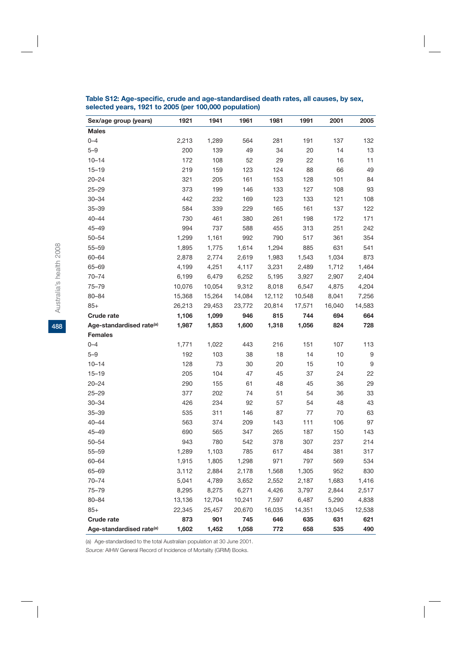| Sex/age group (years)                | 1921   | 1941   | 1961   | 1981   | 1991   | 2001   | 2005   |
|--------------------------------------|--------|--------|--------|--------|--------|--------|--------|
| <b>Males</b>                         |        |        |        |        |        |        |        |
| $0 - 4$                              | 2,213  | 1,289  | 564    | 281    | 191    | 137    | 132    |
| $5 - 9$                              | 200    | 139    | 49     | 34     | 20     | 14     | 13     |
| $10 - 14$                            | 172    | 108    | 52     | 29     | 22     | 16     | 11     |
| $15 - 19$                            | 219    | 159    | 123    | 124    | 88     | 66     | 49     |
| $20 - 24$                            | 321    | 205    | 161    | 153    | 128    | 101    | 84     |
| $25 - 29$                            | 373    | 199    | 146    | 133    | 127    | 108    | 93     |
| $30 - 34$                            | 442    | 232    | 169    | 123    | 133    | 121    | 108    |
| $35 - 39$                            | 584    | 339    | 229    | 165    | 161    | 137    | 122    |
| $40 - 44$                            | 730    | 461    | 380    | 261    | 198    | 172    | 171    |
| $45 - 49$                            | 994    | 737    | 588    | 455    | 313    | 251    | 242    |
| $50 - 54$                            | 1,299  | 1,161  | 992    | 790    | 517    | 361    | 354    |
| $55 - 59$                            | 1,895  | 1,775  | 1,614  | 1,294  | 885    | 631    | 541    |
| 60-64                                | 2,878  | 2,774  | 2,619  | 1,983  | 1,543  | 1,034  | 873    |
| 65-69                                | 4,199  | 4,251  | 4,117  | 3,231  | 2,489  | 1,712  | 1,464  |
| $70 - 74$                            | 6,199  | 6,479  | 6,252  | 5,195  | 3,927  | 2,907  | 2,404  |
| 75-79                                | 10,076 | 10,054 | 9,312  | 8,018  | 6,547  | 4,875  | 4,204  |
| 80-84                                | 15,368 | 15,264 | 14,084 | 12,112 | 10,548 | 8,041  | 7,256  |
| $85+$                                | 26,213 | 29,453 | 23,772 | 20,814 | 17,571 | 16,040 | 14,583 |
| Crude rate                           | 1,106  | 1,099  | 946    | 815    | 744    | 694    | 664    |
| Age-standardised rate <sup>(a)</sup> | 1,987  | 1,853  | 1,600  | 1,318  | 1,056  | 824    | 728    |
| <b>Females</b>                       |        |        |        |        |        |        |        |
| $0 - 4$                              | 1,771  | 1,022  | 443    | 216    | 151    | 107    | 113    |
| $5 - 9$                              | 192    | 103    | 38     | 18     | 14     | 10     | 9      |
| $10 - 14$                            | 128    | 73     | 30     | 20     | 15     | 10     | 9      |
| $15 - 19$                            | 205    | 104    | 47     | 45     | 37     | 24     | 22     |
| $20 - 24$                            | 290    | 155    | 61     | 48     | 45     | 36     | 29     |
| $25 - 29$                            | 377    | 202    | 74     | 51     | 54     | 36     | 33     |
| $30 - 34$                            | 426    | 234    | 92     | 57     | 54     | 48     | 43     |
| $35 - 39$                            | 535    | 311    | 146    | 87     | 77     | 70     | 63     |
| $40 - 44$                            | 563    | 374    | 209    | 143    | 111    | 106    | 97     |
| $45 - 49$                            | 690    | 565    | 347    | 265    | 187    | 150    | 143    |
| $50 - 54$                            | 943    | 780    | 542    | 378    | 307    | 237    | 214    |
| $55 - 59$                            | 1,289  | 1,103  | 785    | 617    | 484    | 381    | 317    |
| $60 - 64$                            | 1,915  | 1,805  | 1,298  | 971    | 797    | 569    | 534    |
| 65-69                                | 3,112  | 2,884  | 2,178  | 1,568  | 1,305  | 952    | 830    |
| $70 - 74$                            | 5,041  | 4,789  | 3,652  | 2,552  | 2,187  | 1,683  | 1,416  |
| $75 - 79$                            | 8,295  | 8,275  | 6,271  | 4,426  | 3,797  | 2,844  | 2,517  |
| $80 - 84$                            | 13,136 | 12,704 | 10,241 | 7,597  | 6,487  | 5,290  | 4,838  |
| $85+$                                | 22,345 | 25,457 | 20,670 | 16,035 | 14,351 | 13,045 | 12,538 |
| <b>Crude rate</b>                    | 873    | 901    | 745    | 646    | 635    | 631    | 621    |
| Age-standardised rate <sup>(a)</sup> | 1,602  | 1,452  | 1,058  | 772    | 658    | 535    | 490    |

#### **Table S12: Age-specific, crude and age-standardised death rates, all causes, by sex, selected years, 1921 to 2005 (per 100,000 population)**

(a) Age-standardised to the total Australian population at 30 June 2001.

*Source:* AIHW General Record of Incidence of Mortality (GRIM) Books.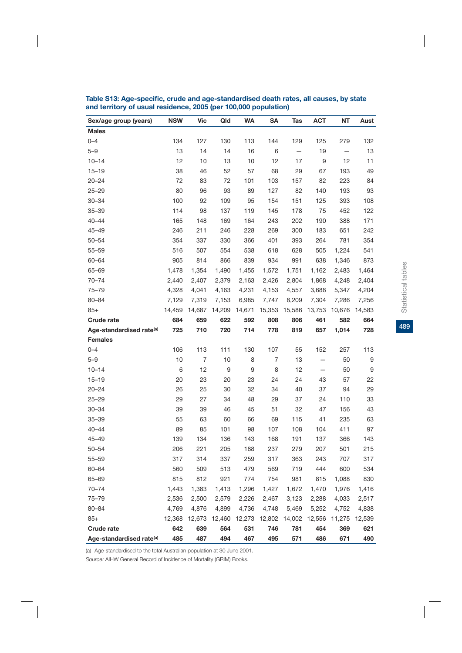| Sex/age group (years)                | <b>NSW</b> | <b>Vic</b>     | Qld              | <b>WA</b> | <b>SA</b>            | Tas                      | <b>ACT</b> | NT                       | Aust   |
|--------------------------------------|------------|----------------|------------------|-----------|----------------------|--------------------------|------------|--------------------------|--------|
| <b>Males</b>                         |            |                |                  |           |                      |                          |            |                          |        |
| $0 - 4$                              | 134        | 127            | 130              | 113       | 144                  | 129                      | 125        | 279                      | 132    |
| $5 - 9$                              | 13         | 14             | 14               | 16        | 6                    | $\overline{\phantom{0}}$ | 19         | $\overline{\phantom{0}}$ | 13     |
| $10 - 14$                            | 12         | 10             | 13               | 10        | 12                   | 17                       | 9          | 12                       | 11     |
| $15 - 19$                            | 38         | 46             | 52               | 57        | 68                   | 29                       | 67         | 193                      | 49     |
| $20 - 24$                            | 72         | 83             | 72               | 101       | 103                  | 157                      | 82         | 223                      | 84     |
| $25 - 29$                            | 80         | 96             | 93               | 89        | 127                  | 82                       | 140        | 193                      | 93     |
| $30 - 34$                            | 100        | 92             | 109              | 95        | 154                  | 151                      | 125        | 393                      | 108    |
| $35 - 39$                            | 114        | 98             | 137              | 119       | 145                  | 178                      | 75         | 452                      | 122    |
| $40 - 44$                            | 165        | 148            | 169              | 164       | 243                  | 202                      | 190        | 388                      | 171    |
| $45 - 49$                            | 246        | 211            | 246              | 228       | 269                  | 300                      | 183        | 651                      | 242    |
| $50 - 54$                            | 354        | 337            | 330              | 366       | 401                  | 393                      | 264        | 781                      | 354    |
| $55 - 59$                            | 516        | 507            | 554              | 538       | 618                  | 628                      | 505        | 1,224                    | 541    |
| 60-64                                | 905        | 814            | 866              | 839       | 934                  | 991                      | 638        | 1,346                    | 873    |
| 65-69                                | 1,478      | 1,354          | 1,490            | 1,455     | 1,572                | 1,751                    | 1,162      | 2,483                    | 1,464  |
| $70 - 74$                            | 2,440      | 2,407          | 2,379            | 2,163     | 2,426                | 2,804                    | 1,868      | 4,248                    | 2,404  |
| $75 - 79$                            | 4,328      | 4,041          | 4,163            | 4,231     | 4,153                | 4,557                    | 3,688      | 5,347                    | 4,204  |
| 80-84                                | 7,129      | 7,319          | 7,153            | 6,985     | 7,747                | 8,209                    | 7,304      | 7,286                    | 7,256  |
| $85+$                                | 14,459     | 14,687         | 14,209           | 14,671    | 15,353               | 15,586                   | 13,753     | 10,676                   | 14,583 |
| Crude rate                           | 684        | 659            | 622              | 592       | 808                  | 806                      | 461        | 582                      | 664    |
| Age-standardised rate <sup>(a)</sup> | 725        | 710            | 720              | 714       | 778                  | 819                      | 657        | 1,014                    | 728    |
| <b>Females</b>                       |            |                |                  |           |                      |                          |            |                          |        |
| $0 - 4$                              | 106        | 113            | 111              | 130       | 107                  | 55                       | 152        | 257                      | 113    |
| $5 - 9$                              | 10         | $\overline{7}$ | 10               | 8         | 7                    | 13                       | -          | 50                       | 9      |
| $10 - 14$                            | 6          | 12             | $\boldsymbol{9}$ | 9         | 8                    | 12                       | -          | 50                       | 9      |
| $15 - 19$                            | 20         | 23             | 20               | 23        | 24                   | 24                       | 43         | 57                       | 22     |
| $20 - 24$                            | 26         | 25             | 30               | 32        | 34                   | 40                       | 37         | 94                       | 29     |
| $25 - 29$                            | 29         | 27             | 34               | 48        | 29                   | 37                       | 24         | 110                      | 33     |
| $30 - 34$                            | 39         | 39             | 46               | 45        | 51                   | 32                       | 47         | 156                      | 43     |
| $35 - 39$                            | 55         | 63             | 60               | 66        | 69                   | 115                      | 41         | 235                      | 63     |
| $40 - 44$                            | 89         | 85             | 101              | 98        | 107                  | 108                      | 104        | 411                      | 97     |
| $45 - 49$                            | 139        | 134            | 136              | 143       | 168                  | 191                      | 137        | 366                      | 143    |
| $50 - 54$                            | 206        | 221            | 205              | 188       | 237                  | 279                      | 207        | 501                      | 215    |
| $55 - 59$                            | 317        | 314            | 337              | 259       | 317                  | 363                      | 243        | 707                      | 317    |
| 60-64                                | 560        | 509            | 513              | 479       | 569                  | 719                      | 444        | 600                      | 534    |
| 65-69                                | 815        | 812            | 921              | 774       | 754                  | 981                      | 815        | 1,088                    | 830    |
| $70 - 74$                            | 1,443      | 1,383          | 1,413            | 1,296     | 1,427                | 1,672                    | 1,470      | 1,976                    | 1,416  |
| 75-79                                | 2,536      | 2,500          | 2,579            | 2,226     | 2,467                | 3,123                    | 2,288      | 4,033                    | 2,517  |
| $80 - 84$                            | 4,769      | 4,876          | 4,899            | 4,736     | 4,748                | 5,469                    | 5,252      | 4,752                    | 4,838  |
| $85+$                                | 12,368     | 12,673         | 12,460           | 12,273    | 12,802 14,002 12,556 |                          |            | 11,275                   | 12,539 |
| Crude rate                           | 642        | 639            | 564              | 531       | 746                  | 781                      | 454        | 369                      | 621    |
| Age-standardised rate <sup>(a)</sup> | 485        | 487            | 494              | 467       | 495                  | 571                      | 486        | 671                      | 490    |

**Table S13: Age-specific, crude and age-standardised death rates, all causes, by state and territory of usual residence, 2005 (per 100,000 population)**

(a) Age-standardised to the total Australian population at 30 June 2001.

*Source:* AIHW General Record of Incidence of Mortality (GRIM) Books.

489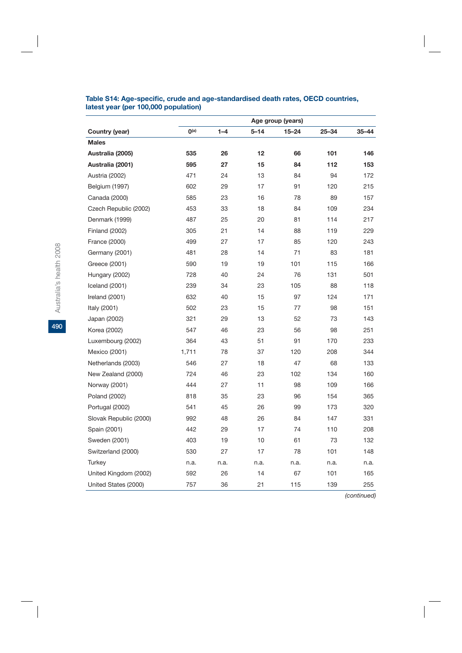|                        | Age group (years) |         |          |           |           |           |  |  |
|------------------------|-------------------|---------|----------|-----------|-----------|-----------|--|--|
| Country (year)         | O <sub>(a)</sub>  | $1 - 4$ | $5 - 14$ | $15 - 24$ | $25 - 34$ | $35 - 44$ |  |  |
| <b>Males</b>           |                   |         |          |           |           |           |  |  |
| Australia (2005)       | 535               | 26      | 12       | 66        | 101       | 146       |  |  |
| Australia (2001)       | 595               | 27      | 15       | 84        | 112       | 153       |  |  |
| Austria (2002)         | 471               | 24      | 13       | 84        | 94        | 172       |  |  |
| Belgium (1997)         | 602               | 29      | 17       | 91        | 120       | 215       |  |  |
| Canada (2000)          | 585               | 23      | 16       | 78        | 89        | 157       |  |  |
| Czech Republic (2002)  | 453               | 33      | 18       | 84        | 109       | 234       |  |  |
| Denmark (1999)         | 487               | 25      | 20       | 81        | 114       | 217       |  |  |
| <b>Finland (2002)</b>  | 305               | 21      | 14       | 88        | 119       | 229       |  |  |
| France (2000)          | 499               | 27      | 17       | 85        | 120       | 243       |  |  |
| Germany (2001)         | 481               | 28      | 14       | 71        | 83        | 181       |  |  |
| Greece (2001)          | 590               | 19      | 19       | 101       | 115       | 166       |  |  |
| Hungary (2002)         | 728               | 40      | 24       | 76        | 131       | 501       |  |  |
| Iceland (2001)         | 239               | 34      | 23       | 105       | 88        | 118       |  |  |
| Ireland (2001)         | 632               | 40      | 15       | 97        | 124       | 171       |  |  |
| Italy (2001)           | 502               | 23      | 15       | 77        | 98        | 151       |  |  |
| Japan (2002)           | 321               | 29      | 13       | 52        | 73        | 143       |  |  |
| Korea (2002)           | 547               | 46      | 23       | 56        | 98        | 251       |  |  |
| Luxembourg (2002)      | 364               | 43      | 51       | 91        | 170       | 233       |  |  |
| Mexico (2001)          | 1,711             | 78      | 37       | 120       | 208       | 344       |  |  |
| Netherlands (2003)     | 546               | 27      | 18       | 47        | 68        | 133       |  |  |
| New Zealand (2000)     | 724               | 46      | 23       | 102       | 134       | 160       |  |  |
| Norway (2001)          | 444               | 27      | 11       | 98        | 109       | 166       |  |  |
| Poland (2002)          | 818               | 35      | 23       | 96        | 154       | 365       |  |  |
| Portugal (2002)        | 541               | 45      | 26       | 99        | 173       | 320       |  |  |
| Slovak Republic (2000) | 992               | 48      | 26       | 84        | 147       | 331       |  |  |
| Spain (2001)           | 442               | 29      | 17       | 74        | 110       | 208       |  |  |
| Sweden (2001)          | 403               | 19      | 10       | 61        | 73        | 132       |  |  |
| Switzerland (2000)     | 530               | 27      | 17       | 78        | 101       | 148       |  |  |
| Turkey                 | n.a.              | n.a.    | n.a.     | n.a.      | n.a.      | n.a.      |  |  |
| United Kingdom (2002)  | 592               | 26      | 14       | 67        | 101       | 165       |  |  |
| United States (2000)   | 757               | 36      | 21       | 115       | 139       | 255       |  |  |

## **Table S14: Age-specific, crude and age-standardised death rates, OECD countries, latest year (per 100,000 population)**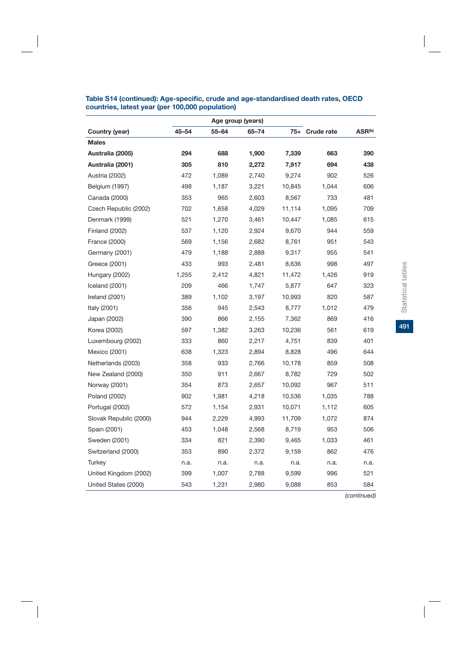|                        |       |       | Age group (years) |        |                |                    |
|------------------------|-------|-------|-------------------|--------|----------------|--------------------|
| Country (year)         | 45-54 | 55-64 | 65-74             |        | 75+ Crude rate | ASR <sup>(b)</sup> |
| <b>Males</b>           |       |       |                   |        |                |                    |
| Australia (2005)       | 294   | 688   | 1,900             | 7,339  | 663            | 390                |
| Australia (2001)       | 305   | 810   | 2,272             | 7,917  | 694            | 438                |
| Austria (2002)         | 472   | 1,089 | 2,740             | 9,274  | 902            | 526                |
| Belgium (1997)         | 498   | 1,187 | 3,221             | 10,845 | 1,044          | 606                |
| Canada (2000)          | 353   | 965   | 2,603             | 8,567  | 733            | 481                |
| Czech Republic (2002)  | 702   | 1,658 | 4,029             | 11,114 | 1,095          | 709                |
| Denmark (1999)         | 521   | 1,270 | 3,461             | 10,447 | 1,085          | 615                |
| <b>Finland (2002)</b>  | 537   | 1,120 | 2,924             | 9,670  | 944            | 559                |
| France (2000)          | 569   | 1,156 | 2,682             | 8,761  | 951            | 543                |
| Germany (2001)         | 479   | 1,188 | 2,888             | 9,317  | 955            | 541                |
| Greece (2001)          | 433   | 993   | 2,481             | 8,636  | 998            | 497                |
| Hungary (2002)         | 1,255 | 2,412 | 4,821             | 11,472 | 1,426          | 919                |
| Iceland (2001)         | 209   | 466   | 1,747             | 5,877  | 647            | 323                |
| Ireland (2001)         | 389   | 1,102 | 3,197             | 10,993 | 820            | 587                |
| Italy (2001)           | 356   | 945   | 2,543             | 8,777  | 1,012          | 479                |
| Japan (2002)           | 390   | 866   | 2,155             | 7,362  | 869            | 416                |
| Korea (2002)           | 597   | 1,382 | 3,263             | 10,236 | 561            | 619                |
| Luxembourg (2002)      | 333   | 860   | 2,217             | 4,751  | 839            | 401                |
| Mexico (2001)          | 638   | 1,323 | 2,894             | 8,828  | 496            | 644                |
| Netherlands (2003)     | 358   | 933   | 2,766             | 10,178 | 859            | 508                |
| New Zealand (2000)     | 350   | 911   | 2,667             | 8,782  | 729            | 502                |
| Norway (2001)          | 354   | 873   | 2,657             | 10,092 | 967            | 511                |
| Poland (2002)          | 902   | 1,981 | 4,218             | 10,536 | 1,035          | 788                |
| Portugal (2002)        | 572   | 1,154 | 2,931             | 10,071 | 1,112          | 605                |
| Slovak Republic (2000) | 944   | 2,229 | 4,993             | 11,709 | 1,072          | 874                |
| Spain (2001)           | 453   | 1,048 | 2,568             | 8,719  | 953            | 506                |
| Sweden (2001)          | 334   | 821   | 2,390             | 9,465  | 1,033          | 461                |
| Switzerland (2000)     | 353   | 890   | 2,372             | 9,159  | 862            | 476                |
| Turkey                 | n.a.  | n.a.  | n.a.              | n.a.   | n.a.           | n.a.               |
| United Kingdom (2002)  | 399   | 1,007 | 2,788             | 9,599  | 996            | 521                |
| United States (2000)   | 543   | 1,231 | 2,980             | 9,088  | 853            | 584                |

## **Table S14 (continued): Age-specific, crude and age-standardised death rates, OECD countries, latest year (per 100,000 population)**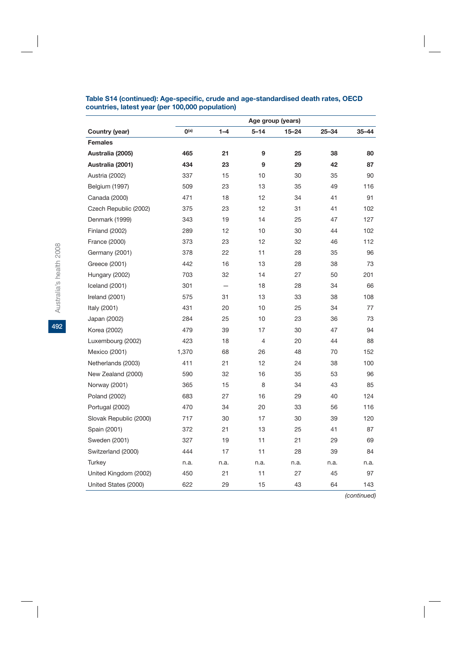|                        | Age group (years) |          |                |       |           |           |  |  |
|------------------------|-------------------|----------|----------------|-------|-----------|-----------|--|--|
| Country (year)         | O <sub>(a)</sub>  | $1 - 4$  | $5 - 14$       | 15-24 | $25 - 34$ | $35 - 44$ |  |  |
| <b>Females</b>         |                   |          |                |       |           |           |  |  |
| Australia (2005)       | 465               | 21       | 9              | 25    | 38        | 80        |  |  |
| Australia (2001)       | 434               | 23       | 9              | 29    | 42        | 87        |  |  |
| Austria (2002)         | 337               | 15       | 10             | 30    | 35        | 90        |  |  |
| Belgium (1997)         | 509               | 23       | 13             | 35    | 49        | 116       |  |  |
| Canada (2000)          | 471               | 18       | 12             | 34    | 41        | 91        |  |  |
| Czech Republic (2002)  | 375               | 23       | 12             | 31    | 41        | 102       |  |  |
| Denmark (1999)         | 343               | 19       | 14             | 25    | 47        | 127       |  |  |
| <b>Finland (2002)</b>  | 289               | 12       | 10             | 30    | 44        | 102       |  |  |
| France (2000)          | 373               | 23       | 12             | 32    | 46        | 112       |  |  |
| Germany (2001)         | 378               | 22       | 11             | 28    | 35        | 96        |  |  |
| Greece (2001)          | 442               | 16       | 13             | 28    | 38        | 73        |  |  |
| Hungary (2002)         | 703               | 32       | 14             | 27    | 50        | 201       |  |  |
| Iceland (2001)         | 301               | $\equiv$ | 18             | 28    | 34        | 66        |  |  |
| Ireland (2001)         | 575               | 31       | 13             | 33    | 38        | 108       |  |  |
| Italy (2001)           | 431               | 20       | 10             | 25    | 34        | 77        |  |  |
| Japan (2002)           | 284               | 25       | 10             | 23    | 36        | 73        |  |  |
| Korea (2002)           | 479               | 39       | 17             | 30    | 47        | 94        |  |  |
| Luxembourg (2002)      | 423               | 18       | $\overline{4}$ | 20    | 44        | 88        |  |  |
| Mexico (2001)          | 1,370             | 68       | 26             | 48    | 70        | 152       |  |  |
| Netherlands (2003)     | 411               | 21       | 12             | 24    | 38        | 100       |  |  |
| New Zealand (2000)     | 590               | 32       | 16             | 35    | 53        | 96        |  |  |
| Norway (2001)          | 365               | 15       | 8              | 34    | 43        | 85        |  |  |
| Poland (2002)          | 683               | 27       | 16             | 29    | 40        | 124       |  |  |
| Portugal (2002)        | 470               | 34       | 20             | 33    | 56        | 116       |  |  |
| Slovak Republic (2000) | 717               | 30       | 17             | 30    | 39        | 120       |  |  |
| Spain (2001)           | 372               | 21       | 13             | 25    | 41        | 87        |  |  |
| Sweden (2001)          | 327               | 19       | 11             | 21    | 29        | 69        |  |  |
| Switzerland (2000)     | 444               | 17       | 11             | 28    | 39        | 84        |  |  |
| Turkey                 | n.a.              | n.a.     | n.a.           | n.a.  | n.a.      | n.a.      |  |  |
| United Kingdom (2002)  | 450               | 21       | 11             | 27    | 45        | 97        |  |  |
| United States (2000)   | 622               | 29       | 15             | 43    | 64        | 143       |  |  |

## **Table S14 (continued): Age-specific, crude and age-standardised death rates, OECD countries, latest year (per 100,000 population)**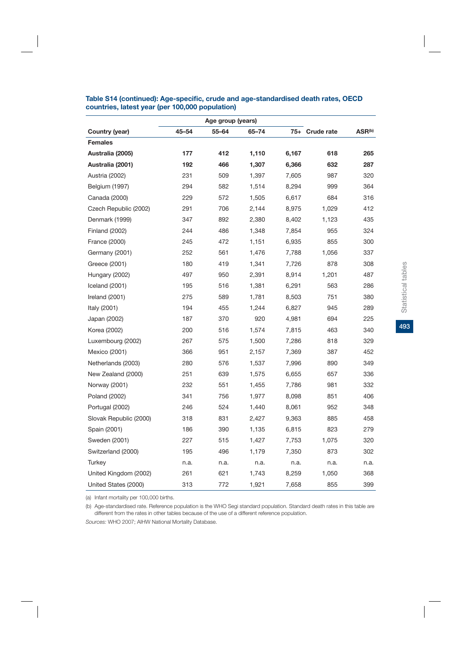|                        |       | Age group (years) |           |       |                |                    |
|------------------------|-------|-------------------|-----------|-------|----------------|--------------------|
| Country (year)         | 45-54 | $55 - 64$         | $65 - 74$ |       | 75+ Crude rate | ASR <sup>(b)</sup> |
| <b>Females</b>         |       |                   |           |       |                |                    |
| Australia (2005)       | 177   | 412               | 1,110     | 6,167 | 618            | 265                |
| Australia (2001)       | 192   | 466               | 1,307     | 6,366 | 632            | 287                |
| Austria (2002)         | 231   | 509               | 1,397     | 7,605 | 987            | 320                |
| Belgium (1997)         | 294   | 582               | 1,514     | 8,294 | 999            | 364                |
| Canada (2000)          | 229   | 572               | 1,505     | 6,617 | 684            | 316                |
| Czech Republic (2002)  | 291   | 706               | 2,144     | 8,975 | 1,029          | 412                |
| Denmark (1999)         | 347   | 892               | 2,380     | 8,402 | 1,123          | 435                |
| <b>Finland (2002)</b>  | 244   | 486               | 1,348     | 7,854 | 955            | 324                |
| France (2000)          | 245   | 472               | 1,151     | 6,935 | 855            | 300                |
| Germany (2001)         | 252   | 561               | 1,476     | 7,788 | 1,056          | 337                |
| Greece (2001)          | 180   | 419               | 1,341     | 7,726 | 878            | 308                |
| Hungary (2002)         | 497   | 950               | 2,391     | 8,914 | 1,201          | 487                |
| Iceland (2001)         | 195   | 516               | 1,381     | 6,291 | 563            | 286                |
| Ireland (2001)         | 275   | 589               | 1,781     | 8,503 | 751            | 380                |
| Italy (2001)           | 194   | 455               | 1,244     | 6,827 | 945            | 289                |
| Japan (2002)           | 187   | 370               | 920       | 4,981 | 694            | 225                |
| Korea (2002)           | 200   | 516               | 1,574     | 7,815 | 463            | 340                |
| Luxembourg (2002)      | 267   | 575               | 1,500     | 7,286 | 818            | 329                |
| Mexico (2001)          | 366   | 951               | 2,157     | 7,369 | 387            | 452                |
| Netherlands (2003)     | 280   | 576               | 1,537     | 7,996 | 890            | 349                |
| New Zealand (2000)     | 251   | 639               | 1,575     | 6,655 | 657            | 336                |
| Norway (2001)          | 232   | 551               | 1,455     | 7,786 | 981            | 332                |
| Poland (2002)          | 341   | 756               | 1,977     | 8,098 | 851            | 406                |
| Portugal (2002)        | 246   | 524               | 1,440     | 8,061 | 952            | 348                |
| Slovak Republic (2000) | 318   | 831               | 2,427     | 9,363 | 885            | 458                |
| Spain (2001)           | 186   | 390               | 1,135     | 6,815 | 823            | 279                |
| Sweden (2001)          | 227   | 515               | 1,427     | 7,753 | 1,075          | 320                |
| Switzerland (2000)     | 195   | 496               | 1,179     | 7,350 | 873            | 302                |
| <b>Turkey</b>          | n.a.  | n.a.              | n.a.      | n.a.  | n.a.           | n.a.               |
| United Kingdom (2002)  | 261   | 621               | 1,743     | 8,259 | 1,050          | 368                |
| United States (2000)   | 313   | 772               | 1,921     | 7,658 | 855            | 399                |

#### **Table S14 (continued): Age-specific, crude and age-standardised death rates, OECD countries, latest year (per 100,000 population)**

(a) Infant mortality per 100,000 births.

(b) Age-standardised rate. Reference population is the WHO Segi standard population. Standard death rates in this table are different from the rates in other tables because of the use of a different reference population.

*Sources:* WHO 2007; AIHW National Mortality Database.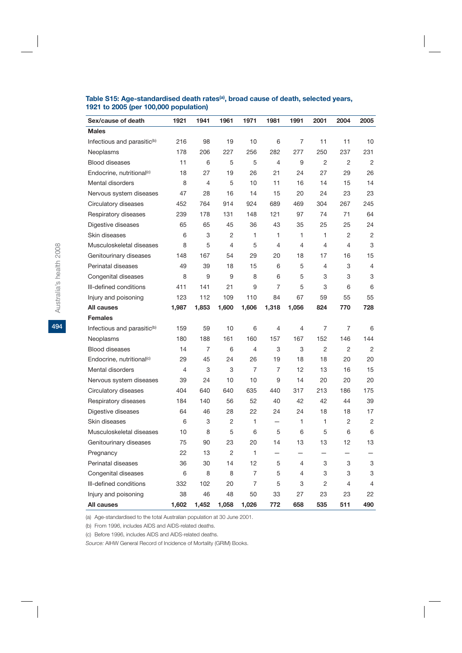| Sex/cause of death                      | 1921           | 1941           | 1961           | 1971           | 1981           | 1991           | 2001           | 2004           | 2005           |
|-----------------------------------------|----------------|----------------|----------------|----------------|----------------|----------------|----------------|----------------|----------------|
| <b>Males</b>                            |                |                |                |                |                |                |                |                |                |
| Infectious and parasitic <sup>(b)</sup> | 216            | 98             | 19             | 10             | 6              | $\overline{7}$ | 11             | 11             | 10             |
| Neoplasms                               | 178            | 206            | 227            | 256            | 282            | 277            | 250            | 237            | 231            |
| <b>Blood diseases</b>                   | 11             | 6              | 5              | 5              | $\overline{4}$ | 9              | 2              | $\overline{2}$ | $\overline{2}$ |
| Endocrine, nutritional <sup>(c)</sup>   | 18             | 27             | 19             | 26             | 21             | 24             | 27             | 29             | 26             |
| Mental disorders                        | 8              | 4              | 5              | 10             | 11             | 16             | 14             | 15             | 14             |
| Nervous system diseases                 | 47             | 28             | 16             | 14             | 15             | 20             | 24             | 23             | 23             |
| Circulatory diseases                    | 452            | 764            | 914            | 924            | 689            | 469            | 304            | 267            | 245            |
| Respiratory diseases                    | 239            | 178            | 131            | 148            | 121            | 97             | 74             | 71             | 64             |
| Digestive diseases                      | 65             | 65             | 45             | 36             | 43             | 35             | 25             | 25             | 24             |
| Skin diseases                           | 6              | 3              | $\overline{2}$ | $\mathbf{1}$   | $\mathbf{1}$   | $\mathbf{1}$   | $\mathbf{1}$   | $\overline{2}$ | $\overline{2}$ |
| Musculoskeletal diseases                | 8              | 5              | 4              | 5              | 4              | $\overline{4}$ | 4              | 4              | 3              |
| Genitourinary diseases                  | 148            | 167            | 54             | 29             | 20             | 18             | 17             | 16             | 15             |
| Perinatal diseases                      | 49             | 39             | 18             | 15             | 6              | 5              | 4              | 3              | $\overline{4}$ |
| Congenital diseases                     | 8              | 9              | 9              | 8              | 6              | 5              | 3              | 3              | 3              |
| Ill-defined conditions                  | 411            | 141            | 21             | 9              | $\overline{7}$ | 5              | 3              | 6              | 6              |
| Injury and poisoning                    | 123            | 112            | 109            | 110            | 84             | 67             | 59             | 55             | 55             |
| <b>All causes</b>                       | 1,987          | 1,853          | 1,600          | 1,606          | 1,318          | 1,056          | 824            | 770            | 728            |
| <b>Females</b>                          |                |                |                |                |                |                |                |                |                |
| Infectious and parasitic <sup>(b)</sup> | 159            | 59             | 10             | 6              | 4              | 4              | 7              | 7              | 6              |
| Neoplasms                               | 180            | 188            | 161            | 160            | 157            | 167            | 152            | 146            | 144            |
| <b>Blood diseases</b>                   | 14             | $\overline{7}$ | 6              | $\overline{4}$ | 3              | 3              | $\overline{2}$ | $\overline{2}$ | 2              |
| Endocrine, nutritional <sup>(c)</sup>   | 29             | 45             | 24             | 26             | 19             | 18             | 18             | 20             | 20             |
| <b>Mental disorders</b>                 | $\overline{4}$ | 3              | 3              | $\overline{7}$ | $\overline{7}$ | 12             | 13             | 16             | 15             |
| Nervous system diseases                 | 39             | 24             | 10             | 10             | 9              | 14             | 20             | 20             | 20             |
| Circulatory diseases                    | 404            | 640            | 640            | 635            | 440            | 317            | 213            | 186            | 175            |
| Respiratory diseases                    | 184            | 140            | 56             | 52             | 40             | 42             | 42             | 44             | 39             |
| Digestive diseases                      | 64             | 46             | 28             | 22             | 24             | 24             | 18             | 18             | 17             |
| Skin diseases                           | 6              | 3              | $\overline{2}$ | 1              | $\equiv$       | 1              | 1              | $\overline{2}$ | $\overline{2}$ |
| Musculoskeletal diseases                | 10             | 8              | 5              | 6              | 5              | 6              | 5              | 6              | 6              |
| Genitourinary diseases                  | 75             | 90             | 23             | 20             | 14             | 13             | 13             | 12             | 13             |
| Pregnancy                               | 22             | 13             | $\overline{2}$ | $\mathbf{1}$   |                |                |                |                |                |
| Perinatal diseases                      | 36             | 30             | 14             | 12             | 5              | 4              | 3              | 3              | 3              |
| Congenital diseases                     | 6              | 8              | 8              | $\overline{7}$ | 5              | 4              | 3              | 3              | 3              |
| Ill-defined conditions                  | 332            | 102            | 20             | $\overline{7}$ | 5              | 3              | 2              | 4              | 4              |
| Injury and poisoning                    | 38             | 46             | 48             | 50             | 33             | 27             | 23             | 23             | 22             |
| <b>All causes</b>                       | 1,602          | 1,452          | 1,058          | 1,026          | 772            | 658            | 535            | 511            | 490            |

## Table S15: Age-standardised death rates<sup>(a)</sup>, broad cause of death, selected years, **1921 to 2005 (per 100,000 population)**

(a) Age-standardised to the total Australian population at 30 June 2001.

(b) From 1996, includes AIDS and AIDS-related deaths.

(c) Before 1996, includes AIDS and AIDS-related deaths.

*Source:* AIHW General Record of Incidence of Mortality (GRIM) Books.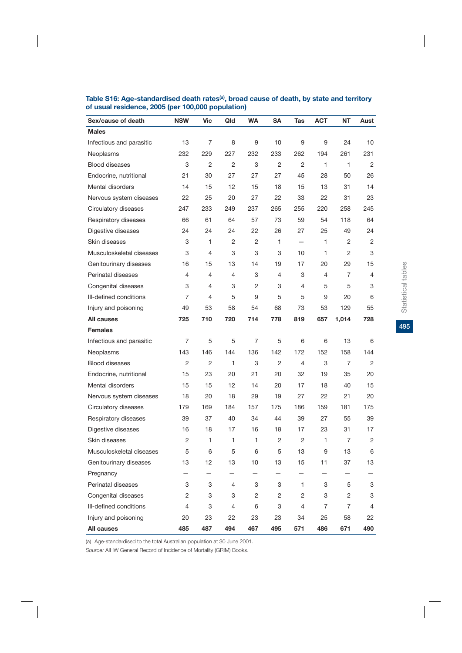| Sex/cause of death       | <b>NSW</b> | Vic | Qld | <b>WA</b> | <b>SA</b>      | Tas | <b>ACT</b> | <b>NT</b>      | Aust |
|--------------------------|------------|-----|-----|-----------|----------------|-----|------------|----------------|------|
| <b>Males</b>             |            |     |     |           |                |     |            |                |      |
| Infectious and parasitic | 13         | 7   | 8   | 9         | 10             | 9   | 9          | 24             | 10   |
| Neoplasms                | 232        | 229 | 227 | 232       | 233            | 262 | 194        | 261            | 231  |
| <b>Blood diseases</b>    | 3          | 2   | 2   | 3         | 2              | 2   | 1          | 1              | 2    |
| Endocrine, nutritional   | 21         | 30  | 27  | 27        | 27             | 45  | 28         | 50             | 26   |
| Mental disorders         | 14         | 15  | 12  | 15        | 18             | 15  | 13         | 31             | 14   |
| Nervous system diseases  | 22         | 25  | 20  | 27        | 22             | 33  | 22         | 31             | 23   |
| Circulatory diseases     | 247        | 233 | 249 | 237       | 265            | 255 | 220        | 258            | 245  |
| Respiratory diseases     | 66         | 61  | 64  | 57        | 73             | 59  | 54         | 118            | 64   |
| Digestive diseases       | 24         | 24  | 24  | 22        | 26             | 27  | 25         | 49             | 24   |
| Skin diseases            | 3          | 1   | 2   | 2         | 1              |     | 1          | 2              | 2    |
| Musculoskeletal diseases | 3          | 4   | 3   | 3         | 3              | 10  | 1          | 2              | 3    |
| Genitourinary diseases   | 16         | 15  | 13  | 14        | 19             | 17  | 20         | 29             | 15   |
| Perinatal diseases       | 4          | 4   | 4   | 3         | 4              | 3   | 4          | 7              | 4    |
| Congenital diseases      | 3          | 4   | 3   | 2         | 3              | 4   | 5          | 5              | 3    |
| Ill-defined conditions   | 7          | 4   | 5   | 9         | 5              | 5   | 9          | 20             | 6    |
| Injury and poisoning     | 49         | 53  | 58  | 54        | 68             | 73  | 53         | 129            | 55   |
| All causes               | 725        | 710 | 720 | 714       | 778            | 819 | 657        | 1,014          | 728  |
| <b>Females</b>           |            |     |     |           |                |     |            |                |      |
| Infectious and parasitic | 7          | 5   | 5   | 7         | 5              | 6   | 6          | 13             | 6    |
| Neoplasms                | 143        | 146 | 144 | 136       | 142            | 172 | 152        | 158            | 144  |
| <b>Blood diseases</b>    | 2          | 2   | 1   | 3         | 2              | 4   | 3          | 7              | 2    |
| Endocrine, nutritional   | 15         | 23  | 20  | 21        | 20             | 32  | 19         | 35             | 20   |
| Mental disorders         | 15         | 15  | 12  | 14        | 20             | 17  | 18         | 40             | 15   |
| Nervous system diseases  | 18         | 20  | 18  | 29        | 19             | 27  | 22         | 21             | 20   |
| Circulatory diseases     | 179        | 169 | 184 | 157       | 175            | 186 | 159        | 181            | 175  |
| Respiratory diseases     | 39         | 37  | 40  | 34        | 44             | 39  | 27         | 55             | 39   |
| Digestive diseases       | 16         | 18  | 17  | 16        | 18             | 17  | 23         | 31             | 17   |
| Skin diseases            | 2          | 1   | 1   | 1         | 2              | 2   | 1          | 7              | 2    |
| Musculoskeletal diseases | 5          | 6   | 5   | 6         | 5              | 13  | 9          | 13             | 6    |
| Genitourinary diseases   | 13         | 12  | 13  | 10        | 13             | 15  | 11         | 37             | 13   |
| Pregnancy                |            | —   | —   | —         | —              |     |            | -              |      |
| Perinatal diseases       | 3          | 3   | 4   | 3         | 3              | 1   | 3          | 5              | 3    |
| Congenital diseases      | $\sqrt{2}$ | 3   | 3   | 2         | $\overline{c}$ | 2   | 3          | 2              | 3    |
| Ill-defined conditions   | 4          | 3   | 4   | 6         | 3              | 4   | 7          | $\overline{7}$ | 4    |
| Injury and poisoning     | 20         | 23  | 22  | 23        | 23             | 34  | 25         | 58             | 22   |
| All causes               | 485        | 487 | 494 | 467       | 495            | 571 | 486        | 671            | 490  |

## Table S16: Age-standardised death rates<sup>(a)</sup>, broad cause of death, by state and territory **of usual residence, 2005 (per 100,000 population)**

(a) Age-standardised to the total Australian population at 30 June 2001.

*Source:* AIHW General Record of Incidence of Mortality (GRIM) Books.

495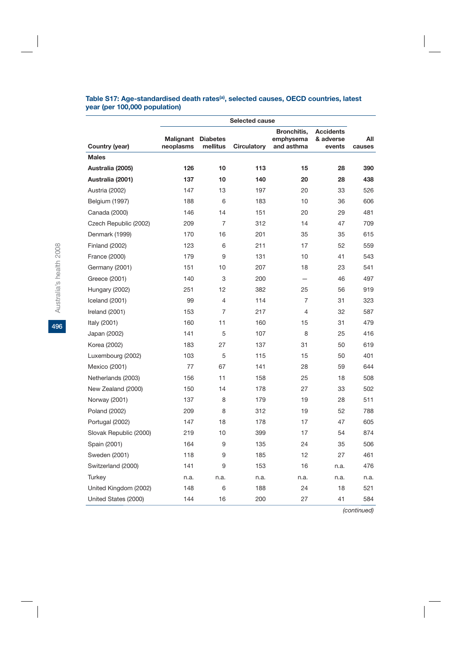| Table S17: Age-standardised death rates <sup>(a)</sup> , selected causes, OECD countries, latest |  |  |
|--------------------------------------------------------------------------------------------------|--|--|
| year (per 100,000 population)                                                                    |  |  |

|                        | Selected cause         |                             |                    |                                        |                                         |               |  |  |  |
|------------------------|------------------------|-----------------------------|--------------------|----------------------------------------|-----------------------------------------|---------------|--|--|--|
| Country (year)         | Malignant<br>neoplasms | <b>Diabetes</b><br>mellitus | <b>Circulatory</b> | Bronchitis,<br>emphysema<br>and asthma | <b>Accidents</b><br>& adverse<br>events | All<br>causes |  |  |  |
| <b>Males</b>           |                        |                             |                    |                                        |                                         |               |  |  |  |
| Australia (2005)       | 126                    | 10                          | 113                | 15                                     | 28                                      | 390           |  |  |  |
| Australia (2001)       | 137                    | 10                          | 140                | 20                                     | 28                                      | 438           |  |  |  |
| Austria (2002)         | 147                    | 13                          | 197                | 20                                     | 33                                      | 526           |  |  |  |
| Belgium (1997)         | 188                    | 6                           | 183                | 10                                     | 36                                      | 606           |  |  |  |
| Canada (2000)          | 146                    | 14                          | 151                | 20                                     | 29                                      | 481           |  |  |  |
| Czech Republic (2002)  | 209                    | $\overline{7}$              | 312                | 14                                     | 47                                      | 709           |  |  |  |
| Denmark (1999)         | 170                    | 16                          | 201                | 35                                     | 35                                      | 615           |  |  |  |
| <b>Finland (2002)</b>  | 123                    | 6                           | 211                | 17                                     | 52                                      | 559           |  |  |  |
| France (2000)          | 179                    | 9                           | 131                | 10                                     | 41                                      | 543           |  |  |  |
| Germany (2001)         | 151                    | 10                          | 207                | 18                                     | 23                                      | 541           |  |  |  |
| Greece (2001)          | 140                    | 3                           | 200                |                                        | 46                                      | 497           |  |  |  |
| Hungary (2002)         | 251                    | 12                          | 382                | 25                                     | 56                                      | 919           |  |  |  |
| Iceland (2001)         | 99                     | $\overline{4}$              | 114                | $\overline{7}$                         | 31                                      | 323           |  |  |  |
| Ireland (2001)         | 153                    | 7                           | 217                | $\overline{4}$                         | 32                                      | 587           |  |  |  |
| Italy (2001)           | 160                    | 11                          | 160                | 15                                     | 31                                      | 479           |  |  |  |
| Japan (2002)           | 141                    | 5                           | 107                | 8                                      | 25                                      | 416           |  |  |  |
| Korea (2002)           | 183                    | 27                          | 137                | 31                                     | 50                                      | 619           |  |  |  |
| Luxembourg (2002)      | 103                    | 5                           | 115                | 15                                     | 50                                      | 401           |  |  |  |
| Mexico (2001)          | 77                     | 67                          | 141                | 28                                     | 59                                      | 644           |  |  |  |
| Netherlands (2003)     | 156                    | 11                          | 158                | 25                                     | 18                                      | 508           |  |  |  |
| New Zealand (2000)     | 150                    | 14                          | 178                | 27                                     | 33                                      | 502           |  |  |  |
| Norway (2001)          | 137                    | 8                           | 179                | 19                                     | 28                                      | 511           |  |  |  |
| Poland (2002)          | 209                    | 8                           | 312                | 19                                     | 52                                      | 788           |  |  |  |
| Portugal (2002)        | 147                    | 18                          | 178                | 17                                     | 47                                      | 605           |  |  |  |
| Slovak Republic (2000) | 219                    | 10                          | 399                | 17                                     | 54                                      | 874           |  |  |  |
| Spain (2001)           | 164                    | 9                           | 135                | 24                                     | 35                                      | 506           |  |  |  |
| Sweden (2001)          | 118                    | 9                           | 185                | 12                                     | 27                                      | 461           |  |  |  |
| Switzerland (2000)     | 141                    | 9                           | 153                | 16                                     | n.a.                                    | 476           |  |  |  |
| Turkey                 | n.a.                   | n.a.                        | n.a.               | n.a.                                   | n.a.                                    | n.a.          |  |  |  |
| United Kingdom (2002)  | 148                    | 6                           | 188                | 24                                     | 18                                      | 521           |  |  |  |
| United States (2000)   | 144                    | 16                          | 200                | 27                                     | 41                                      | 584           |  |  |  |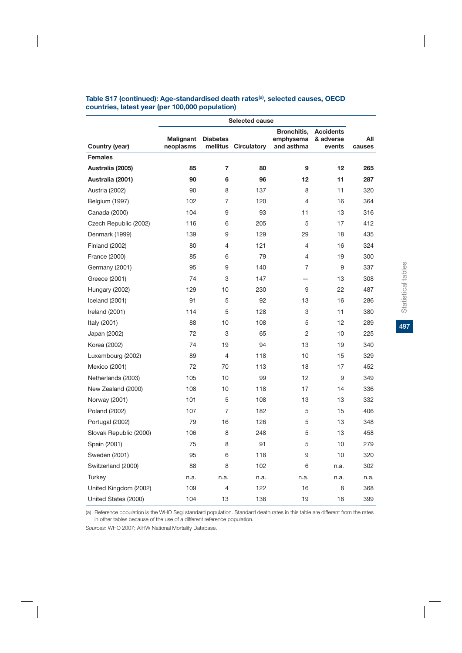|                        | Selected cause         |                             |                    |                                        |                                         |               |  |  |  |  |
|------------------------|------------------------|-----------------------------|--------------------|----------------------------------------|-----------------------------------------|---------------|--|--|--|--|
| Country (year)         | Malignant<br>neoplasms | <b>Diabetes</b><br>mellitus | <b>Circulatory</b> | Bronchitis,<br>emphysema<br>and asthma | <b>Accidents</b><br>& adverse<br>events | All<br>causes |  |  |  |  |
| <b>Females</b>         |                        |                             |                    |                                        |                                         |               |  |  |  |  |
| Australia (2005)       | 85                     | 7                           | 80                 | 9                                      | 12                                      | 265           |  |  |  |  |
| Australia (2001)       | 90                     | 6                           | 96                 | 12                                     | 11                                      | 287           |  |  |  |  |
| Austria (2002)         | 90                     | 8                           | 137                | 8                                      | 11                                      | 320           |  |  |  |  |
| Belgium (1997)         | 102                    | 7                           | 120                | 4                                      | 16                                      | 364           |  |  |  |  |
| Canada (2000)          | 104                    | 9                           | 93                 | 11                                     | 13                                      | 316           |  |  |  |  |
| Czech Republic (2002)  | 116                    | 6                           | 205                | 5                                      | 17                                      | 412           |  |  |  |  |
| Denmark (1999)         | 139                    | 9                           | 129                | 29                                     | 18                                      | 435           |  |  |  |  |
| <b>Finland (2002)</b>  | 80                     | 4                           | 121                | 4                                      | 16                                      | 324           |  |  |  |  |
| France (2000)          | 85                     | 6                           | 79                 | 4                                      | 19                                      | 300           |  |  |  |  |
| Germany (2001)         | 95                     | 9                           | 140                | 7                                      | 9                                       | 337           |  |  |  |  |
| Greece (2001)          | 74                     | 3                           | 147                |                                        | 13                                      | 308           |  |  |  |  |
| Hungary (2002)         | 129                    | 10                          | 230                | 9                                      | 22                                      | 487           |  |  |  |  |
| Iceland (2001)         | 91                     | 5                           | 92                 | 13                                     | 16                                      | 286           |  |  |  |  |
| Ireland (2001)         | 114                    | 5                           | 128                | 3                                      | 11                                      | 380           |  |  |  |  |
| Italy (2001)           | 88                     | 10                          | 108                | 5                                      | 12                                      | 289           |  |  |  |  |
| Japan (2002)           | 72                     | 3                           | 65                 | 2                                      | 10                                      | 225           |  |  |  |  |
| Korea (2002)           | 74                     | 19                          | 94                 | 13                                     | 19                                      | 340           |  |  |  |  |
| Luxembourg (2002)      | 89                     | 4                           | 118                | 10                                     | 15                                      | 329           |  |  |  |  |
| Mexico (2001)          | 72                     | 70                          | 113                | 18                                     | 17                                      | 452           |  |  |  |  |
| Netherlands (2003)     | 105                    | 10                          | 99                 | 12                                     | 9                                       | 349           |  |  |  |  |
| New Zealand (2000)     | 108                    | 10                          | 118                | 17                                     | 14                                      | 336           |  |  |  |  |
| Norway (2001)          | 101                    | 5                           | 108                | 13                                     | 13                                      | 332           |  |  |  |  |
| Poland (2002)          | 107                    | 7                           | 182                | 5                                      | 15                                      | 406           |  |  |  |  |
| Portugal (2002)        | 79                     | 16                          | 126                | 5                                      | 13                                      | 348           |  |  |  |  |
| Slovak Republic (2000) | 106                    | 8                           | 248                | 5                                      | 13                                      | 458           |  |  |  |  |
| Spain (2001)           | 75                     | 8                           | 91                 | 5                                      | 10                                      | 279           |  |  |  |  |
| Sweden (2001)          | 95                     | 6                           | 118                | 9                                      | 10                                      | 320           |  |  |  |  |
| Switzerland (2000)     | 88                     | 8                           | 102                | 6                                      | n.a.                                    | 302           |  |  |  |  |
| Turkey                 | n.a.                   | n.a.                        | n.a.               | n.a.                                   | n.a.                                    | n.a.          |  |  |  |  |
| United Kingdom (2002)  | 109                    | 4                           | 122                | 16                                     | 8                                       | 368           |  |  |  |  |
| United States (2000)   | 104                    | 13                          | 136                | 19                                     | 18                                      | 399           |  |  |  |  |

#### **Table S17 (continued): Age-standardised death rates(a), selected causes, OECD countries, latest year (per 100,000 population)**

(a) Reference population is the WHO Segi standard population. Standard death rates in this table are different from the rates in other tables because of the use of a different reference population.

*Sources:* WHO 2007; AIHW National Mortality Database.

497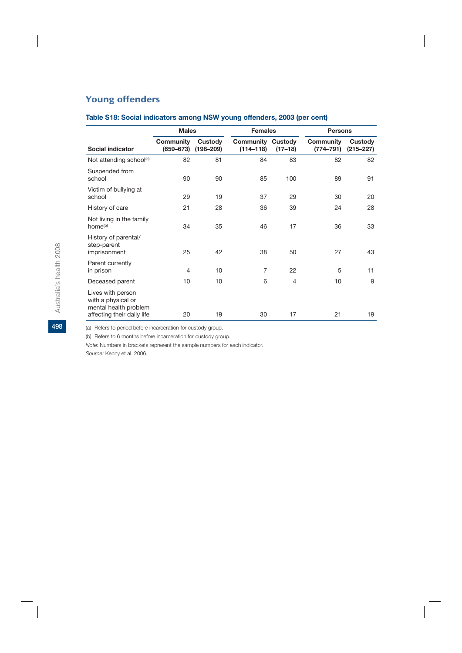## Young offenders

|                                                                                                | <b>Males</b>                      |                          | <b>Females</b>             |                        | <b>Persons</b>                    |                          |  |
|------------------------------------------------------------------------------------------------|-----------------------------------|--------------------------|----------------------------|------------------------|-----------------------------------|--------------------------|--|
| Social indicator                                                                               | <b>Community</b><br>$(659 - 673)$ | Custody<br>$(198 - 209)$ | Community<br>$(114 - 118)$ | Custody<br>$(17 - 18)$ | <b>Community</b><br>$(774 - 791)$ | Custody<br>$(215 - 227)$ |  |
| Not attending school(a)                                                                        | 82                                | 81                       | 84                         | 83                     | 82                                | 82                       |  |
| Suspended from<br>school                                                                       | 90                                | 90                       | 85                         | 100                    | 89                                | 91                       |  |
| Victim of bullying at<br>school                                                                | 29                                | 19                       | 37                         | 29                     | 30                                | 20                       |  |
| History of care                                                                                | 21                                | 28                       | 36                         | 39                     | 24                                | 28                       |  |
| Not living in the family<br>home <sup>(b)</sup>                                                | 34                                | 35                       | 46                         | 17                     | 36                                | 33                       |  |
| History of parental/<br>step-parent<br>imprisonment                                            | 25                                | 42                       | 38                         | 50                     | 27                                | 43                       |  |
| Parent currently<br>in prison                                                                  | $\overline{4}$                    | 10                       | $\overline{7}$             | 22                     | 5                                 | 11                       |  |
| Deceased parent                                                                                | 10                                | 10                       | 6                          | 4                      | 10                                | 9                        |  |
| Lives with person<br>with a physical or<br>mental health problem<br>affecting their daily life | 20                                | 19                       | 30                         | 17                     | 21                                | 19                       |  |

## **Table S18: Social indicators among NSW young offenders, 2003 (per cent)**

(a) Refers to period before incarceration for custody group.

(b) Refers to 6 months before incarceration for custody group.

*Note:* Numbers in brackets represent the sample numbers for each indicator.

*Source:* Kenny et al. 2006.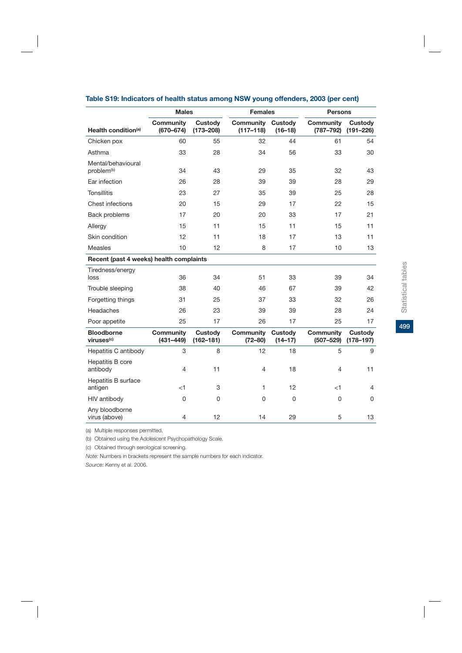|                                              | <b>Males</b>                      |                                 | <b>Females</b>             |                               | <b>Persons</b>                    |                                 |
|----------------------------------------------|-----------------------------------|---------------------------------|----------------------------|-------------------------------|-----------------------------------|---------------------------------|
| Health condition <sup>(a)</sup>              | <b>Community</b><br>$(670 - 674)$ | <b>Custody</b><br>$(173 - 208)$ | Community<br>$(117 - 118)$ | Custody<br>$(16 - 18)$        | <b>Community</b><br>$(787 - 792)$ | Custody<br>$(191 - 226)$        |
| Chicken pox                                  | 60                                | 55                              | 32                         | 44                            | 61                                | 54                              |
| Asthma                                       | 33                                | 28                              | 34                         | 56                            | 33                                | 30                              |
| Mental/behavioural<br>problem <sup>(b)</sup> | 34                                | 43                              | 29                         | 35                            | 32                                | 43                              |
| Ear infection                                | 26                                | 28                              | 39                         | 39                            | 28                                | 29                              |
| <b>Tonsillitis</b>                           | 23                                | 27                              | 35                         | 39                            | 25                                | 28                              |
| Chest infections                             | 20                                | 15                              | 29                         | 17                            | 22                                | 15                              |
| Back problems                                | 17                                | 20                              | 20                         | 33                            | 17                                | 21                              |
| Allergy                                      | 15                                | 11                              | 15                         | 11                            | 15                                | 11                              |
| Skin condition                               | 12                                | 11                              | 18                         | 17                            | 13                                | 11                              |
| Measles                                      | 10                                | 12                              | 8                          | 17                            | 10                                | 13                              |
| Recent (past 4 weeks) health complaints      |                                   |                                 |                            |                               |                                   |                                 |
| Tiredness/energy<br>loss                     | 36                                | 34                              | 51                         | 33                            | 39                                | 34                              |
| Trouble sleeping                             | 38                                | 40                              | 46                         | 67                            | 39                                | 42                              |
| Forgetting things                            | 31                                | 25                              | 37                         | 33                            | 32                                | 26                              |
| Headaches                                    | 26                                | 23                              | 39                         | 39                            | 28                                | 24                              |
| Poor appetite                                | 25                                | 17                              | 26                         | 17                            | 25                                | 17                              |
| <b>Bloodborne</b><br>viruses <sup>(c)</sup>  | <b>Community</b><br>$(431 - 449)$ | Custody<br>$(162 - 181)$        | Community<br>$(72 - 80)$   | <b>Custody</b><br>$(14 - 17)$ | <b>Community</b><br>$(507 - 529)$ | <b>Custody</b><br>$(178 - 197)$ |
| Hepatitis C antibody                         | 3                                 | 8                               | 12                         | 18                            | 5                                 | 9                               |
| Hepatitis B core<br>antibody                 | 4                                 | 11                              | 4                          | 18                            | 4                                 | 11                              |
| Hepatitis B surface<br>antigen               | $<$ 1                             | 3                               | 1                          | 12                            | $<$ 1                             | 4                               |
| HIV antibody                                 | 0                                 | 0                               | 0                          | 0                             | 0                                 | 0                               |
| Any bloodborne<br>virus (above)              | 4                                 | 12                              | 14                         | 29                            | 5                                 | 13                              |

## **Table S19: Indicators of health status among NSW young offenders, 2003 (per cent)**

(a) Multiple responses permitted.

(b) Obtained using the Adolescent Psychopathology Scale.

(c) Obtained through serological screening.

*Note:* Numbers in brackets represent the sample numbers for each indicator.

*Source:* Kenny et al. 2006.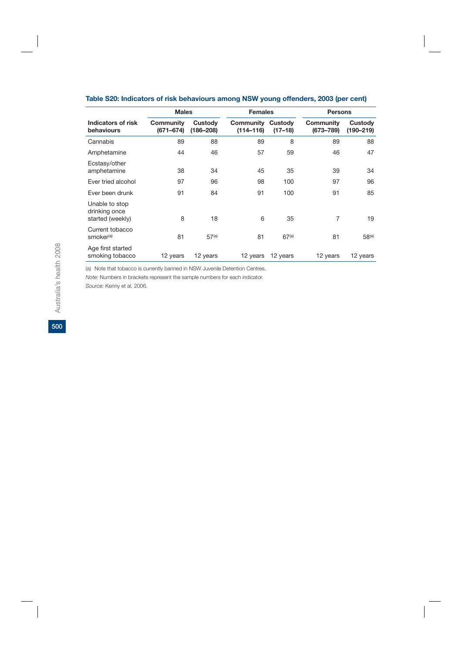|                                                     | <b>Males</b>           |                          |                            | <b>Females</b>       |                            | <b>Persons</b>           |
|-----------------------------------------------------|------------------------|--------------------------|----------------------------|----------------------|----------------------------|--------------------------|
| Indicators of risk<br>behaviours                    | Community<br>(671–674) | Custody<br>$(186 - 208)$ | Community<br>$(114 - 116)$ | Custody<br>$(17-18)$ | Community<br>$(673 - 789)$ | Custody<br>$(190 - 219)$ |
| Cannabis                                            | 89                     | 88                       | 89                         | 8                    | 89                         | 88                       |
| Amphetamine                                         | 44                     | 46                       | 57                         | 59                   | 46                         | 47                       |
| Ecstasy/other<br>amphetamine                        | 38                     | 34                       | 45                         | 35                   | 39                         | 34                       |
| Ever tried alcohol                                  | 97                     | 96                       | 98                         | 100                  | 97                         | 96                       |
| Ever been drunk                                     | 91                     | 84                       | 91                         | 100                  | 91                         | 85                       |
| Unable to stop<br>drinking once<br>started (weekly) | 8                      | 18                       | 6                          | 35                   | 7                          | 19                       |
| Current tobacco<br>smoker <sup>(a)</sup>            | 81                     | 57 <sup>(a)</sup>        | 81                         | 67 <sup>(a)</sup>    | 81                         | 58 <sup>(a)</sup>        |
| Age first started<br>smoking tobacco                | 12 years               | 12 years                 | 12 years                   | 12 years             | 12 years                   | 12 years                 |

## **Table S20: Indicators of risk behaviours among NSW young offenders, 2003 (per cent)**

(a) Note that tobacco is currently banned in NSW Juvenile Detention Centres.

*Note:* Numbers in brackets represent the sample numbers for each indicator.

*Source:* Kenny et al. 2006.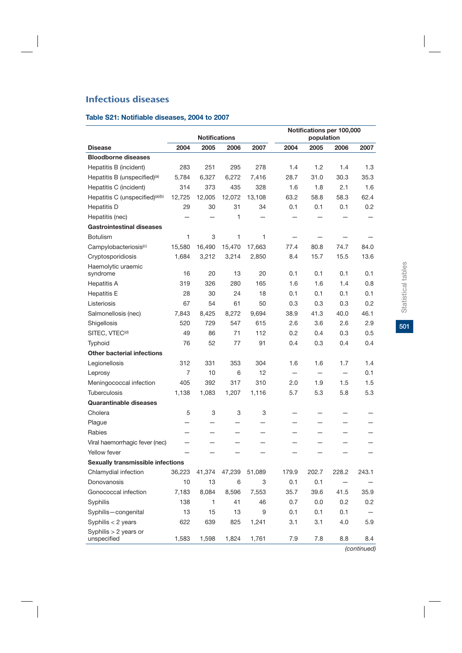# Infectious diseases

## **Table S21: Notifiable diseases, 2004 to 2007**

|                                          |        | <b>Notifications</b> |        |                          |       | population | Notifications per 100,000 |       |
|------------------------------------------|--------|----------------------|--------|--------------------------|-------|------------|---------------------------|-------|
| <b>Disease</b>                           | 2004   | 2005                 | 2006   | 2007                     | 2004  | 2005       | 2006                      | 2007  |
| <b>Bloodborne diseases</b>               |        |                      |        |                          |       |            |                           |       |
| Hepatitis B (incident)                   | 283    | 251                  | 295    | 278                      | 1.4   | 1.2        | 1.4                       | 1.3   |
| Hepatitis B (unspecified) <sup>(a)</sup> | 5,784  | 6,327                | 6,272  | 7,416                    | 28.7  | 31.0       | 30.3                      | 35.3  |
| Hepatitis C (incident)                   | 314    | 373                  | 435    | 328                      | 1.6   | 1.8        | 2.1                       | 1.6   |
| Hepatitis C (unspecified)(a)(b)          | 12,725 | 12,005               | 12,072 | 13,108                   | 63.2  | 58.8       | 58.3                      | 62.4  |
| Hepatitis D                              | 29     | 30                   | 31     | 34                       | 0.1   | 0.1        | 0.1                       | 0.2   |
| Hepatitis (nec)                          |        |                      | 1      |                          |       |            |                           |       |
| <b>Gastrointestinal diseases</b>         |        |                      |        |                          |       |            |                           |       |
| <b>Botulism</b>                          | 1      | 3                    | 1      | 1                        |       |            |                           |       |
| Campylobacteriosis <sup>(c)</sup>        | 15,580 | 16,490               | 15,470 | 17,663                   | 77.4  | 80.8       | 74.7                      | 84.0  |
| Cryptosporidiosis                        | 1,684  | 3,212                | 3,214  | 2,850                    | 8.4   | 15.7       | 15.5                      | 13.6  |
| Haemolytic uraemic<br>syndrome           | 16     | 20                   | 13     | 20                       | 0.1   | 0.1        | 0.1                       | 0.1   |
| <b>Hepatitis A</b>                       | 319    | 326                  | 280    | 165                      | 1.6   | 1.6        | 1.4                       | 0.8   |
| <b>Hepatitis E</b>                       | 28     | 30                   | 24     | 18                       | 0.1   | 0.1        | 0.1                       | 0.1   |
| Listeriosis                              | 67     | 54                   | 61     | 50                       | 0.3   | 0.3        | 0.3                       | 0.2   |
| Salmonellosis (nec)                      | 7,843  | 8,425                | 8,272  | 9,694                    | 38.9  | 41.3       | 40.0                      | 46.1  |
| Shigellosis                              | 520    | 729                  | 547    | 615                      | 2.6   | 3.6        | 2.6                       | 2.9   |
| SITEC, VTEC <sup>(d)</sup>               | 49     | 86                   | 71     | 112                      | 0.2   | 0.4        | 0.3                       | 0.5   |
| <b>Typhoid</b>                           | 76     | 52                   | 77     | 91                       | 0.4   | 0.3        | 0.4                       | 0.4   |
| <b>Other bacterial infections</b>        |        |                      |        |                          |       |            |                           |       |
| Legionellosis                            | 312    | 331                  | 353    | 304                      | 1.6   | 1.6        | 1.7                       | 1.4   |
| Leprosy                                  | 7      | 10                   | 6      | 12                       |       |            | $\qquad \qquad -$         | 0.1   |
| Meningococcal infection                  | 405    | 392                  | 317    | 310                      | 2.0   | 1.9        | 1.5                       | 1.5   |
| <b>Tuberculosis</b>                      | 1,138  | 1,083                | 1,207  | 1,116                    | 5.7   | 5.3        | 5.8                       | 5.3   |
| <b>Quarantinable diseases</b>            |        |                      |        |                          |       |            |                           |       |
| Cholera                                  | 5      | 3                    | 3      | 3                        |       |            |                           |       |
| Plague                                   |        |                      |        |                          |       |            |                           |       |
| Rabies                                   |        |                      |        |                          |       |            |                           |       |
| Viral haemorrhagic fever (nec)           |        |                      |        |                          |       |            |                           |       |
| Yellow fever                             |        |                      |        | $\overline{\phantom{0}}$ | -     | —          |                           |       |
| Sexually transmissible infections        |        |                      |        |                          |       |            |                           |       |
| Chlamydial infection                     | 36,223 | 41,374               | 47,239 | 51,089                   | 179.9 | 202.7      | 228.2                     | 243.1 |
| Donovanosis                              | 10     | 13                   | 6      | 3                        | 0.1   | 0.1        |                           |       |
| Gonococcal infection                     | 7,183  | 8,084                | 8,596  | 7,553                    | 35.7  | 39.6       | 41.5                      | 35.9  |
| Syphilis                                 | 138    | 1                    | 41     | 46                       | 0.7   | 0.0        | 0.2                       | 0.2   |
| Syphilis-congenital                      | 13     | 15                   | 13     | 9                        | 0.1   | 0.1        | 0.1                       |       |
| Syphilis $<$ 2 years                     | 622    | 639                  | 825    | 1,241                    | 3.1   | 3.1        | 4.0                       | 5.9   |
| Syphilis > 2 years or<br>unspecified     | 1,583  | 1,598                | 1,824  | 1,761                    | 7.9   | 7.8        | 8.8                       | 8.4   |

 $501$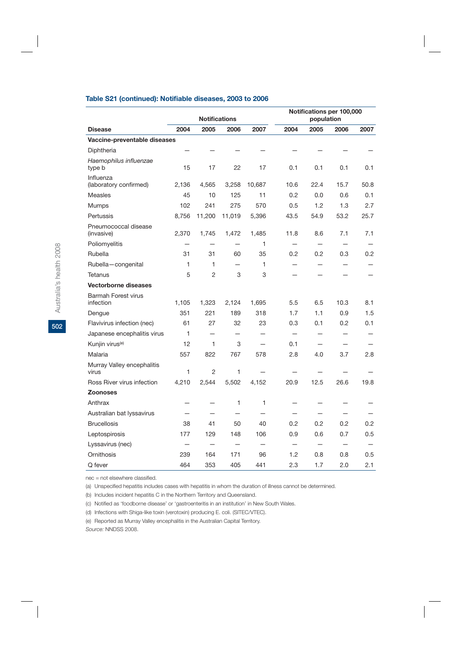#### **Table S21 (continued): Notifiable diseases, 2003 to 2006**

|                                         | <b>Notifications</b> |                          |                          |                          | population               | Notifications per 100,000 |                          |      |
|-----------------------------------------|----------------------|--------------------------|--------------------------|--------------------------|--------------------------|---------------------------|--------------------------|------|
| <b>Disease</b>                          | 2004                 | 2005                     | 2006                     | 2007                     | 2004                     | 2005                      | 2006                     | 2007 |
| Vaccine-preventable diseases            |                      |                          |                          |                          |                          |                           |                          |      |
| Diphtheria                              |                      |                          |                          |                          |                          |                           |                          |      |
| Haemophilus influenzae<br>type b        | 15                   | 17                       | 22                       | 17                       | 0.1                      | 0.1                       | 0.1                      | 0.1  |
| Influenza<br>(laboratory confirmed)     | 2,136                | 4,565                    | 3,258                    | 10,687                   | 10.6                     | 22.4                      | 15.7                     | 50.8 |
| <b>Measles</b>                          | 45                   | 10                       | 125                      | 11                       | 0.2                      | 0.0                       | 0.6                      | 0.1  |
| <b>Mumps</b>                            | 102                  | 241                      | 275                      | 570                      | 0.5                      | 1.2                       | 1.3                      | 2.7  |
| Pertussis                               | 8,756                | 11,200                   | 11,019                   | 5,396                    | 43.5                     | 54.9                      | 53.2                     | 25.7 |
| Pneumococcal disease<br>(invasive)      | 2,370                | 1,745                    | 1,472                    | 1,485                    | 11.8                     | 8.6                       | 7.1                      | 7.1  |
| Poliomyelitis                           |                      |                          |                          | 1                        |                          |                           |                          |      |
| Rubella                                 | 31                   | 31                       | 60                       | 35                       | 0.2                      | 0.2                       | 0.3                      | 0.2  |
| Rubella-congenital                      | 1                    | 1                        |                          | 1                        |                          |                           |                          |      |
| Tetanus                                 | 5                    | 2                        | 3                        | 3                        |                          |                           |                          |      |
| <b>Vectorborne diseases</b>             |                      |                          |                          |                          |                          |                           |                          |      |
| <b>Barmah Forest virus</b><br>infection | 1,105                | 1,323                    | 2,124                    | 1,695                    | 5.5                      | 6.5                       | 10.3                     | 8.1  |
| Dengue                                  | 351                  | 221                      | 189                      | 318                      | 1.7                      | 1.1                       | 0.9                      | 1.5  |
| Flavivirus infection (nec)              | 61                   | 27                       | 32                       | 23                       | 0.3                      | 0.1                       | 0.2                      | 0.1  |
| Japanese encephalitis virus             | 1                    |                          |                          |                          |                          |                           |                          |      |
| Kunjin virus <sup>(e)</sup>             | 12                   | 1                        | 3                        |                          | 0.1                      |                           |                          |      |
| Malaria                                 | 557                  | 822                      | 767                      | 578                      | 2.8                      | 4.0                       | 3.7                      | 2.8  |
| Murray Valley encephalitis<br>virus     | 1                    | $\overline{2}$           | 1                        |                          |                          |                           |                          |      |
| Ross River virus infection              | 4,210                | 2,544                    | 5,502                    | 4,152                    | 20.9                     | 12.5                      | 26.6                     | 19.8 |
| <b>Zoonoses</b>                         |                      |                          |                          |                          |                          |                           |                          |      |
| Anthrax                                 |                      |                          | 1                        | 1                        |                          |                           |                          |      |
| Australian bat lyssavirus               |                      |                          |                          |                          |                          |                           |                          |      |
| <b>Brucellosis</b>                      | 38                   | 41                       | 50                       | 40                       | 0.2                      | 0.2                       | 0.2                      | 0.2  |
| Leptospirosis                           | 177                  | 129                      | 148                      | 106                      | 0.9                      | 0.6                       | 0.7                      | 0.5  |
| Lyssavirus (nec)                        | -                    | $\overline{\phantom{0}}$ | $\overline{\phantom{0}}$ | $\overline{\phantom{0}}$ | $\overline{\phantom{0}}$ | $\overline{\phantom{0}}$  | $\overline{\phantom{0}}$ |      |
| Ornithosis                              | 239                  | 164                      | 171                      | 96                       | 1.2                      | 0.8                       | 0.8                      | 0.5  |
| Q fever                                 | 464                  | 353                      | 405                      | 441                      | 2.3                      | 1.7                       | 2.0                      | 2.1  |

nec = not elsewhere classified.

(a) Unspecified hepatitis includes cases with hepatitis in whom the duration of illness cannot be determined.

(b) Includes incident hepatitis C in the Northern Territory and Queensland.

(c) Notified as 'foodborne disease' or 'gastroenteritis in an institution' in New South Wales.

(d) Infections with Shiga-like toxin (verotoxin) producing E. coli. (SITEC/VTEC).

(e) Reported as Murray Valley encephalitis in the Australian Capital Territory.

*Source:* NNDSS 2008.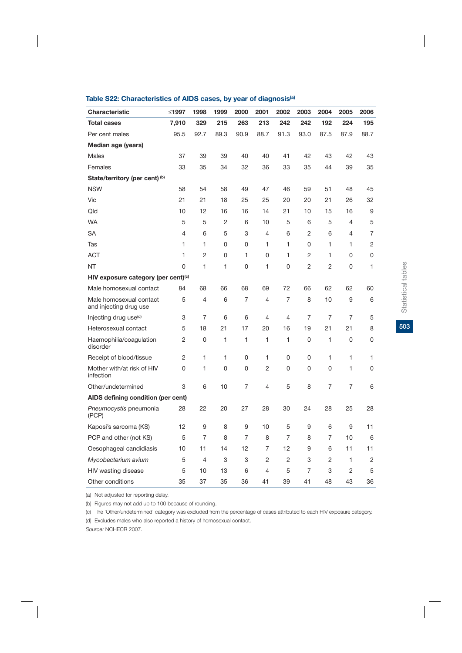| Characteristic                                    | ≤1997          | 1998           | 1999           | 2000 | 2001 | 2002           | 2003           | 2004        | 2005 | 2006 |
|---------------------------------------------------|----------------|----------------|----------------|------|------|----------------|----------------|-------------|------|------|
| <b>Total cases</b>                                | 7,910          | 329            | 215            | 263  | 213  | 242            | 242            | 192         | 224  | 195  |
| Per cent males                                    | 95.5           | 92.7           | 89.3           | 90.9 | 88.7 | 91.3           | 93.0           | 87.5        | 87.9 | 88.7 |
| Median age (years)                                |                |                |                |      |      |                |                |             |      |      |
| <b>Males</b>                                      | 37             | 39             | 39             | 40   | 40   | 41             | 42             | 43          | 42   | 43   |
| Females                                           | 33             | 35             | 34             | 32   | 36   | 33             | 35             | 44          | 39   | 35   |
| State/territory (per cent) (b)                    |                |                |                |      |      |                |                |             |      |      |
| <b>NSW</b>                                        | 58             | 54             | 58             | 49   | 47   | 46             | 59             | 51          | 48   | 45   |
| Vic                                               | 21             | 21             | 18             | 25   | 25   | 20             | 20             | 21          | 26   | 32   |
| Qld                                               | 10             | 12             | 16             | 16   | 14   | 21             | 10             | 15          | 16   | 9    |
| <b>WA</b>                                         | 5              | 5              | $\overline{2}$ | 6    | 10   | 5              | 6              | 5           | 4    | 5    |
| SA                                                | 4              | 6              | 5              | 3    | 4    | 6              | 2              | 6           | 4    | 7    |
| Tas                                               | 1              | 1              | 0              | 0    | 1    | 1              | 0              | 1           | 1    | 2    |
| <b>ACT</b>                                        | 1              | $\overline{2}$ | 0              | 1    | 0    | 1              | 2              | 1           | 0    | 0    |
| <b>NT</b>                                         | 0              | 1              | 1              | 0    | 1    | 0              | 2              | 2           | 0    | 1    |
| HIV exposure category (per cent)(c)               |                |                |                |      |      |                |                |             |      |      |
| Male homosexual contact                           | 84             | 68             | 66             | 68   | 69   | 72             | 66             | 62          | 62   | 60   |
| Male homosexual contact<br>and injecting drug use | 5              | 4              | 6              | 7    | 4    | $\overline{7}$ | 8              | 10          | 9    | 6    |
| Injecting drug use <sup>(d)</sup>                 | 3              | 7              | 6              | 6    | 4    | 4              | 7              | 7           | 7    | 5    |
| Heterosexual contact                              | 5              | 18             | 21             | 17   | 20   | 16             | 19             | 21          | 21   | 8    |
| Haemophilia/coagulation<br>disorder               | 2              | 0              | 1              | 1    | 1    | 1              | 0              | 1           | 0    | 0    |
| Receipt of blood/tissue                           | $\overline{2}$ | 1              | 1              | 0    | 1    | 0              | 0              | 1           | 1    | 1    |
| Mother with/at risk of HIV<br>infection           | 0              | 1              | 0              | 0    | 2    | 0              | 0              | $\mathbf 0$ | 1    | 0    |
| Other/undetermined                                | 3              | 6              | 10             | 7    | 4    | 5              | 8              | 7           | 7    | 6    |
| AIDS defining condition (per cent)                |                |                |                |      |      |                |                |             |      |      |
| Pneumocystis pneumonia<br>(PCP)                   | 28             | 22             | 20             | 27   | 28   | 30             | 24             | 28          | 25   | 28   |
| Kaposi's sarcoma (KS)                             | 12             | 9              | 8              | 9    | 10   | 5              | 9              | 6           | 9    | 11   |
| PCP and other (not KS)                            | 5              | 7              | 8              | 7    | 8    | 7              | 8              | 7           | 10   | 6    |
| Oesophageal candidiasis                           | 10             | 11             | 14             | 12   | 7    | 12             | 9              | 6           | 11   | 11   |
| Mycobacterium avium                               | 5              | $\overline{4}$ | 3              | 3    | 2    | 2              | 3              | 2           | 1    | 2    |
| HIV wasting disease                               | 5              | 10             | 13             | 6    | 4    | 5              | $\overline{7}$ | 3           | 2    | 5    |
| Other conditions                                  | 35             | 37             | 35             | 36   | 41   | 39             | 41             | 48          | 43   | 36   |

## **Table S22: Characteristics of AIDS cases, by year of diagnosis(a)**

(a) Not adjusted for reporting delay.

(b) Figures may not add up to 100 because of rounding.

(c) The 'Other/undetermined' category was excluded from the percentage of cases attributed to each HIV exposure category.

(d) Excludes males who also reported a history of homosexual contact.

*Source:* NCHECR 2007.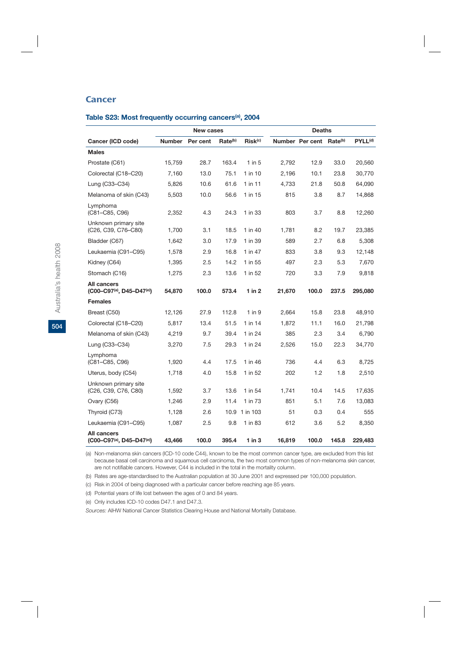## **Cancer**

#### **Table S23: Most frequently occurring cancers(a), 2004**

|                                                                                                 |               | <b>New cases</b> |                     |                     |        | <b>Deaths</b>   |                     |                     |
|-------------------------------------------------------------------------------------------------|---------------|------------------|---------------------|---------------------|--------|-----------------|---------------------|---------------------|
| Cancer (ICD code)                                                                               | <b>Number</b> | Per cent         | Rate <sup>(b)</sup> | Risk <sup>(c)</sup> |        | Number Per cent | Rate <sup>(b)</sup> | PYLL <sup>(d)</sup> |
| <b>Males</b>                                                                                    |               |                  |                     |                     |        |                 |                     |                     |
| Prostate (C61)                                                                                  | 15,759        | 28.7             | 163.4               | $1$ in 5            | 2,792  | 12.9            | 33.0                | 20,560              |
| Colorectal (C18-C20)                                                                            | 7,160         | 13.0             | 75.1                | 1 in 10             | 2,196  | 10.1            | 23.8                | 30,770              |
| Lung (C33-C34)                                                                                  | 5,826         | 10.6             | 61.6                | 1 in 11             | 4.733  | 21.8            | 50.8                | 64,090              |
| Melanoma of skin (C43)                                                                          | 5,503         | 10.0             | 56.6                | 1 in 15             | 815    | 3.8             | 8.7                 | 14,868              |
| Lymphoma<br>(C81-C85, C96)                                                                      | 2,352         | 4.3              | 24.3                | 1 in 33             | 803    | 3.7             | 8.8                 | 12,260              |
| Unknown primary site<br>(C <sub>26</sub> , C <sub>39</sub> , C <sub>76</sub> –C <sub>80</sub> ) | 1,700         | 3.1              | 18.5                | 1 in 40             | 1,781  | 8.2             | 19.7                | 23,385              |
| Bladder (C67)                                                                                   | 1,642         | 3.0              | 17.9                | 1 in 39             | 589    | 2.7             | 6.8                 | 5,308               |
| Leukaemia (C91-C95)                                                                             | 1,578         | 2.9              | 16.8                | 1 in 47             | 833    | 3.8             | 9.3                 | 12,148              |
| Kidney (C64)                                                                                    | 1,395         | 2.5              | 14.2                | 1 in 55             | 497    | 2.3             | 5.3                 | 7,670               |
| Stomach (C16)                                                                                   | 1,275         | 2.3              | 13.6                | 1 in 52             | 720    | 3.3             | 7.9                 | 9,818               |
| All cancers<br>(C00-C97 <sup>(a)</sup> , D45-D47 <sup>(e)</sup> )                               | 54,870        | 100.0            | 573.4               | 1 in $2$            | 21,670 | 100.0           | 237.5               | 295,080             |
| <b>Females</b>                                                                                  |               |                  |                     |                     |        |                 |                     |                     |
| Breast (C50)                                                                                    | 12,126        | 27.9             | 112.8               | $1$ in $9$          | 2,664  | 15.8            | 23.8                | 48,910              |
| Colorectal (C18-C20)                                                                            | 5,817         | 13.4             | 51.5                | 1 in 14             | 1,872  | 11.1            | 16.0                | 21,798              |
| Melanoma of skin (C43)                                                                          | 4,219         | 9.7              | 39.4                | 1 in 24             | 385    | 2.3             | 3.4                 | 6,790               |
| Lung (C33-C34)                                                                                  | 3,270         | 7.5              | 29.3                | 1 in 24             | 2,526  | 15.0            | 22.3                | 34,770              |
| Lymphoma<br>(C81-C85, C96)                                                                      | 1,920         | 4.4              | 17.5                | 1 in 46             | 736    | 4.4             | 6.3                 | 8,725               |
| Uterus, body (C54)                                                                              | 1,718         | 4.0              | 15.8                | 1 in 52             | 202    | 1.2             | 1.8                 | 2,510               |
| Unknown primary site<br>(C26, C39, C76, C80)                                                    | 1,592         | 3.7              | 13.6                | 1 in 54             | 1,741  | 10.4            | 14.5                | 17,635              |
| Ovary (C56)                                                                                     | 1,246         | 2.9              | 11.4                | 1 in 73             | 851    | 5.1             | 7.6                 | 13,083              |
| Thyroid (C73)                                                                                   | 1,128         | 2.6              | 10.9                | 1 in 103            | 51     | 0.3             | 0.4                 | 555                 |
| Leukaemia (C91-C95)                                                                             | 1,087         | $2.5\,$          | 9.8                 | 1 in 83             | 612    | 3.6             | 5.2                 | 8,350               |
| <b>All cancers</b><br>$(C00-C97^{(a)}, D45-D47^{(e)})$                                          | 43,466        | 100.0            | 395.4               | $1$ in $3$          | 16,819 | 100.0           | 145.8               | 229,483             |

(a) Non-melanoma skin cancers (ICD-10 code C44), known to be the most common cancer type, are excluded from this list because basal cell carcinoma and squamous cell carcinoma, the two most common types of non-melanoma skin cancer, are not notifiable cancers. However, C44 is included in the total in the mortality column.

(b) Rates are age-standardised to the Australian population at 30 June 2001 and expressed per 100,000 population.

(c) Risk in 2004 of being diagnosed with a particular cancer before reaching age 85 years.

(d) Potential years of life lost between the ages of 0 and 84 years.

(e) Only includes ICD-10 codes D47.1 and D47.3.

*Sources:* AIHW National Cancer Statistics Clearing House and National Mortality Database.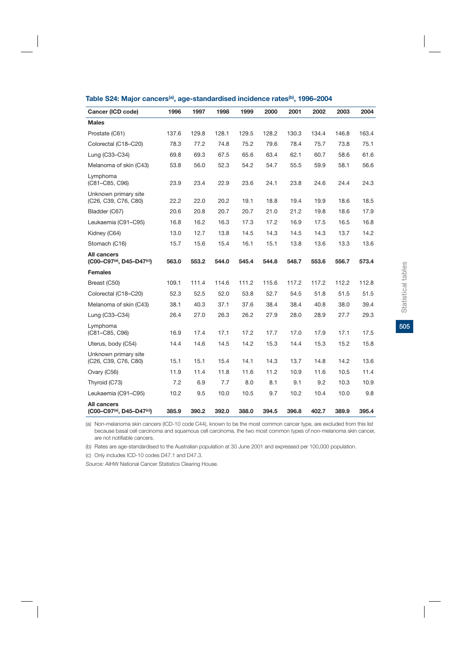| Cancer (ICD code)                                                 | 1996  | 1997  | 1998  | 1999  | 2000  | 2001  | 2002  | 2003  | 2004  |
|-------------------------------------------------------------------|-------|-------|-------|-------|-------|-------|-------|-------|-------|
| <b>Males</b>                                                      |       |       |       |       |       |       |       |       |       |
| Prostate (C61)                                                    | 137.6 | 129.8 | 128.1 | 129.5 | 128.2 | 130.3 | 134.4 | 146.8 | 163.4 |
| Colorectal (C18-C20)                                              | 78.3  | 77.2  | 74.8  | 75.2  | 79.6  | 78.4  | 75.7  | 73.8  | 75.1  |
| Lung (C33-C34)                                                    | 69.8  | 69.3  | 67.5  | 65.6  | 63.4  | 62.1  | 60.7  | 58.6  | 61.6  |
| Melanoma of skin (C43)                                            | 53.8  | 56.0  | 52.3  | 54.2  | 54.7  | 55.5  | 59.9  | 58.1  | 56.6  |
| Lymphoma<br>(C81-C85, C96)                                        | 23.9  | 23.4  | 22.9  | 23.6  | 24.1  | 23.8  | 24.6  | 24.4  | 24.3  |
| Unknown primary site<br>(C26, C39, C76, C80)                      | 22.2  | 22.0  | 20.2  | 19.1  | 18.8  | 19.4  | 19.9  | 18.6  | 18.5  |
| Bladder (C67)                                                     | 20.6  | 20.8  | 20.7  | 20.7  | 21.0  | 21.2  | 19.8  | 18.6  | 17.9  |
| Leukaemia (C91–C95)                                               | 16.8  | 16.2  | 16.3  | 17.3  | 17.2  | 16.9  | 17.5  | 16.5  | 16.8  |
| Kidney (C64)                                                      | 13.0  | 12.7  | 13.8  | 14.5  | 14.3  | 14.5  | 14.3  | 13.7  | 14.2  |
| Stomach (C16)                                                     | 15.7  | 15.6  | 15.4  | 16.1  | 15.1  | 13.8  | 13.6  | 13.3  | 13.6  |
| All cancers<br>$(C00-C97^{(a)}, D45-D47^{(c)})$                   | 563.0 | 553.2 | 544.0 | 545.4 | 544.8 | 548.7 | 553.6 | 556.7 | 573.4 |
| Females                                                           |       |       |       |       |       |       |       |       |       |
| Breast (C50)                                                      | 109.1 | 111.4 | 114.6 | 111.2 | 115.6 | 117.2 | 117.2 | 112.2 | 112.8 |
| Colorectal (C18-C20)                                              | 52.3  | 52.5  | 52.0  | 53.8  | 52.7  | 54.5  | 51.8  | 51.5  | 51.5  |
| Melanoma of skin (C43)                                            | 38.1  | 40.3  | 37.1  | 37.6  | 38.4  | 38.4  | 40.8  | 38.0  | 39.4  |
| Lung (C33-C34)                                                    | 26.4  | 27.0  | 26.3  | 26.2  | 27.9  | 28.0  | 28.9  | 27.7  | 29.3  |
| Lymphoma<br>(C81-C85, C96)                                        | 16.9  | 17.4  | 17.1  | 17.2  | 17.7  | 17.0  | 17.9  | 17.1  | 17.5  |
| Uterus, body (C54)                                                | 14.4  | 14.6  | 14.5  | 14.2  | 15.3  | 14.4  | 15.3  | 15.2  | 15.8  |
| Unknown primary site<br>(C26, C39, C76, C80)                      | 15.1  | 15.1  | 15.4  | 14.1  | 14.3  | 13.7  | 14.8  | 14.2  | 13.6  |
| Ovary (C56)                                                       | 11.9  | 11.4  | 11.8  | 11.6  | 11.2  | 10.9  | 11.6  | 10.5  | 11.4  |
| Thyroid (C73)                                                     | 7.2   | 6.9   | 7.7   | 8.0   | 8.1   | 9.1   | 9.2   | 10.3  | 10.9  |
| Leukaemia (C91-C95)                                               | 10.2  | 9.5   | 10.0  | 10.5  | 9.7   | 10.2  | 10.4  | 10.0  | 9.8   |
| All cancers<br>(C00-C97 <sup>(a)</sup> , D45-D47 <sup>(c)</sup> ) | 385.9 | 390.2 | 392.0 | 388.0 | 394.5 | 396.8 | 402.7 | 389.9 | 395.4 |

#### Table S24: Major cancers<sup>(a)</sup>, age-standardised incidence rates<sup>(b)</sup>, 1996–2004

(a) Non-melanoma skin cancers (ICD-10 code C44), known to be the most common cancer type, are excluded from this list because basal cell carcinoma and squamous cell carcinoma, the two most common types of non-melanoma skin cancer, are not notifiable cancers.

(b) Rates are age-standardised to the Australian population at 30 June 2001 and expressed per 100,000 population.

(c) Only includes ICD-10 codes D47.1 and D47.3.

*Source:* AIHW National Cancer Statistics Clearing House.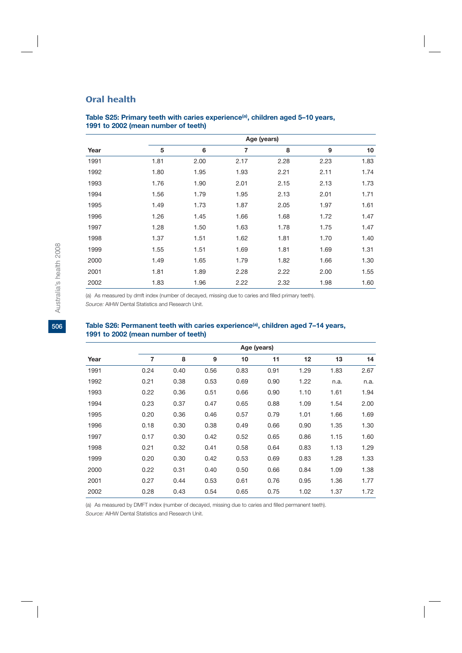## Oral health

|      |      |      |      | Age (years) |      |      |
|------|------|------|------|-------------|------|------|
| Year | 5    | 6    | 7    | 8           | 9    | 10   |
| 1991 | 1.81 | 2.00 | 2.17 | 2.28        | 2.23 | 1.83 |
| 1992 | 1.80 | 1.95 | 1.93 | 2.21        | 2.11 | 1.74 |
| 1993 | 1.76 | 1.90 | 2.01 | 2.15        | 2.13 | 1.73 |
| 1994 | 1.56 | 1.79 | 1.95 | 2.13        | 2.01 | 1.71 |
| 1995 | 1.49 | 1.73 | 1.87 | 2.05        | 1.97 | 1.61 |
| 1996 | 1.26 | 1.45 | 1.66 | 1.68        | 1.72 | 1.47 |
| 1997 | 1.28 | 1.50 | 1.63 | 1.78        | 1.75 | 1.47 |
| 1998 | 1.37 | 1.51 | 1.62 | 1.81        | 1.70 | 1.40 |
| 1999 | 1.55 | 1.51 | 1.69 | 1.81        | 1.69 | 1.31 |
| 2000 | 1.49 | 1.65 | 1.79 | 1.82        | 1.66 | 1.30 |
| 2001 | 1.81 | 1.89 | 2.28 | 2.22        | 2.00 | 1.55 |
| 2002 | 1.83 | 1.96 | 2.22 | 2.32        | 1.98 | 1.60 |

## Table S25: Primary teeth with caries experience<sup>(a)</sup>, children aged 5-10 years, **1991 to 2002 (mean number of teeth)**

(a) As measured by dmft index (number of decayed, missing due to caries and filled primary teeth).

*Source:* AIHW Dental Statistics and Research Unit.

## Table S26: Permanent teeth with caries experience<sup>(a)</sup>, children aged 7-14 years, **1991 to 2002 (mean number of teeth)**

|      |      | Age (years) |      |      |      |      |      |      |  |  |  |
|------|------|-------------|------|------|------|------|------|------|--|--|--|
| Year | 7    | 8           | 9    | 10   | 11   | 12   | 13   | 14   |  |  |  |
| 1991 | 0.24 | 0.40        | 0.56 | 0.83 | 0.91 | 1.29 | 1.83 | 2.67 |  |  |  |
| 1992 | 0.21 | 0.38        | 0.53 | 0.69 | 0.90 | 1.22 | n.a. | n.a. |  |  |  |
| 1993 | 0.22 | 0.36        | 0.51 | 0.66 | 0.90 | 1.10 | 1.61 | 1.94 |  |  |  |
| 1994 | 0.23 | 0.37        | 0.47 | 0.65 | 0.88 | 1.09 | 1.54 | 2.00 |  |  |  |
| 1995 | 0.20 | 0.36        | 0.46 | 0.57 | 0.79 | 1.01 | 1.66 | 1.69 |  |  |  |
| 1996 | 0.18 | 0.30        | 0.38 | 0.49 | 0.66 | 0.90 | 1.35 | 1.30 |  |  |  |
| 1997 | 0.17 | 0.30        | 0.42 | 0.52 | 0.65 | 0.86 | 1.15 | 1.60 |  |  |  |
| 1998 | 0.21 | 0.32        | 0.41 | 0.58 | 0.64 | 0.83 | 1.13 | 1.29 |  |  |  |
| 1999 | 0.20 | 0.30        | 0.42 | 0.53 | 0.69 | 0.83 | 1.28 | 1.33 |  |  |  |
| 2000 | 0.22 | 0.31        | 0.40 | 0.50 | 0.66 | 0.84 | 1.09 | 1.38 |  |  |  |
| 2001 | 0.27 | 0.44        | 0.53 | 0.61 | 0.76 | 0.95 | 1.36 | 1.77 |  |  |  |
| 2002 | 0.28 | 0.43        | 0.54 | 0.65 | 0.75 | 1.02 | 1.37 | 1.72 |  |  |  |

(a) As measured by DMFT index (number of decayed, missing due to caries and filled permanent teeth).

*Source:* AIHW Dental Statistics and Research Unit.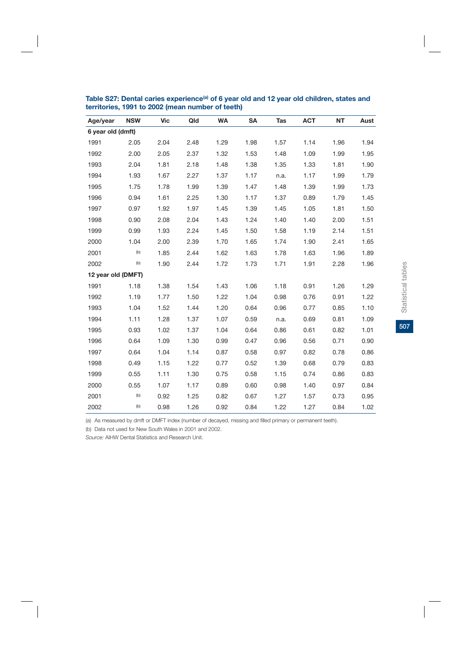| Age/year           | <b>NSW</b> | <b>Vic</b> | Qld  | <b>WA</b> | <b>SA</b> | Tas  | <b>ACT</b> | <b>NT</b> | Aust |
|--------------------|------------|------------|------|-----------|-----------|------|------------|-----------|------|
| 6 year old (dmft)  |            |            |      |           |           |      |            |           |      |
| 1991               | 2.05       | 2.04       | 2.48 | 1.29      | 1.98      | 1.57 | 1.14       | 1.96      | 1.94 |
| 1992               | 2.00       | 2.05       | 2.37 | 1.32      | 1.53      | 1.48 | 1.09       | 1.99      | 1.95 |
| 1993               | 2.04       | 1.81       | 2.18 | 1.48      | 1.38      | 1.35 | 1.33       | 1.81      | 1.90 |
| 1994               | 1.93       | 1.67       | 2.27 | 1.37      | 1.17      | n.a. | 1.17       | 1.99      | 1.79 |
| 1995               | 1.75       | 1.78       | 1.99 | 1.39      | 1.47      | 1.48 | 1.39       | 1.99      | 1.73 |
| 1996               | 0.94       | 1.61       | 2.25 | 1.30      | 1.17      | 1.37 | 0.89       | 1.79      | 1.45 |
| 1997               | 0.97       | 1.92       | 1.97 | 1.45      | 1.39      | 1.45 | 1.05       | 1.81      | 1.50 |
| 1998               | 0.90       | 2.08       | 2.04 | 1.43      | 1.24      | 1.40 | 1.40       | 2.00      | 1.51 |
| 1999               | 0.99       | 1.93       | 2.24 | 1.45      | 1.50      | 1.58 | 1.19       | 2.14      | 1.51 |
| 2000               | 1.04       | 2.00       | 2.39 | 1.70      | 1.65      | 1.74 | 1.90       | 2.41      | 1.65 |
| 2001               | (b)        | 1.85       | 2.44 | 1.62      | 1.63      | 1.78 | 1.63       | 1.96      | 1.89 |
| 2002               | (b)        | 1.90       | 2.44 | 1.72      | 1.73      | 1.71 | 1.91       | 2.28      | 1.96 |
| 12 year old (DMFT) |            |            |      |           |           |      |            |           |      |
| 1991               | 1.18       | 1.38       | 1.54 | 1.43      | 1.06      | 1.18 | 0.91       | 1.26      | 1.29 |
| 1992               | 1.19       | 1.77       | 1.50 | 1.22      | 1.04      | 0.98 | 0.76       | 0.91      | 1.22 |
| 1993               | 1.04       | 1.52       | 1.44 | 1.20      | 0.64      | 0.96 | 0.77       | 0.85      | 1.10 |
| 1994               | 1.11       | 1.28       | 1.37 | 1.07      | 0.59      | n.a. | 0.69       | 0.81      | 1.09 |
| 1995               | 0.93       | 1.02       | 1.37 | 1.04      | 0.64      | 0.86 | 0.61       | 0.82      | 1.01 |
| 1996               | 0.64       | 1.09       | 1.30 | 0.99      | 0.47      | 0.96 | 0.56       | 0.71      | 0.90 |
| 1997               | 0.64       | 1.04       | 1.14 | 0.87      | 0.58      | 0.97 | 0.82       | 0.78      | 0.86 |
| 1998               | 0.49       | 1.15       | 1.22 | 0.77      | 0.52      | 1.39 | 0.68       | 0.79      | 0.83 |
| 1999               | 0.55       | 1.11       | 1.30 | 0.75      | 0.58      | 1.15 | 0.74       | 0.86      | 0.83 |
| 2000               | 0.55       | 1.07       | 1.17 | 0.89      | 0.60      | 0.98 | 1.40       | 0.97      | 0.84 |
| 2001               | (b)        | 0.92       | 1.25 | 0.82      | 0.67      | 1.27 | 1.57       | 0.73      | 0.95 |
| 2002               | (b)        | 0.98       | 1.26 | 0.92      | 0.84      | 1.22 | 1.27       | 0.84      | 1.02 |

Table S27: Dental caries experience<sup>(a)</sup> of 6 year old and 12 year old children, states and **territories, 1991 to 2002 (mean number of teeth)**

(a) As measured by dmft or DMFT index (number of decayed, missing and filled primary or permanent teeth).

(b) Data not used for New South Wales in 2001 and 2002.

*Source:* AIHW Dental Statistics and Research Unit.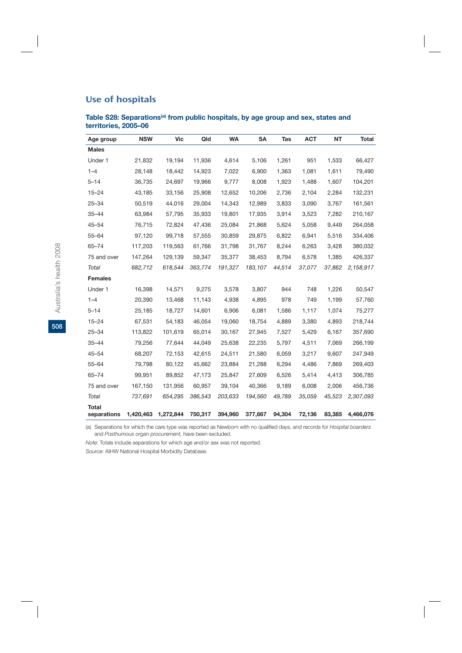## Use of hospitals

## Table S28: Separations<sup>(a)</sup> from public hospitals, by age group and sex, states and **territories, 2005–06**

| Age group                   | <b>NSW</b> | <b>Vic</b> | Qld     | <b>WA</b> | <b>SA</b> | <b>Tas</b> | <b>ACT</b> | <b>NT</b> | <b>Total</b> |
|-----------------------------|------------|------------|---------|-----------|-----------|------------|------------|-----------|--------------|
| <b>Males</b>                |            |            |         |           |           |            |            |           |              |
| Under 1                     | 21,832     | 19,194     | 11,936  | 4,614     | 5,106     | 1,261      | 951        | 1,533     | 66,427       |
| $1 - 4$                     | 28,148     | 18,442     | 14,923  | 7,022     | 6,900     | 1,363      | 1,081      | 1,611     | 79,490       |
| $5 - 14$                    | 36,735     | 24,697     | 19,966  | 9,777     | 8,008     | 1,923      | 1,488      | 1,607     | 104,201      |
| $15 - 24$                   | 43,185     | 33,156     | 25,908  | 12,652    | 10,206    | 2,736      | 2,104      | 2,284     | 132,231      |
| $25 - 34$                   | 50,519     | 44,016     | 29,004  | 14,343    | 12,989    | 3,833      | 3,090      | 3,767     | 161,561      |
| $35 - 44$                   | 63,984     | 57,795     | 35,933  | 19,801    | 17,935    | 3,914      | 3,523      | 7,282     | 210,167      |
| $45 - 54$                   | 76,715     | 72,824     | 47,436  | 25,084    | 21,868    | 5,624      | 5,058      | 9,449     | 264,058      |
| $55 - 64$                   | 97,120     | 99,718     | 57,555  | 30,859    | 29,875    | 6,822      | 6,941      | 5,516     | 334,406      |
| $65 - 74$                   | 117,203    | 119,563    | 61,766  | 31,798    | 31,767    | 8,244      | 6,263      | 3,428     | 380,032      |
| 75 and over                 | 147,264    | 129,139    | 59,347  | 35,377    | 38,453    | 8,794      | 6,578      | 1,385     | 426,337      |
| Total                       | 682,712    | 618,544    | 363,774 | 191,327   | 183,107   | 44,514     | 37,077     | 37,862    | 2,158,917    |
| <b>Females</b>              |            |            |         |           |           |            |            |           |              |
| Under 1                     | 16,398     | 14,571     | 9,275   | 3,578     | 3,807     | 944        | 748        | 1,226     | 50,547       |
| $1 - 4$                     | 20,390     | 13,468     | 11,143  | 4,938     | 4,895     | 978        | 749        | 1,199     | 57,760       |
| $5 - 14$                    | 25,185     | 18,727     | 14,601  | 6,906     | 6,081     | 1,586      | 1,117      | 1,074     | 75,277       |
| $15 - 24$                   | 67,531     | 54,183     | 46,054  | 19,060    | 18,754    | 4,889      | 3,380      | 4,893     | 218,744      |
| $25 - 34$                   | 113,822    | 101,619    | 65,014  | 30,167    | 27,945    | 7,527      | 5,429      | 6,167     | 357,690      |
| $35 - 44$                   | 79,256     | 77,644     | 44,049  | 25,638    | 22,235    | 5,797      | 4,511      | 7,069     | 266,199      |
| $45 - 54$                   | 68,207     | 72,153     | 42,615  | 24,511    | 21,580    | 6,059      | 3,217      | 9,607     | 247,949      |
| $55 - 64$                   | 79,798     | 80,122     | 45,662  | 23,884    | 21,288    | 6,294      | 4,486      | 7,869     | 269,403      |
| $65 - 74$                   | 99,951     | 89,852     | 47,173  | 25,847    | 27,609    | 6,526      | 5,414      | 4,413     | 306,785      |
| 75 and over                 | 167,150    | 131,956    | 60,957  | 39,104    | 40,366    | 9,189      | 6,008      | 2,006     | 456,736      |
| Total                       | 737,691    | 654,295    | 386,543 | 203,633   | 194,560   | 49,789     | 35,059     | 45,523    | 2,307,093    |
| <b>Total</b><br>separations | 1,420,463  | 1,272,844  | 750,317 | 394,960   | 377,667   | 94,304     | 72,136     | 83,385    | 4,466,076    |

(a) Separations for which the care type was reported as Newborn with no qualified days, and records for *Hospital boarders*  and *Posthumous organ procurement,* have been excluded.

*Note:* Totals include separations for which age and/or sex was not reported.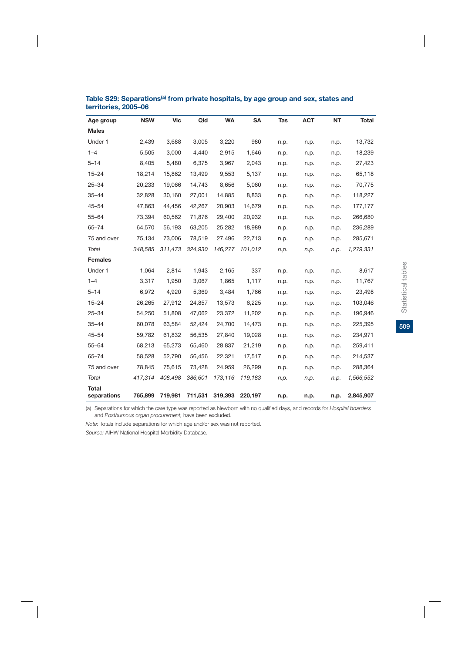| Age group                   | <b>NSW</b> | <b>Vic</b> | Qld     | <b>WA</b> | <b>SA</b> | <b>Tas</b> | <b>ACT</b> | <b>NT</b> | <b>Total</b> |
|-----------------------------|------------|------------|---------|-----------|-----------|------------|------------|-----------|--------------|
| <b>Males</b>                |            |            |         |           |           |            |            |           |              |
| Under 1                     | 2,439      | 3,688      | 3,005   | 3,220     | 980       | n.p.       | n.p.       | n.p.      | 13,732       |
| $1 - 4$                     | 5,505      | 3,000      | 4,440   | 2,915     | 1,646     | n.p.       | n.p.       | n.p.      | 18,239       |
| $5 - 14$                    | 8,405      | 5,480      | 6,375   | 3,967     | 2,043     | n.p.       | n.p.       | n.p.      | 27,423       |
| $15 - 24$                   | 18,214     | 15,862     | 13,499  | 9,553     | 5,137     | n.p.       | n.p.       | n.p.      | 65,118       |
| $25 - 34$                   | 20,233     | 19,066     | 14,743  | 8,656     | 5,060     | n.p.       | n.p.       | n.p.      | 70,775       |
| $35 - 44$                   | 32,828     | 30,160     | 27,001  | 14,885    | 8,833     | n.p.       | n.p.       | n.p.      | 118,227      |
| $45 - 54$                   | 47,863     | 44,456     | 42,267  | 20,903    | 14,679    | n.p.       | n.p.       | n.p.      | 177,177      |
| $55 - 64$                   | 73,394     | 60,562     | 71,876  | 29,400    | 20,932    | n.p.       | n.p.       | n.p.      | 266,680      |
| $65 - 74$                   | 64,570     | 56,193     | 63,205  | 25,282    | 18,989    | n.p.       | n.p.       | n.p.      | 236,289      |
| 75 and over                 | 75,134     | 73,006     | 78,519  | 27,496    | 22,713    | n.p.       | n.p.       | n.p.      | 285,671      |
| Total                       | 348,585    | 311,473    | 324,930 | 146,277   | 101,012   | n.p.       | n.p.       | n.p.      | 1,279,331    |
| <b>Females</b>              |            |            |         |           |           |            |            |           |              |
| Under 1                     | 1,064      | 2,814      | 1,943   | 2,165     | 337       | n.p.       | n.p.       | n.p.      | 8,617        |
| $1 - 4$                     | 3,317      | 1,950      | 3,067   | 1,865     | 1,117     | n.p.       | n.p.       | n.p.      | 11,767       |
| $5 - 14$                    | 6,972      | 4,920      | 5,369   | 3,484     | 1,766     | n.p.       | n.p.       | n.p.      | 23,498       |
| $15 - 24$                   | 26,265     | 27,912     | 24,857  | 13,573    | 6,225     | n.p.       | n.p.       | n.p.      | 103,046      |
| $25 - 34$                   | 54,250     | 51,808     | 47,062  | 23,372    | 11,202    | n.p.       | n.p.       | n.p.      | 196,946      |
| $35 - 44$                   | 60,078     | 63,584     | 52,424  | 24,700    | 14,473    | n.p.       | n.p.       | n.p.      | 225,395      |
| $45 - 54$                   | 59,782     | 61,832     | 56,535  | 27,840    | 19,028    | n.p.       | n.p.       | n.p.      | 234,971      |
| $55 - 64$                   | 68,213     | 65,273     | 65,460  | 28,837    | 21,219    | n.p.       | n.p.       | n.p.      | 259,411      |
| $65 - 74$                   | 58,528     | 52,790     | 56,456  | 22,321    | 17,517    | n.p.       | n.p.       | n.p.      | 214,537      |
| 75 and over                 | 78,845     | 75,615     | 73,428  | 24,959    | 26,299    | n.p.       | n.p.       | n.p.      | 288,364      |
| Total                       | 417,314    | 408,498    | 386,601 | 173,116   | 119,183   | n.p.       | n.p.       | n.p.      | 1,566,552    |
| <b>Total</b><br>separations | 765,899    | 719,981    | 711,531 | 319,393   | 220,197   | n.p.       | n.p.       | n.p.      | 2,845,907    |

#### Table S29: Separations<sup>(a)</sup> from private hospitals, by age group and sex, states and **territories, 2005–06**

(a) Separations for which the care type was reported as Newborn with no qualified days, and records for *Hospital boarders*  and *Posthumous organ procurement,* have been excluded.

*Note:* Totals include separations for which age and/or sex was not reported.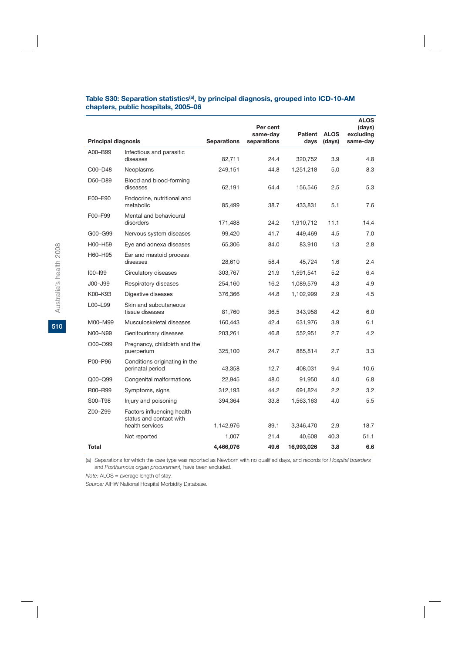| Table S30: Separation statistics <sup>(a)</sup> , by principal diagnosis, grouped into ICD-10-AM |  |
|--------------------------------------------------------------------------------------------------|--|
| chapters, public hospitals, 2005–06                                                              |  |

|                            |                                                                          |                    | Per cent<br>same-day | <b>Patient</b> | <b>ALOS</b> | <b>ALOS</b><br>(days)<br>excluding |
|----------------------------|--------------------------------------------------------------------------|--------------------|----------------------|----------------|-------------|------------------------------------|
| <b>Principal diagnosis</b> |                                                                          | <b>Separations</b> | separations          | days           | (days)      | same-day                           |
| A00-B99                    | Infectious and parasitic<br>diseases                                     | 82,711             | 24.4                 | 320,752        | 3.9         | 4.8                                |
| C00-D48                    | Neoplasms                                                                | 249,151            | 44.8                 | 1,251,218      | 5.0         | 8.3                                |
| D50-D89                    | Blood and blood-forming<br>diseases                                      | 62,191             | 64.4                 | 156,546        | 2.5         | 5.3                                |
| E00-E90                    | Endocrine, nutritional and<br>metabolic                                  | 85,499             | 38.7                 | 433,831        | 5.1         | 7.6                                |
| F00-F99                    | Mental and behavioural<br>disorders                                      | 171,488            | 24.2                 | 1,910,712      | 11.1        | 14.4                               |
| G00-G99                    | Nervous system diseases                                                  | 99,420             | 41.7                 | 449,469        | 4.5         | 7.0                                |
| H00-H59                    | Eye and adnexa diseases                                                  | 65,306             | 84.0                 | 83,910         | 1.3         | 2.8                                |
| H60-H95                    | Ear and mastoid process<br>diseases                                      | 28,610             | 58.4                 | 45,724         | 1.6         | 2.4                                |
| $100 - 199$                | Circulatory diseases                                                     | 303,767            | 21.9                 | 1,591,541      | 5.2         | 6.4                                |
| J00-J99                    | Respiratory diseases                                                     | 254,160            | 16.2                 | 1,089,579      | 4.3         | 4.9                                |
| K00-K93                    | Digestive diseases                                                       | 376,366            | 44.8                 | 1,102,999      | 2.9         | 4.5                                |
| L00-L99                    | Skin and subcutaneous<br>tissue diseases                                 | 81,760             | 36.5                 | 343,958        | 4.2         | 6.0                                |
| M00-M99                    | Musculoskeletal diseases                                                 | 160,443            | 42.4                 | 631,976        | 3.9         | 6.1                                |
| N00-N99                    | Genitourinary diseases                                                   | 203,261            | 46.8                 | 552,951        | 2.7         | 4.2                                |
| O00-O99                    | Pregnancy, childbirth and the<br>puerperium                              | 325,100            | 24.7                 | 885,814        | 2.7         | 3.3                                |
| P00-P96                    | Conditions originating in the<br>perinatal period                        | 43,358             | 12.7                 | 408,031        | 9.4         | 10.6                               |
| Q00-Q99                    | Congenital malformations                                                 | 22,945             | 48.0                 | 91,950         | 4.0         | 6.8                                |
| R00-R99                    | Symptoms, signs                                                          | 312,193            | 44.2                 | 691,824        | 2.2         | 3.2                                |
| S00-T98                    | Injury and poisoning                                                     | 394,364            | 33.8                 | 1,563,163      | 4.0         | 5.5                                |
| Z00-Z99                    | Factors influencing health<br>status and contact with<br>health services | 1,142,976          | 89.1                 | 3,346,470      | 2.9         | 18.7                               |
|                            | Not reported                                                             | 1,007              | 21.4                 | 40,608         | 40.3        | 51.1                               |
| <b>Total</b>               |                                                                          | 4,466,076          | 49.6                 | 16,993,026     | 3.8         | 6.6                                |

(a) Separations for which the care type was reported as Newborn with no qualified days, and records for *Hospital boarders*  and *Posthumous organ procurement,* have been excluded.

*Note:* ALOS = average length of stay.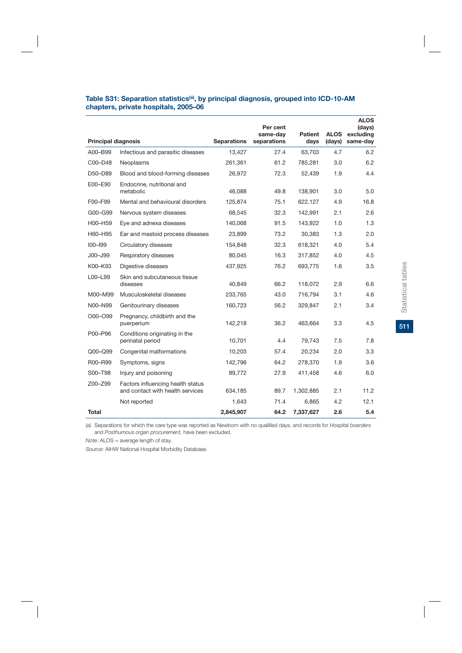| Table S31: Separation statistics <sup>(a)</sup> , by principal diagnosis, grouped into ICD-10-AM |  |
|--------------------------------------------------------------------------------------------------|--|
| chapters, private hospitals, 2005–06                                                             |  |

|                            |                                                                       |                    | Per cent<br>same-dav | Patient   | <b>ALOS</b> | <b>ALOS</b><br>(days)<br>excluding |
|----------------------------|-----------------------------------------------------------------------|--------------------|----------------------|-----------|-------------|------------------------------------|
| <b>Principal diagnosis</b> |                                                                       | <b>Separations</b> | separations          | days      | (days)      | same-day                           |
| A00-B99                    | Infectious and parasitic diseases                                     | 13,427             | 27.4                 | 63,703    | 4.7         | 6.2                                |
| C00-D48                    | Neoplasms                                                             | 261,361            | 61.2                 | 785,281   | 3.0         | 6.2                                |
| D50-D89                    | Blood and blood-forming diseases                                      | 26,972             | 72.3                 | 52,439    | 1.9         | 4.4                                |
| E00-E90                    | Endocrine, nutritional and<br>metabolic                               | 46.088             | 49.8                 | 138.901   | 3.0         | 5.0                                |
| F00-F99                    | Mental and behavioural disorders                                      | 125,874            | 75.1                 | 622,127   | 4.9         | 16.8                               |
| G00-G99                    | Nervous system diseases                                               | 68,545             | 32.3                 | 142,991   | 2.1         | 2.6                                |
| H00-H59                    | Eye and adnexa diseases                                               | 140,068            | 91.5                 | 143,922   | 1.0         | 1.3                                |
| H60-H95                    | Ear and mastoid process diseases                                      | 23.899             | 73.2                 | 30.383    | 1.3         | 2.0                                |
| $100 - 199$                | Circulatory diseases                                                  | 154,848            | 32.3                 | 618,321   | 4.0         | 5.4                                |
| J00-J99                    | Respiratory diseases                                                  | 80,045             | 16.3                 | 317,852   | 4.0         | 4.5                                |
| K00-K93                    | Digestive diseases                                                    | 437,925            | 76.2                 | 693,775   | 1.6         | 3.5                                |
| L00-L99                    | Skin and subcutaneous tissue<br>diseases                              | 40,849             | 66.2                 | 118,072   | 2.9         | 6.6                                |
| M00-M99                    | Musculoskeletal diseases                                              | 233,765            | 43.0                 | 716,794   | 3.1         | 4.6                                |
| N00-N99                    | Genitourinary diseases                                                | 160,723            | 56.2                 | 329,847   | 2.1         | 3.4                                |
| O00-O99                    | Pregnancy, childbirth and the<br>puerperium                           | 142,218            | 36.2                 | 463,664   | 3.3         | 4.5                                |
| P00-P96                    | Conditions originating in the<br>perinatal period                     | 10,701             | 4.4                  | 79,743    | 7.5         | 7.8                                |
| Q00-Q99                    | Congenital malformations                                              | 10,203             | 57.4                 | 20,234    | 2.0         | 3.3                                |
| R00-R99                    | Symptoms, signs                                                       | 142,796            | 64.2                 | 278,370   | 1.9         | 3.6                                |
| S00-T98                    | Injury and poisoning                                                  | 89,772             | 27.9                 | 411,458   | 4.6         | 6.0                                |
| Z00-Z99                    | Factors influencing health status<br>and contact with health services | 634,185            | 89.7                 | 1,302,885 | 2.1         | 11.2                               |
|                            | Not reported                                                          | 1,643              | 71.4                 | 6,865     | 4.2         | 12.1                               |
| Total                      |                                                                       | 2.845.907          | 64.2                 | 7,337,627 | 2.6         | 5.4                                |

(a) Separations for which the care type was reported as Newborn with no qualified days, and records for *Hospital boarders*  and *Posthumous organ procurement,* have been excluded.

*Note:* ALOS = average length of stay.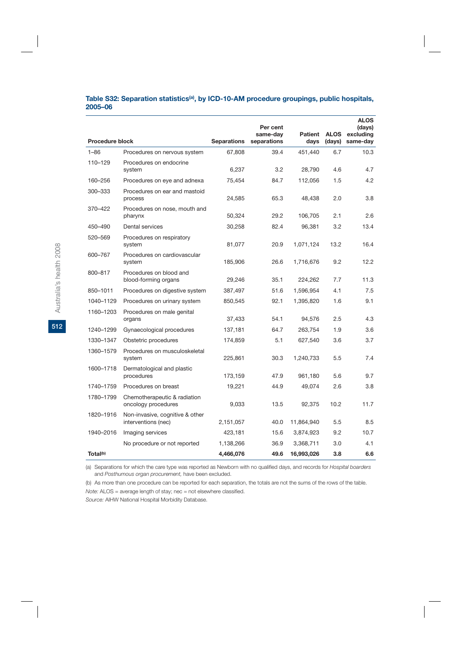#### Table S32: Separation statistics<sup>(a)</sup>, by ICD-10-AM procedure groupings, public hospitals, **2005–06**

|                        |                                                        |                    | Per cent<br>same-day | Patient    | <b>ALOS</b> | <b>ALOS</b><br>(days)<br>excluding |
|------------------------|--------------------------------------------------------|--------------------|----------------------|------------|-------------|------------------------------------|
| <b>Procedure block</b> |                                                        | <b>Separations</b> | separations          | days       | (days)      | same-day                           |
| $1 - 86$               | Procedures on nervous system                           | 67,808             | 39.4                 | 451,440    | 6.7         | 10.3                               |
| 110-129                | Procedures on endocrine<br>system                      | 6,237              | 3.2                  | 28,790     | 4.6         | 4.7                                |
| 160-256                | Procedures on eye and adnexa                           | 75,454             | 84.7                 | 112,056    | 1.5         | 4.2                                |
| 300-333                | Procedures on ear and mastoid<br>process               | 24,585             | 65.3                 | 48,438     | 2.0         | 3.8                                |
| 370-422                | Procedures on nose, mouth and<br>pharynx               | 50,324             | 29.2                 | 106,705    | 2.1         | 2.6                                |
| 450-490                | Dental services                                        | 30,258             | 82.4                 | 96,381     | 3.2         | 13.4                               |
| 520-569                | Procedures on respiratory<br>system                    | 81,077             | 20.9                 | 1,071,124  | 13.2        | 16.4                               |
| 600-767                | Procedures on cardiovascular<br>system                 | 185,906            | 26.6                 | 1,716,676  | 9.2         | 12.2                               |
| 800-817                | Procedures on blood and<br>blood-forming organs        | 29,246             | 35.1                 | 224,262    | 7.7         | 11.3                               |
| 850-1011               | Procedures on digestive system                         | 387,497            | 51.6                 | 1,596,954  | 4.1         | 7.5                                |
| 1040-1129              | Procedures on urinary system                           | 850,545            | 92.1                 | 1,395,820  | 1.6         | 9.1                                |
| 1160-1203              | Procedures on male genital<br>organs                   | 37,433             | 54.1                 | 94,576     | 2.5         | 4.3                                |
| 1240-1299              | Gynaecological procedures                              | 137,181            | 64.7                 | 263,754    | 1.9         | 3.6                                |
| 1330-1347              | Obstetric procedures                                   | 174,859            | 5.1                  | 627,540    | 3.6         | 3.7                                |
| 1360-1579              | Procedures on musculoskeletal<br>system                | 225,861            | 30.3                 | 1,240,733  | 5.5         | 7.4                                |
| 1600-1718              | Dermatological and plastic<br>procedures               | 173,159            | 47.9                 | 961,180    | 5.6         | 9.7                                |
| 1740-1759              | Procedures on breast                                   | 19,221             | 44.9                 | 49,074     | 2.6         | 3.8                                |
| 1780-1799              | Chemotherapeutic & radiation<br>oncology procedures    | 9,033              | 13.5                 | 92,375     | 10.2        | 11.7                               |
| 1820-1916              | Non-invasive, cognitive & other<br>interventions (nec) | 2,151,057          | 40.0                 | 11,864,940 | 5.5         | 8.5                                |
| 1940-2016              | Imaging services                                       | 423,181            | 15.6                 | 3,874,923  | 9.2         | 10.7                               |
|                        | No procedure or not reported                           | 1,138,266          | 36.9                 | 3,368,711  | 3.0         | 4.1                                |
| Total <sup>(b)</sup>   |                                                        | 4,466,076          | 49.6                 | 16,993,026 | 3.8         | 6.6                                |

(a) Separations for which the care type was reported as Newborn with no qualified days, and records for *Hospital boarders*  and *Posthumous organ procurement,* have been excluded.

(b) As more than one procedure can be reported for each separation, the totals are not the sums of the rows of the table.

*Note:* ALOS = average length of stay; nec = not elsewhere classified.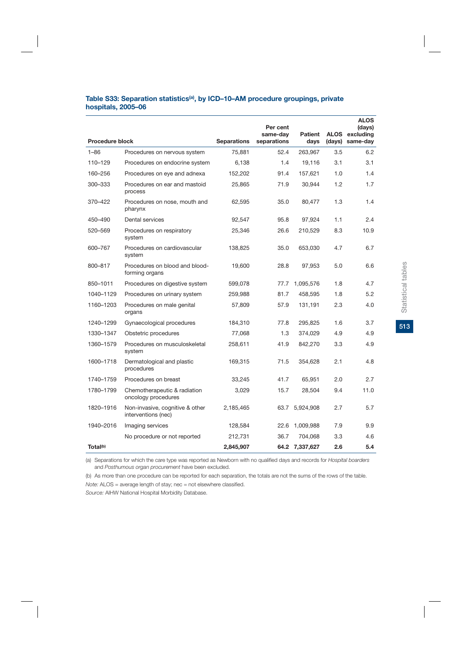## Table S33: Separation statistics<sup>(a)</sup>, by ICD-10-AM procedure groupings, private **hospitals, 2005–06**

|                        |                                                        |                    | Per cent<br>same-day | <b>Patient</b> |        | <b>ALOS</b><br>(days)<br>ALOS excluding |
|------------------------|--------------------------------------------------------|--------------------|----------------------|----------------|--------|-----------------------------------------|
| <b>Procedure block</b> |                                                        | <b>Separations</b> | separations          | days           | (days) | same-day                                |
| $1 - 86$               | Procedures on nervous system                           | 75,881             | 52.4                 | 263,967        | 3.5    | 6.2                                     |
| 110-129                | Procedures on endocrine system                         | 6,138              | 1.4                  | 19,116         | 3.1    | 3.1                                     |
| 160-256                | Procedures on eye and adnexa                           | 152,202            | 91.4                 | 157,621        | 1.0    | 1.4                                     |
| 300-333                | Procedures on ear and mastoid<br>process               | 25,865             | 71.9                 | 30,944         | 1.2    | 1.7                                     |
| 370-422                | Procedures on nose, mouth and<br>pharynx               | 62,595             | 35.0                 | 80,477         | 1.3    | 1.4                                     |
| 450-490                | Dental services                                        | 92,547             | 95.8                 | 97,924         | 1.1    | 2.4                                     |
| 520-569                | Procedures on respiratory<br>system                    | 25,346             | 26.6                 | 210,529        | 8.3    | 10.9                                    |
| 600-767                | Procedures on cardiovascular<br>system                 | 138,825            | 35.0                 | 653,030        | 4.7    | 6.7                                     |
| 800-817                | Procedures on blood and blood-<br>forming organs       | 19,600             | 28.8                 | 97,953         | 5.0    | 6.6                                     |
| 850-1011               | Procedures on digestive system                         | 599,078            | 77.7                 | 1,095,576      | 1.8    | 4.7                                     |
| 1040-1129              | Procedures on urinary system                           | 259,988            | 81.7                 | 458,595        | 1.8    | 5.2                                     |
| 1160-1203              | Procedures on male genital<br>organs                   | 57,809             | 57.9                 | 131,191        | 2.3    | 4.0                                     |
| 1240-1299              | Gynaecological procedures                              | 184,310            | 77.8                 | 295,825        | 1.6    | 3.7                                     |
| 1330-1347              | Obstetric procedures                                   | 77,068             | 1.3                  | 374,029        | 4.9    | 4.9                                     |
| 1360-1579              | Procedures on musculoskeletal<br>system                | 258,611            | 41.9                 | 842,270        | 3.3    | 4.9                                     |
| 1600-1718              | Dermatological and plastic<br>procedures               | 169,315            | 71.5                 | 354,628        | 2.1    | 4.8                                     |
| 1740-1759              | Procedures on breast                                   | 33,245             | 41.7                 | 65,951         | 2.0    | 2.7                                     |
| 1780-1799              | Chemotherapeutic & radiation<br>oncology procedures    | 3,029              | 15.7                 | 28,504         | 9.4    | 11.0                                    |
| 1820-1916              | Non-invasive, cognitive & other<br>interventions (nec) | 2,185,465          |                      | 63.7 5,924,908 | 2.7    | 5.7                                     |
| 1940-2016              | Imaging services                                       | 128,584            | 22.6                 | 1,009,988      | 7.9    | 9.9                                     |
|                        | No procedure or not reported                           | 212,731            | 36.7                 | 704,068        | 3.3    | 4.6                                     |
| Total <sup>(b)</sup>   |                                                        | 2,845,907          |                      | 64.2 7,337,627 | 2.6    | 5.4                                     |

(a) Separations for which the care type was reported as Newborn with no qualified days and records for *Hospital boarders*  and *Posthumous organ procurement* have been excluded.

(b) As more than one procedure can be reported for each separation, the totals are not the sums of the rows of the table.

*Note:* ALOS = average length of stay; nec = not elsewhere classified.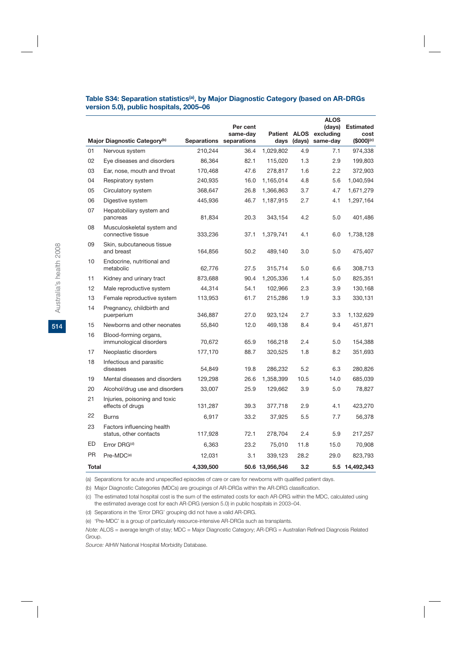## Table S34: Separation statistics<sup>(a)</sup>, by Major Diagnostic Category (based on AR-DRGs **version 5.0), public hospitals, 2005–06**

|              |                                                      |                    |                         |                 |             | <b>ALOS</b>           |                               |
|--------------|------------------------------------------------------|--------------------|-------------------------|-----------------|-------------|-----------------------|-------------------------------|
|              |                                                      |                    | Per cent                |                 |             | (days)                | <b>Estimated</b>              |
|              | Major Diagnostic Category <sup>(b)</sup>             | <b>Separations</b> | same-day<br>separations | Patient ALOS    | days (days) | excluding<br>same-day | cost<br>$$000$ <sup>(c)</sup> |
| 01           | Nervous system                                       | 210,244            | 36.4                    | 1,029,802       | 4.9         | 7.1                   | 974,338                       |
| 02           | Eye diseases and disorders                           | 86,364             | 82.1                    | 115,020         | 1.3         | 2.9                   | 199,803                       |
| 03           | Ear, nose, mouth and throat                          | 170,468            | 47.6                    | 278,817         | 1.6         | 2.2                   | 372,903                       |
| 04           | Respiratory system                                   | 240,935            | 16.0                    | 1,165,014       | 4.8         | 5.6                   | 1,040,594                     |
| 05           | Circulatory system                                   | 368,647            | 26.8                    | 1,366,863       | 3.7         | 4.7                   | 1,671,279                     |
| 06           | Digestive system                                     | 445,936            | 46.7                    | 1,187,915       | 2.7         | 4.1                   | 1,297,164                     |
| 07           | Hepatobiliary system and<br>pancreas                 | 81,834             | 20.3                    | 343,154         | 4.2         | 5.0                   | 401,486                       |
| 08           | Musculoskeletal system and<br>connective tissue      | 333,236            | 37.1                    | 1,379,741       | 4.1         | 6.0                   | 1,738,128                     |
| 09           | Skin, subcutaneous tissue<br>and breast              | 164,856            | 50.2                    | 489,140         | 3.0         | 5.0                   | 475,407                       |
| 10           | Endocrine, nutritional and<br>metabolic              | 62,776             | 27.5                    | 315,714         | 5.0         | 6.6                   | 308,713                       |
| 11           | Kidney and urinary tract                             | 873,688            | 90.4                    | 1,205,336       | 1.4         | 5.0                   | 825,351                       |
| 12           | Male reproductive system                             | 44,314             | 54.1                    | 102,966         | 2.3         | 3.9                   | 130,168                       |
| 13           | Female reproductive system                           | 113,953            | 61.7                    | 215,286         | 1.9         | 3.3                   | 330,131                       |
| 14           | Pregnancy, childbirth and<br>puerperium              | 346,887            | 27.0                    | 923,124         | 2.7         | 3.3                   | 1,132,629                     |
| 15           | Newborns and other neonates                          | 55,840             | 12.0                    | 469,138         | 8.4         | 9.4                   | 451,871                       |
| 16           | Blood-forming organs,<br>immunological disorders     | 70,672             | 65.9                    | 166,218         | 2.4         | 5.0                   | 154,388                       |
| 17           | Neoplastic disorders                                 | 177,170            | 88.7                    | 320,525         | 1.8         | 8.2                   | 351,693                       |
| 18           | Infectious and parasitic<br>diseases                 | 54,849             | 19.8                    | 286,232         | 5.2         | 6.3                   | 280,826                       |
| 19           | Mental diseases and disorders                        | 129,298            | 26.6                    | 1,358,399       | 10.5        | 14.0                  | 685,039                       |
| 20           | Alcohol/drug use and disorders                       | 33,007             | 25.9                    | 129,662         | 3.9         | 5.0                   | 78,827                        |
| 21           | Injuries, poisoning and toxic<br>effects of drugs    | 131,287            | 39.3                    | 377,718         | 2.9         | 4.1                   | 423,270                       |
| 22           | <b>Burns</b>                                         | 6,917              | 33.2                    | 37,925          | 5.5         | 7.7                   | 56,378                        |
| 23           | Factors influencing health<br>status, other contacts | 117,928            | 72.1                    | 278,704         | 2.4         | 5.9                   | 217,257                       |
| ED           | Error DRG <sup>(d)</sup>                             | 6,363              | 23.2                    | 75,010          | 11.8        | 15.0                  | 70,908                        |
| <b>PR</b>    | Pre-MDC <sup>(e)</sup>                               | 12,031             | 3.1                     | 339,123         | 28.2        | 29.0                  | 823,793                       |
| <b>Total</b> |                                                      | 4,339,500          |                         | 50.6 13,956,546 | 3.2         |                       | 5.5 14,492,343                |

(a) Separations for acute and unspecified episodes of care or care for newborns with qualified patient days.

(b) Major Diagnostic Categories (MDCs) are groupings of AR-DRGs within the AR-DRG classification.

(c) The estimated total hospital cost is the sum of the estimated costs for each AR-DRG within the MDC, calculated using the estimated average cost for each AR-DRG (version 5.0) in public hospitals in 2003–04.

(d) Separations in the 'Error DRG' grouping did not have a valid AR-DRG.

(e) 'Pre-MDC' is a group of particularly resource-intensive AR-DRGs such as transplants.

*Note:* ALOS = average length of stay; MDC = Major Diagnostic Category; AR-DRG = Australian Refined Diagnosis Related Group.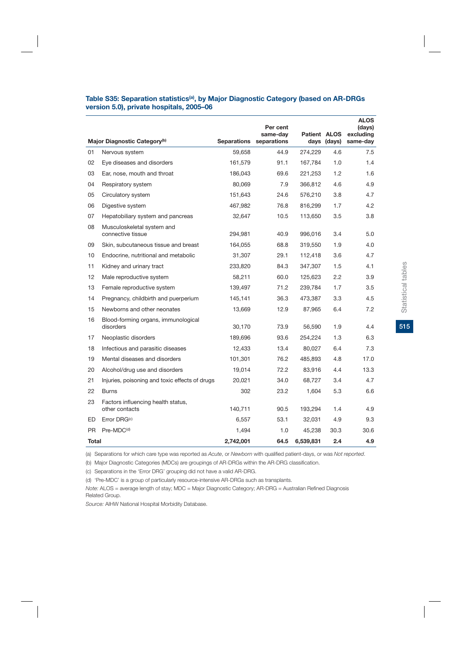#### Table S35: Separation statistics<sup>(a)</sup>, by Major Diagnostic Category (based on AR-DRGs **version 5.0), private hospitals, 2005–06**

|           |                                                      |             | Per cent<br>same-day | Patient ALOS |             | <b>ALOS</b><br>(days)<br>excluding |
|-----------|------------------------------------------------------|-------------|----------------------|--------------|-------------|------------------------------------|
|           | Major Diagnostic Category <sup>(b)</sup>             | Separations | separations          |              | days (days) | same-day                           |
| 01        | Nervous system                                       | 59,658      | 44.9                 | 274,229      | 4.6         | 7.5                                |
| 02        | Eye diseases and disorders                           | 161,579     | 91.1                 | 167,784      | 1.0         | 1.4                                |
| 03        | Ear, nose, mouth and throat                          | 186,043     | 69.6                 | 221,253      | 1.2         | 1.6                                |
| 04        | Respiratory system                                   | 80,069      | 7.9                  | 366,812      | 4.6         | 4.9                                |
| 05        | Circulatory system                                   | 151,643     | 24.6                 | 576,210      | 3.8         | 4.7                                |
| 06        | Digestive system                                     | 467,982     | 76.8                 | 816,299      | 1.7         | 4.2                                |
| 07        | Hepatobiliary system and pancreas                    | 32,647      | 10.5                 | 113,650      | 3.5         | 3.8                                |
| 08        | Musculoskeletal system and<br>connective tissue      | 294,981     | 40.9                 | 996,016      | 3.4         | 5.0                                |
| 09        | Skin, subcutaneous tissue and breast                 | 164,055     | 68.8                 | 319,550      | 1.9         | 4.0                                |
| 10        | Endocrine, nutritional and metabolic                 | 31,307      | 29.1                 | 112,418      | 3.6         | 4.7                                |
| 11        | Kidney and urinary tract                             | 233,820     | 84.3                 | 347,307      | 1.5         | 4.1                                |
| 12        | Male reproductive system                             | 58,211      | 60.0                 | 125,623      | 2.2         | 3.9                                |
| 13        | Female reproductive system                           | 139,497     | 71.2                 | 239,784      | 1.7         | 3.5                                |
| 14        | Pregnancy, childbirth and puerperium                 | 145,141     | 36.3                 | 473,387      | 3.3         | 4.5                                |
| 15        | Newborns and other neonates                          | 13,669      | 12.9                 | 87,965       | 6.4         | 7.2                                |
| 16        | Blood-forming organs, immunological<br>disorders     | 30,170      | 73.9                 | 56,590       | 1.9         | 4.4                                |
| 17        | Neoplastic disorders                                 | 189,696     | 93.6                 | 254,224      | 1.3         | 6.3                                |
| 18        | Infectious and parasitic diseases                    | 12,433      | 13.4                 | 80,027       | 6.4         | 7.3                                |
| 19        | Mental diseases and disorders                        | 101,301     | 76.2                 | 485,893      | 4.8         | 17.0                               |
| 20        | Alcohol/drug use and disorders                       | 19,014      | 72.2                 | 83,916       | 4.4         | 13.3                               |
| 21        | Injuries, poisoning and toxic effects of drugs       | 20,021      | 34.0                 | 68,727       | 3.4         | 4.7                                |
| 22        | <b>Burns</b>                                         | 302         | 23.2                 | 1,604        | 5.3         | 6.6                                |
| 23        | Factors influencing health status,<br>other contacts | 140,711     | 90.5                 | 193,294      | 1.4         | 4.9                                |
| ED        | Error DRG <sup>(c)</sup>                             | 6,557       | 53.1                 | 32,031       | 4.9         | 9.3                                |
| <b>PR</b> | Pre-MDC <sup>(d)</sup>                               | 1,494       | 1.0                  | 45.238       | 30.3        | 30.6                               |
| Total     |                                                      | 2,742,001   | 64.5                 | 6,539,831    | 2.4         | 4.9                                |

(a) Separations for which care type was reported as *Acute*, or *Newborn* with qualified patient-days, or was *Not reported*.

(b) Major Diagnostic Categories (MDCs) are groupings of AR-DRGs within the AR-DRG classification.

(c) Separations in the 'Error DRG' grouping did not have a valid AR-DRG.

(d) 'Pre-MDC' is a group of particularly resource-intensive AR-DRGs such as transplants.

*Note:* ALOS = average length of stay; MDC = Major Diagnostic Category; AR-DRG = Australian Refined Diagnosis Related Group.

*Source:* AIHW National Hospital Morbidity Database.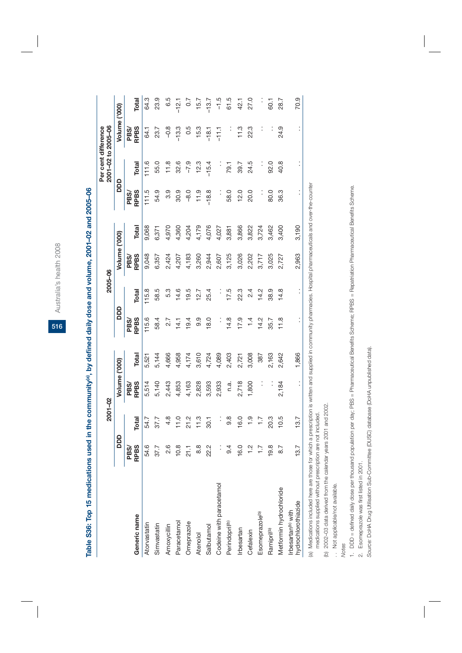Australia's health 2008 Australia's health 2008

**516**

**Table S36: Top 15 medications used in the community(a), by defined daily dose and volume, 2001–02 and 2005–06** 

Table S36: Top 15 medications used in the community<sup>(a)</sup>, by defined daily dose and volume, 2001-02 and 2005-06

|                                                       |                     | $2001 - 02$      |                     |       |                     | 2005-06              |                     |       |                      | 2001-02 to 2005-06<br>Per cent difference |                     |         |
|-------------------------------------------------------|---------------------|------------------|---------------------|-------|---------------------|----------------------|---------------------|-------|----------------------|-------------------------------------------|---------------------|---------|
|                                                       | DDD                 |                  | Volume ('000)       |       | DDD                 |                      | Volume ('000)       |       | DDD                  |                                           | Volume ('000)       |         |
| Generic name                                          | PBS/<br><b>RPBS</b> | <b>Total</b>     | <b>RPBS</b><br>PBS/ | Total | <b>RPBS</b><br>PBS/ | Total                | <b>RPBS</b><br>PBS/ | Total | <b>RPBS</b><br>PBS/  | Total                                     | <b>RPBS</b><br>PBS/ | Total   |
| Atorvastatin                                          | 54.6                | 54.7             | 5,514               | 5,521 | 115.6               | 115.8                | 9,048               | 9,068 | 111.5                | 111.6                                     | 64.1                | 64.3    |
| Simvastatin                                           | 37.7                | 37.7             | 5,140               | 5,144 | 58.4                | 58.5                 | 6,357               | 6,371 | 54.9                 | 55.0                                      | 23.7                | 23.9    |
| Amoxycillin                                           | 2.6                 | 4.8              | 2,443               | 4,666 | 2.7                 | 5.3                  | 2,424               | 4,970 | 3.9                  | 11.8                                      | $-0.8$              | 6.5     |
| Paracetamol                                           | 10.8                | 11.0             | 4,853               | 4,958 | 14.1                | 14.6                 | 4,207               | 4,360 | 30.9                 | 32.6                                      | $-13.3$             | $-12.1$ |
| Omeprazole                                            | 21.1                | 21.2             | 4,163               | 4,174 | 19.4                | 19.5                 | 4,183               | 4,204 | $-8.0$               | $-7.9$                                    | 0.5                 | 0.7     |
| <b>Atenolol</b>                                       | 8.8                 | 11.3             | 2,828               | 3,610 | თ<br>თ              | 12.7                 | 3,260               | 4,179 | 11.9                 | 12.3                                      | 15.3                | 15.7    |
| Salbutamol                                            | 22.2                | 30.1             | 3,593               | 4,724 | 18.0                | 25.4                 | 2,944               | 4,076 | $-18.8$              | $-15.4$                                   | $-18.1$             | $-13.7$ |
| Codeine with paracetamol                              | $\vdots$            |                  | 2,933               | 4,089 |                     | :                    | 2,607               | 4,027 |                      |                                           | $-11.1$             | $-1.5$  |
| Perindopril <sup>(b)</sup>                            | 9.4                 | $9.\overline{8}$ | n.a.                | 2,403 | 14.8                | 17.5                 | 3,125               | 3,881 | 58.0                 | 79.1                                      |                     | 61.5    |
| Irbesartan                                            | 16.0                | 16.0             | 2,718               | 2,721 | 17.9                | 22.3                 | 3,026               | 3,866 | 12.0                 | 39.7                                      | 11.3                | 42.1    |
| Cefalexin                                             | $\frac{2}{1}$       | $\frac{0}{1}$    | 1,800               | 3,008 | 1.4                 | 2.4                  | 2,202               | 3,822 | 20.0                 | 24.5                                      | 22.3                | 27.0    |
| Esomeprazole <sup>(b)</sup>                           | $\overline{1}$ .    | $\ddot{ }$ :     | $\vdots$            | 387   | $\frac{2}{4}$       | 14.2                 | 3,717               | 3,724 |                      | $\vdots$                                  |                     |         |
| Ramipril <sup>(b)</sup>                               | 19.8                | 20.3             | $\vdots$            | 2,163 | 35.7                | 38.9                 | 3,025               | 3,462 | 80.0                 | 92.0                                      |                     | 60.1    |
| Metformin hydrochloride                               | 8.7                 | 10.5             | 2,184               | 2,642 | 11.8                | 14.8                 | 2,727               | 3,400 | 36.3                 | 40.8                                      | 24.9                | 28.7    |
| hydrochlorothiazide<br>Irbesartan <sup>(b)</sup> with | 13.7                | 13.7             | $\vdots$            | ,866  | $\vdots$            | $\ddot{\phantom{0}}$ | 2,963               | 3,190 | $\ddot{\phantom{0}}$ | $\ddot{\phantom{0}}$                      | $\vdots$            | 70.9    |
|                                                       |                     |                  |                     |       |                     |                      |                     |       |                      |                                           |                     |         |

(a) Medications included here are those for which a prescription is written and supplied in community pharmacies. Hospital pharmaceuticals and over-the-counter (a) Medications included here are those for which a prescription is written and supplied in community pharmacies. Hospital pharmaceuticals and over-the-counter medications supplied without prescription are not included. medications supplied without prescription are not included.

(b) 2002-03 data derived from the calendar years 2001 and 2002. (b) 2002–03 data derived from the calendar years 2001 and 2002.

.. Not applicable/not available. . Not applicable/not available.

*Notes*

1. DDD = defined daily dose per thousand population per day, PBS = Pharmaceutical Benefits Scherne; RPBS = Repatriation Pharmaceutical Benefits Scherne. 1. DDD = defined daily dose per thousand population per day; PBS = Pharmaceutical Benefits Scheme; RPBS = Repatriation Pharmaceutical Benefits Scheme.

2. Esomeprazole was first listed in 2001. 2. Esomeprazole was first listed in 2001.

Source: DoHA Drug Utilisation Sub-Committee (DUSC) database (DoHA unpublished data). *Source:* DoHA Drug Utilisation Sub-Committee (DUSC) database (DoHA unpublished data).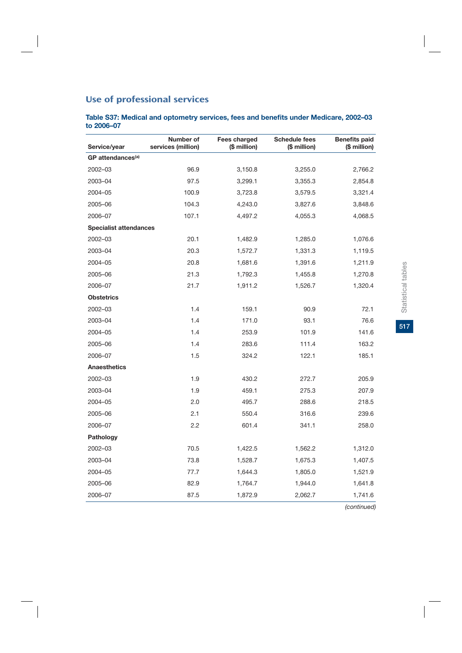# Use of professional services

**Table S37: Medical and optometry services, fees and benefits under Medicare, 2002–03 to 2006–07**

| Service/year                  | Number of<br>services (million) | Fees charged<br>(\$ million) | <b>Schedule fees</b><br>(\$ million) | <b>Benefits paid</b><br>(\$ million) |
|-------------------------------|---------------------------------|------------------------------|--------------------------------------|--------------------------------------|
| GP attendances <sup>(a)</sup> |                                 |                              |                                      |                                      |
| 2002-03                       | 96.9                            | 3,150.8                      | 3,255.0                              | 2,766.2                              |
| 2003-04                       | 97.5                            | 3,299.1                      | 3,355.3                              | 2,854.8                              |
| 2004-05                       | 100.9                           | 3,723.8                      | 3,579.5                              | 3,321.4                              |
| 2005-06                       | 104.3                           | 4,243.0                      | 3,827.6                              | 3,848.6                              |
| 2006-07                       | 107.1                           | 4,497.2                      | 4,055.3                              | 4,068.5                              |
| <b>Specialist attendances</b> |                                 |                              |                                      |                                      |
| 2002-03                       | 20.1                            | 1,482.9                      | 1,285.0                              | 1,076.6                              |
| 2003-04                       | 20.3                            | 1,572.7                      | 1,331.3                              | 1,119.5                              |
| 2004-05                       | 20.8                            | 1,681.6                      | 1,391.6                              | 1,211.9                              |
| 2005-06                       | 21.3                            | 1,792.3                      | 1,455.8                              | 1,270.8                              |
| 2006-07                       | 21.7                            | 1,911.2                      | 1,526.7                              | 1,320.4                              |
| <b>Obstetrics</b>             |                                 |                              |                                      |                                      |
| 2002-03                       | 1.4                             | 159.1                        | 90.9                                 | 72.1                                 |
| 2003-04                       | 1.4                             | 171.0                        | 93.1                                 | 76.6                                 |
| 2004-05                       | 1.4                             | 253.9                        | 101.9                                | 141.6                                |
| 2005-06                       | 1.4                             | 283.6                        | 111.4                                | 163.2                                |
| 2006-07                       | 1.5                             | 324.2                        | 122.1                                | 185.1                                |
| Anaesthetics                  |                                 |                              |                                      |                                      |
| 2002-03                       | 1.9                             | 430.2                        | 272.7                                | 205.9                                |
| 2003-04                       | 1.9                             | 459.1                        | 275.3                                | 207.9                                |
| 2004-05                       | 2.0                             | 495.7                        | 288.6                                | 218.5                                |
| 2005-06                       | 2.1                             | 550.4                        | 316.6                                | 239.6                                |
| 2006-07                       | 2.2                             | 601.4                        | 341.1                                | 258.0                                |
| Pathology                     |                                 |                              |                                      |                                      |
| 2002-03                       | 70.5                            | 1,422.5                      | 1,562.2                              | 1,312.0                              |
| 2003-04                       | 73.8                            | 1,528.7                      | 1,675.3                              | 1,407.5                              |
| 2004-05                       | 77.7                            | 1,644.3                      | 1,805.0                              | 1,521.9                              |
| 2005-06                       | 82.9                            | 1,764.7                      | 1,944.0                              | 1,641.8                              |
| 2006-07                       | 87.5                            | 1,872.9                      | 2,062.7                              | 1,741.6                              |

 $517$ 

*(continued)*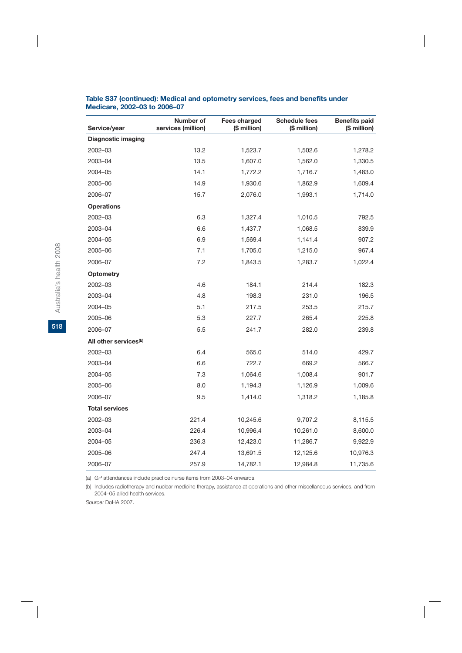| Service/year                      | Number of<br>services (million) | Fees charged<br>(\$ million) | <b>Schedule fees</b><br>(\$ million) | <b>Benefits paid</b><br>(\$ million) |
|-----------------------------------|---------------------------------|------------------------------|--------------------------------------|--------------------------------------|
| <b>Diagnostic imaging</b>         |                                 |                              |                                      |                                      |
| 2002-03                           | 13.2                            | 1,523.7                      | 1,502.6                              | 1,278.2                              |
| 2003-04                           | 13.5                            | 1,607.0                      | 1,562.0                              | 1,330.5                              |
| 2004-05                           | 14.1                            | 1,772.2                      | 1,716.7                              | 1,483.0                              |
| 2005-06                           | 14.9                            | 1,930.6                      | 1,862.9                              | 1,609.4                              |
| 2006-07                           | 15.7                            | 2,076.0                      | 1,993.1                              | 1,714.0                              |
| <b>Operations</b>                 |                                 |                              |                                      |                                      |
| 2002-03                           | 6.3                             | 1,327.4                      | 1,010.5                              | 792.5                                |
| 2003-04                           | 6.6                             | 1,437.7                      | 1,068.5                              | 839.9                                |
| 2004-05                           | 6.9                             | 1,569.4                      | 1,141.4                              | 907.2                                |
| 2005-06                           | 7.1                             | 1,705.0                      | 1,215.0                              | 967.4                                |
| 2006-07                           | 7.2                             | 1,843.5                      | 1,283.7                              | 1,022.4                              |
| <b>Optometry</b>                  |                                 |                              |                                      |                                      |
| 2002-03                           | 4.6                             | 184.1                        | 214.4                                | 182.3                                |
| 2003-04                           | 4.8                             | 198.3                        | 231.0                                | 196.5                                |
| 2004-05                           | 5.1                             | 217.5                        | 253.5                                | 215.7                                |
| 2005-06                           | 5.3                             | 227.7                        | 265.4                                | 225.8                                |
| 2006-07                           | 5.5                             | 241.7                        | 282.0                                | 239.8                                |
| All other services <sup>(b)</sup> |                                 |                              |                                      |                                      |
| 2002-03                           | 6.4                             | 565.0                        | 514.0                                | 429.7                                |
| 2003-04                           | 6.6                             | 722.7                        | 669.2                                | 566.7                                |
| 2004-05                           | 7.3                             | 1,064.6                      | 1,008.4                              | 901.7                                |
| 2005-06                           | 8.0                             | 1,194.3                      | 1,126.9                              | 1,009.6                              |
| 2006-07                           | 9.5                             | 1,414.0                      | 1,318.2                              | 1,185.8                              |
| <b>Total services</b>             |                                 |                              |                                      |                                      |
| 2002-03                           | 221.4                           | 10,245.6                     | 9,707.2                              | 8,115.5                              |
| 2003-04                           | 226.4                           | 10,996,4                     | 10,261.0                             | 8,600.0                              |
| 2004-05                           | 236.3                           | 12,423.0                     | 11,286.7                             | 9,922.9                              |
| 2005-06                           | 247.4                           | 13,691.5                     | 12,125.6                             | 10,976.3                             |
| 2006-07                           | 257.9                           | 14,782.1                     | 12,984.8                             | 11,735.6                             |

#### **Table S37 (continued): Medical and optometry services, fees and benefits under Medicare, 2002–03 to 2006–07**

(a) GP attendances include practice nurse items from 2003–04 onwards.

(b) Includes radiotherapy and nuclear medicine therapy, assistance at operations and other miscellaneous services, and from 2004–05 allied health services.

*Source:* DoHA 2007.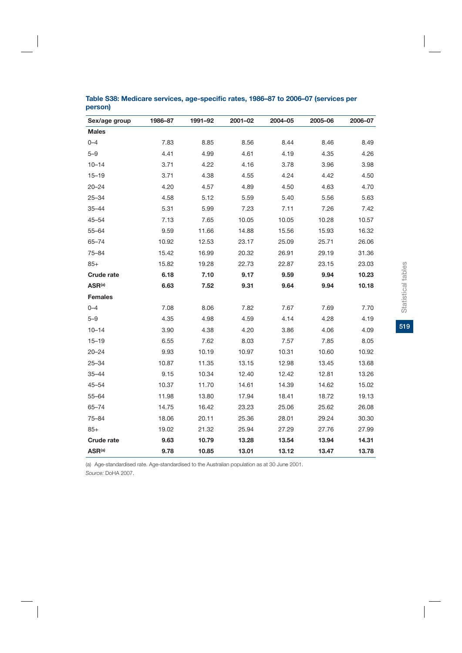| Sex/age group      | 1986-87 | 1991-92 | 2001-02 | 2004-05 | 2005-06 | 2006-07 |
|--------------------|---------|---------|---------|---------|---------|---------|
| <b>Males</b>       |         |         |         |         |         |         |
| $0 - 4$            | 7.83    | 8.85    | 8.56    | 8.44    | 8.46    | 8.49    |
| $5 - 9$            | 4.41    | 4.99    | 4.61    | 4.19    | 4.35    | 4.26    |
| $10 - 14$          | 3.71    | 4.22    | 4.16    | 3.78    | 3.96    | 3.98    |
| $15 - 19$          | 3.71    | 4.38    | 4.55    | 4.24    | 4.42    | 4.50    |
| $20 - 24$          | 4.20    | 4.57    | 4.89    | 4.50    | 4.63    | 4.70    |
| $25 - 34$          | 4.58    | 5.12    | 5.59    | 5.40    | 5.56    | 5.63    |
| 35-44              | 5.31    | 5.99    | 7.23    | 7.11    | 7.26    | 7.42    |
| 45–54              | 7.13    | 7.65    | 10.05   | 10.05   | 10.28   | 10.57   |
| $55 - 64$          | 9.59    | 11.66   | 14.88   | 15.56   | 15.93   | 16.32   |
| $65 - 74$          | 10.92   | 12.53   | 23.17   | 25.09   | 25.71   | 26.06   |
| $75 - 84$          | 15.42   | 16.99   | 20.32   | 26.91   | 29.19   | 31.36   |
| $85+$              | 15.82   | 19.28   | 22.73   | 22.87   | 23.15   | 23.03   |
| <b>Crude rate</b>  | 6.18    | 7.10    | 9.17    | 9.59    | 9.94    | 10.23   |
| ASR <sup>(a)</sup> | 6.63    | 7.52    | 9.31    | 9.64    | 9.94    | 10.18   |
| <b>Females</b>     |         |         |         |         |         |         |
| $0 - 4$            | 7.08    | 8.06    | 7.82    | 7.67    | 7.69    | 7.70    |
| $5 - 9$            | 4.35    | 4.98    | 4.59    | 4.14    | 4.28    | 4.19    |
| $10 - 14$          | 3.90    | 4.38    | 4.20    | 3.86    | 4.06    | 4.09    |
| $15 - 19$          | 6.55    | 7.62    | 8.03    | 7.57    | 7.85    | 8.05    |
| $20 - 24$          | 9.93    | 10.19   | 10.97   | 10.31   | 10.60   | 10.92   |
| $25 - 34$          | 10.87   | 11.35   | 13.15   | 12.98   | 13.45   | 13.68   |
| $35 - 44$          | 9.15    | 10.34   | 12.40   | 12.42   | 12.81   | 13.26   |
| $45 - 54$          | 10.37   | 11.70   | 14.61   | 14.39   | 14.62   | 15.02   |
| $55 - 64$          | 11.98   | 13.80   | 17.94   | 18.41   | 18.72   | 19.13   |
| $65 - 74$          | 14.75   | 16.42   | 23.23   | 25.06   | 25.62   | 26.08   |
| 75-84              | 18.06   | 20.11   | 25.36   | 28.01   | 29.24   | 30.30   |
| $85+$              | 19.02   | 21.32   | 25.94   | 27.29   | 27.76   | 27.99   |
| <b>Crude rate</b>  | 9.63    | 10.79   | 13.28   | 13.54   | 13.94   | 14.31   |
| ASR <sup>(a)</sup> | 9.78    | 10.85   | 13.01   | 13.12   | 13.47   | 13.78   |

### **Table S38: Medicare services, age-specific rates, 1986–87 to 2006–07 (services per person)**

(a) Age-standardised rate. Age-standardised to the Australian population as at 30 June 2001. *Source:* DoHA 2007.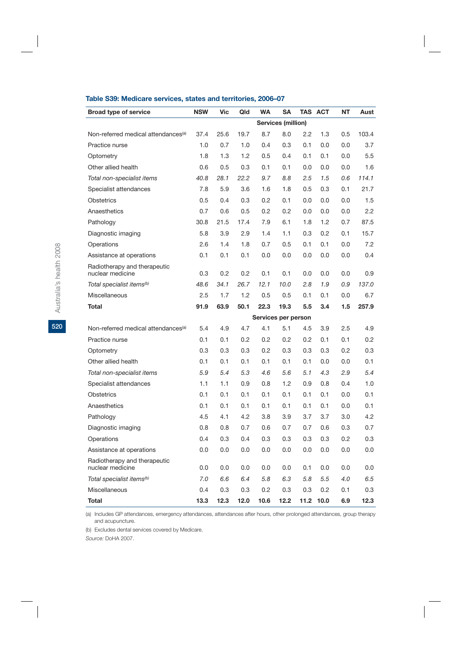#### **Table S39: Medicare services, states and territories, 2006–07**

| <b>Broad type of service</b>                     | <b>NSW</b> | Vic  | Qld  | <b>WA</b> | <b>SA</b>                 |      | <b>TAS ACT</b> | <b>NT</b> | Aust  |
|--------------------------------------------------|------------|------|------|-----------|---------------------------|------|----------------|-----------|-------|
|                                                  |            |      |      |           | <b>Services (million)</b> |      |                |           |       |
| Non-referred medical attendances <sup>(a)</sup>  | 37.4       | 25.6 | 19.7 | 8.7       | 8.0                       | 2.2  | 1.3            | 0.5       | 103.4 |
| Practice nurse                                   | 1.0        | 0.7  | 1.0  | 0.4       | 0.3                       | 0.1  | 0.0            | 0.0       | 3.7   |
| Optometry                                        | 1.8        | 1.3  | 1.2  | 0.5       | 0.4                       | 0.1  | 0.1            | 0.0       | 5.5   |
| Other allied health                              | 0.6        | 0.5  | 0.3  | 0.1       | 0.1                       | 0.0  | 0.0            | 0.0       | 1.6   |
| Total non-specialist items                       | 40.8       | 28.1 | 22.2 | 9.7       | 8.8                       | 2.5  | 1.5            | 0.6       | 114.1 |
| Specialist attendances                           | 7.8        | 5.9  | 3.6  | 1.6       | 1.8                       | 0.5  | 0.3            | 0.1       | 21.7  |
| Obstetrics                                       | 0.5        | 0.4  | 0.3  | 0.2       | 0.1                       | 0.0  | 0.0            | 0.0       | 1.5   |
| Anaesthetics                                     | 0.7        | 0.6  | 0.5  | 0.2       | 0.2                       | 0.0  | 0.0            | 0.0       | 2.2   |
| Pathology                                        | 30.8       | 21.5 | 17.4 | 7.9       | 6.1                       | 1.8  | 1.2            | 0.7       | 87.5  |
| Diagnostic imaging                               | 5.8        | 3.9  | 2.9  | 1.4       | 1.1                       | 0.3  | 0.2            | 0.1       | 15.7  |
| Operations                                       | 2.6        | 1.4  | 1.8  | 0.7       | 0.5                       | 0.1  | 0.1            | 0.0       | 7.2   |
| Assistance at operations                         | 0.1        | 0.1  | 0.1  | 0.0       | 0.0                       | 0.0  | 0.0            | 0.0       | 0.4   |
| Radiotherapy and therapeutic<br>nuclear medicine | 0.3        | 0.2  | 0.2  | 0.1       | 0.1                       | 0.0  | 0.0            | 0.0       | 0.9   |
| Total specialist items <sup>(b)</sup>            | 48.6       | 34.1 | 26.7 | 12.1      | 10.0                      | 2.8  | 1.9            | 0.9       | 137.0 |
| Miscellaneous                                    | 2.5        | 1.7  | 1.2  | 0.5       | 0.5                       | 0.1  | 0.1            | 0.0       | 6.7   |
| Total                                            | 91.9       | 63.9 | 50.1 | 22.3      | 19.3                      | 5.5  | 3.4            | 1.5       | 257.9 |
|                                                  |            |      |      |           | Services per person       |      |                |           |       |
| Non-referred medical attendances <sup>(a)</sup>  | 5.4        | 4.9  | 4.7  | 4.1       | 5.1                       | 4.5  | 3.9            | 2.5       | 4.9   |
| Practice nurse                                   | 0.1        | 0.1  | 0.2  | 0.2       | 0.2                       | 0.2  | 0.1            | 0.1       | 0.2   |
| Optometry                                        | 0.3        | 0.3  | 0.3  | 0.2       | 0.3                       | 0.3  | 0.3            | 0.2       | 0.3   |
| Other allied health                              | 0.1        | 0.1  | 0.1  | 0.1       | 0.1                       | 0.1  | 0.0            | 0.0       | 0.1   |
| Total non-specialist items                       | 5.9        | 5.4  | 5.3  | 4.6       | 5.6                       | 5.1  | 4.3            | 2.9       | 5.4   |
| Specialist attendances                           | 1.1        | 1.1  | 0.9  | 0.8       | 1.2                       | 0.9  | 0.8            | 0.4       | 1.0   |
| <b>Obstetrics</b>                                | 0.1        | 0.1  | 0.1  | 0.1       | 0.1                       | 0.1  | 0.1            | 0.0       | 0.1   |
| Anaesthetics                                     | 0.1        | 0.1  | 0.1  | 0.1       | 0.1                       | 0.1  | 0.1            | 0.0       | 0.1   |
| Pathology                                        | 4.5        | 4.1  | 4.2  | 3.8       | 3.9                       | 3.7  | 3.7            | 3.0       | 4.2   |
| Diagnostic imaging                               | 0.8        | 0.8  | 0.7  | 0.6       | 0.7                       | 0.7  | 0.6            | 0.3       | 0.7   |
| Operations                                       | 0.4        | 0.3  | 0.4  | 0.3       | 0.3                       | 0.3  | 0.3            | 0.2       | 0.3   |
| Assistance at operations                         | 0.0        | 0.0  | 0.0  | 0.0       | 0.0                       | 0.0  | 0.0            | 0.0       | 0.0   |
| Radiotherapy and therapeutic<br>nuclear medicine | 0.0        | 0.0  | 0.0  | 0.0       | 0.0                       | 0.1  | 0.0            | 0.0       | 0.0   |
| Total specialist items <sup>®)</sup>             | 7.0        | 6.6  | 6.4  | 5.8       | 6.3                       | 5.8  | 5.5            | 4.0       | 6.5   |
| Miscellaneous                                    | 0.4        | 0.3  | 0.3  | 0.2       | 0.3                       | 0.3  | 0.2            | 0.1       | 0.3   |
| Total                                            | 13.3       | 12.3 | 12.0 | 10.6      | 12.2                      | 11.2 | 10.0           | 6.9       | 12.3  |

(a) Includes GP attendances, emergency attendances, attendances after hours, other prolonged attendances, group therapy and acupuncture.

(b) Excludes dental services covered by Medicare.

*Source:* DoHA 2007.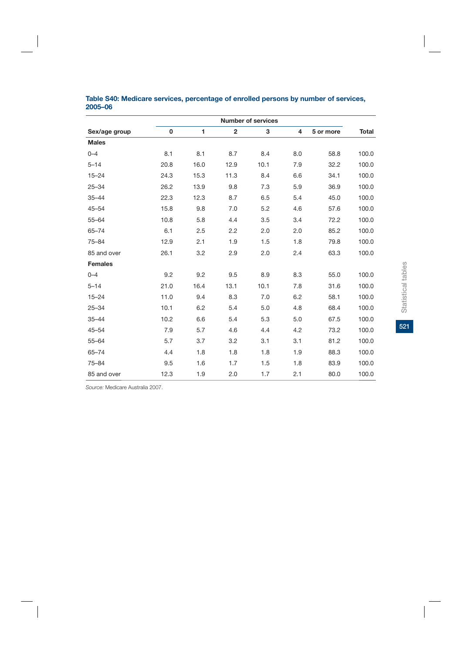|                |      |      |                | <b>Number of services</b> |     |           |              |
|----------------|------|------|----------------|---------------------------|-----|-----------|--------------|
| Sex/age group  | 0    | 1    | $\overline{2}$ | 3                         | 4   | 5 or more | <b>Total</b> |
| <b>Males</b>   |      |      |                |                           |     |           |              |
| $0 - 4$        | 8.1  | 8.1  | 8.7            | 8.4                       | 8.0 | 58.8      | 100.0        |
| $5 - 14$       | 20.8 | 16.0 | 12.9           | 10.1                      | 7.9 | 32.2      | 100.0        |
| $15 - 24$      | 24.3 | 15.3 | 11.3           | 8.4                       | 6.6 | 34.1      | 100.0        |
| $25 - 34$      | 26.2 | 13.9 | 9.8            | 7.3                       | 5.9 | 36.9      | 100.0        |
| $35 - 44$      | 22.3 | 12.3 | 8.7            | 6.5                       | 5.4 | 45.0      | 100.0        |
| $45 - 54$      | 15.8 | 9.8  | 7.0            | 5.2                       | 4.6 | 57.6      | 100.0        |
| $55 - 64$      | 10.8 | 5.8  | 4.4            | 3.5                       | 3.4 | 72.2      | 100.0        |
| $65 - 74$      | 6.1  | 2.5  | 2.2            | 2.0                       | 2.0 | 85.2      | 100.0        |
| $75 - 84$      | 12.9 | 2.1  | 1.9            | 1.5                       | 1.8 | 79.8      | 100.0        |
| 85 and over    | 26.1 | 3.2  | 2.9            | 2.0                       | 2.4 | 63.3      | 100.0        |
| <b>Females</b> |      |      |                |                           |     |           |              |
| $0 - 4$        | 9.2  | 9.2  | 9.5            | 8.9                       | 8.3 | 55.0      | 100.0        |
| $5 - 14$       | 21.0 | 16.4 | 13.1           | 10.1                      | 7.8 | 31.6      | 100.0        |
| $15 - 24$      | 11.0 | 9.4  | 8.3            | 7.0                       | 6.2 | 58.1      | 100.0        |
| $25 - 34$      | 10.1 | 6.2  | 5.4            | 5.0                       | 4.8 | 68.4      | 100.0        |
| $35 - 44$      | 10.2 | 6.6  | 5.4            | 5.3                       | 5.0 | 67.5      | 100.0        |
| $45 - 54$      | 7.9  | 5.7  | 4.6            | 4.4                       | 4.2 | 73.2      | 100.0        |
| $55 - 64$      | 5.7  | 3.7  | 3.2            | 3.1                       | 3.1 | 81.2      | 100.0        |
| $65 - 74$      | 4.4  | 1.8  | 1.8            | 1.8                       | 1.9 | 88.3      | 100.0        |
| $75 - 84$      | 9.5  | 1.6  | 1.7            | 1.5                       | 1.8 | 83.9      | 100.0        |
| 85 and over    | 12.3 | 1.9  | 2.0            | 1.7                       | 2.1 | 80.0      | 100.0        |

#### **Table S40: Medicare services, percentage of enrolled persons by number of services, 2005–06**

*Source:* Medicare Australia 2007.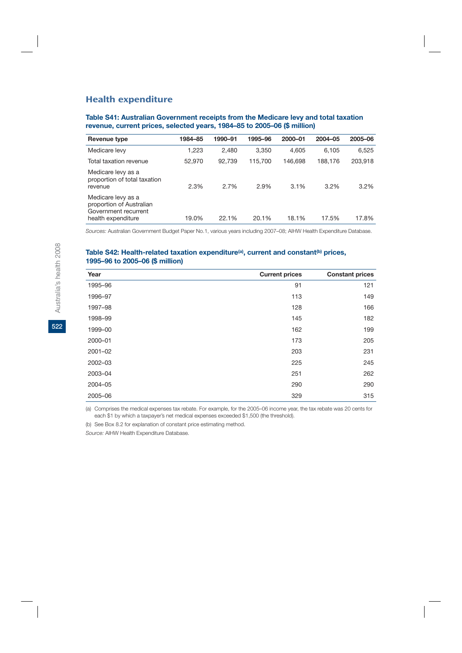## Health expenditure

#### **Table S41: Australian Government receipts from the Medicare levy and total taxation revenue, current prices, selected years, 1984–85 to 2005–06 (\$ million)**

| Revenue type                                                                                 | 1984–85 | 1990-91 | 1995-96 | 2000-01 | 2004-05 | 2005-06 |
|----------------------------------------------------------------------------------------------|---------|---------|---------|---------|---------|---------|
| Medicare levy                                                                                | 1,223   | 2.480   | 3.350   | 4.605   | 6.105   | 6,525   |
| Total taxation revenue                                                                       | 52,970  | 92,739  | 115,700 | 146.698 | 188,176 | 203,918 |
| Medicare levy as a<br>proportion of total taxation<br>revenue                                | 2.3%    | 2.7%    | 2.9%    | 3.1%    | $3.2\%$ | $3.2\%$ |
| Medicare levy as a<br>proportion of Australian<br>Government recurrent<br>health expenditure | 19.0%   | 22.1%   | 20.1%   | 18.1%   | 17.5%   | 17.8%   |
|                                                                                              |         |         |         |         |         |         |

*Sources:* Australian Government Budget Paper No.1, various years including 2007–08; AIHW Health Expenditure Database.

#### Table S42: Health-related taxation expenditure<sup>(a)</sup>, current and constant<sup>(b)</sup> prices, **1995–96 to 2005–06 (\$ million)**

| Year        | <b>Current prices</b> | <b>Constant prices</b> |
|-------------|-----------------------|------------------------|
| 1995-96     | 91                    | 121                    |
| 1996-97     | 113                   | 149                    |
| 1997-98     | 128                   | 166                    |
| 1998-99     | 145                   | 182                    |
| 1999-00     | 162                   | 199                    |
| 2000-01     | 173                   | 205                    |
| $2001 - 02$ | 203                   | 231                    |
| 2002-03     | 225                   | 245                    |
| 2003-04     | 251                   | 262                    |
| 2004-05     | 290                   | 290                    |
| 2005-06     | 329                   | 315                    |

(a) Comprises the medical expenses tax rebate. For example, for the 2005–06 income year, the tax rebate was 20 cents for each \$1 by which a taxpayer's net medical expenses exceeded \$1,500 (the threshold).

(b) See Box 8.2 for explanation of constant price estimating method.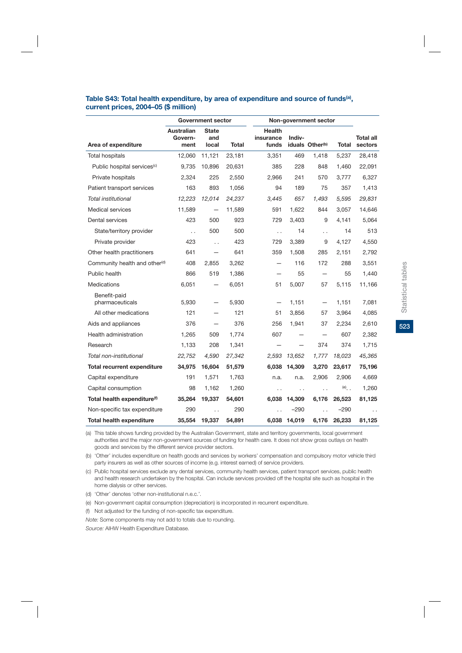#### Table S43: Total health expenditure, by area of expenditure and source of funds<sup>(a)</sup>, **current prices, 2004–05 (\$ million)**

|                                           |                               | <b>Government sector</b>     |        |                                     |                      | Non-government sector       |         |                             |
|-------------------------------------------|-------------------------------|------------------------------|--------|-------------------------------------|----------------------|-----------------------------|---------|-----------------------------|
| Area of expenditure                       | Australian<br>Govern-<br>ment | <b>State</b><br>and<br>local | Total  | <b>Health</b><br>insurance<br>funds | Indiv-               | iduals Other <sup>(b)</sup> | Total   | <b>Total all</b><br>sectors |
| Total hospitals                           | 12,060                        | 11,121                       | 23,181 | 3,351                               | 469                  | 1,418                       | 5,237   | 28,418                      |
| Public hospital services <sup>(c)</sup>   | 9,735                         | 10,896                       | 20,631 | 385                                 | 228                  | 848                         | 1,460   | 22,091                      |
| Private hospitals                         | 2,324                         | 225                          | 2,550  | 2.966                               | 241                  | 570                         | 3.777   | 6,327                       |
| Patient transport services                | 163                           | 893                          | 1,056  | 94                                  | 189                  | 75                          | 357     | 1,413                       |
| Total institutional                       | 12,223                        | 12,014                       | 24,237 | 3,445                               | 657                  | 1,493                       | 5,595   | 29,831                      |
| <b>Medical services</b>                   | 11,589                        |                              | 11,589 | 591                                 | 1.622                | 844                         | 3.057   | 14,646                      |
| Dental services                           | 423                           | 500                          | 923    | 729                                 | 3,403                | 9                           | 4,141   | 5,064                       |
| State/territory provider                  | $\ddot{\phantom{0}}$          | 500                          | 500    | $\ddot{\phantom{0}}$                | 14                   | $\ddot{\phantom{0}}$        | 14      | 513                         |
| Private provider                          | 423                           | $\ddot{\phantom{0}}$         | 423    | 729                                 | 3,389                | 9                           | 4,127   | 4,550                       |
| Other health practitioners                | 641                           | $\overline{\phantom{0}}$     | 641    | 359                                 | 1,508                | 285                         | 2,151   | 2,792                       |
| Community health and other <sup>(d)</sup> | 408                           | 2,855                        | 3,262  |                                     | 116                  | 172                         | 288     | 3,551                       |
| Public health                             | 866                           | 519                          | 1,386  | —                                   | 55                   | —                           | 55      | 1,440                       |
| <b>Medications</b>                        | 6,051                         |                              | 6,051  | 51                                  | 5,007                | 57                          | 5,115   | 11,166                      |
| Benefit-paid<br>pharmaceuticals           | 5,930                         |                              | 5,930  |                                     | 1,151                | —                           | 1,151   | 7,081                       |
| All other medications                     | 121                           |                              | 121    | 51                                  | 3,856                | 57                          | 3,964   | 4,085                       |
| Aids and appliances                       | 376                           | $\overline{\phantom{0}}$     | 376    | 256                                 | 1,941                | 37                          | 2,234   | 2,610                       |
| Health administration                     | 1,265                         | 509                          | 1.774  | 607                                 |                      |                             | 607     | 2,382                       |
| Research                                  | 1,133                         | 208                          | 1,341  |                                     |                      | 374                         | 374     | 1,715                       |
| Total non-institutional                   | 22,752                        | 4,590                        | 27,342 | 2,593                               | 13,652               | 1,777                       | 18,023  | 45,365                      |
| <b>Total recurrent expenditure</b>        | 34,975                        | 16.604                       | 51,579 | 6.038                               | 14,309               | 3.270                       | 23,617  | 75,196                      |
| Capital expenditure                       | 191                           | 1,571                        | 1,763  | n.a.                                | n.a.                 | 2,906                       | 2,906   | 4,669                       |
| Capital consumption                       | 98                            | 1,162                        | 1,260  | $\ddot{\phantom{0}}$                | $\ddot{\phantom{0}}$ | $\ddot{\phantom{0}}$        | $(e)$ . | 1,260                       |
| Total health expenditure <sup>(f)</sup>   | 35,264                        | 19,337                       | 54,601 | 6,038                               | 14,309               | 6,176                       | 26,523  | 81,125                      |
| Non-specific tax expenditure              | 290                           | $\ddot{\phantom{0}}$         | 290    |                                     | $-290$               |                             | $-290$  | $\ddot{\phantom{0}}$        |
| <b>Total health expenditure</b>           | 35.554                        | 19,337                       | 54.891 | 6.038                               | 14,019               | 6,176                       | 26,233  | 81,125                      |

(a) This table shows funding provided by the Australian Government, state and territory governments, local government authorities and the major non-government sources of funding for health care. It does not show gross outlays on health goods and services by the different service provider sectors.

(b) 'Other' includes expenditure on health goods and services by workers' compensation and compulsory motor vehicle third party insurers as well as other sources of income (e.g. interest earned) of service providers.

(c) Public hospital services exclude any dental services, community health services, patient transport services, public health and health research undertaken by the hospital. Can include services provided off the hospital site such as hospital in the home dialysis or other services.

(d) 'Other' denotes 'other non-institutional n.e.c.'.

(e) Non-government capital consumption (depreciation) is incorporated in recurrent expenditure.

(f) Not adjusted for the funding of non-specific tax expenditure.

*Note:* Some components may not add to totals due to rounding.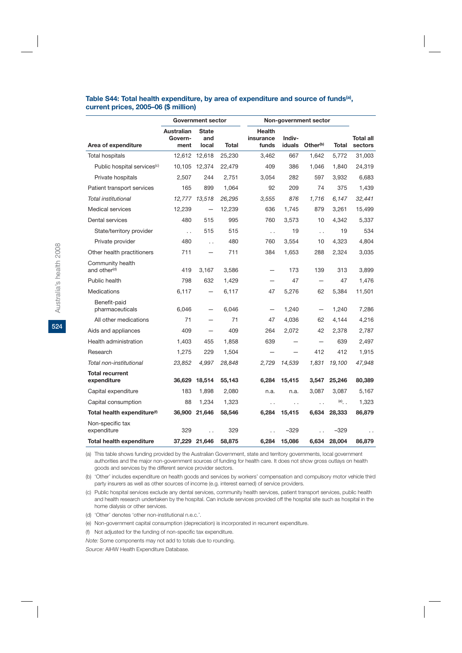#### **Table S44: Total health expenditure, by area of expenditure and source of funds(a), current prices, 2005–06 (\$ million)**

|                                              |                               | <b>Government sector</b>     |              |                                     |                          | Non-government sector    |              |                      |
|----------------------------------------------|-------------------------------|------------------------------|--------------|-------------------------------------|--------------------------|--------------------------|--------------|----------------------|
| Area of expenditure                          | Australian<br>Govern-<br>ment | <b>State</b><br>and<br>local | <b>Total</b> | <b>Health</b><br>insurance<br>funds | Indiv-<br>iduals         | Other <sup>(b)</sup>     | <b>Total</b> | Total all<br>sectors |
| <b>Total hospitals</b>                       | 12,612                        | 12,618                       | 25,230       | 3,462                               | 667                      | 1,642                    | 5,772        | 31,003               |
| Public hospital services <sup>(c)</sup>      | 10,105                        | 12,374                       | 22,479       | 409                                 | 386                      | 1,046                    | 1,840        | 24,319               |
| Private hospitals                            | 2,507                         | 244                          | 2,751        | 3,054                               | 282                      | 597                      | 3,932        | 6,683                |
| Patient transport services                   | 165                           | 899                          | 1,064        | 92                                  | 209                      | 74                       | 375          | 1,439                |
| Total institutional                          | 12.777                        | 13.518                       | 26,295       | 3,555                               | 876                      | 1.716                    | 6.147        | 32,441               |
| Medical services                             | 12,239                        |                              | 12,239       | 636                                 | 1.745                    | 879                      | 3.261        | 15,499               |
| Dental services                              | 480                           | 515                          | 995          | 760                                 | 3,573                    | 10                       | 4.342        | 5,337                |
| State/territory provider                     | $\ddot{\phantom{0}}$          | 515                          | 515          | $\ddot{\phantom{0}}$                | 19                       | $\ddots$                 | 19           | 534                  |
| Private provider                             | 480                           | $\ddot{\phantom{a}}$         | 480          | 760                                 | 3,554                    | 10                       | 4,323        | 4,804                |
| Other health practitioners                   | 711                           |                              | 711          | 384                                 | 1,653                    | 288                      | 2,324        | 3,035                |
| Community health<br>and other <sup>(d)</sup> | 419                           | 3,167                        | 3,586        |                                     | 173                      | 139                      | 313          | 3,899                |
| Public health                                | 798                           | 632                          | 1,429        | $\overline{\phantom{0}}$            | 47                       | $\overline{\phantom{0}}$ | 47           | 1,476                |
| <b>Medications</b>                           | 6,117                         |                              | 6,117        | 47                                  | 5,276                    | 62                       | 5,384        | 11,501               |
| Benefit-paid<br>pharmaceuticals              | 6,046                         | $\overline{\phantom{0}}$     | 6,046        |                                     | 1,240                    | $\overline{\phantom{0}}$ | 1,240        | 7,286                |
| All other medications                        | 71                            |                              | 71           | 47                                  | 4,036                    | 62                       | 4,144        | 4,216                |
| Aids and appliances                          | 409                           |                              | 409          | 264                                 | 2,072                    | 42                       | 2,378        | 2,787                |
| Health administration                        | 1,403                         | 455                          | 1.858        | 639                                 |                          | $\overline{\phantom{0}}$ | 639          | 2,497                |
| Research                                     | 1,275                         | 229                          | 1,504        |                                     | $\overline{\phantom{0}}$ | 412                      | 412          | 1,915                |
| Total non-institutional                      | 23,852                        | 4,997                        | 28,848       | 2,729                               | 14,539                   | 1,831                    | 19,100       | 47,948               |
| <b>Total recurrent</b><br>expenditure        | 36.629                        | 18,514                       | 55,143       | 6.284                               | 15.415                   | 3,547                    | 25,246       | 80,389               |
| Capital expenditure                          | 183                           | 1,898                        | 2,080        | n.a.                                | n.a.                     | 3,087                    | 3,087        | 5,167                |
| Capital consumption                          | 88                            | 1,234                        | 1,323        | $\ddot{\phantom{0}}$                | $\ddot{\phantom{0}}$     | $\ddot{\phantom{0}}$     | $(e)$ .      | 1,323                |
| Total health expenditure <sup>(f)</sup>      | 36,900                        | 21,646                       | 58,546       | 6,284                               | 15,415                   | 6,634                    | 28,333       | 86,879               |
| Non-specific tax<br>expenditure              | 329                           |                              | 329          |                                     | $-329$                   |                          | $-329$       | $\ddot{\phantom{0}}$ |
| <b>Total health expenditure</b>              |                               | 37,229 21,646                | 58,875       | 6,284                               | 15,086                   | 6,634                    | 28,004       | 86,879               |

(a) This table shows funding provided by the Australian Government, state and territory governments, local government authorities and the major non-government sources of funding for health care. It does not show gross outlays on health goods and services by the different service provider sectors.

(b) 'Other' includes expenditure on health goods and services by workers' compensation and compulsory motor vehicle third party insurers as well as other sources of income (e.g. interest earned) of service providers.

(c) Public hospital services exclude any dental services, community health services, patient transport services, public health and health research undertaken by the hospital. Can include services provided off the hospital site such as hospital in the home dialysis or other services.

(d) 'Other' denotes 'other non-institutional n.e.c.'.

(e) Non-government capital consumption (depreciation) is incorporated in recurrent expenditure.

(f) Not adjusted for the funding of non-specific tax expenditure.

*Note:* Some components may not add to totals due to rounding.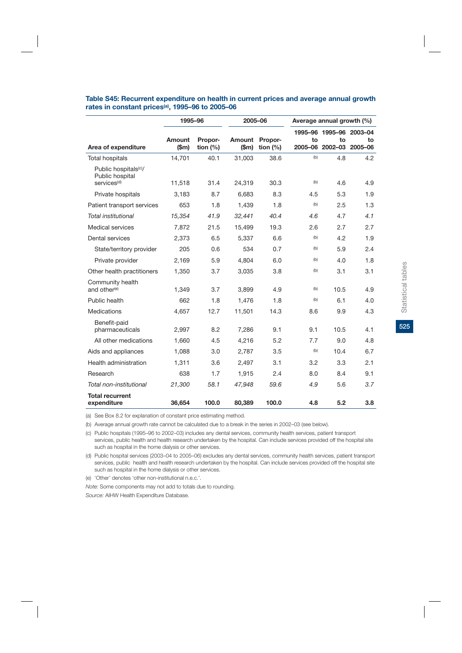|                                                                                 | 1995-96        |                       | 2005-06        |                       | Average annual growth (%) |                                          |               |
|---------------------------------------------------------------------------------|----------------|-----------------------|----------------|-----------------------|---------------------------|------------------------------------------|---------------|
| Area of expenditure                                                             | Amount<br>(Sm) | Propor-<br>tion $(%)$ | Amount<br>(Sm) | Propor-<br>tion $(%)$ | to<br>2005-06             | 1995-96 1995-96 2003-04<br>to<br>2002-03 | to<br>2005-06 |
| <b>Total hospitals</b>                                                          | 14,701         | 40.1                  | 31,003         | 38.6                  | (b)                       | 4.8                                      | 4.2           |
| Public hospitals <sup>(c)</sup> /<br>Public hospital<br>services <sup>(d)</sup> | 11,518         | 31.4                  | 24,319         | 30.3                  | (b)                       | 4.6                                      | 4.9           |
| Private hospitals                                                               | 3.183          | 8.7                   | 6.683          | 8.3                   | 4.5                       | 5.3                                      | 1.9           |
| Patient transport services                                                      | 653            | 1.8                   | 1,439          | 1.8                   | (b)                       | 2.5                                      | 1.3           |
| Total institutional                                                             | 15,354         | 41.9                  | 32,441         | 40.4                  | 4.6                       | 4.7                                      | 4.1           |
| <b>Medical services</b>                                                         | 7,872          | 21.5                  | 15,499         | 19.3                  | 2.6                       | 2.7                                      | 2.7           |
| Dental services                                                                 | 2,373          | 6.5                   | 5,337          | 6.6                   | (b)                       | 4.2                                      | 1.9           |
| State/territory provider                                                        | 205            | 0.6                   | 534            | 0.7                   | (b)                       | 5.9                                      | 2.4           |
| Private provider                                                                | 2,169          | 5.9                   | 4,804          | 6.0                   | (b)                       | 4.0                                      | 1.8           |
| Other health practitioners                                                      | 1,350          | 3.7                   | 3,035          | 3.8                   | (b)                       | 3.1                                      | 3.1           |
| Community health<br>and other <sup>(e)</sup>                                    | 1,349          | 3.7                   | 3,899          | 4.9                   | (b)                       | 10.5                                     | 4.9           |
| Public health                                                                   | 662            | 1.8                   | 1.476          | 1.8                   | (b)                       | 6.1                                      | 4.0           |
| Medications                                                                     | 4,657          | 12.7                  | 11,501         | 14.3                  | 8.6                       | 9.9                                      | 4.3           |
| Benefit-paid<br>pharmaceuticals                                                 | 2.997          | 8.2                   | 7.286          | 9.1                   | 9.1                       | 10.5                                     | 4.1           |
| All other medications                                                           | 1,660          | 4.5                   | 4,216          | 5.2                   | 7.7                       | 9.0                                      | 4.8           |
| Aids and appliances                                                             | 1,088          | 3.0                   | 2,787          | 3.5                   | (b)                       | 10.4                                     | 6.7           |
| Health administration                                                           | 1,311          | 3.6                   | 2,497          | 3.1                   | 3.2                       | 3.3                                      | 2.1           |
| Research                                                                        | 638            | 1.7                   | 1,915          | 2.4                   | 8.0                       | 8.4                                      | 9.1           |
| Total non-institutional                                                         | 21,300         | 58.1                  | 47,948         | 59.6                  | 4.9                       | 5.6                                      | 3.7           |
| <b>Total recurrent</b><br>expenditure                                           | 36,654         | 100.0                 | 80,389         | 100.0                 | 4.8                       | 5.2                                      | 3.8           |

#### **Table S45: Recurrent expenditure on health in current prices and average annual growth rates in constant prices(a), 1995–96 to 2005–06**

(a) See Box 8.2 for explanation of constant price estimating method.

(b) Average annual growth rate cannot be calculated due to a break in the series in 2002–03 (see below).

(c) Public hospitals (1995–96 to 2002–03) includes any dental services, community health services, patient transport services, public health and health research undertaken by the hospital. Can include services provided off the hospital site such as hospital in the home dialysis or other services.

(d) Public hospital services (2003–04 to 2005–06) excludes any dental services, community health services, patient transport services, public health and health research undertaken by the hospital. Can include services provided off the hospital site such as hospital in the home dialysis or other services.

(e) 'Other' denotes 'other non-institutional n.e.c.'.

*Note:* Some components may not add to totals due to rounding.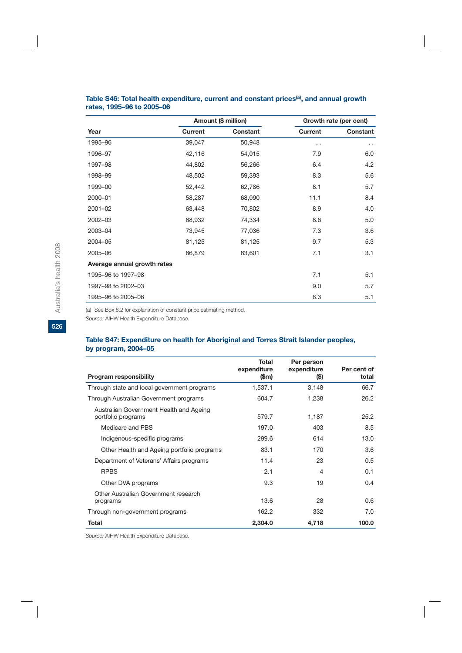|                             |         | Amount (\$ million) |                      | Growth rate (per cent) |
|-----------------------------|---------|---------------------|----------------------|------------------------|
| Year                        | Current | Constant            | <b>Current</b>       | Constant               |
| 1995-96                     | 39,047  | 50,948              | $\ddot{\phantom{0}}$ | $\ddot{\phantom{0}}$   |
| 1996-97                     | 42,116  | 54,015              | 7.9                  | 6.0                    |
| 1997-98                     | 44,802  | 56,266              | 6.4                  | 4.2                    |
| 1998-99                     | 48,502  | 59,393              | 8.3                  | 5.6                    |
| 1999-00                     | 52,442  | 62,786              | 8.1                  | 5.7                    |
| 2000-01                     | 58,287  | 68,090              | 11.1                 | 8.4                    |
| $2001 - 02$                 | 63,448  | 70,802              | 8.9                  | 4.0                    |
| 2002-03                     | 68,932  | 74,334              | 8.6                  | 5.0                    |
| 2003-04                     | 73,945  | 77,036              | 7.3                  | 3.6                    |
| 2004-05                     | 81,125  | 81,125              | 9.7                  | 5.3                    |
| 2005-06                     | 86,879  | 83,601              | 7.1                  | 3.1                    |
| Average annual growth rates |         |                     |                      |                        |
| 1995-96 to 1997-98          |         |                     | 7.1                  | 5.1                    |
| 1997-98 to 2002-03          |         |                     | 9.0                  | 5.7                    |
| 1995-96 to 2005-06          |         |                     | 8.3                  | 5.1                    |

#### Table S46: Total health expenditure, current and constant prices<sup>(a)</sup>, and annual growth **rates, 1995–96 to 2005–06**

(a) See Box 8.2 for explanation of constant price estimating method.

*Source:* AIHW Health Expenditure Database.

#### **Table S47: Expenditure on health for Aboriginal and Torres Strait Islander peoples, by program, 2004–05**

|                                                               | Total<br>expenditure | Per person<br>expenditure | Per cent of |
|---------------------------------------------------------------|----------------------|---------------------------|-------------|
| Program responsibility                                        | $(\mathsf{Sm})$      | (\$)                      | total       |
| Through state and local government programs                   | 1,537.1              | 3,148                     | 66.7        |
| Through Australian Government programs                        | 604.7                | 1,238                     | 26.2        |
| Australian Government Health and Ageing<br>portfolio programs | 579.7                | 1,187                     | 25.2        |
| Medicare and PBS                                              | 197.0                | 403                       | 8.5         |
| Indigenous-specific programs                                  | 299.6                | 614                       | 13.0        |
| Other Health and Ageing portfolio programs                    | 83.1                 | 170                       | 3.6         |
| Department of Veterans' Affairs programs                      | 11.4                 | 23                        | 0.5         |
| <b>RPBS</b>                                                   | 2.1                  | 4                         | 0.1         |
| Other DVA programs                                            | 9.3                  | 19                        | 0.4         |
| Other Australian Government research<br>programs              | 13.6                 | 28                        | 0.6         |
| Through non-government programs                               | 162.2                | 332                       | 7.0         |
| Total                                                         | 2,304.0              | 4,718                     | 100.0       |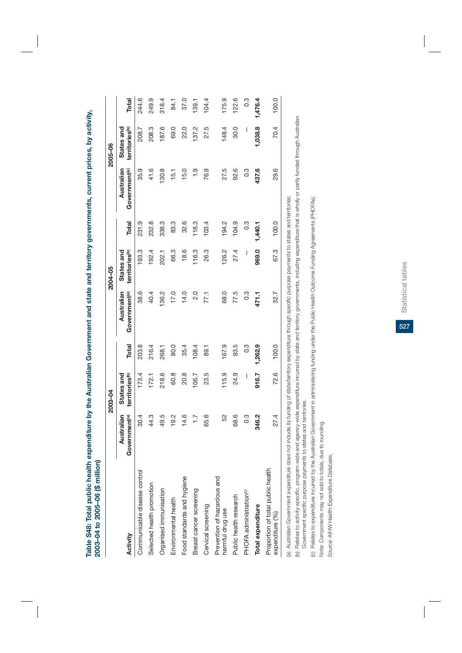**Table S48: Total public health expenditure by the Australian Government and state and territory governments, current prices, by activity,**  Table S48: Total public health expenditure by the Australian Government and state and territory governments, current prices, by activity, 2003-04 to 2005-06 (\$ million) **2003–04 to 2005–06 (\$ million)**

|                                                      |                                         | 2003-04                                  |               |                                                                                                                | 2004-05                                  |                  |                                         | 2005-06                                  |                  |
|------------------------------------------------------|-----------------------------------------|------------------------------------------|---------------|----------------------------------------------------------------------------------------------------------------|------------------------------------------|------------------|-----------------------------------------|------------------------------------------|------------------|
| Activity                                             | Australian<br>Government <sup>(a)</sup> | territories <sup>(b)</sup><br>States and | Total         | Government <sup>(a)</sup><br>Australian                                                                        | territories <sup>(b)</sup><br>States and | Total            | Australian<br>Government <sup>(a)</sup> | States and<br>territories <sup>(b)</sup> | Total            |
| Communicable disease control                         | 30.4                                    | 173.4                                    | 203.8         | 38.6                                                                                                           | 193.3                                    | 231.9            | 35.9                                    | 208.7                                    | 244.6            |
| Selected health promotion                            | 44.3                                    | 172.1                                    | 216.4         | 40.4                                                                                                           | 192.4                                    | 232.8            | 41.6                                    | 208.3                                    | 249.9            |
| Organised immunisation                               | 49.5                                    | 218.6                                    | 268.1         | 136.2                                                                                                          | 202.1                                    | 338.3            | 130.8                                   | 187.6                                    | 318.4            |
| Environmental health                                 | 19.2                                    | 60.8                                     | 80.0          | 17.0                                                                                                           | 66.3                                     | 83.3             | 15.1                                    | 69.0                                     | 84.1             |
| Food standards and hygiene                           | 14.6                                    | 20.8                                     | 35.4          | 14.0                                                                                                           | 18.6                                     | 32.6             | 15.0                                    | 22.0                                     | 37.0             |
| Breast cancer screening                              | 7.7                                     | 106.7                                    | 108.4         | 2.0                                                                                                            | 116.3                                    | 118.3            | $\frac{0}{1}$                           | 137.2                                    | 139.1            |
| Cervical screening                                   | 65.6                                    | 23.5                                     | 89.1          | 77.1                                                                                                           | 26.3                                     | 103.4            | 76.9                                    | 27.5                                     | 104.4            |
| Prevention of hazardous and<br>harmful drug use      | S2                                      | 115.9                                    | 167.9         | 68.0                                                                                                           | 126.2                                    | 194.2            | 27.5                                    | 148.4                                    | 175.9            |
| Public health research                               | 68.6                                    | 24.9                                     | 93.5          | 77.5                                                                                                           | 27.4                                     | 104.9            | 92.6                                    | 30.0                                     | 122.6            |
| PHOFA administration <sup>(c)</sup>                  | 0.3                                     | I                                        | $\frac{3}{2}$ | $0.\overline{3}$                                                                                               | I                                        | $0.\overline{3}$ | 0.3                                     | I                                        | $0.\overline{3}$ |
| Total expenditure                                    | 346.2                                   | 916.7                                    | 1,262.9       | 471.1                                                                                                          | 969.0                                    | 1,440.1          | 437.6                                   | 1,038.8                                  | 1,476.4          |
| Proportion of total public health<br>expenditure (%) | 27.4                                    | 72.6                                     | 100.0         | 32.7                                                                                                           | 67.3                                     | 100.0            | 29.6                                    | 70.4                                     | 100.0            |
| (a) Australian Government expenditure does not       |                                         |                                          |               | include its funding of state/territory expenditure through specific purpose payments to states and territories |                                          |                  |                                         |                                          |                  |

(a) Australian Government expenditure does not include its funding of state/territory expenditure through specific purpose payments to states and territories. יבן הבין פוני פרו (b) Relates to activity-specific, program-wide and agency-wide expenditure incurred by state and territory governments, including expenditure that is wholly or partly funded through Australian (b) Relates to activity-specific, program-wide and agency-wide expenditure incurred by state and territory governments, including expenditure that is wholly or partly funded through Australian Government specific purpose payments to states and territories. Government specific purpose payments to states and territories.

(c) Relates to expenditure incurred by the Australian Government in administering funding under the Public Health Outcome Funding Agreements (PHOFAs). (c) Relates to expenditure incurred by the Australian Government in administering funding under the Public Health Outcome Funding Agreements (PHOFAs).

Note: Components may not add to totals, due to rounding. *Note:* Components may not add to totals, due to rounding.

Source: AIHW Health Expenditure Database. *Source:* AIHW Health Expenditure Database.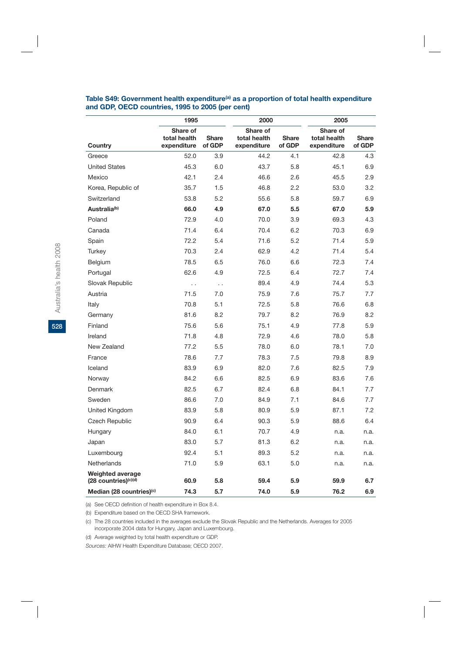#### Table S49: Government health expenditure<sup>(a)</sup> as a proportion of total health expenditure **and GDP, OECD countries, 1995 to 2005 (per cent)**

|                                                 | 1995                                    |                        | 2000                                    |                        | 2005                                    |                        |
|-------------------------------------------------|-----------------------------------------|------------------------|-----------------------------------------|------------------------|-----------------------------------------|------------------------|
| Country                                         | Share of<br>total health<br>expenditure | <b>Share</b><br>of GDP | Share of<br>total health<br>expenditure | <b>Share</b><br>of GDP | Share of<br>total health<br>expenditure | <b>Share</b><br>of GDP |
| Greece                                          | 52.0                                    | 3.9                    | 44.2                                    | 4.1                    | 42.8                                    | 4.3                    |
| <b>United States</b>                            | 45.3                                    | 6.0                    | 43.7                                    | 5.8                    | 45.1                                    | 6.9                    |
| Mexico                                          | 42.1                                    | 2.4                    | 46.6                                    | 2.6                    | 45.5                                    | 2.9                    |
| Korea, Republic of                              | 35.7                                    | 1.5                    | 46.8                                    | 2.2                    | 53.0                                    | 3.2                    |
| Switzerland                                     | 53.8                                    | 5.2                    | 55.6                                    | 5.8                    | 59.7                                    | 6.9                    |
| Australia <sup>(b)</sup>                        | 66.0                                    | 4.9                    | 67.0                                    | 5.5                    | 67.0                                    | 5.9                    |
| Poland                                          | 72.9                                    | 4.0                    | 70.0                                    | 3.9                    | 69.3                                    | 4.3                    |
| Canada                                          | 71.4                                    | 6.4                    | 70.4                                    | 6.2                    | 70.3                                    | 6.9                    |
| Spain                                           | 72.2                                    | 5.4                    | 71.6                                    | 5.2                    | 71.4                                    | 5.9                    |
| Turkey                                          | 70.3                                    | 2.4                    | 62.9                                    | 4.2                    | 71.4                                    | 5.4                    |
| Belgium                                         | 78.5                                    | 6.5                    | 76.0                                    | 6.6                    | 72.3                                    | 7.4                    |
| Portugal                                        | 62.6                                    | 4.9                    | 72.5                                    | 6.4                    | 72.7                                    | 7.4                    |
| Slovak Republic                                 | $\ddot{\phantom{0}}$                    | $\ddotsc$              | 89.4                                    | 4.9                    | 74.4                                    | 5.3                    |
| Austria                                         | 71.5                                    | 7.0                    | 75.9                                    | 7.6                    | 75.7                                    | 7.7                    |
| Italy                                           | 70.8                                    | 5.1                    | 72.5                                    | 5.8                    | 76.6                                    | 6.8                    |
| Germany                                         | 81.6                                    | 8.2                    | 79.7                                    | 8.2                    | 76.9                                    | 8.2                    |
| Finland                                         | 75.6                                    | 5.6                    | 75.1                                    | 4.9                    | 77.8                                    | 5.9                    |
| Ireland                                         | 71.8                                    | 4.8                    | 72.9                                    | 4.6                    | 78.0                                    | 5.8                    |
| New Zealand                                     | 77.2                                    | 5.5                    | 78.0                                    | 6.0                    | 78.1                                    | 7.0                    |
| France                                          | 78.6                                    | 7.7                    | 78.3                                    | 7.5                    | 79.8                                    | 8.9                    |
| Iceland                                         | 83.9                                    | 6.9                    | 82.0                                    | 7.6                    | 82.5                                    | 7.9                    |
| Norway                                          | 84.2                                    | 6.6                    | 82.5                                    | 6.9                    | 83.6                                    | 7.6                    |
| Denmark                                         | 82.5                                    | 6.7                    | 82.4                                    | 6.8                    | 84.1                                    | 7.7                    |
| Sweden                                          | 86.6                                    | 7.0                    | 84.9                                    | 7.1                    | 84.6                                    | 7.7                    |
| United Kingdom                                  | 83.9                                    | 5.8                    | 80.9                                    | 5.9                    | 87.1                                    | 7.2                    |
| <b>Czech Republic</b>                           | 90.9                                    | 6.4                    | 90.3                                    | 5.9                    | 88.6                                    | 6.4                    |
| Hungary                                         | 84.0                                    | 6.1                    | 70.7                                    | 4.9                    | n.a.                                    | n.a.                   |
| Japan                                           | 83.0                                    | 5.7                    | 81.3                                    | 6.2                    | n.a.                                    | n.a.                   |
| Luxembourg                                      | 92.4                                    | 5.1                    | 89.3                                    | 5.2                    | n.a.                                    | n.a.                   |
| Netherlands                                     | 71.0                                    | 5.9                    | 63.1                                    | 5.0                    | n.a.                                    | n.a.                   |
| <b>Weighted average</b><br>(28 countries)(c)(d) | 60.9                                    | 5.8                    | 59.4                                    | 5.9                    | 59.9                                    | 6.7                    |
| Median (28 countries) <sup>(c)</sup>            | 74.3                                    | 5.7                    | 74.0                                    | 5.9                    | 76.2                                    | 6.9                    |

(a) See OECD definition of health expenditure in Box 8.4.

(b) Expenditure based on the OECD SHA framework.

(c) The 28 countries included in the averages exclude the Slovak Republic and the Netherlands. Averages for 2005 incorporate 2004 data for Hungary, Japan and Luxembourg.

(d) Average weighted by total health expenditure or GDP.

*Sources:* AIHW Health Expenditure Database; OECD 2007.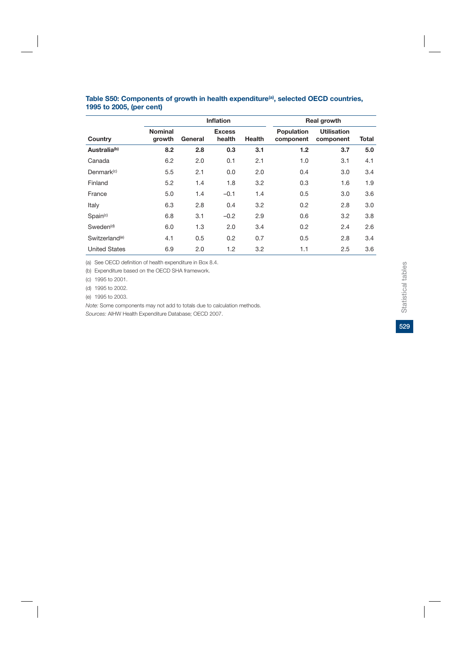|                            |                          |         | Inflation               |               |                                | <b>Real growth</b>              |       |
|----------------------------|--------------------------|---------|-------------------------|---------------|--------------------------------|---------------------------------|-------|
| Country                    | <b>Nominal</b><br>growth | General | <b>Excess</b><br>health | <b>Health</b> | <b>Population</b><br>component | <b>Utilisation</b><br>component | Total |
| Australia <sup>(b)</sup>   | 8.2                      | 2.8     | 0.3                     | 3.1           | 1.2                            | 3.7                             | 5.0   |
| Canada                     | 6.2                      | 2.0     | 0.1                     | 2.1           | 1.0                            | 3.1                             | 4.1   |
| Denmark <sup>(c)</sup>     | 5.5                      | 2.1     | 0.0                     | 2.0           | 0.4                            | 3.0                             | 3.4   |
| Finland                    | 5.2                      | 1.4     | 1.8                     | 3.2           | 0.3                            | 1.6                             | 1.9   |
| France                     | 5.0                      | 1.4     | $-0.1$                  | 1.4           | 0.5                            | 3.0                             | 3.6   |
| Italy                      | 6.3                      | 2.8     | 0.4                     | 3.2           | 0.2                            | 2.8                             | 3.0   |
| Spin <sup>(c)</sup>        | 6.8                      | 3.1     | $-0.2$                  | 2.9           | 0.6                            | 3.2                             | 3.8   |
| Sweden <sup>(d)</sup>      | 6.0                      | 1.3     | 2.0                     | 3.4           | 0.2                            | 2.4                             | 2.6   |
| Switzerland <sup>(e)</sup> | 4.1                      | 0.5     | 0.2                     | 0.7           | 0.5                            | 2.8                             | 3.4   |
| <b>United States</b>       | 6.9                      | 2.0     | 1.2                     | 3.2           | 1.1                            | 2.5                             | 3.6   |

#### Table S50: Components of growth in health expenditure<sup>(a)</sup>, selected OECD countries, **1995 to 2005, (per cent)**

(a) See OECD definition of health expenditure in Box 8.4.

(b) Expenditure based on the OECD SHA framework.

(c) 1995 to 2001.

(d) 1995 to 2002.

(e) 1995 to 2003.

*Note:* Some components may not add to totals due to calculation methods. *Sources:* AIHW Health Expenditure Database; OECD 2007.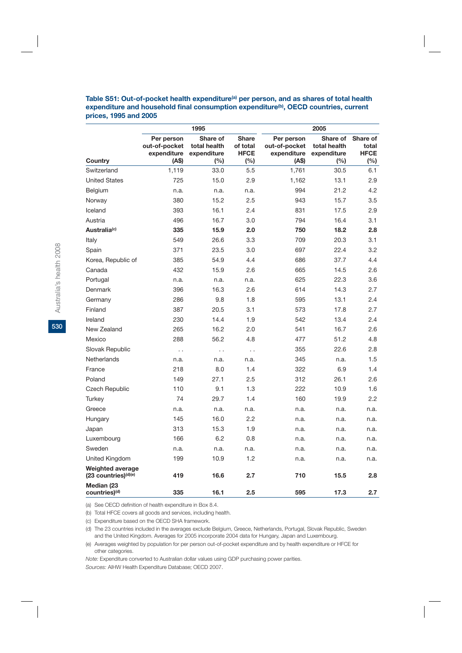Table S51: Out-of-pocket health expenditure<sup>(a)</sup> per person, and as shares of total health expenditure and household final consumption expenditure<sup>(b)</sup>, OECD countries, current **prices, 1995 and 2005**

|                                                             |                                                     | 1995                                              |                                                |                                                     | 2005                                              |                                            |
|-------------------------------------------------------------|-----------------------------------------------------|---------------------------------------------------|------------------------------------------------|-----------------------------------------------------|---------------------------------------------------|--------------------------------------------|
| Country                                                     | Per person<br>out-of-pocket<br>expenditure<br>(A\$) | Share of<br>total health<br>expenditure<br>$(\%)$ | <b>Share</b><br>of total<br><b>HFCE</b><br>(%) | Per person<br>out-of-pocket<br>expenditure<br>(A\$) | Share of<br>total health<br>expenditure<br>$(\%)$ | Share of<br>total<br><b>HFCE</b><br>$(\%)$ |
| Switzerland                                                 | 1,119                                               | 33.0                                              | 5.5                                            | 1,761                                               | 30.5                                              | 6.1                                        |
| <b>United States</b>                                        | 725                                                 | 15.0                                              | 2.9                                            | 1,162                                               | 13.1                                              | 2.9                                        |
| Belgium                                                     | n.a.                                                | n.a.                                              | n.a.                                           | 994                                                 | 21.2                                              | 4.2                                        |
| Norway                                                      | 380                                                 | 15.2                                              | 2.5                                            | 943                                                 | 15.7                                              | 3.5                                        |
| Iceland                                                     | 393                                                 | 16.1                                              | 2.4                                            | 831                                                 | 17.5                                              | 2.9                                        |
| Austria                                                     | 496                                                 | 16.7                                              | 3.0                                            | 794                                                 | 16.4                                              | 3.1                                        |
| Australia <sup>(c)</sup>                                    | 335                                                 | 15.9                                              | 2.0                                            | 750                                                 | 18.2                                              | 2.8                                        |
| Italy                                                       | 549                                                 | 26.6                                              | 3.3                                            | 709                                                 | 20.3                                              | 3.1                                        |
| Spain                                                       | 371                                                 | 23.5                                              | 3.0                                            | 697                                                 | 22.4                                              | 3.2                                        |
| Korea, Republic of                                          | 385                                                 | 54.9                                              | 4.4                                            | 686                                                 | 37.7                                              | 4.4                                        |
| Canada                                                      | 432                                                 | 15.9                                              | 2.6                                            | 665                                                 | 14.5                                              | 2.6                                        |
| Portugal                                                    | n.a.                                                | n.a.                                              | n.a.                                           | 625                                                 | 22.3                                              | 3.6                                        |
| Denmark                                                     | 396                                                 | 16.3                                              | 2.6                                            | 614                                                 | 14.3                                              | 2.7                                        |
| Germany                                                     | 286                                                 | 9.8                                               | 1.8                                            | 595                                                 | 13.1                                              | 2.4                                        |
| Finland                                                     | 387                                                 | 20.5                                              | 3.1                                            | 573                                                 | 17.8                                              | 2.7                                        |
| Ireland                                                     | 230                                                 | 14.4                                              | 1.9                                            | 542                                                 | 13.4                                              | 2.4                                        |
| New Zealand                                                 | 265                                                 | 16.2                                              | 2.0                                            | 541                                                 | 16.7                                              | 2.6                                        |
| Mexico                                                      | 288                                                 | 56.2                                              | 4.8                                            | 477                                                 | 51.2                                              | 4.8                                        |
| Slovak Republic                                             | $\ddot{\phantom{0}}$                                | $\ddot{\phantom{0}}$                              | $\ddot{\phantom{0}}$                           | 355                                                 | 22.6                                              | 2.8                                        |
| Netherlands                                                 | n.a.                                                | n.a.                                              | n.a.                                           | 345                                                 | n.a.                                              | 1.5                                        |
| France                                                      | 218                                                 | 8.0                                               | 1.4                                            | 322                                                 | 6.9                                               | 1.4                                        |
| Poland                                                      | 149                                                 | 27.1                                              | 2.5                                            | 312                                                 | 26.1                                              | 2.6                                        |
| <b>Czech Republic</b>                                       | 110                                                 | 9.1                                               | 1.3                                            | 222                                                 | 10.9                                              | 1.6                                        |
| Turkey                                                      | 74                                                  | 29.7                                              | 1.4                                            | 160                                                 | 19.9                                              | $2.2\,$                                    |
| Greece                                                      | n.a.                                                | n.a.                                              | n.a.                                           | n.a.                                                | n.a.                                              | n.a.                                       |
| Hungary                                                     | 145                                                 | 16.0                                              | 2.2                                            | n.a.                                                | n.a.                                              | n.a.                                       |
| Japan                                                       | 313                                                 | 15.3                                              | 1.9                                            | n.a.                                                | n.a.                                              | n.a.                                       |
| Luxembourg                                                  | 166                                                 | 6.2                                               | 0.8                                            | n.a.                                                | n.a.                                              | n.a.                                       |
| Sweden                                                      | n.a.                                                | n.a.                                              | n.a.                                           | n.a.                                                | n.a.                                              | n.a.                                       |
| United Kingdom                                              | 199                                                 | 10.9                                              | 1.2                                            | n.a.                                                | n.a.                                              | n.a.                                       |
| <b>Weighted average</b><br>(23 countries) <sup>(d)(e)</sup> | 419                                                 | 16.6                                              | 2.7                                            | 710                                                 | 15.5                                              | 2.8                                        |
| Median (23<br>countries) <sup>(d)</sup>                     | 335                                                 | 16.1                                              | 2.5                                            | 595                                                 | 17.3                                              | 2.7                                        |

(a) See OECD definition of health expenditure in Box 8.4.

(b) Total HFCE covers all goods and services, including health.

(c) Expenditure based on the OECD SHA framework.

(d) The 23 countries included in the averages exclude Belgium, Greece, Netherlands, Portugal, Slovak Republic, Sweden and the United Kingdom. Averages for 2005 incorporate 2004 data for Hungary, Japan and Luxembourg.

(e) Averages weighted by population for per person out-of-pocket expenditure and by health expenditure or HFCE for other categories.

*Note:* Expenditure converted to Australian dollar values using GDP purchasing power parities.

*Sources:* AIHW Health Expenditure Database; OECD 2007.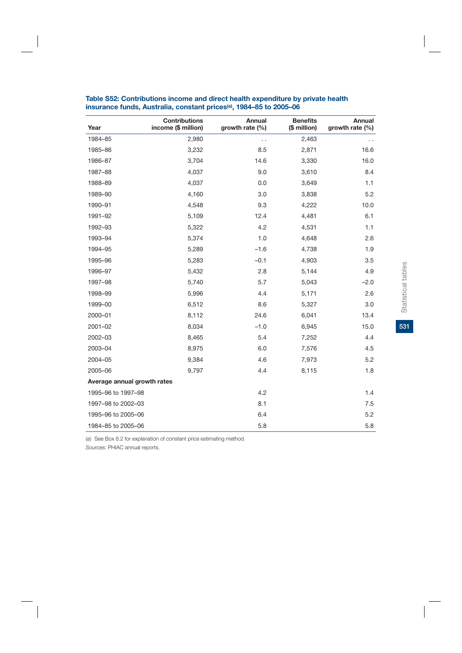| Year                        | <b>Contributions</b><br>income (\$ million) | Annual<br>growth rate (%) | <b>Benefits</b><br>(\$ million) | <b>Annual</b><br>growth rate (%) |
|-----------------------------|---------------------------------------------|---------------------------|---------------------------------|----------------------------------|
| 1984-85                     | 2,980                                       | . .                       | 2,463                           |                                  |
| 1985-86                     | 3,232                                       | 8.5                       | 2,871                           | 16.6                             |
| 1986-87                     | 3,704                                       | 14.6                      | 3,330                           | 16.0                             |
| 1987-88                     | 4,037                                       | 9.0                       | 3,610                           | 8.4                              |
| 1988-89                     | 4,037                                       | 0.0                       | 3,649                           | 1.1                              |
| 1989-90                     | 4,160                                       | 3.0                       | 3,838                           | 5.2                              |
| 1990-91                     | 4,548                                       | 9.3                       | 4,222                           | 10.0                             |
| 1991-92                     | 5,109                                       | 12.4                      | 4,481                           | 6.1                              |
| 1992-93                     | 5,322                                       | 4.2                       | 4,531                           | 1.1                              |
| 1993-94                     | 5,374                                       | 1.0                       | 4,648                           | 2.6                              |
| 1994-95                     | 5,289                                       | $-1.6$                    | 4,738                           | 1.9                              |
| 1995-96                     | 5,283                                       | $-0.1$                    | 4,903                           | 3.5                              |
| 1996-97                     | 5,432                                       | 2.8                       | 5,144                           | 4.9                              |
| 1997-98                     | 5,740                                       | 5.7                       | 5,043                           | $-2.0$                           |
| 1998-99                     | 5,996                                       | 4.4                       | 5,171                           | 2.6                              |
| 1999-00                     | 6,512                                       | 8.6                       | 5,327                           | 3.0                              |
| 2000-01                     | 8,112                                       | 24.6                      | 6,041                           | 13.4                             |
| 2001-02                     | 8,034                                       | $-1.0$                    | 6,945                           | 15.0                             |
| 2002-03                     | 8,465                                       | 5.4                       | 7,252                           | 4.4                              |
| 2003-04                     | 8,975                                       | 6.0                       | 7,576                           | 4.5                              |
| 2004-05                     | 9,384                                       | 4.6                       | 7,973                           | 5.2                              |
| 2005-06                     | 9,797                                       | 4.4                       | 8,115                           | 1.8                              |
| Average annual growth rates |                                             |                           |                                 |                                  |
| 1995-96 to 1997-98          |                                             | 4.2                       |                                 | 1.4                              |
| 1997-98 to 2002-03          |                                             | 8.1                       |                                 | 7.5                              |
| 1995-96 to 2005-06          |                                             | 6.4                       |                                 | 5.2                              |
| 1984-85 to 2005-06          |                                             | 5.8                       |                                 | 5.8                              |

#### **Table S52: Contributions income and direct health expenditure by private health insurance funds, Australia, constant prices(a), 1984–85 to 2005–06**

(a) See Box 8.2 for explanation of constant price estimating method.

*Sources:* PHIAC annual reports.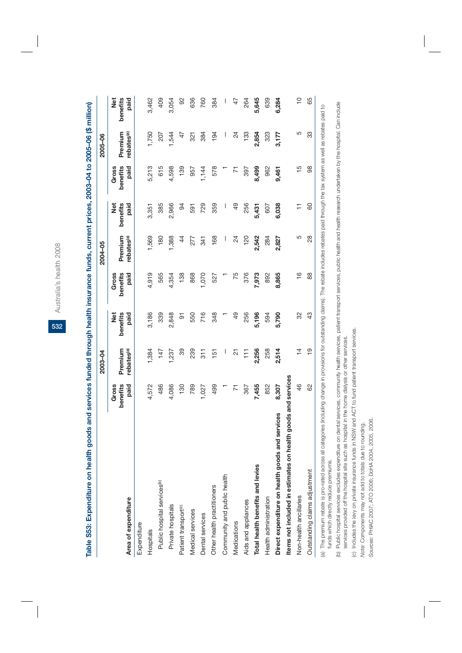Australia's health 2008 Australia's health 2008

**532**

Table S53: Expenditure on health goods and services funded through health insurance funds, current prices, 2003–04 to 2005–06 (\$ million) **Table S53: Expenditure on health goods and services funded through health insurance funds, current prices, 2003–04 to 2005–06 (\$ million)**

|                                                                                                                                                                                                                                                                 |                   | 2003-04                |                        |                   | 2004-05                |                        |                   | 2005-06                |                        |
|-----------------------------------------------------------------------------------------------------------------------------------------------------------------------------------------------------------------------------------------------------------------|-------------------|------------------------|------------------------|-------------------|------------------------|------------------------|-------------------|------------------------|------------------------|
|                                                                                                                                                                                                                                                                 | benefits<br>Gross | Premium                | benefits<br><b>Jex</b> | benefits<br>Gross | Premium                | benefits<br><b>Jek</b> | benefits<br>Gross | Premium                | <b>Net</b><br>benefits |
| Area of expenditure                                                                                                                                                                                                                                             | paid              | rebates <sup>(a)</sup> | paid                   | paid              | rebates <sup>(a)</sup> | paid                   | paid              | rebates <sup>(a)</sup> | paid                   |
| Expenditure                                                                                                                                                                                                                                                     |                   |                        |                        |                   |                        |                        |                   |                        |                        |
| Hospitals                                                                                                                                                                                                                                                       | 4,572             | 1,384                  | 3,186                  | 4,919             | 1,569                  | 3,351                  | 5,213             | 1,750                  | 3,462                  |
| Public hospital services <sup>(b)</sup>                                                                                                                                                                                                                         | 486               | 147                    | 339                    | 565               | 180                    | 385                    | 615               | 207                    | 409                    |
| Private hospitals                                                                                                                                                                                                                                               | 4,086             | ,237                   | 2,848                  | 4,354             | 1,388                  | 2,966                  | 4,598             | 544                    | 3,054                  |
| Patient transport <sup>(c)</sup>                                                                                                                                                                                                                                | 130               | 39                     | 5                      | 138               | $\frac{4}{4}$          | 3                      | 139               | 47                     | 92                     |
| Medical services                                                                                                                                                                                                                                                | 789               | 239                    | 550                    | 868               | 277                    | 591                    | 957               | 321                    | 636                    |
| Dental services                                                                                                                                                                                                                                                 | 1,027             | 311                    | 716                    | 1,070             | 341                    | 729                    | 1,144             | 384                    | 760                    |
| Other health practitioners                                                                                                                                                                                                                                      | 499               | 151                    | 348                    | 527               | 168                    | 359                    | 578               | 194                    | 384                    |
| Community and public health                                                                                                                                                                                                                                     |                   |                        |                        |                   | I                      | I                      |                   | I                      |                        |
| Medications                                                                                                                                                                                                                                                     | 71                | 21                     | $\overline{6}$         | 75                | 24                     | \$                     | $\overline{r}$    | $\overline{6}$         | 47                     |
| Aids and appliances                                                                                                                                                                                                                                             | 367               | $\overline{11}$        | 256                    | 376               | 120                    | 256                    | 397               | 133                    | 264                    |
| Total health benefits and levies                                                                                                                                                                                                                                | 7,455             | 2,256                  | 5,196                  | 7,973             | 2,542                  | 5,431                  | 8,499             | 2,854                  | 5,645                  |
| Health administration                                                                                                                                                                                                                                           | 852               | 258                    | 594                    | 892               | 284                    | 607                    | 962               | 323                    | 639                    |
| dservices<br>Direct expenditure on health goods an                                                                                                                                                                                                              | 8,307             | 2,514                  | 5,790                  | 8,865             | 2,827                  | 6,038                  | 9,461             | 3,177                  | 6,284                  |
| Items not included in estimates on health goods and services                                                                                                                                                                                                    |                   |                        |                        |                   |                        |                        |                   |                        |                        |
| Non-health ancillaries                                                                                                                                                                                                                                          | 46                | $\frac{4}{4}$          | 32                     | $\frac{6}{1}$     | LO                     |                        | $\frac{5}{1}$     | 5                      | $\frac{0}{1}$          |
| Outstanding claims adjustment                                                                                                                                                                                                                                   | 62                | $\frac{1}{2}$          | $\frac{3}{4}$          | 88                | 28                     | 8                      | 98                | 33                     | 65                     |
| (a) The premium rebate is pro-rated across all categories (including change in provisions for outstanding daims). The rebate includes rebates paid through the tax system as well as rebates paid to<br>مصبب أصبحت متعاطف ومسائله المسائلة الماضي مامنا ملاحقين |                   |                        |                        |                   |                        |                        |                   |                        |                        |

tunds which directly reduce premiums. funds which directly reduce premiums.

(b) Public hospital services excludes expenditure on dental services, community health services, patient transport services, public health and health research undertaken by the hospital. Can include<br>services provided off t (b) Public hospital services excludes expenditure on dental services, community health services, patient transport services, public health and health research undertaken by the hospital. Can include services provided off the hospital site such as hospital in the home dialysis or other services.

(c) Includes the levy on private insurance funds in NSW and ACT to fund patient transport services. (c) Includes the levy on private insurance funds in NSW and ACT to fund patient transport services.

Note: Components may not add to totals due to rounding. *Note:* Components may not add to totals due to rounding.

Sources: PHIAC 2007; ATO 2006; DoHA 2004, 2005, 2006. *Sources:* PHIAC 2007; ATO 2006; DoHA 2004, 2005, 2006.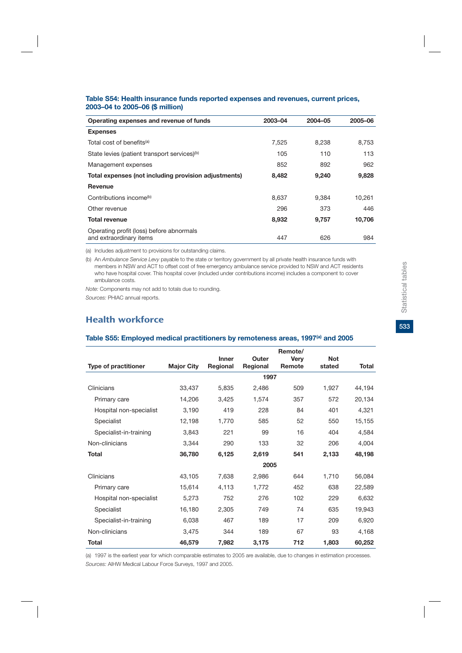#### **Table S54: Health insurance funds reported expenses and revenues, current prices, 2003–04 to 2005–06 (\$ million)**

| Operating expenses and revenue of funds                             | 2003-04 | 2004-05 | 2005-06 |
|---------------------------------------------------------------------|---------|---------|---------|
| <b>Expenses</b>                                                     |         |         |         |
| Total cost of benefits <sup>(a)</sup>                               | 7.525   | 8.238   | 8,753   |
| State levies (patient transport services) <sup>(b)</sup>            | 105     | 110     | 113     |
| Management expenses                                                 | 852     | 892     | 962     |
| Total expenses (not including provision adjustments)                | 8,482   | 9,240   | 9,828   |
| Revenue                                                             |         |         |         |
| Contributions income <sup>(b)</sup>                                 | 8,637   | 9.384   | 10.261  |
| Other revenue                                                       | 296     | 373     | 446     |
| <b>Total revenue</b>                                                | 8,932   | 9,757   | 10,706  |
| Operating profit (loss) before abnormals<br>and extraordinary items | 447     | 626     | 984     |

(a) Includes adjustment to provisions for outstanding claims.

(b) An *Ambulance Service Levy* payable to the state or territory government by all private health insurance funds with members in NSW and ACT to offset cost of free emergency ambulance service provided to NSW and ACT residents who have hospital cover. This hospital cover (included under contributions income) includes a component to cover ambulance costs.

*Note:* Components may not add to totals due to rounding.

*Sources:* PHIAC annual reports.

## Health workforce

|                             |                   |                          |                   | Remote/     |            |              |
|-----------------------------|-------------------|--------------------------|-------------------|-------------|------------|--------------|
|                             | <b>Major City</b> | <b>Inner</b><br>Regional | Outer<br>Regional | <b>Very</b> | <b>Not</b> | <b>Total</b> |
| <b>Type of practitioner</b> |                   |                          |                   | Remote      | stated     |              |
|                             |                   |                          | 1997              |             |            |              |
| Clinicians                  | 33,437            | 5,835                    | 2,486             | 509         | 1,927      | 44,194       |
| Primary care                | 14,206            | 3,425                    | 1,574             | 357         | 572        | 20,134       |
| Hospital non-specialist     | 3,190             | 419                      | 228               | 84          | 401        | 4,321        |
| Specialist                  | 12,198            | 1,770                    | 585               | 52          | 550        | 15,155       |
| Specialist-in-training      | 3,843             | 221                      | 99                | 16          | 404        | 4,584        |
| Non-clinicians              | 3,344             | 290                      | 133               | 32          | 206        | 4,004        |
| <b>Total</b>                | 36,780            | 6,125                    | 2,619             | 541         | 2,133      | 48,198       |
|                             |                   |                          | 2005              |             |            |              |
| Clinicians                  | 43,105            | 7,638                    | 2,986             | 644         | 1,710      | 56,084       |
| Primary care                | 15,614            | 4,113                    | 1,772             | 452         | 638        | 22,589       |
| Hospital non-specialist     | 5,273             | 752                      | 276               | 102         | 229        | 6,632        |
| Specialist                  | 16,180            | 2,305                    | 749               | 74          | 635        | 19,943       |
| Specialist-in-training      | 6,038             | 467                      | 189               | 17          | 209        | 6,920        |
| Non-clinicians              | 3,475             | 344                      | 189               | 67          | 93         | 4,168        |
| <b>Total</b>                | 46,579            | 7,982                    | 3,175             | 712         | 1,803      | 60,252       |

#### Table S55: Employed medical practitioners by remoteness areas, 1997<sup>(a)</sup> and 2005

(a) 1997 is the earliest year for which comparable estimates to 2005 are available, due to changes in estimation processes. *Sources:* AIHW Medical Labour Force Surveys, 1997 and 2005.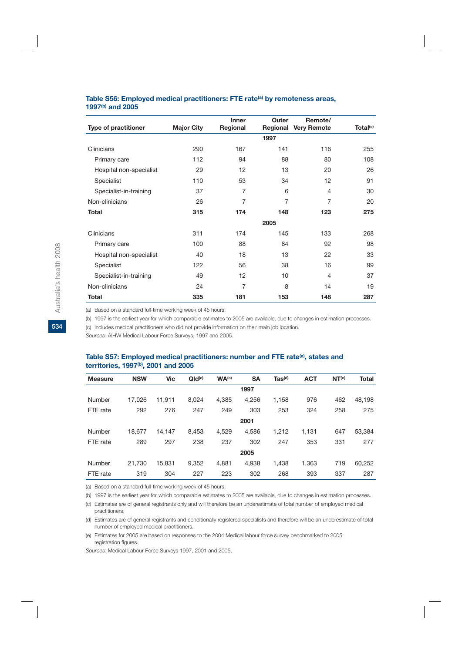#### **Table S56: Employed medical practitioners: FTE rate(a) by remoteness areas, 1997(b) and 2005**

|                             |                   | Inner          | Outer    | Remote/            |                      |
|-----------------------------|-------------------|----------------|----------|--------------------|----------------------|
| <b>Type of practitioner</b> | <b>Major City</b> | Regional       | Regional | <b>Very Remote</b> | Total <sup>(c)</sup> |
|                             |                   |                | 1997     |                    |                      |
| Clinicians                  | 290               | 167            | 141      | 116                | 255                  |
| Primary care                | 112               | 94             | 88       | 80                 | 108                  |
| Hospital non-specialist     | 29                | 12             | 13       | 20                 | 26                   |
| Specialist                  | 110               | 53             | 34       | 12                 | 91                   |
| Specialist-in-training      | 37                | 7              | 6        | $\overline{4}$     | 30                   |
| Non-clinicians              | 26                | 7              | 7        | 7                  | 20                   |
| <b>Total</b>                | 315               | 174            | 148      | 123                | 275                  |
|                             |                   |                | 2005     |                    |                      |
| Clinicians                  | 311               | 174            | 145      | 133                | 268                  |
| Primary care                | 100               | 88             | 84       | 92                 | 98                   |
| Hospital non-specialist     | 40                | 18             | 13       | 22                 | 33                   |
| Specialist                  | 122               | 56             | 38       | 16                 | 99                   |
| Specialist-in-training      | 49                | 12             | 10       | 4                  | 37                   |
| Non-clinicians              | 24                | $\overline{7}$ | 8        | 14                 | 19                   |
| Total                       | 335               | 181            | 153      | 148                | 287                  |

(a) Based on a standard full-time working week of 45 hours.

(b) 1997 is the earliest year for which comparable estimates to 2005 are available, due to changes in estimation processes.

(c) Includes medical practitioners who did not provide information on their main job location.

*Sources:* AIHW Medical Labour Force Surveys, 1997 and 2005.

#### Table S57: Employed medical practitioners: number and FTE rate<sup>(a)</sup>, states and **territories, 1997(b), 2001 and 2005**

| <b>Measure</b> | <b>NSW</b> | Vic    | QId <sub>(c)</sub> | WA <sup>(c)</sup> | <b>SA</b> | $\mathsf{ Tas}^{(\mathsf{d})}$ | <b>ACT</b> | NT <sup>(e)</sup> | <b>Total</b> |
|----------------|------------|--------|--------------------|-------------------|-----------|--------------------------------|------------|-------------------|--------------|
|                |            |        |                    |                   | 1997      |                                |            |                   |              |
| Number         | 17.026     | 11.911 | 8.024              | 4.385             | 4.256     | 1.158                          | 976        | 462               | 48.198       |
| FTE rate       | 292        | 276    | 247                | 249               | 303       | 253                            | 324        | 258               | 275          |
|                |            |        |                    |                   | 2001      |                                |            |                   |              |
| Number         | 18.677     | 14.147 | 8.453              | 4,529             | 4,586     | 1,212                          | 1,131      | 647               | 53,384       |
| FTE rate       | 289        | 297    | 238                | 237               | 302       | 247                            | 353        | 331               | 277          |
|                |            |        |                    |                   | 2005      |                                |            |                   |              |
| Number         | 21,730     | 15.831 | 9,352              | 4.881             | 4.938     | 1,438                          | 1,363      | 719               | 60,252       |
| FTE rate       | 319        | 304    | 227                | 223               | 302       | 268                            | 393        | 337               | 287          |
|                |            |        |                    |                   |           |                                |            |                   |              |

(a) Based on a standard full-time working week of 45 hours.

(b) 1997 is the earliest year for which comparable estimates to 2005 are available, due to changes in estimation processes.

(c) Estimates are of general registrants only and will therefore be an underestimate of total number of employed medical practitioners.

(d) Estimates are of general registrants and conditionally registered specialists and therefore will be an underestimate of total number of employed medical practitioners.

(e) Estimates for 2005 are based on responses to the 2004 Medical labour force survey benchmarked to 2005 registration figures.

*Sources:* Medical Labour Force Surveys 1997, 2001 and 2005.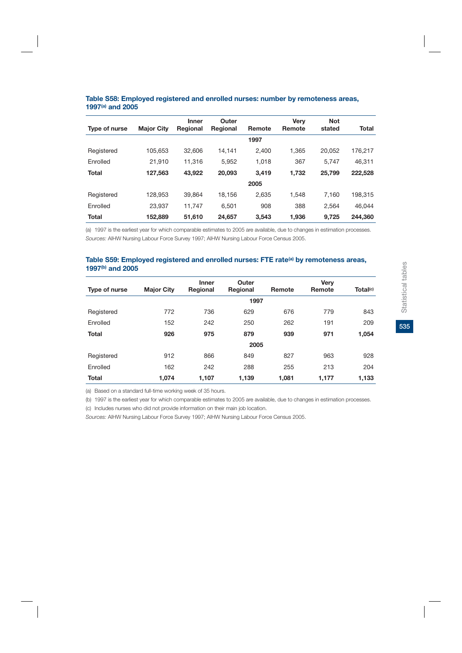|               |                   | <b>Inner</b> | Outer           |        | <b>Verv</b> | <b>Not</b> |              |
|---------------|-------------------|--------------|-----------------|--------|-------------|------------|--------------|
| Type of nurse | <b>Major City</b> | Regional     | <b>Regional</b> | Remote | Remote      | stated     | <b>Total</b> |
|               |                   |              |                 | 1997   |             |            |              |
| Registered    | 105.653           | 32.606       | 14.141          | 2,400  | 1.365       | 20.052     | 176,217      |
| Enrolled      | 21.910            | 11.316       | 5.952           | 1.018  | 367         | 5.747      | 46,311       |
| <b>Total</b>  | 127,563           | 43,922       | 20,093          | 3.419  | 1,732       | 25,799     | 222,528      |
|               |                   |              |                 | 2005   |             |            |              |
| Registered    | 128.953           | 39.864       | 18.156          | 2.635  | 1.548       | 7.160      | 198.315      |
| Enrolled      | 23.937            | 11.747       | 6.501           | 908    | 388         | 2.564      | 46.044       |
| <b>Total</b>  | 152,889           | 51,610       | 24,657          | 3,543  | 1.936       | 9,725      | 244,360      |

#### **Table S58: Employed registered and enrolled nurses: number by remoteness areas, 1997(a) and 2005**

(a) 1997 is the earliest year for which comparable estimates to 2005 are available, due to changes in estimation processes. *Sources:* AIHW Nursing Labour Force Survey 1997; AIHW Nursing Labour Force Census 2005.

#### Table S59: Employed registered and enrolled nurses: FTE rate<sup>(a)</sup> by remoteness areas, **1997(b) and 2005**

|               |                   | <b>Inner</b> | Outer           |        | Very   |                      |
|---------------|-------------------|--------------|-----------------|--------|--------|----------------------|
| Type of nurse | <b>Major City</b> | Regional     | <b>Regional</b> | Remote | Remote | Total <sup>(c)</sup> |
|               |                   |              | 1997            |        |        |                      |
| Registered    | 772               | 736          | 629             | 676    | 779    | 843                  |
| Enrolled      | 152               | 242          | 250             | 262    | 191    | 209                  |
| <b>Total</b>  | 926               | 975          | 879             | 939    | 971    | 1,054                |
|               |                   |              | 2005            |        |        |                      |
| Registered    | 912               | 866          | 849             | 827    | 963    | 928                  |
| Enrolled      | 162               | 242          | 288             | 255    | 213    | 204                  |
| <b>Total</b>  | 1,074             | 1,107        | 1,139           | 1,081  | 1,177  | 1,133                |

(a) Based on a standard full-time working week of 35 hours.

(b) 1997 is the earliest year for which comparable estimates to 2005 are available, due to changes in estimation processes.

(c) Includes nurses who did not provide information on their main job location.

*Sources:* AIHW Nursing Labour Force Survey 1997; AIHW Nursing Labour Force Census 2005.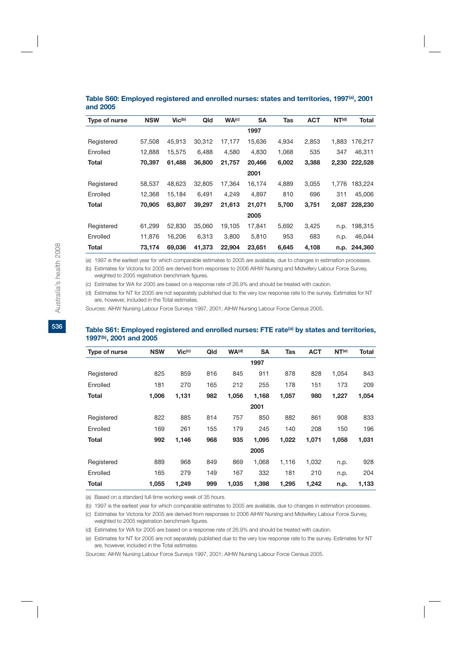| Type of nurse | <b>NSW</b> | $Vic^{(b)}$ | Qld    | WA <sup>(c)</sup> | <b>SA</b> | Tas   | <b>ACT</b> | NT <sup>(d)</sup> | Total   |
|---------------|------------|-------------|--------|-------------------|-----------|-------|------------|-------------------|---------|
|               |            |             |        |                   | 1997      |       |            |                   |         |
| Registered    | 57,508     | 45,913      | 30,312 | 17,177            | 15,636    | 4,934 | 2,853      | 1,883             | 176,217 |
| Enrolled      | 12,888     | 15.575      | 6.488  | 4.580             | 4,830     | 1,068 | 535        | 347               | 46,311  |
| Total         | 70,397     | 61,488      | 36,800 | 21,757            | 20,466    | 6,002 | 3,388      | 2,230             | 222,528 |
|               |            |             |        |                   | 2001      |       |            |                   |         |
| Registered    | 58,537     | 48.623      | 32,805 | 17,364            | 16,174    | 4,889 | 3,055      | 1.776             | 183,224 |
| Enrolled      | 12,368     | 15.184      | 6.491  | 4,249             | 4,897     | 810   | 696        | 311               | 45,006  |
| Total         | 70.905     | 63,807      | 39,297 | 21,613            | 21,071    | 5,700 | 3,751      | 2.087             | 228,230 |
|               |            |             |        |                   | 2005      |       |            |                   |         |
| Registered    | 61,299     | 52,830      | 35,060 | 19,105            | 17,841    | 5,692 | 3,425      | n.p.              | 198,315 |
| Enrolled      | 11.876     | 16.206      | 6.313  | 3.800             | 5,810     | 953   | 683        | n.p.              | 46,044  |
| Total         | 73,174     | 69.036      | 41.373 | 22,904            | 23,651    | 6,645 | 4,108      | n.p.              | 244.360 |

#### Table S60: Employed registered and enrolled nurses: states and territories, 1997<sup>(a)</sup>, 2001 **and 2005**

(a) 1997 is the earliest year for which comparable estimates to 2005 are available, due to changes in estimation processes.

(b) Estimates for Victoria for 2005 are derived from responses to 2006 AIHW Nursing and Midwifery Labour Force Survey, weighted to 2005 registration benchmark figures.

(c) Estimates for WA for 2005 are based on a response rate of 26.9% and should be treated with caution.

(d) Estimates for NT for 2005 are not separately published due to the very low response rate to the survey. Estimates for NT are, however, included in the Total estimates.

*Sources:* AIHW Nursing Labour Force Surveys 1997, 2001; AIHW Nursing Labour Force Census 2005.

### Table S61: Employed registered and enrolled nurses: FTE rate<sup>(a)</sup> by states and territories, **1997(b), 2001 and 2005**

| Type of nurse | <b>NSW</b> | $Vic^{(c)}$ | Qld | WA <sup>(d)</sup> | <b>SA</b> | Tas   | <b>ACT</b> | NT <sup>(e)</sup> | Total |
|---------------|------------|-------------|-----|-------------------|-----------|-------|------------|-------------------|-------|
|               |            |             |     |                   | 1997      |       |            |                   |       |
| Registered    | 825        | 859         | 816 | 845               | 911       | 878   | 828        | 1,054             | 843   |
| Enrolled      | 181        | 270         | 165 | 212               | 255       | 178   | 151        | 173               | 209   |
| Total         | 1,006      | 1,131       | 982 | 1,056             | 1,168     | 1,057 | 980        | 1,227             | 1,054 |
|               |            |             |     |                   | 2001      |       |            |                   |       |
| Registered    | 822        | 885         | 814 | 757               | 850       | 882   | 861        | 908               | 833   |
| Enrolled      | 169        | 261         | 155 | 179               | 245       | 140   | 208        | 150               | 196   |
| Total         | 992        | 1,146       | 968 | 935               | 1,095     | 1,022 | 1,071      | 1,058             | 1,031 |
|               |            |             |     |                   | 2005      |       |            |                   |       |
| Registered    | 889        | 968         | 849 | 869               | 1,068     | 1,116 | 1,032      | n.p.              | 928   |
| Enrolled      | 165        | 279         | 149 | 167               | 332       | 181   | 210        | n.p.              | 204   |
| Total         | 1,055      | 1,249       | 999 | 1,035             | 1,398     | 1,295 | 1,242      | n.p.              | 1,133 |
|               |            |             |     |                   |           |       |            |                   |       |

(a) Based on a standard full-time working week of 35 hours.

(b) 1997 is the earliest year for which comparable estimates to 2005 are available, due to changes in estimation processes.

(c) Estimates for Victoria for 2005 are derived from responses to 2006 AIHW Nursing and Midwifery Labour Force Survey, weighted to 2005 registration benchmark figures.

(d) Estimates for WA for 2005 are based on a response rate of 26.9% and should be treated with caution.

(e) Estimates for NT for 2005 are not separately published due to the very low response rate to the survey. Estimates for NT are, however, included in the Total estimates.

*Sources:* AIHW Nursing Labour Force Surveys 1997, 2001; AIHW Nursing Labour Force Census 2005.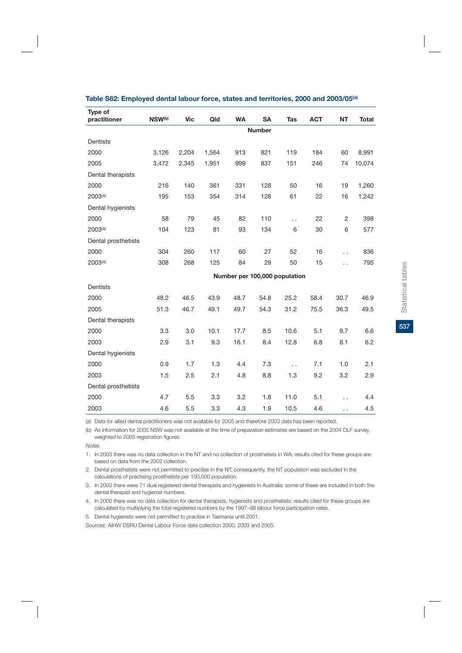| Type of<br>practitioner | NSW <sup>(b)</sup> | <b>Vic</b> | Qld   | <b>WA</b>                     | <b>SA</b>     | <b>Tas</b> | <b>ACT</b> | <b>NT</b>            | <b>Total</b> |
|-------------------------|--------------------|------------|-------|-------------------------------|---------------|------------|------------|----------------------|--------------|
|                         |                    |            |       |                               | <b>Number</b> |            |            |                      |              |
| <b>Dentists</b>         |                    |            |       |                               |               |            |            |                      |              |
| 2000                    | 3,126              | 2,204      | 1,564 | 913                           | 821           | 119        | 184        | 60                   | 8,991        |
| 2005                    | 3,472              | 2,345      | 1,951 | 999                           | 837           | 151        | 246        | 74                   | 10,074       |
| Dental therapists       |                    |            |       |                               |               |            |            |                      |              |
| 2000                    | 216                | 140        | 361   | 331                           | 128           | 50         | 16         | 19                   | 1,260        |
| 2003 <sup>(a)</sup>     | 195                | 153        | 354   | 314                           | 128           | 61         | 22         | 16                   | 1,242        |
| Dental hygienists       |                    |            |       |                               |               |            |            |                      |              |
| 2000                    | 58                 | 79         | 45    | 82                            | 110           | Ξ.         | 22         | 2                    | 398          |
| 2003 <sup>(a)</sup>     | 104                | 123        | 81    | 93                            | 134           | 6          | 30         | 6                    | 577          |
| Dental prosthetists     |                    |            |       |                               |               |            |            |                      |              |
| 2000                    | 304                | 260        | 117   | 60                            | 27            | 52         | 16         | $\ddot{\phantom{0}}$ | 836          |
| 2003 <sup>(a)</sup>     | 308                | 268        | 125   | 84                            | 29            | 50         | 15         | $\ddot{\phantom{0}}$ | 795          |
|                         |                    |            |       | Number per 100,000 population |               |            |            |                      |              |
| <b>Dentists</b>         |                    |            |       |                               |               |            |            |                      |              |
| 2000                    | 48.2               | 46.5       | 43.9  | 48.7                          | 54.8          | 25.2       | 58.4       | 30.7                 | 46.9         |
| 2005                    | 51.3               | 46.7       | 49.1  | 49.7                          | 54.3          | 31.2       | 75.5       | 36.3                 | 49.5         |
| Dental therapists       |                    |            |       |                               |               |            |            |                      |              |
| 2000                    | 3.3                | 3.0        | 10.1  | 17.7                          | 8.5           | 10.6       | 5.1        | 9.7                  | 6.6          |
| 2003                    | 2.9                | 3.1        | 9.3   | 16.1                          | 8.4           | 12.8       | 6.8        | 8.1                  | 6.2          |
| Dental hygienists       |                    |            |       |                               |               |            |            |                      |              |
| 2000                    | 0.9                | 1.7        | 1.3   | 4.4                           | 7.3           | $\ddotsc$  | 7.1        | 1.0                  | 2.1          |
| 2003                    | 1.5                | 2.5        | 2.1   | 4.8                           | 8.8           | 1.3        | 9.2        | 3.2                  | 2.9          |
| Dental prosthetists     |                    |            |       |                               |               |            |            |                      |              |
| 2000                    | 4.7                | 5.5        | 3.3   | 3.2                           | 1.8           | 11.0       | 5.1        | $\ddot{\phantom{0}}$ | 4.4          |
| 2003                    | 4.6                | 5.5        | 3.3   | 4.3                           | 1.9           | 10.5       | 4.6        | $\ddot{\phantom{0}}$ | 4.5          |

#### **Table S62: Employed dental labour force, states and territories, 2000 and 2003/05(a)**

(a) Data for allied dental practitioners was not available for 2005 and therefore 2003 data has been reported.

(b) As information for 2005 NSW was not available at the time of preparation estimates are based on the 2004 DLF survey, weighted to 2005 registration figures.

*Notes*

1. In 2003 there was no data collection in the NT and no collection of prosthetists in WA; results cited for these groups are based on data from the 2002 collection.

2. Dental prosthetists were not permitted to practise in the NT; consequently, the NT population was excluded in the calculations of practising prosthetists per 100,000 population.

3. In 2003 there were 71 dual registered dental therapists and hygienists in Australia; some of these are included in both the dental therapist and hygienist numbers.

4. In 2000 there was no data collection for dental therapists, hygienists and prosthetists; results cited for these groups are calculated by multiplying the total registered numbers by the 1997–98 labour force participation rates.

5. Dental hygienists were not permitted to practise in Tasmania until 2001.

*Sources:* AIHW DSRU Dental Labour Force data collection 2000, 2003 and 2005.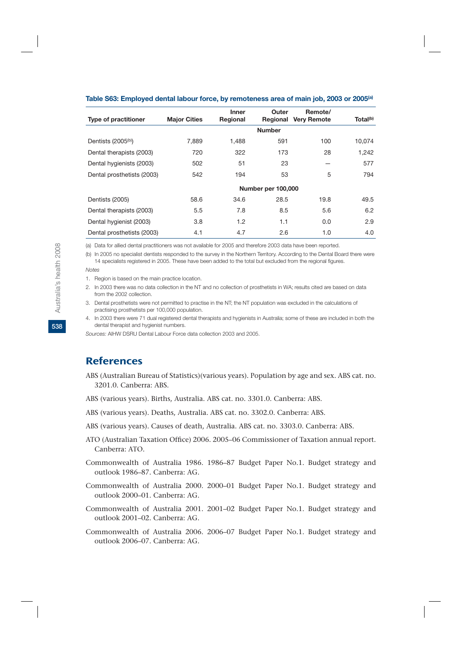| <b>Type of practitioner</b>     | <b>Major Cities</b> | Inner<br>Regional | Outer<br>Regional  | Remote/<br><b>Very Remote</b> | Total <sup>(b)</sup> |
|---------------------------------|---------------------|-------------------|--------------------|-------------------------------|----------------------|
|                                 |                     |                   | <b>Number</b>      |                               |                      |
| Dentists (2005 <sup>(b)</sup> ) | 7,889               | 1.488             | 591                | 100                           | 10,074               |
| Dental therapists (2003)        | 720                 | 322               | 173                | 28                            | 1,242                |
| Dental hygienists (2003)        | 502                 | 51                | 23                 |                               | 577                  |
| Dental prosthetists (2003)      | 542                 | 194               | 53                 | 5                             | 794                  |
|                                 |                     |                   | Number per 100,000 |                               |                      |
| Dentists (2005)                 | 58.6                | 34.6              | 28.5               | 19.8                          | 49.5                 |
| Dental therapists (2003)        | 5.5                 | 7.8               | 8.5                | 5.6                           | 6.2                  |
| Dental hygienist (2003)         | 3.8                 | 1.2               | 1.1                | 0.0                           | 2.9                  |
| Dental prosthetists (2003)      | 4.1                 | 4.7               | 2.6                | 1.0                           | 4.0                  |

#### **Table S63: Employed dental labour force, by remoteness area of main job, 2003 or 2005(a)**

(a) Data for allied dental practitioners was not available for 2005 and therefore 2003 data have been reported.

(b) In 2005 no specialist dentists responded to the survey in the Northern Territory. According to the Dental Board there were 14 specialists registered in 2005. These have been added to the total but excluded from the regional figures.

#### *Notes*

- 1. Region is based on the main practice location.
- 2. In 2003 there was no data collection in the NT and no collection of prosthetists in WA; results cited are based on data from the 2002 collection.
- 3. Dental prosthetists were not permitted to practise in the NT; the NT population was excluded in the calculations of practising prosthetists per 100,000 population.
- 4. In 2003 there were 71 dual registered dental therapists and hygienists in Australia; some of these are included in both the dental therapist and hygienist numbers.

*Sources:* AIHW DSRU Dental Labour Force data collection 2003 and 2005.

## **References**

- ABS (Australian Bureau of Statistics)(various years). Population by age and sex. ABS cat. no. 3201.0. Canberra: ABS.
- ABS (various years). Births, Australia. ABS cat. no. 3301.0. Canberra: ABS.
- ABS (various years). Deaths, Australia. ABS cat. no. 3302.0. Canberra: ABS.
- ABS (various years). Causes of death, Australia. ABS cat. no. 3303.0. Canberra: ABS.
- ATO (Australian Taxation Office) 2006. 2005–06 Commissioner of Taxation annual report. Canberra: ATO.
- Commonwealth of Australia 1986. 1986–87 Budget Paper No.1. Budget strategy and outlook 1986–87. Canberra: AG.
- Commonwealth of Australia 2000. 2000–01 Budget Paper No.1. Budget strategy and outlook 2000–01. Canberra: AG.
- Commonwealth of Australia 2001. 2001–02 Budget Paper No.1. Budget strategy and outlook 2001–02. Canberra: AG.
- Commonwealth of Australia 2006. 2006–07 Budget Paper No.1. Budget strategy and outlook 2006–07. Canberra: AG.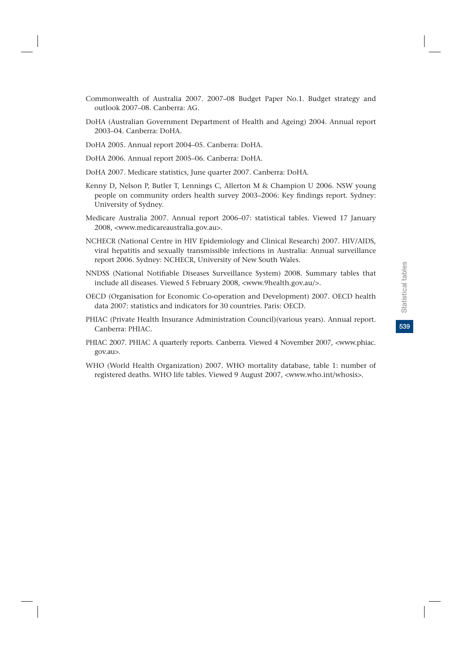- Commonwealth of Australia 2007. 2007–08 Budget Paper No.1. Budget strategy and outlook 2007–08. Canberra: AG.
- DoHA (Australian Government Department of Health and Ageing) 2004. Annual report 2003–04. Canberra: DoHA.
- DoHA 2005. Annual report 2004–05. Canberra: DoHA.
- DoHA 2006. Annual report 2005–06. Canberra: DoHA.
- DoHA 2007. Medicare statistics, June quarter 2007. Canberra: DoHA.
- Kenny D, Nelson P, Butler T, Lennings C, Allerton M & Champion U 2006. NSW young people on community orders health survey 2003–2006: Key findings report. Sydney: University of Sydney.
- Medicare Australia 2007. Annual report 2006–07: statistical tables. Viewed 17 January 2008, <www.medicareaustralia.gov.au>.
- NCHECR (National Centre in HIV Epidemiology and Clinical Research) 2007. HIV/AIDS, viral hepatitis and sexually transmissible infections in Australia: Annual surveillance report 2006. Sydney: NCHECR, University of New South Wales.
- NNDSS (National Notifiable Diseases Surveillance System) 2008. Summary tables that include all diseases. Viewed 5 February 2008, <www.9health.gov.au/>.
- OECD (Organisation for Economic Co-operation and Development) 2007. OECD health data 2007: statistics and indicators for 30 countries. Paris: OECD.
- PHIAC (Private Health Insurance Administration Council)(various years). Annual report. Canberra: PHIAC.
- PHIAC 2007. PHIAC A quarterly reports. Canberra. Viewed 4 November 2007, <www.phiac. gov.au>.
- WHO (World Health Organization) 2007. WHO mortality database, table 1: number of registered deaths. WHO life tables. Viewed 9 August 2007, <www.who.int/whosis>.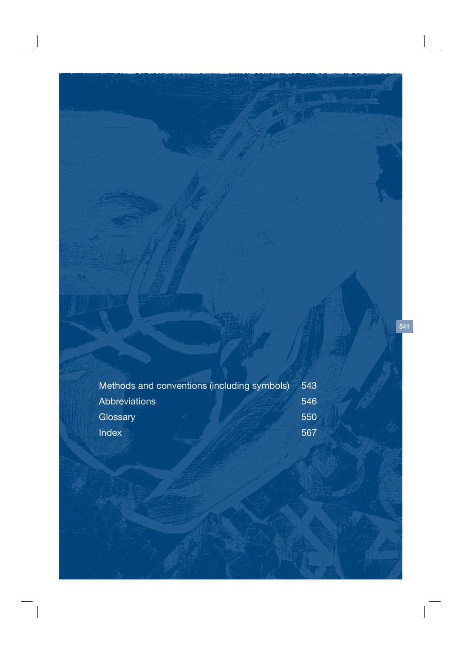|               | Methods and conventions (including symbols) | 543 |
|---------------|---------------------------------------------|-----|
| Abbreviations |                                             | 546 |
| Glossary      |                                             | 550 |
| <b>Index</b>  |                                             | 567 |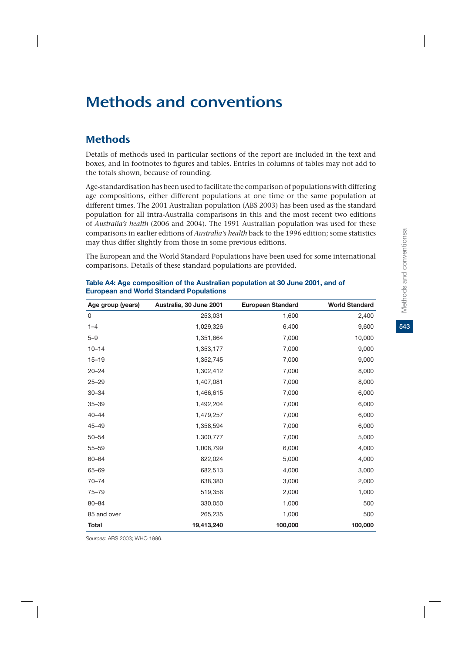# Methods and conventions

## **Methods**

Details of methods used in particular sections of the report are included in the text and boxes, and in footnotes to figures and tables. Entries in columns of tables may not add to the totals shown, because of rounding.

Age-standardisation has been used to facilitate the comparison of populations with differing age compositions, either different populations at one time or the same population at different times. The 2001 Australian population (ABS 2003) has been used as the standard population for all intra-Australia comparisons in this and the most recent two editions of *Australia's health* (2006 and 2004). The 1991 Australian population was used for these comparisons in earlier editions of *Australia's health* back to the 1996 edition; some statistics may thus differ slightly from those in some previous editions.

The European and the World Standard Populations have been used for some international comparisons. Details of these standard populations are provided.

| Age group (years) | Australia, 30 June 2001 | <b>European Standard</b> | <b>World Standard</b> |
|-------------------|-------------------------|--------------------------|-----------------------|
| 0                 | 253,031                 | 1,600                    | 2,400                 |
| $1 - 4$           | 1,029,326               | 6,400                    | 9,600                 |
| $5 - 9$           | 1,351,664               | 7,000                    | 10,000                |
| $10 - 14$         | 1,353,177               | 7,000                    | 9,000                 |
| $15 - 19$         | 1,352,745               | 7,000                    | 9,000                 |
| $20 - 24$         | 1,302,412               | 7,000                    | 8,000                 |
| $25 - 29$         | 1,407,081               | 7,000                    | 8,000                 |
| $30 - 34$         | 1,466,615               | 7,000                    | 6,000                 |
| $35 - 39$         | 1,492,204               | 7,000                    | 6,000                 |
| $40 - 44$         | 1,479,257               | 7,000                    | 6,000                 |
| $45 - 49$         | 1,358,594               | 7,000                    | 6,000                 |
| $50 - 54$         | 1,300,777               | 7,000                    | 5,000                 |
| $55 - 59$         | 1,008,799               | 6,000                    | 4,000                 |
| 60-64             | 822,024                 | 5,000                    | 4,000                 |
| 65-69             | 682,513                 | 4,000                    | 3,000                 |
| $70 - 74$         | 638,380                 | 3,000                    | 2,000                 |
| $75 - 79$         | 519,356                 | 2,000                    | 1,000                 |
| 80-84             | 330,050                 | 1,000                    | 500                   |
| 85 and over       | 265,235                 | 1,000                    | 500                   |
| <b>Total</b>      | 19,413,240              | 100,000                  | 100,000               |

#### **Table A4: Age composition of the Australian population at 30 June 2001, and of European and World Standard Populations**

*Sources:* ABS 2003; WHO 1996.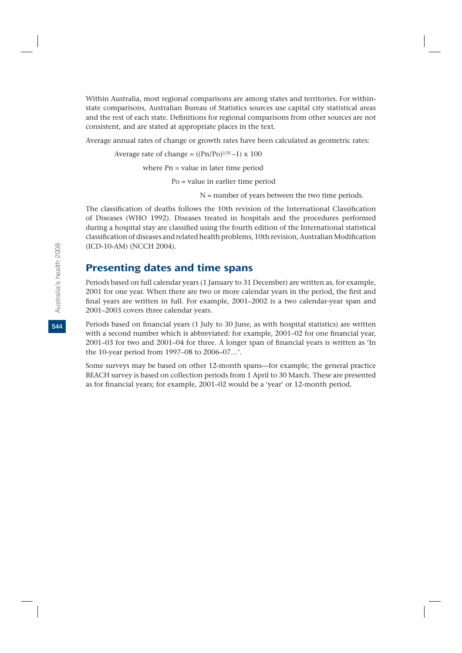Within Australia, most regional comparisons are among states and territories. For withinstate comparisons, Australian Bureau of Statistics sources use capital city statistical areas and the rest of each state. Definitions for regional comparisons from other sources are not consistent, and are stated at appropriate places in the text.

Average annual rates of change or growth rates have been calculated as geometric rates:

Average rate of change =  $((Pn/Po)^{1/N}-1) \times 100$ 

where Pn = value in later time period

Po = value in earlier time period

N = number of years between the two time periods.

The classification of deaths follows the 10th revision of the International Classification of Diseases (WHO 1992). Diseases treated in hospitals and the procedures performed during a hospital stay are classified using the fourth edition of the International statistical classification of diseases and related health problems, 10th revision, Australian Modification (ICD-10-AM) (NCCH 2004).

### Presenting dates and time spans

Periods based on full calendar years (1 January to 31 December) are written as, for example, 2001 for one year. When there are two or more calendar years in the period, the first and final years are written in full. For example, 2001–2002 is a two calendar-year span and 2001–2003 covers three calendar years.

Periods based on financial years (1 July to 30 June, as with hospital statistics) are written with a second number which is abbreviated: for example, 2001–02 for one financial year, 2001–03 for two and 2001–04 for three. A longer span of financial years is written as 'In the 10-year period from 1997–08 to 2006–07…'.

Some surveys may be based on other 12-month spans—for example, the general practice BEACH survey is based on collection periods from 1 April to 30 March. These are presented as for financial years; for example, 2001–02 would be a 'year' or 12-month period.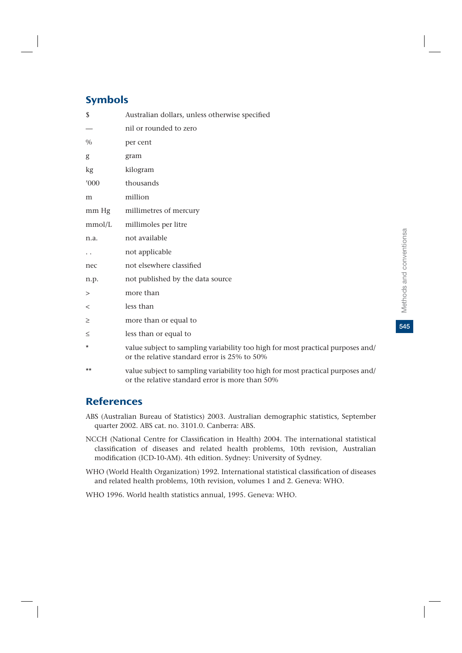# Symbols

| \$                       | Australian dollars, unless otherwise specified                                                                                  |
|--------------------------|---------------------------------------------------------------------------------------------------------------------------------|
| $\overline{\phantom{0}}$ | nil or rounded to zero                                                                                                          |
| $\%$                     | per cent                                                                                                                        |
| g                        | gram                                                                                                                            |
| kg                       | kilogram                                                                                                                        |
| '000                     | thousands                                                                                                                       |
| m                        | million                                                                                                                         |
| mm Hg                    | millimetres of mercury                                                                                                          |
| mmol/L                   | millimoles per litre                                                                                                            |
| n.a.                     | not available                                                                                                                   |
| . .                      | not applicable                                                                                                                  |
| nec                      | not elsewhere classified                                                                                                        |
| n.p.                     | not published by the data source                                                                                                |
| >                        | more than                                                                                                                       |
| $\,<$                    | less than                                                                                                                       |
| $\geq$                   | more than or equal to                                                                                                           |
| $\leq$                   | less than or equal to                                                                                                           |
| *                        | value subject to sampling variability too high for most practical purposes and/<br>or the relative standard error is 25% to 50% |
| $***$                    | value subject to sampling variability too high for most practical purposes and/                                                 |

## **References**

- ABS (Australian Bureau of Statistics) 2003. Australian demographic statistics, September quarter 2002. ABS cat. no. 3101.0. Canberra: ABS.
- NCCH (National Centre for Classification in Health) 2004. The international statistical classification of diseases and related health problems, 10th revision, Australian modification (ICD-10-AM). 4th edition. Sydney: University of Sydney.
- WHO (World Health Organization) 1992. International statistical classification of diseases and related health problems, 10th revision, volumes 1 and 2. Geneva: WHO.
- WHO 1996. World health statistics annual, 1995. Geneva: WHO.

or the relative standard error is more than 50%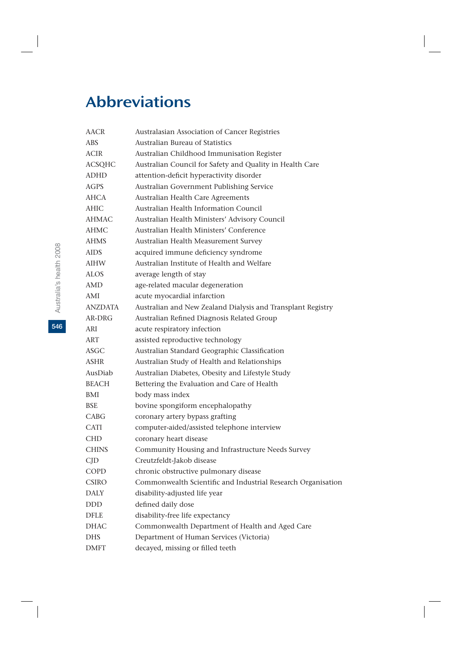# Abbreviations

| AACR           | Australasian Association of Cancer Registries                |
|----------------|--------------------------------------------------------------|
| ABS            | <b>Australian Bureau of Statistics</b>                       |
| ACIR           | Australian Childhood Immunisation Register                   |
| <b>ACSQHC</b>  | Australian Council for Safety and Quality in Health Care     |
| ADHD           | attention-deficit hyperactivity disorder                     |
| <b>AGPS</b>    | Australian Government Publishing Service                     |
| AHCA           | Australian Health Care Agreements                            |
| <b>AHIC</b>    | Australian Health Information Council                        |
| AHMAC          | Australian Health Ministers' Advisory Council                |
| AHMC           | Australian Health Ministers' Conference                      |
| AHMS           | Australian Health Measurement Survey                         |
| AIDS           | acquired immune deficiency syndrome                          |
| <b>AIHW</b>    | Australian Institute of Health and Welfare                   |
| ALOS           | average length of stay                                       |
| AMD            | age-related macular degeneration                             |
| AMI            | acute myocardial infarction                                  |
| <b>ANZDATA</b> | Australian and New Zealand Dialysis and Transplant Registry  |
| AR-DRG         | Australian Refined Diagnosis Related Group                   |
| ARI            | acute respiratory infection                                  |
| ART            | assisted reproductive technology                             |
| ASGC           | Australian Standard Geographic Classification                |
| ASHR           | Australian Study of Health and Relationships                 |
| AusDiab        | Australian Diabetes, Obesity and Lifestyle Study             |
| <b>BEACH</b>   | Bettering the Evaluation and Care of Health                  |
| BMI            | body mass index                                              |
| BSE            | bovine spongiform encephalopathy                             |
| CABG           | coronary artery bypass grafting                              |
| <b>CATI</b>    | computer-aided/assisted telephone interview                  |
| <b>CHD</b>     | coronary heart disease                                       |
| <b>CHINS</b>   | Community Housing and Infrastructure Needs Survey            |
| CJD            | Creutzfeldt-Jakob disease                                    |
| <b>COPD</b>    | chronic obstructive pulmonary disease                        |
| <b>CSIRO</b>   | Commonwealth Scientific and Industrial Research Organisation |
| <b>DALY</b>    | disability-adjusted life year                                |
| $\rm DDD$      | defined daily dose                                           |
| DFLE           | disability-free life expectancy                              |
| <b>DHAC</b>    | Commonwealth Department of Health and Aged Care              |
| <b>DHS</b>     | Department of Human Services (Victoria)                      |
| <b>DMFT</b>    | decayed, missing or filled teeth                             |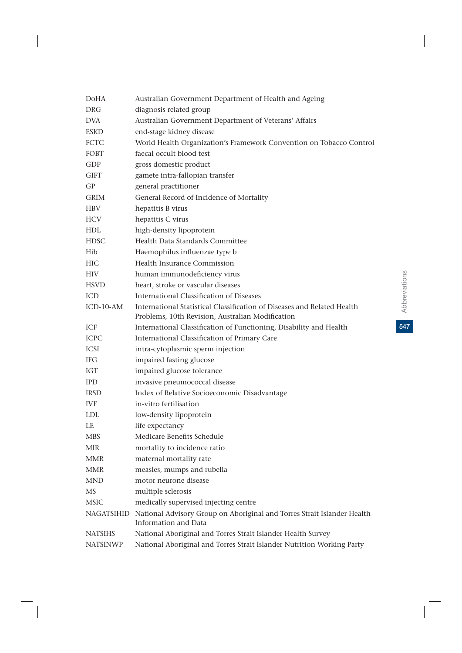| DoHA            | Australian Government Department of Health and Ageing                                                                       |
|-----------------|-----------------------------------------------------------------------------------------------------------------------------|
| DRG             | diagnosis related group                                                                                                     |
| DVA.            | Australian Government Department of Veterans' Affairs                                                                       |
| <b>ESKD</b>     | end-stage kidney disease                                                                                                    |
| FCTC            | World Health Organization's Framework Convention on Tobacco Control                                                         |
| FOBT            | faecal occult blood test                                                                                                    |
| GDP             | gross domestic product                                                                                                      |
| GIFT            | gamete intra-fallopian transfer                                                                                             |
| GP              | general practitioner                                                                                                        |
| <b>GRIM</b>     | General Record of Incidence of Mortality                                                                                    |
| <b>HBV</b>      | hepatitis B virus                                                                                                           |
| <b>HCV</b>      | hepatitis C virus                                                                                                           |
| HDL             | high-density lipoprotein                                                                                                    |
| <b>HDSC</b>     | Health Data Standards Committee                                                                                             |
| Hib             | Haemophilus influenzae type b                                                                                               |
| HІC             | Health Insurance Commission                                                                                                 |
| <b>HIV</b>      | human immunodeficiency virus                                                                                                |
| <b>HSVD</b>     | heart, stroke or vascular diseases                                                                                          |
| ICD             | International Classification of Diseases                                                                                    |
| $ICD-10-AM$     | International Statistical Classification of Diseases and Related Health<br>Problems, 10th Revision, Australian Modification |
| ICF             | International Classification of Functioning, Disability and Health                                                          |
| <b>ICPC</b>     | International Classification of Primary Care                                                                                |
| <b>ICSI</b>     | intra-cytoplasmic sperm injection                                                                                           |
| IFG.            | impaired fasting glucose                                                                                                    |
| <b>IGT</b>      | impaired glucose tolerance                                                                                                  |
| <b>IPD</b>      | invasive pneumococcal disease                                                                                               |
| <b>IRSD</b>     | Index of Relative Socioeconomic Disadvantage                                                                                |
| <b>IVF</b>      | in-vitro fertilisation                                                                                                      |
| <b>LDL</b>      | low-density lipoprotein                                                                                                     |
| LE              | life expectancy                                                                                                             |
| <b>MBS</b>      | Medicare Benefits Schedule                                                                                                  |
| <b>MIR</b>      | mortality to incidence ratio                                                                                                |
| <b>MMR</b>      | maternal mortality rate                                                                                                     |
| <b>MMR</b>      | measles, mumps and rubella                                                                                                  |
| <b>MND</b>      | motor neurone disease                                                                                                       |
| MS              | multiple sclerosis                                                                                                          |
| <b>MSIC</b>     | medically supervised injecting centre                                                                                       |
| NAGATSIHID      | National Advisory Group on Aboriginal and Torres Strait Islander Health<br>Information and Data                             |
| <b>NATSIHS</b>  | National Aboriginal and Torres Strait Islander Health Survey                                                                |
| <b>NATSINWP</b> | National Aboriginal and Torres Strait Islander Nutrition Working Party                                                      |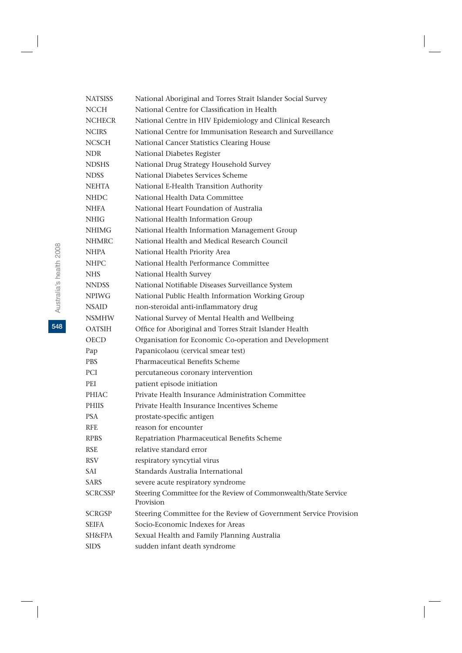| <b>NATSISS</b>    | National Aboriginal and Torres Strait Islander Social Survey                 |
|-------------------|------------------------------------------------------------------------------|
| <b>NCCH</b>       | National Centre for Classification in Health                                 |
| <b>NCHECR</b>     | National Centre in HIV Epidemiology and Clinical Research                    |
| <b>NCIRS</b>      | National Centre for Immunisation Research and Surveillance                   |
| <b>NCSCH</b>      | National Cancer Statistics Clearing House                                    |
| NDR.              | National Diabetes Register                                                   |
| <b>NDSHS</b>      | National Drug Strategy Household Survey                                      |
| <b>NDSS</b>       | National Diabetes Services Scheme                                            |
| <b>NEHTA</b>      | National E-Health Transition Authority                                       |
| <b>NHDC</b>       | National Health Data Committee                                               |
| NHFA              | National Heart Foundation of Australia                                       |
| NHIG.             | National Health Information Group                                            |
| <b>NHIMG</b>      | National Health Information Management Group                                 |
| <b>NHMRC</b>      | National Health and Medical Research Council                                 |
| <b>NHPA</b>       | National Health Priority Area                                                |
| NHPC              | National Health Performance Committee                                        |
| NHS               | National Health Survey                                                       |
| <b>NNDSS</b>      | National Notifiable Diseases Surveillance System                             |
| <b>NPIWG</b>      | National Public Health Information Working Group                             |
| <b>NSAID</b>      | non-steroidal anti-inflammatory drug                                         |
| <b>NSMHW</b>      | National Survey of Mental Health and Wellbeing                               |
| <b>OATSIH</b>     | Office for Aboriginal and Torres Strait Islander Health                      |
| <b>OECD</b>       | Organisation for Economic Co-operation and Development                       |
| Pap               | Papanicolaou (cervical smear test)                                           |
| <b>PBS</b>        | <b>Pharmaceutical Benefits Scheme</b>                                        |
| PCI               | percutaneous coronary intervention                                           |
| PEI               | patient episode initiation                                                   |
| <b>PHIAC</b>      | Private Health Insurance Administration Committee                            |
| <b>PHIIS</b>      | Private Health Insurance Incentives Scheme                                   |
| <b>PSA</b>        | prostate-specific antigen                                                    |
| <b>RFE</b>        | reason for encounter                                                         |
| <b>RPBS</b>       | Repatriation Pharmaceutical Benefits Scheme                                  |
| <b>RSE</b>        | relative standard error                                                      |
| <b>RSV</b>        | respiratory syncytial virus                                                  |
| <b>SAI</b>        | Standards Australia International                                            |
| <b>SARS</b>       | severe acute respiratory syndrome                                            |
| <b>SCRCSSP</b>    | Steering Committee for the Review of Commonwealth/State Service<br>Provision |
| <b>SCRGSP</b>     | Steering Committee for the Review of Government Service Provision            |
| <b>SEIFA</b>      | Socio-Economic Indexes for Areas                                             |
| <b>SH&amp;FPA</b> | Sexual Health and Family Planning Australia                                  |
| <b>SIDS</b>       | sudden infant death syndrome                                                 |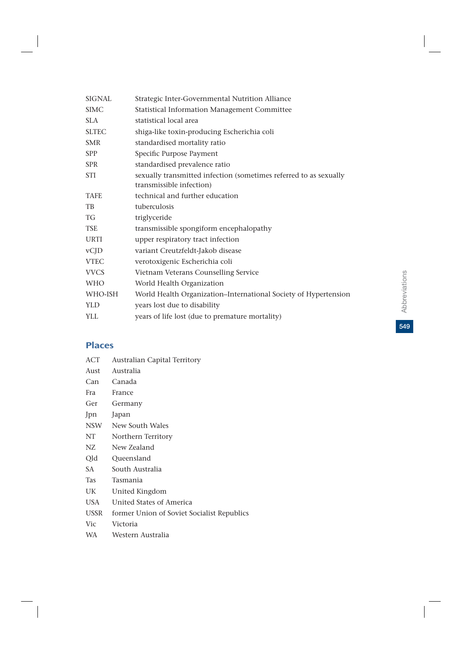| <b>SIGNAL</b> | Strategic Inter-Governmental Nutrition Alliance                                               |
|---------------|-----------------------------------------------------------------------------------------------|
| <b>SIMC</b>   | Statistical Information Management Committee                                                  |
| SLA           | statistical local area                                                                        |
| <b>SLTEC</b>  | shiga-like toxin-producing Escherichia coli                                                   |
| <b>SMR</b>    | standardised mortality ratio                                                                  |
| <b>SPP</b>    | Specific Purpose Payment                                                                      |
| <b>SPR</b>    | standardised prevalence ratio                                                                 |
| <b>STI</b>    | sexually transmitted infection (sometimes referred to as sexually<br>transmissible infection) |
| <b>TAFE</b>   | technical and further education                                                               |
| TB            | tuberculosis                                                                                  |
| <b>TG</b>     | triglyceride                                                                                  |
| <b>TSE</b>    | transmissible spongiform encephalopathy                                                       |
| <b>URTI</b>   | upper respiratory tract infection                                                             |
| vCJD          | variant Creutzfeldt-Jakob disease                                                             |
| <b>VTEC</b>   | verotoxigenic Escherichia coli                                                                |
| <b>VVCS</b>   | Vietnam Veterans Counselling Service                                                          |
| <b>WHO</b>    | World Health Organization                                                                     |
| WHO-ISH       | World Health Organization-International Society of Hypertension                               |
| <b>YLD</b>    | years lost due to disability                                                                  |
| <b>YLL</b>    | years of life lost (due to premature mortality)                                               |
|               |                                                                                               |

# Places

ACT Australian Capital Territory Aust Australia Can Canada Fra France Ger Germany Jpn Japan NSW New South Wales NT Northern Territory NZ New Zealand Qld Queensland SA South Australia Tas Tasmania UK United Kingdom USA United States of America USSR former Union of Soviet Socialist Republics Vic Victoria WA Western Australia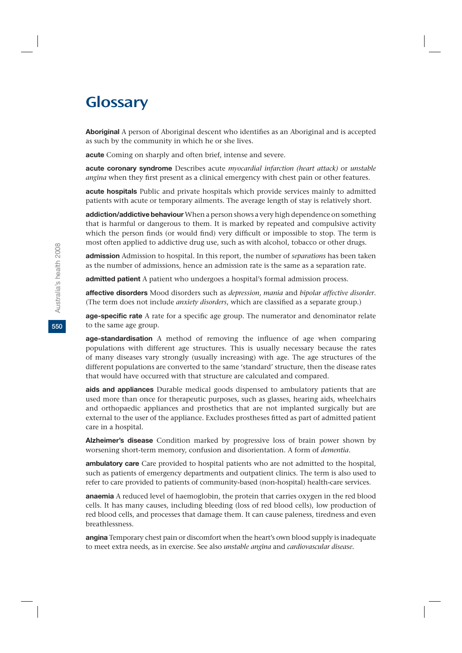# Glossary

**Aboriginal** A person of Aboriginal descent who identifies as an Aboriginal and is accepted as such by the community in which he or she lives.

**acute** Coming on sharply and often brief, intense and severe.

**acute coronary syndrome** Describes acute *myocardial infarction (heart attack)* or *unstable angina* when they first present as a clinical emergency with chest pain or other features.

**acute hospitals** Public and private hospitals which provide services mainly to admitted patients with acute or temporary ailments. The average length of stay is relatively short.

**addiction/addictive behaviour** When a person shows a very high dependence on something that is harmful or dangerous to them. It is marked by repeated and compulsive activity which the person finds (or would find) very difficult or impossible to stop. The term is most often applied to addictive drug use, such as with alcohol, tobacco or other drugs.

**admission** Admission to hospital. In this report, the number of *separations* has been taken as the number of admissions, hence an admission rate is the same as a separation rate.

**admitted patient** A patient who undergoes a hospital's formal admission process.

**affective disorders** Mood disorders such as *depression*, *mania* and *bipolar affective disorder*. (The term does not include *anxiety disorders*, which are classified as a separate group.)

**age-specific rate** A rate for a specific age group. The numerator and denominator relate to the same age group.

**age-standardisation** A method of removing the influence of age when comparing populations with different age structures. This is usually necessary because the rates of many diseases vary strongly (usually increasing) with age. The age structures of the different populations are converted to the same 'standard' structure, then the disease rates that would have occurred with that structure are calculated and compared.

**aids and appliances** Durable medical goods dispensed to ambulatory patients that are used more than once for therapeutic purposes, such as glasses, hearing aids, wheelchairs and orthopaedic appliances and prosthetics that are not implanted surgically but are external to the user of the appliance. Excludes prostheses fitted as part of admitted patient care in a hospital.

**Alzheimer's disease** Condition marked by progressive loss of brain power shown by worsening short-term memory, confusion and disorientation. A form of *dementia*.

**ambulatory care** Care provided to hospital patients who are not admitted to the hospital, such as patients of emergency departments and outpatient clinics. The term is also used to refer to care provided to patients of community-based (non-hospital) health-care services.

**anaemia** A reduced level of haemoglobin, the protein that carries oxygen in the red blood cells. It has many causes, including bleeding (loss of red blood cells), low production of red blood cells, and processes that damage them. It can cause paleness, tiredness and even breathlessness.

**angina** Temporary chest pain or discomfort when the heart's own blood supply is inadequate to meet extra needs, as in exercise. See also *unstable angina* and *cardiovascular disease.*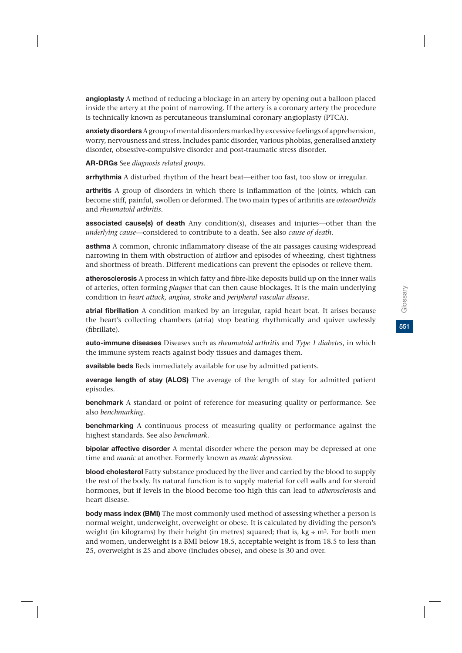**angioplasty** A method of reducing a blockage in an artery by opening out a balloon placed inside the artery at the point of narrowing. If the artery is a coronary artery the procedure is technically known as percutaneous transluminal coronary angioplasty (PTCA).

**anxietydisorders** A group of mental disorders marked by excessive feelings of apprehension, worry, nervousness and stress. Includes panic disorder, various phobias, generalised anxiety disorder, obsessive-compulsive disorder and post-traumatic stress disorder.

**AR-DRGs** See *diagnosis related groups*.

**arrhythmia** A disturbed rhythm of the heart beat—either too fast, too slow or irregular.

**arthritis** A group of disorders in which there is inflammation of the joints, which can become stiff, painful, swollen or deformed. The two main types of arthritis are *osteoarthritis* and *rheumatoid arthritis.*

**associated cause(s) of death** Any condition(s), diseases and injuries—other than the *underlying cause*—considered to contribute to a death. See also *cause of death.*

**asthma** A common, chronic inflammatory disease of the air passages causing widespread narrowing in them with obstruction of airflow and episodes of wheezing, chest tightness and shortness of breath. Different medications can prevent the episodes or relieve them.

**atherosclerosis** A process in which fatty and fibre-like deposits build up on the inner walls of arteries, often forming *plaques* that can then cause blockages. It is the main underlying condition in *heart attack, angina, stroke* and *peripheral vascular disease.*

**atrial fibrillation** A condition marked by an irregular, rapid heart beat. It arises because the heart's collecting chambers (atria) stop beating rhythmically and quiver uselessly (fibrillate).

**auto-immune diseases** Diseases such as *rheumatoid arthritis* and *Type 1 diabetes*, in which the immune system reacts against body tissues and damages them.

**available beds** Beds immediately available for use by admitted patients.

**average length of stay (ALOS)** The average of the length of stay for admitted patient episodes.

**benchmark** A standard or point of reference for measuring quality or performance. See also *benchmarking*.

**benchmarking** A continuous process of measuring quality or performance against the highest standards. See also *benchmark*.

**bipolar affective disorder** A mental disorder where the person may be depressed at one time and *manic* at another. Formerly known as *manic depression*.

**blood cholesterol** Fatty substance produced by the liver and carried by the blood to supply the rest of the body. Its natural function is to supply material for cell walls and for steroid hormones, but if levels in the blood become too high this can lead to *atherosclerosis* and heart disease.

**body mass index (BMI)** The most commonly used method of assessing whether a person is normal weight, underweight, overweight or obese. It is calculated by dividing the person's weight (in kilograms) by their height (in metres) squared; that is,  $kg \div m^2$ . For both men and women, underweight is a BMI below 18.5, acceptable weight is from 18.5 to less than 25, overweight is 25 and above (includes obese), and obese is 30 and over.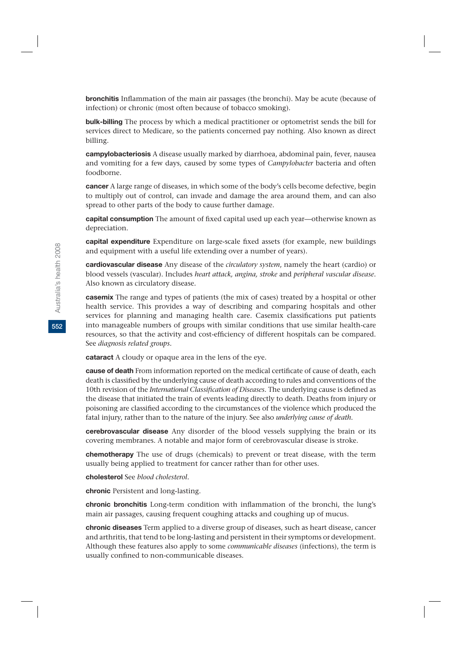**bronchitis** Inflammation of the main air passages (the bronchi). May be acute (because of infection) or chronic (most often because of tobacco smoking).

**bulk-billing** The process by which a medical practitioner or optometrist sends the bill for services direct to Medicare, so the patients concerned pay nothing. Also known as direct billing.

**campylobacteriosis** A disease usually marked by diarrhoea, abdominal pain, fever, nausea and vomiting for a few days, caused by some types of *Campylobacter* bacteria and often foodborne.

**cancer** A large range of diseases, in which some of the body's cells become defective, begin to multiply out of control, can invade and damage the area around them, and can also spread to other parts of the body to cause further damage.

**capital consumption** The amount of fixed capital used up each year—otherwise known as depreciation.

**capital expenditure** Expenditure on large-scale fixed assets (for example, new buildings and equipment with a useful life extending over a number of years).

**cardiovascular disease** Any disease of the *circulatory system*, namely the heart (cardio) or blood vessels (vascular). Includes *heart attack, angina, stroke* and *peripheral vascular disease*. Also known as circulatory disease*.*

**casemix** The range and types of patients (the mix of cases) treated by a hospital or other health service. This provides a way of describing and comparing hospitals and other services for planning and managing health care. Casemix classifications put patients into manageable numbers of groups with similar conditions that use similar health-care resources, so that the activity and cost-efficiency of different hospitals can be compared. See *diagnosis related groups.*

**cataract** A cloudy or opaque area in the lens of the eye.

**cause of death** From information reported on the medical certificate of cause of death, each death is classified by the underlying cause of death according to rules and conventions of the 10th revision of the *International Classification of Diseases*. The underlying cause is defined as the disease that initiated the train of events leading directly to death. Deaths from injury or poisoning are classified according to the circumstances of the violence which produced the fatal injury, rather than to the nature of the injury. See also *underlying cause of death*.

**cerebrovascular disease** Any disorder of the blood vessels supplying the brain or its covering membranes. A notable and major form of cerebrovascular disease is stroke.

**chemotherapy** The use of drugs (chemicals) to prevent or treat disease, with the term usually being applied to treatment for cancer rather than for other uses.

**cholesterol** See *blood cholesterol.*

**chronic** Persistent and long-lasting.

**chronic bronchitis** Long-term condition with inflammation of the bronchi, the lung's main air passages, causing frequent coughing attacks and coughing up of mucus.

**chronic diseases** Term applied to a diverse group of diseases, such as heart disease, cancer and arthritis, that tend to be long-lasting and persistent in their symptoms or development. Although these features also apply to some *communicable diseases* (infections), the term is usually confined to non-communicable diseases.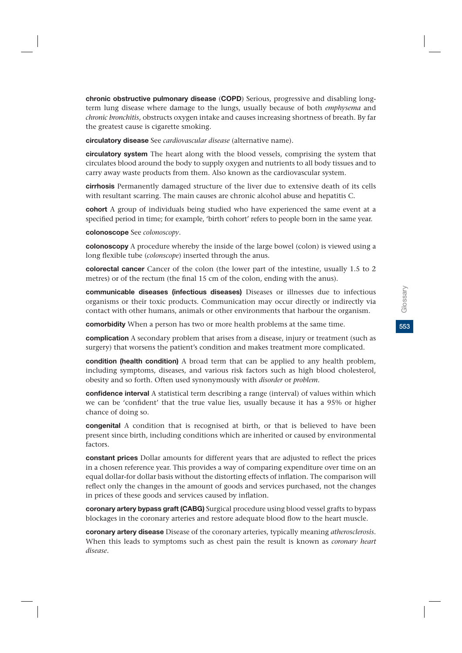**chronic obstructive pulmonary disease** (**COPD**) Serious, progressive and disabling longterm lung disease where damage to the lungs, usually because of both *emphysema* and *chronic bronchitis*, obstructs oxygen intake and causes increasing shortness of breath. By far the greatest cause is cigarette smoking.

**circulatory disease** See *cardiovascular disease* (alternative name).

**circulatory system** The heart along with the blood vessels, comprising the system that circulates blood around the body to supply oxygen and nutrients to all body tissues and to carry away waste products from them. Also known as the cardiovascular system.

**cirrhosis** Permanently damaged structure of the liver due to extensive death of its cells with resultant scarring. The main causes are chronic alcohol abuse and hepatitis C.

**cohort** A group of individuals being studied who have experienced the same event at a specified period in time; for example, 'birth cohort' refers to people born in the same year.

**colonoscope** See *colonoscopy*.

**colonoscopy** A procedure whereby the inside of the large bowel (colon) is viewed using a long flexible tube (*colonscope*) inserted through the anus.

**colorectal cancer** Cancer of the colon (the lower part of the intestine, usually 1.5 to 2 metres) or of the rectum (the final 15 cm of the colon, ending with the anus).

**communicable diseases (infectious diseases)** Diseases or illnesses due to infectious organisms or their toxic products. Communication may occur directly or indirectly via contact with other humans, animals or other environments that harbour the organism.

**comorbidity** When a person has two or more health problems at the same time.

**complication** A secondary problem that arises from a disease, injury or treatment (such as surgery) that worsens the patient's condition and makes treatment more complicated.

**condition (health condition)** A broad term that can be applied to any health problem, including symptoms, diseases, and various risk factors such as high blood cholesterol, obesity and so forth. Often used synonymously with *disorder* or *problem*.

**confidence interval** A statistical term describing a range (interval) of values within which we can be 'confident' that the true value lies, usually because it has a 95% or higher chance of doing so.

**congenital** A condition that is recognised at birth, or that is believed to have been present since birth, including conditions which are inherited or caused by environmental factors.

**constant prices** Dollar amounts for different years that are adjusted to reflect the prices in a chosen reference year. This provides a way of comparing expenditure over time on an equal dollar-for dollar basis without the distorting effects of inflation. The comparison will reflect only the changes in the amount of goods and services purchased, not the changes in prices of these goods and services caused by inflation.

**coronary artery bypass graft (CABG)** Surgical procedure using blood vessel grafts to bypass blockages in the coronary arteries and restore adequate blood flow to the heart muscle.

**coronary artery disease** Disease of the coronary arteries, typically meaning *atherosclerosis*. When this leads to symptoms such as chest pain the result is known as *coronary heart disease.*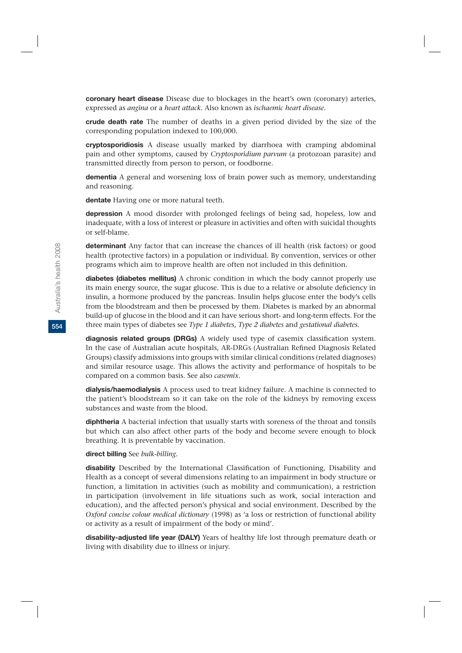**coronary heart disease** Disease due to blockages in the heart's own (coronary) arteries, expressed as *angina* or a *heart attack*. Also known as *ischaemic heart disease.*

**crude death rate** The number of deaths in a given period divided by the size of the corresponding population indexed to 100,000.

**cryptosporidiosis** A disease usually marked by diarrhoea with cramping abdominal pain and other symptoms, caused by *Cryptosporidium parvum* (a protozoan parasite) and transmitted directly from person to person, or foodborne.

**dementia** A general and worsening loss of brain power such as memory, understanding and reasoning.

**dentate** Having one or more natural teeth.

**depression** A mood disorder with prolonged feelings of being sad, hopeless, low and inadequate, with a loss of interest or pleasure in activities and often with suicidal thoughts or self-blame.

**determinant** Any factor that can increase the chances of ill health (risk factors) or good health (protective factors) in a population or individual. By convention, services or other programs which aim to improve health are often not included in this definition.

**diabetes (diabetes mellitus)** A chronic condition in which the body cannot properly use its main energy source, the sugar glucose. This is due to a relative or absolute deficiency in insulin, a hormone produced by the pancreas. Insulin helps glucose enter the body's cells from the bloodstream and then be processed by them. Diabetes is marked by an abnormal build-up of glucose in the blood and it can have serious short- and long-term effects. For the three main types of diabetes see *Type 1 diabetes*, *Type 2 diabetes* and *gestational diabetes.*

**diagnosis related groups (DRGs)** A widely used type of casemix classification system. In the case of Australian acute hospitals, AR-DRGs (Australian Refined Diagnosis Related Groups) classify admissions into groups with similar clinical conditions (related diagnoses) and similar resource usage. This allows the activity and performance of hospitals to be compared on a common basis. See also *casemix*.

**dialysis/haemodialysis** A process used to treat kidney failure. A machine is connected to the patient's bloodstream so it can take on the role of the kidneys by removing excess substances and waste from the blood.

**diphtheria** A bacterial infection that usually starts with soreness of the throat and tonsils but which can also affect other parts of the body and become severe enough to block breathing. It is preventable by vaccination.

#### **direct billing** See *bulk-billing.*

**disability** Described by the International Classification of Functioning, Disability and Health as a concept of several dimensions relating to an impairment in body structure or function, a limitation in activities (such as mobility and communication), a restriction in participation (involvement in life situations such as work, social interaction and education), and the affected person's physical and social environment. Described by the *Oxford concise colour medical dictionary* (1998) as 'a loss or restriction of functional ability or activity as a result of impairment of the body or mind'.

**disability-adjusted life year (DALY)** Years of healthy life lost through premature death or living with disability due to illness or injury.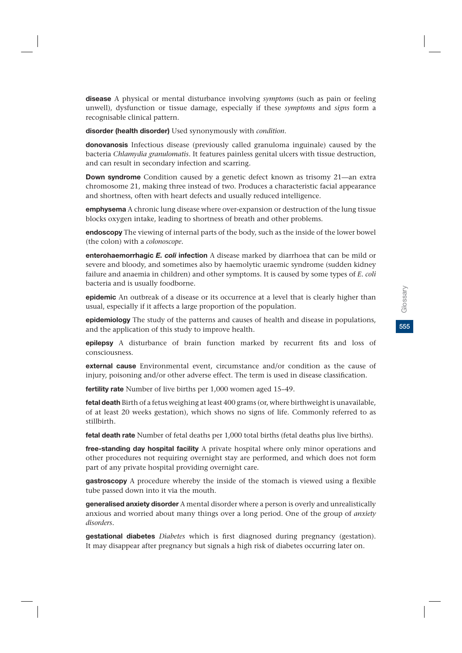**disease** A physical or mental disturbance involving *symptoms* (such as pain or feeling unwell), dysfunction or tissue damage, especially if these *symptoms* and *signs* form a recognisable clinical pattern.

**disorder (health disorder)** Used synonymously with *condition*.

**donovanosis** Infectious disease (previously called granuloma inguinale) caused by the bacteria *Chlamydia granulomatis*. It features painless genital ulcers with tissue destruction, and can result in secondary infection and scarring.

**Down syndrome** Condition caused by a genetic defect known as trisomy 21—an extra chromosome 21, making three instead of two. Produces a characteristic facial appearance and shortness, often with heart defects and usually reduced intelligence.

**emphysema** A chronic lung disease where over-expansion or destruction of the lung tissue blocks oxygen intake, leading to shortness of breath and other problems.

**endoscopy** The viewing of internal parts of the body, such as the inside of the lower bowel (the colon) with a *colonoscope*.

**enterohaemorrhagic** *E. coli* **infection** A disease marked by diarrhoea that can be mild or severe and bloody, and sometimes also by haemolytic uraemic syndrome (sudden kidney failure and anaemia in children) and other symptoms. It is caused by some types of *E. coli* bacteria and is usually foodborne.

**epidemic** An outbreak of a disease or its occurrence at a level that is clearly higher than usual, especially if it affects a large proportion of the population.

**epidemiology** The study of the patterns and causes of health and disease in populations, and the application of this study to improve health.

**epilepsy** A disturbance of brain function marked by recurrent fits and loss of consciousness.

**external cause** Environmental event, circumstance and/or condition as the cause of injury, poisoning and/or other adverse effect. The term is used in disease classification.

**fertility rate** Number of live births per 1,000 women aged 15–49.

**fetal death** Birth of a fetus weighing at least 400 grams (or, where birthweight is unavailable, of at least 20 weeks gestation), which shows no signs of life. Commonly referred to as stillbirth.

**fetal death rate** Number of fetal deaths per 1,000 total births (fetal deaths plus live births).

**free-standing day hospital facility** A private hospital where only minor operations and other procedures not requiring overnight stay are performed, and which does not form part of any private hospital providing overnight care.

**gastroscopy** A procedure whereby the inside of the stomach is viewed using a flexible tube passed down into it via the mouth.

**generalised anxiety disorder** A mental disorder where a person is overly and unrealistically anxious and worried about many things over a long period. One of the group of *anxiety disorders.*

**gestational diabetes** *Diabetes* which is first diagnosed during pregnancy (gestation). It may disappear after pregnancy but signals a high risk of diabetes occurring later on.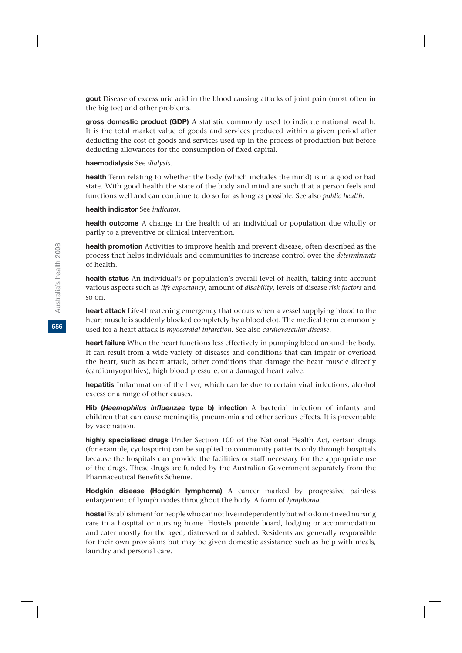**gout** Disease of excess uric acid in the blood causing attacks of joint pain (most often in the big toe) and other problems.

**gross domestic product (GDP)** A statistic commonly used to indicate national wealth. It is the total market value of goods and services produced within a given period after deducting the cost of goods and services used up in the process of production but before deducting allowances for the consumption of fixed capital.

#### **haemodialysis** See *dialysis*.

**health** Term relating to whether the body (which includes the mind) is in a good or bad state. With good health the state of the body and mind are such that a person feels and functions well and can continue to do so for as long as possible. See also *public health*.

#### **health indicator** See *indicator*.

**health outcome** A change in the health of an individual or population due wholly or partly to a preventive or clinical intervention.

**health promotion** Activities to improve health and prevent disease, often described as the process that helps individuals and communities to increase control over the *determinants* of health.

**health status** An individual's or population's overall level of health, taking into account various aspects such as *life expectancy*, amount of *disability*, levels of disease *risk factors* and so on.

**heart attack** Life-threatening emergency that occurs when a vessel supplying blood to the heart muscle is suddenly blocked completely by a blood clot. The medical term commonly used for a heart attack is *myocardial infarction.* See also *cardiovascular disease*.

**heart failure** When the heart functions less effectively in pumping blood around the body. It can result from a wide variety of diseases and conditions that can impair or overload the heart, such as heart attack, other conditions that damage the heart muscle directly (cardiomyopathies), high blood pressure, or a damaged heart valve.

**hepatitis** Inflammation of the liver, which can be due to certain viral infections, alcohol excess or a range of other causes.

**Hib (***Haemophilus influenzae* **type b) infection** A bacterial infection of infants and children that can cause meningitis, pneumonia and other serious effects. It is preventable by vaccination.

**highly specialised drugs** Under Section 100 of the National Health Act, certain drugs (for example, cyclosporin) can be supplied to community patients only through hospitals because the hospitals can provide the facilities or staff necessary for the appropriate use of the drugs. These drugs are funded by the Australian Government separately from the Pharmaceutical Benefits Scheme.

**Hodgkin disease (Hodgkin lymphoma)** A cancer marked by progressive painless enlargement of lymph nodes throughout the body. A form of *lymphoma*.

**hostel** Establishment for people who cannot live independently but who do not need nursing care in a hospital or nursing home. Hostels provide board, lodging or accommodation and cater mostly for the aged, distressed or disabled. Residents are generally responsible for their own provisions but may be given domestic assistance such as help with meals, laundry and personal care.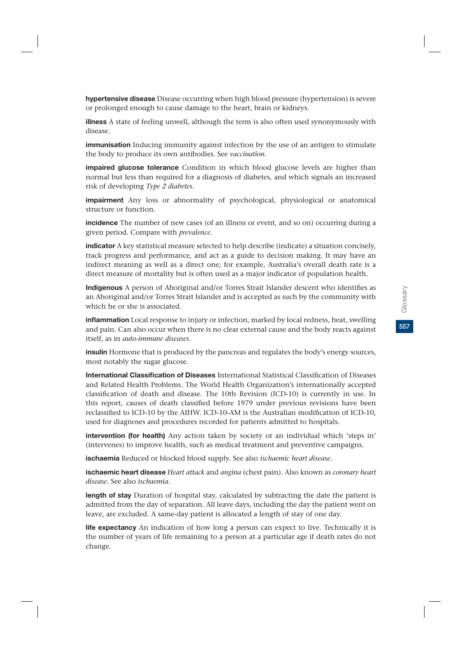**hypertensive disease** Disease occurring when high blood pressure (hypertension) is severe or prolonged enough to cause damage to the heart, brain or kidneys.

**illness** A state of feeling unwell, although the term is also often used synonymously with disease.

**immunisation** Inducing immunity against infection by the use of an antigen to stimulate the body to produce its own antibodies. See *vaccination*.

**impaired glucose tolerance** Condition in which blood glucose levels are higher than normal but less than required for a diagnosis of diabetes, and which signals an increased risk of developing *Type 2 diabetes.*

**impairment** Any loss or abnormality of psychological, physiological or anatomical structure or function.

**incidence** The number of new cases (of an illness or event, and so on) occurring during a given period. Compare with *prevalence*.

**indicator** A key statistical measure selected to help describe (indicate) a situation concisely, track progress and performance, and act as a guide to decision making. It may have an indirect meaning as well as a direct one; for example, Australia's overall death rate is a direct measure of mortality but is often used as a major indicator of population health.

**Indigenous** A person of Aboriginal and/or Torres Strait Islander descent who identifies as an Aboriginal and/or Torres Strait Islander and is accepted as such by the community with which he or she is associated.

**inflammation** Local response to injury or infection, marked by local redness, heat, swelling and pain. Can also occur when there is no clear external cause and the body reacts against itself, as in *auto-immune diseases.*

**insulin** Hormone that is produced by the pancreas and regulates the body's energy sources, most notably the sugar glucose.

**International Classification of Diseases** International Statistical Classification of Diseases and Related Health Problems. The World Health Organization's internationally accepted classification of death and disease. The 10th Revision (ICD-10) is currently in use. In this report, causes of death classified before 1979 under previous revisions have been reclassified to ICD-10 by the AIHW. ICD-10-AM is the Australian modification of ICD-10, used for diagnoses and procedures recorded for patients admitted to hospitals.

**intervention (for health)** Any action taken by society or an individual which 'steps in' (intervenes) to improve health, such as medical treatment and preventive campaigns.

**ischaemia** Reduced or blocked blood supply. See also *ischaemic heart disease.*

**ischaemic heart disease** *Heart attack* and *angina* (chest pain). Also known as *coronary heart disease*. See also *ischaemia*.

**length of stay** Duration of hospital stay, calculated by subtracting the date the patient is admitted from the day of separation. All leave days, including the day the patient went on leave, are excluded. A same-day patient is allocated a length of stay of one day.

**life expectancy** An indication of how long a person can expect to live. Technically it is the number of years of life remaining to a person at a particular age if death rates do not change.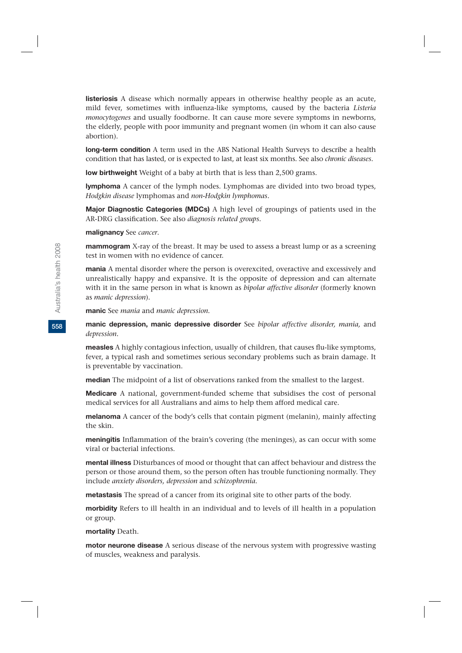**listeriosis** A disease which normally appears in otherwise healthy people as an acute, mild fever, sometimes with influenza-like symptoms, caused by the bacteria *Listeria monocytogenes* and usually foodborne. It can cause more severe symptoms in newborns, the elderly, people with poor immunity and pregnant women (in whom it can also cause abortion).

**long-term condition** A term used in the ABS National Health Surveys to describe a health condition that has lasted, or is expected to last, at least six months. See also *chronic diseases*.

**low birthweight** Weight of a baby at birth that is less than 2,500 grams.

**lymphoma** A cancer of the lymph nodes. Lymphomas are divided into two broad types, *Hodgkin disease* lymphomas and *non-Hodgkin lymphomas.*

**Major Diagnostic Categories (MDCs)** A high level of groupings of patients used in the AR-DRG classification. See also *diagnosis related groups.*

**malignancy** See *cancer*.

**mammogram** X-ray of the breast. It may be used to assess a breast lump or as a screening test in women with no evidence of cancer.

**mania** A mental disorder where the person is overexcited, overactive and excessively and unrealistically happy and expansive. It is the opposite of depression and can alternate with it in the same person in what is known as *bipolar affective disorder* (formerly known as *manic depression*).

**manic** See *mania* and *manic depression.*

**manic depression, manic depressive disorder** See *bipolar affective disorder, mania,* and *depression.*

**measles** A highly contagious infection, usually of children, that causes flu-like symptoms, fever, a typical rash and sometimes serious secondary problems such as brain damage. It is preventable by vaccination.

**median** The midpoint of a list of observations ranked from the smallest to the largest.

**Medicare** A national, government-funded scheme that subsidises the cost of personal medical services for all Australians and aims to help them afford medical care.

**melanoma** A cancer of the body's cells that contain pigment (melanin), mainly affecting the skin.

**meningitis** Inflammation of the brain's covering (the meninges), as can occur with some viral or bacterial infections.

**mental illness** Disturbances of mood or thought that can affect behaviour and distress the person or those around them, so the person often has trouble functioning normally. They include *anxiety disorders, depression* and *schizophrenia.*

**metastasis** The spread of a cancer from its original site to other parts of the body.

**morbidity** Refers to ill health in an individual and to levels of ill health in a population or group.

**mortality** Death.

**motor neurone disease** A serious disease of the nervous system with progressive wasting of muscles, weakness and paralysis.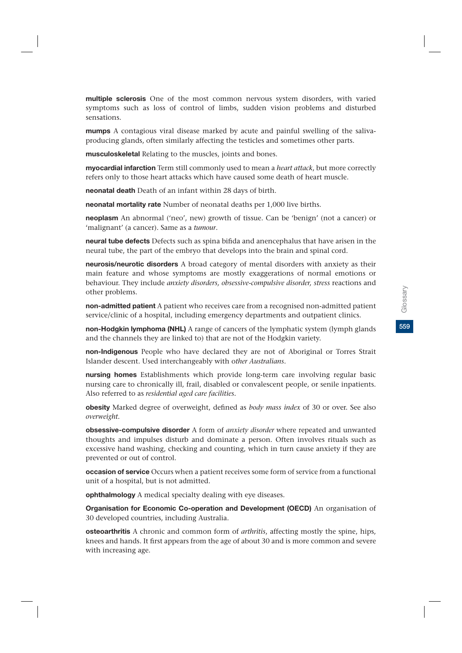**multiple sclerosis** One of the most common nervous system disorders, with varied symptoms such as loss of control of limbs, sudden vision problems and disturbed sensations.

**mumps** A contagious viral disease marked by acute and painful swelling of the salivaproducing glands, often similarly affecting the testicles and sometimes other parts.

**musculoskeletal** Relating to the muscles, joints and bones.

**myocardial infarction** Term still commonly used to mean a *heart attack*, but more correctly refers only to those heart attacks which have caused some death of heart muscle.

**neonatal death** Death of an infant within 28 days of birth.

**neonatal mortality rate** Number of neonatal deaths per 1,000 live births.

**neoplasm** An abnormal ('neo', new) growth of tissue. Can be 'benign' (not a cancer) or 'malignant' (a cancer). Same as a *tumour*.

**neural tube defects** Defects such as spina bifida and anencephalus that have arisen in the neural tube, the part of the embryo that develops into the brain and spinal cord.

**neurosis/neurotic disorders** A broad category of mental disorders with anxiety as their main feature and whose symptoms are mostly exaggerations of normal emotions or behaviour. They include *anxiety disorders, obsessive-compulsive disorder, stress* reactions and other problems.

**non-admitted patient** A patient who receives care from a recognised non-admitted patient service/clinic of a hospital, including emergency departments and outpatient clinics.

**non-Hodgkin lymphoma (NHL)** A range of cancers of the lymphatic system (lymph glands and the channels they are linked to) that are not of the Hodgkin variety.

**non-Indigenous** People who have declared they are not of Aboriginal or Torres Strait Islander descent. Used interchangeably with o*ther Australians*.

**nursing homes** Establishments which provide long-term care involving regular basic nursing care to chronically ill, frail, disabled or convalescent people, or senile inpatients. Also referred to as *residential aged care facilities.*

**obesity** Marked degree of overweight, defined as *body mass index* of 30 or over. See also *overweight*.

**obsessive-compulsive disorder** A form of *anxiety disorder* where repeated and unwanted thoughts and impulses disturb and dominate a person. Often involves rituals such as excessive hand washing, checking and counting, which in turn cause anxiety if they are prevented or out of control.

**occasion of service** Occurs when a patient receives some form of service from a functional unit of a hospital, but is not admitted.

**ophthalmology** A medical specialty dealing with eye diseases.

**Organisation for Economic Co-operation and Development (OECD)** An organisation of 30 developed countries, including Australia.

**osteoarthritis** A chronic and common form of *arthritis*, affecting mostly the spine, hips, knees and hands. It first appears from the age of about 30 and is more common and severe with increasing age.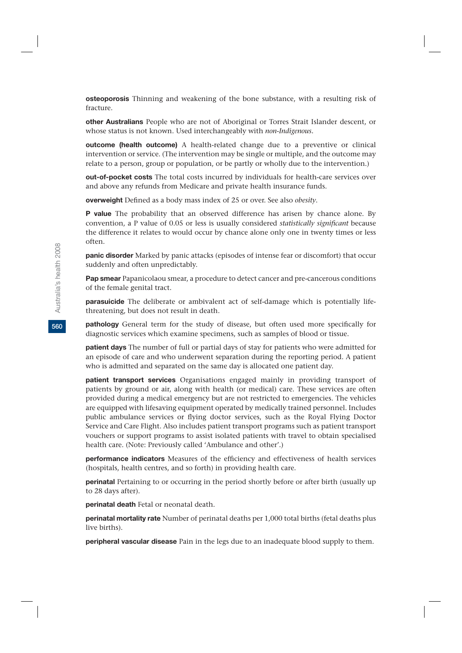**osteoporosis** Thinning and weakening of the bone substance, with a resulting risk of fracture.

**other Australians** People who are not of Aboriginal or Torres Strait Islander descent, or whose status is not known. Used interchangeably with *non-Indigenous.*

**outcome (health outcome)** A health-related change due to a preventive or clinical intervention or service. (The intervention may be single or multiple, and the outcome may relate to a person, group or population, or be partly or wholly due to the intervention.)

**out-of-pocket costs** The total costs incurred by individuals for health-care services over and above any refunds from Medicare and private health insurance funds.

**overweight** Defined as a body mass index of 25 or over. See also *obesity*.

**P value** The probability that an observed difference has arisen by chance alone. By convention, a P value of 0.05 or less is usually considered *statistically significant* because the difference it relates to would occur by chance alone only one in twenty times or less often.

**panic disorder** Marked by panic attacks (episodes of intense fear or discomfort) that occur suddenly and often unpredictably.

**Pap smear** Papanicolaou smear, a procedure to detect cancer and pre-cancerous conditions of the female genital tract.

**parasuicide** The deliberate or ambivalent act of self-damage which is potentially lifethreatening, but does not result in death.

**pathology** General term for the study of disease, but often used more specifically for diagnostic services which examine specimens, such as samples of blood or tissue.

**patient days** The number of full or partial days of stay for patients who were admitted for an episode of care and who underwent separation during the reporting period. A patient who is admitted and separated on the same day is allocated one patient day.

**patient transport services** Organisations engaged mainly in providing transport of patients by ground or air, along with health (or medical) care. These services are often provided during a medical emergency but are not restricted to emergencies. The vehicles are equipped with lifesaving equipment operated by medically trained personnel. Includes public ambulance services or flying doctor services, such as the Royal Flying Doctor Service and Care Flight. Also includes patient transport programs such as patient transport vouchers or support programs to assist isolated patients with travel to obtain specialised health care. (Note: Previously called 'Ambulance and other'.)

**performance indicators** Measures of the efficiency and effectiveness of health services (hospitals, health centres, and so forth) in providing health care.

**perinatal** Pertaining to or occurring in the period shortly before or after birth (usually up to 28 days after).

**perinatal death** Fetal or neonatal death.

**perinatal mortality rate** Number of perinatal deaths per 1,000 total births (fetal deaths plus live births).

**peripheral vascular disease** Pain in the legs due to an inadequate blood supply to them.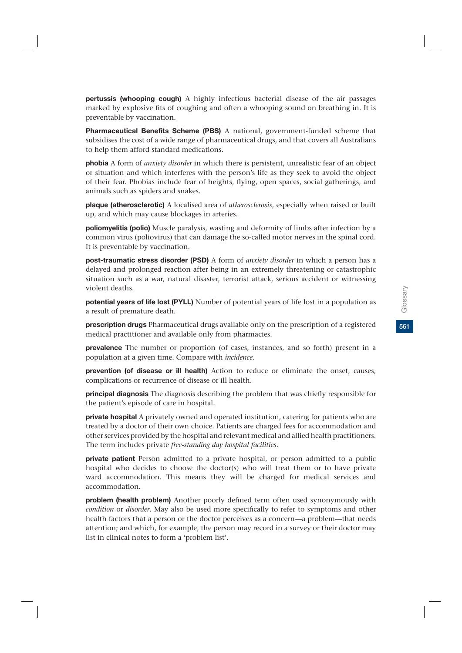**pertussis (whooping cough)** A highly infectious bacterial disease of the air passages marked by explosive fits of coughing and often a whooping sound on breathing in. It is preventable by vaccination.

**Pharmaceutical Benefits Scheme (PBS)** A national, government-funded scheme that subsidises the cost of a wide range of pharmaceutical drugs, and that covers all Australians to help them afford standard medications.

**phobia** A form of *anxiety disorder* in which there is persistent, unrealistic fear of an object or situation and which interferes with the person's life as they seek to avoid the object of their fear. Phobias include fear of heights, flying, open spaces, social gatherings, and animals such as spiders and snakes.

**plaque (atherosclerotic)** A localised area of *atherosclerosis*, especially when raised or built up, and which may cause blockages in arteries.

**poliomyelitis (polio)** Muscle paralysis, wasting and deformity of limbs after infection by a common virus (poliovirus) that can damage the so-called motor nerves in the spinal cord. It is preventable by vaccination.

**post-traumatic stress disorder (PSD)** A form of *anxiety disorder* in which a person has a delayed and prolonged reaction after being in an extremely threatening or catastrophic situation such as a war, natural disaster, terrorist attack, serious accident or witnessing violent deaths.

**potential years of life lost (PYLL)** Number of potential years of life lost in a population as a result of premature death.

**prescription drugs** Pharmaceutical drugs available only on the prescription of a registered medical practitioner and available only from pharmacies.

**prevalence** The number or proportion (of cases, instances, and so forth) present in a population at a given time. Compare with *incidence*.

**prevention (of disease or ill health)** Action to reduce or eliminate the onset, causes, complications or recurrence of disease or ill health.

**principal diagnosis** The diagnosis describing the problem that was chiefly responsible for the patient's episode of care in hospital.

**private hospital** A privately owned and operated institution, catering for patients who are treated by a doctor of their own choice. Patients are charged fees for accommodation and other services provided by the hospital and relevant medical and allied health practitioners. The term includes private *free-standing day hospital facilities.*

**private patient** Person admitted to a private hospital, or person admitted to a public hospital who decides to choose the doctor(s) who will treat them or to have private ward accommodation. This means they will be charged for medical services and accommodation.

**problem (health problem)** Another poorly defined term often used synonymously with *condition* or *disorder*. May also be used more specifically to refer to symptoms and other health factors that a person or the doctor perceives as a concern—a problem—that needs attention; and which, for example, the person may record in a survey or their doctor may list in clinical notes to form a 'problem list'.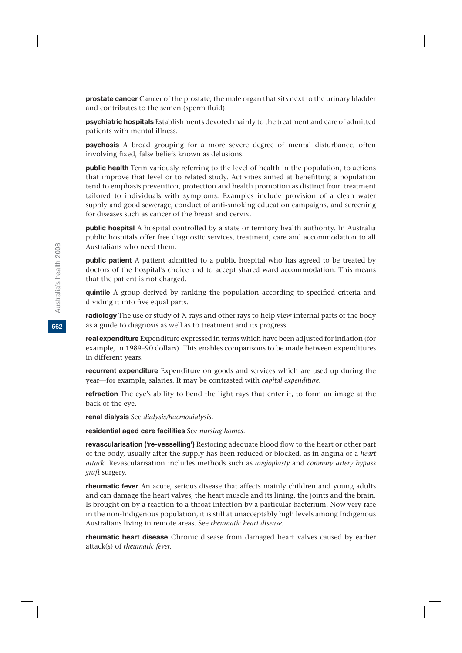**prostate cancer** Cancer of the prostate, the male organ that sits next to the urinary bladder and contributes to the semen (sperm fluid).

**psychiatric hospitals** Establishments devoted mainly to the treatment and care of admitted patients with mental illness.

**psychosis** A broad grouping for a more severe degree of mental disturbance, often involving fixed, false beliefs known as delusions.

**public health** Term variously referring to the level of health in the population, to actions that improve that level or to related study. Activities aimed at benefitting a population tend to emphasis prevention, protection and health promotion as distinct from treatment tailored to individuals with symptoms. Examples include provision of a clean water supply and good sewerage, conduct of anti-smoking education campaigns, and screening for diseases such as cancer of the breast and cervix.

**public hospital** A hospital controlled by a state or territory health authority. In Australia public hospitals offer free diagnostic services, treatment, care and accommodation to all Australians who need them.

**public patient** A patient admitted to a public hospital who has agreed to be treated by doctors of the hospital's choice and to accept shared ward accommodation. This means that the patient is not charged.

**quintile** A group derived by ranking the population according to specified criteria and dividing it into five equal parts.

**radiology** The use or study of X-rays and other rays to help view internal parts of the body as a guide to diagnosis as well as to treatment and its progress.

**real expenditure** Expenditure expressed in terms which have been adjusted for inflation (for example, in 1989–90 dollars). This enables comparisons to be made between expenditures in different years.

**recurrent expenditure** Expenditure on goods and services which are used up during the year—for example, salaries. It may be contrasted with *capital expenditure.*

**refraction** The eye's ability to bend the light rays that enter it, to form an image at the back of the eye.

**renal dialysis** See *dialysis/haemodialysis.*

**residential aged care facilities** See *nursing homes.*

**revascularisation ('re-vesselling')** Restoring adequate blood flow to the heart or other part of the body, usually after the supply has been reduced or blocked, as in angina or a *heart attack.* Revascularisation includes methods such as *angioplasty* and *coronary artery bypass graft* surgery.

**rheumatic fever** An acute, serious disease that affects mainly children and young adults and can damage the heart valves, the heart muscle and its lining, the joints and the brain. Is brought on by a reaction to a throat infection by a particular bacterium. Now very rare in the non-Indigenous population, it is still at unacceptably high levels among Indigenous Australians living in remote areas. See *rheumatic heart disease.*

**rheumatic heart disease** Chronic disease from damaged heart valves caused by earlier attack(s) of *rheumatic fever.*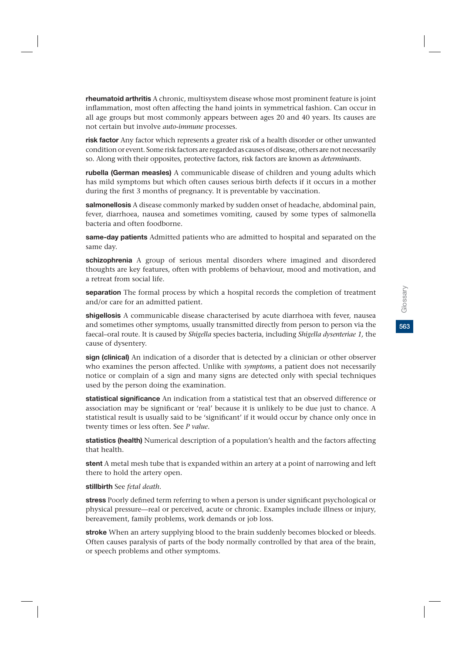**rheumatoid arthritis** A chronic, multisystem disease whose most prominent feature is joint inflammation, most often affecting the hand joints in symmetrical fashion. Can occur in all age groups but most commonly appears between ages 20 and 40 years. Its causes are not certain but involve *auto-immune* processes.

**risk factor** Any factor which represents a greater risk of a health disorder or other unwanted condition or event. Some risk factors are regarded as causes of disease, others are not necessarily so. Along with their opposites, protective factors, risk factors are known as *determinants*.

**rubella (German measles)** A communicable disease of children and young adults which has mild symptoms but which often causes serious birth defects if it occurs in a mother during the first 3 months of pregnancy. It is preventable by vaccination.

**salmonellosis** A disease commonly marked by sudden onset of headache, abdominal pain, fever, diarrhoea, nausea and sometimes vomiting, caused by some types of salmonella bacteria and often foodborne.

**same-day patients** Admitted patients who are admitted to hospital and separated on the same day.

**schizophrenia** A group of serious mental disorders where imagined and disordered thoughts are key features, often with problems of behaviour, mood and motivation, and a retreat from social life.

**separation** The formal process by which a hospital records the completion of treatment and/or care for an admitted patient.

**shigellosis** A communicable disease characterised by acute diarrhoea with fever, nausea and sometimes other symptoms, usually transmitted directly from person to person via the faecal–oral route. It is caused by *Shigella* species bacteria, including *Shigella dysenteriae 1,* the cause of dysentery.

**sign (clinical)** An indication of a disorder that is detected by a clinician or other observer who examines the person affected. Unlike with *symptoms*, a patient does not necessarily notice or complain of a sign and many signs are detected only with special techniques used by the person doing the examination.

**statistical significance** An indication from a statistical test that an observed difference or association may be significant or 'real' because it is unlikely to be due just to chance. A statistical result is usually said to be 'significant' if it would occur by chance only once in twenty times or less often. See *P value*.

**statistics (health)** Numerical description of a population's health and the factors affecting that health.

**stent** A metal mesh tube that is expanded within an artery at a point of narrowing and left there to hold the artery open.

**stillbirth** See *fetal death.*

**stress** Poorly defined term referring to when a person is under significant psychological or physical pressure—real or perceived, acute or chronic. Examples include illness or injury, bereavement, family problems, work demands or job loss.

**stroke** When an artery supplying blood to the brain suddenly becomes blocked or bleeds. Often causes paralysis of parts of the body normally controlled by that area of the brain, or speech problems and other symptoms.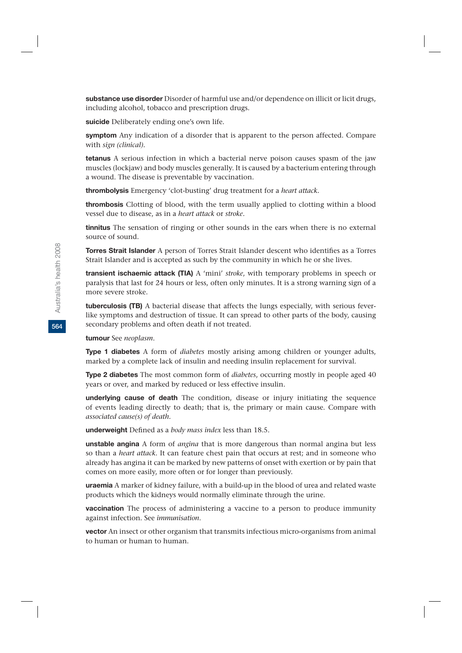**substance use disorder** Disorder of harmful use and/or dependence on illicit or licit drugs, including alcohol, tobacco and prescription drugs.

**suicide** Deliberately ending one's own life.

**symptom** Any indication of a disorder that is apparent to the person affected. Compare with *sign (clinical).*

**tetanus** A serious infection in which a bacterial nerve poison causes spasm of the jaw muscles (lockjaw) and body muscles generally. It is caused by a bacterium entering through a wound. The disease is preventable by vaccination.

**thrombolysis** Emergency 'clot-busting' drug treatment for a *heart attack.*

**thrombosis** Clotting of blood, with the term usually applied to clotting within a blood vessel due to disease, as in a *heart attack* or *stroke*.

**tinnitus** The sensation of ringing or other sounds in the ears when there is no external source of sound.

**Torres Strait Islander** A person of Torres Strait Islander descent who identifies as a Torres Strait Islander and is accepted as such by the community in which he or she lives.

**transient ischaemic attack (TIA)** A 'mini' *stroke*, with temporary problems in speech or paralysis that last for 24 hours or less, often only minutes. It is a strong warning sign of a more severe stroke.

**tuberculosis (TB)** A bacterial disease that affects the lungs especially, with serious feverlike symptoms and destruction of tissue. It can spread to other parts of the body, causing secondary problems and often death if not treated.

**tumour** See *neoplasm*.

**Type 1 diabetes** A form of *diabetes* mostly arising among children or younger adults, marked by a complete lack of insulin and needing insulin replacement for survival.

**Type 2 diabetes** The most common form of *diabetes*, occurring mostly in people aged 40 years or over, and marked by reduced or less effective insulin.

**underlying cause of death** The condition, disease or injury initiating the sequence of events leading directly to death; that is, the primary or main cause. Compare with *associated cause(s) of death.*

**underweight** Defined as a *body mass index* less than 18.5.

**unstable angina** A form of *angina* that is more dangerous than normal angina but less so than a *heart attack*. It can feature chest pain that occurs at rest; and in someone who already has angina it can be marked by new patterns of onset with exertion or by pain that comes on more easily, more often or for longer than previously.

**uraemia** A marker of kidney failure, with a build-up in the blood of urea and related waste products which the kidneys would normally eliminate through the urine.

**vaccination** The process of administering a vaccine to a person to produce immunity against infection. See *immunisation*.

**vector** An insect or other organism that transmits infectious micro-organisms from animal to human or human to human.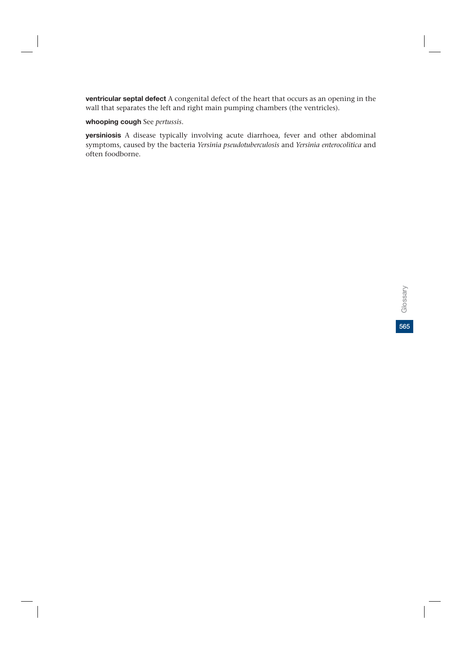**ventricular septal defect** A congenital defect of the heart that occurs as an opening in the wall that separates the left and right main pumping chambers (the ventricles).

**whooping cough** See *pertussis*.

**yersiniosis** A disease typically involving acute diarrhoea, fever and other abdominal symptoms, caused by the bacteria *Yersinia pseudotuberculosis* and *Yersinia enterocolitica* and often foodborne.

**565**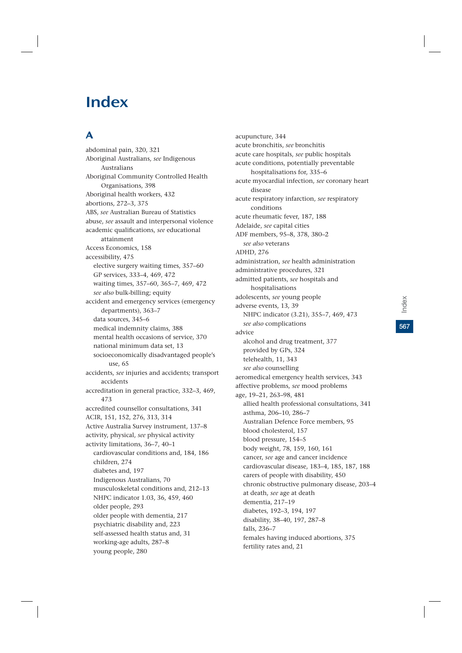# Index

# A

abdominal pain, 320, 321 Aboriginal Australians, *see* Indigenous Australians Aboriginal Community Controlled Health Organisations, 398 Aboriginal health workers, 432 abortions, 272–3, 375 ABS, *see* Australian Bureau of Statistics abuse, *see* assault and interpersonal violence academic qualifications, *see* educational attainment Access Economics, 158 accessibility, 475 elective surgery waiting times, 357–60 GP services, 333–4, 469, 472 waiting times, 357–60, 365–7, 469, 472 *see also* bulk-billing; equity accident and emergency services (emergency departments), 363–7 data sources, 345–6 medical indemnity claims, 388 mental health occasions of service, 370 national minimum data set, 13 socioeconomically disadvantaged people's use, 65 accidents, *see* injuries and accidents; transport accidents accreditation in general practice, 332–3, 469, 473 accredited counsellor consultations, 341 ACIR, 151, 152, 276, 313, 314 Active Australia Survey instrument, 137–8 activity, physical, *see* physical activity activity limitations, 36–7, 40–1 cardiovascular conditions and, 184, 186 children, 274 diabetes and, 197 Indigenous Australians, 70 musculoskeletal conditions and, 212–13 NHPC indicator 1.03, 36, 459, 460 older people, 293 older people with dementia, 217 psychiatric disability and, 223 self-assessed health status and, 31 working-age adults, 287–8 young people, 280

acupuncture, 344 acute bronchitis, *see* bronchitis acute care hospitals, *see* public hospitals acute conditions, potentially preventable hospitalisations for, 335–6 acute myocardial infection, *see* coronary heart disease acute respiratory infarction, *see* respiratory conditions acute rheumatic fever, 187, 188 Adelaide, *see* capital cities ADF members, 95–8, 378, 380–2 *see also* veterans ADHD, 276 administration, *see* health administration administrative procedures, 321 admitted patients, *see* hospitals and hospitalisations adolescents, *see* young people adverse events, 13, 39 NHPC indicator (3.21), 355–7, 469, 473 *see also* complications advice alcohol and drug treatment, 377 provided by GPs, 324 telehealth, 11, 343 *see also* counselling aeromedical emergency health services, 343 affective problems, *see* mood problems age, 19–21, 263–98, 481 allied health professional consultations, 341 asthma, 206–10, 286–7 Australian Defence Force members, 95 blood cholesterol, 157 blood pressure, 154–5 body weight, 78, 159, 160, 161 cancer, *see* age and cancer incidence cardiovascular disease, 183–4, 185, 187, 188 carers of people with disability, 450 chronic obstructive pulmonary disease, 203–4 at death, *see* age at death dementia, 217–19 diabetes, 192–3, 194, 197 disability, 38–40, 197, 287–8 falls, 236–7 females having induced abortions, 375 fertility rates and, 21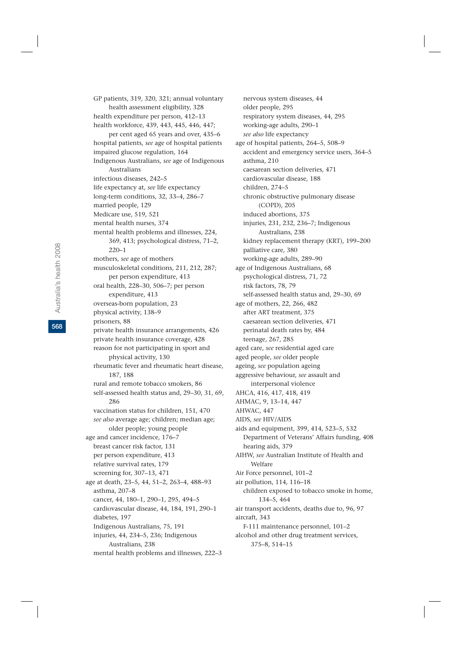GP patients, 319, 320, 321; annual voluntary health assessment eligibility, 328 health expenditure per person, 412–13 health workforce, 439, 443, 445, 446, 447; per cent aged 65 years and over, 435–6 hospital patients, *see* age of hospital patients impaired glucose regulation, 164 Indigenous Australians, *see* age of Indigenous Australians infectious diseases, 242–5 life expectancy at, *see* life expectancy long-term conditions, 32, 33–4, 286–7 married people, 129 Medicare use, 519, 521 mental health nurses, 374 mental health problems and illnesses, 224, 369, 413; psychological distress, 71–2, 220–1 mothers, *see* age of mothers musculoskeletal conditions, 211, 212, 287; per person expenditure, 413 oral health, 228–30, 506–7; per person expenditure, 413 overseas-born population, 23 physical activity, 138–9 prisoners, 88 private health insurance arrangements, 426 private health insurance coverage, 428 reason for not participating in sport and physical activity, 130 rheumatic fever and rheumatic heart disease, 187, 188 rural and remote tobacco smokers, 86 self-assessed health status and, 29–30, 31, 69, 286 vaccination status for children, 151, 470 *see also* average age; children; median age; older people; young people age and cancer incidence, 176–7 breast cancer risk factor, 131 per person expenditure, 413 relative survival rates, 179 screening for, 307–13, 471 age at death, 23–5, 44, 51–2, 263–4, 488–93 asthma, 207–8 cancer, 44, 180–1, 290–1, 295, 494–5 cardiovascular disease, 44, 184, 191, 290–1 diabetes, 197 Indigenous Australians, 75, 191 injuries, 44, 234–5, 236; Indigenous Australians, 238 mental health problems and illnesses, 222–3

nervous system diseases, 44 older people, 295 respiratory system diseases, 44, 295 working-age adults, 290–1 *see also* life expectancy age of hospital patients, 264–5, 508–9 accident and emergency service users, 364–5 asthma, 210 caesarean section deliveries, 471 cardiovascular disease, 188 children, 274–5 chronic obstructive pulmonary disease (COPD), 205 induced abortions, 375 injuries, 231, 232, 236–7; Indigenous Australians, 238 kidney replacement therapy (KRT), 199–200 palliative care, 380 working-age adults, 289–90 age of Indigenous Australians, 68 psychological distress, 71, 72 risk factors, 78, 79 self-assessed health status and, 29–30, 69 age of mothers, 22, 266, 482 after ART treatment, 375 caesarean section deliveries, 471 perinatal death rates by, 484 teenage, 267, 285 aged care, *see* residential aged care aged people, *see* older people ageing, *see* population ageing aggressive behaviour, *see* assault and interpersonal violence AHCA, 416, 417, 418, 419 AHMAC, 9, 13–14, 447 AHWAC, 447 AIDS, *see* HIV/AIDS aids and equipment, 399, 414, 523–5, 532 Department of Veterans' Affairs funding, 408 hearing aids, 379 AIHW, *see* Australian Institute of Health and Welfare Air Force personnel, 101–2 air pollution, 114, 116–18 children exposed to tobacco smoke in home, 134–5, 464 air transport accidents, deaths due to, 96, 97 aircraft, 343 F-111 maintenance personnel, 101–2 alcohol and other drug treatment services, 375–8, 514–15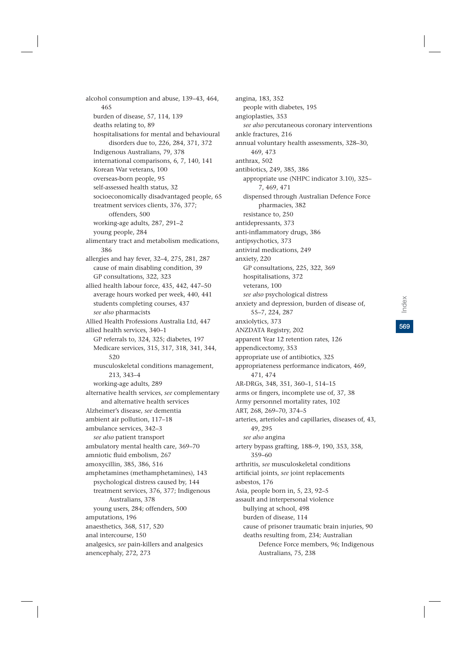alcohol consumption and abuse, 139–43, 464, 465 burden of disease, 57, 114, 139 deaths relating to, 89 hospitalisations for mental and behavioural disorders due to, 226, 284, 371, 372 Indigenous Australians, 79, 378 international comparisons, 6, 7, 140, 141 Korean War veterans, 100 overseas-born people, 95 self-assessed health status, 32 socioeconomically disadvantaged people, 65 treatment services clients, 376, 377; offenders, 500 working-age adults, 287, 291–2 young people, 284 alimentary tract and metabolism medications, 386 allergies and hay fever, 32–4, 275, 281, 287 cause of main disabling condition, 39 GP consultations, 322, 323 allied health labour force, 435, 442, 447–50 average hours worked per week, 440, 441 students completing courses, 437 *see also* pharmacists Allied Health Professions Australia Ltd, 447 allied health services, 340–1 GP referrals to, 324, 325; diabetes, 197 Medicare services, 315, 317, 318, 341, 344, 520 musculoskeletal conditions management, 213, 343–4 working-age adults, 289 alternative health services, *see* complementary and alternative health services Alzheimer's disease, *see* dementia ambient air pollution, 117–18 ambulance services, 342–3 *see also* patient transport ambulatory mental health care, 369–70 amniotic fluid embolism, 267 amoxycillin, 385, 386, 516 amphetamines (methamphetamines), 143 psychological distress caused by, 144 treatment services, 376, 377; Indigenous Australians, 378 young users, 284; offenders, 500 amputations, 196 anaesthetics, 368, 517, 520 anal intercourse, 150 analgesics, *see* pain-killers and analgesics anencephaly, 272, 273

angina, 183, 352 people with diabetes, 195 angioplasties, 353 *see also* percutaneous coronary interventions ankle fractures, 216 annual voluntary health assessments, 328–30, 469, 473 anthrax, 502 antibiotics, 249, 385, 386 appropriate use (NHPC indicator 3.10), 325– 7, 469, 471 dispensed through Australian Defence Force pharmacies, 382 resistance to, 250 antidepressants, 373 anti-inflammatory drugs, 386 antipsychotics, 373 antiviral medications, 249 anxiety, 220 GP consultations, 225, 322, 369 hospitalisations, 372 veterans, 100 *see also* psychological distress anxiety and depression, burden of disease of, 55–7, 224, 287 anxiolytics, 373 ANZDATA Registry, 202 apparent Year 12 retention rates, 126 appendicectomy, 353 appropriate use of antibiotics, 325 appropriateness performance indicators, 469, 471, 474 AR-DRGs, 348, 351, 360–1, 514–15 arms or fingers, incomplete use of, 37, 38 Army personnel mortality rates, 102 ART, 268, 269–70, 374–5 arteries, arterioles and capillaries, diseases of, 43, 49, 295 *see also* angina artery bypass grafting, 188–9, 190, 353, 358, 359–60 arthritis, *see* musculoskeletal conditions artificial joints, *see* joint replacements asbestos, 176 Asia, people born in, 5, 23, 92–5 assault and interpersonal violence bullying at school, 498 burden of disease, 114 cause of prisoner traumatic brain injuries, 90 deaths resulting from, 234; Australian Defence Force members, 96; Indigenous Australians, 75, 238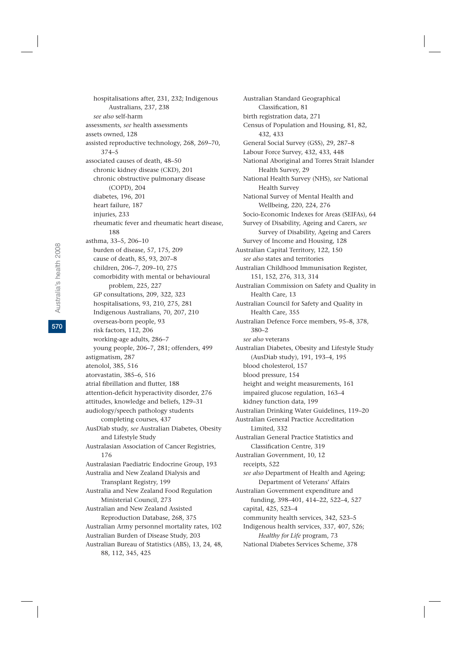hospitalisations after, 231, 232; Indigenous Australians, 237, 238 *see also* self-harm assessments, *see* health assessments assets owned, 128 assisted reproductive technology, 268, 269–70, 374–5 associated causes of death, 48–50 chronic kidney disease (CKD), 201 chronic obstructive pulmonary disease (COPD), 204 diabetes, 196, 201 heart failure, 187 injuries, 233 rheumatic fever and rheumatic heart disease, 188 asthma, 33–5, 206–10 burden of disease, 57, 175, 209 cause of death, 85, 93, 207–8 children, 206–7, 209–10, 275 comorbidity with mental or behavioural problem, 225, 227 GP consultations, 209, 322, 323 hospitalisations, 93, 210, 275, 281 Indigenous Australians, 70, 207, 210 overseas-born people, 93 risk factors, 112, 206 working-age adults, 286–7 young people, 206–7, 281; offenders, 499 astigmatism, 287 atenolol, 385, 516 atorvastatin, 385–6, 516 atrial fibrillation and flutter, 188 attention-deficit hyperactivity disorder, 276 attitudes, knowledge and beliefs, 129–31 audiology/speech pathology students completing courses, 437 AusDiab study, *see* Australian Diabetes, Obesity and Lifestyle Study Australasian Association of Cancer Registries, 176 Australasian Paediatric Endocrine Group, 193 Australia and New Zealand Dialysis and Transplant Registry, 199 Australia and New Zealand Food Regulation Ministerial Council, 273 Australian and New Zealand Assisted Reproduction Database, 268, 375 Australian Army personnel mortality rates, 102 Australian Burden of Disease Study, 203 Australian Bureau of Statistics (ABS), 13, 24, 48, 88, 112, 345, 425

Australian Standard Geographical Classification, 81 birth registration data, 271 Census of Population and Housing, 81, 82, 432, 433 General Social Survey (GSS), 29, 287–8 Labour Force Survey, 432, 433, 448 National Aboriginal and Torres Strait Islander Health Survey, 29 National Health Survey (NHS), *see* National Health Survey National Survey of Mental Health and Wellbeing, 220, 224, 276 Socio-Economic Indexes for Areas (SEIFAs), 64 Survey of Disability, Ageing and Carers, *see* Survey of Disability, Ageing and Carers Survey of Income and Housing, 128 Australian Capital Territory, 122, 150 *see also* states and territories Australian Childhood Immunisation Register, 151, 152, 276, 313, 314 Australian Commission on Safety and Quality in Health Care, 13 Australian Council for Safety and Quality in Health Care, 355 Australian Defence Force members, 95–8, 378, 380–2 *see also* veterans Australian Diabetes, Obesity and Lifestyle Study (AusDiab study), 191, 193–4, 195 blood cholesterol, 157 blood pressure, 154 height and weight measurements, 161 impaired glucose regulation, 163–4 kidney function data, 199 Australian Drinking Water Guidelines, 119–20 Australian General Practice Accreditation Limited, 332 Australian General Practice Statistics and Classification Centre, 319 Australian Government, 10, 12 receipts, 522 *see also* Department of Health and Ageing; Department of Veterans' Affairs Australian Government expenditure and funding, 398–401, 414–22, 522–4, 527 capital, 425, 523–4 community health services, 342, 523–5 Indigenous health services, 337, 407, 526; *Healthy for Life* program, 73 National Diabetes Services Scheme, 378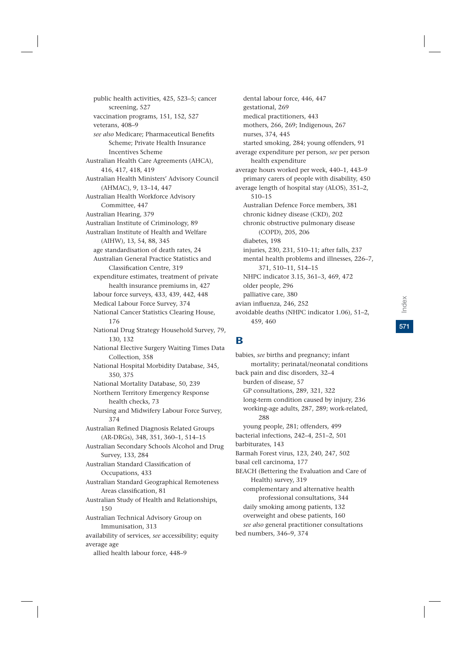public health activities, 425, 523–5; cancer screening, 527 vaccination programs, 151, 152, 527 veterans, 408–9 *see also* Medicare; Pharmaceutical Benefits Scheme; Private Health Insurance Incentives Scheme Australian Health Care Agreements (AHCA), 416, 417, 418, 419 Australian Health Ministers' Advisory Council (AHMAC), 9, 13–14, 447 Australian Health Workforce Advisory Committee, 447 Australian Hearing, 379 Australian Institute of Criminology, 89 Australian Institute of Health and Welfare (AIHW), 13, 54, 88, 345 age standardisation of death rates, 24 Australian General Practice Statistics and Classification Centre, 319 expenditure estimates, treatment of private health insurance premiums in, 427 labour force surveys, 433, 439, 442, 448 Medical Labour Force Survey, 374 National Cancer Statistics Clearing House, 176 National Drug Strategy Household Survey, 79, 130, 132 National Elective Surgery Waiting Times Data Collection, 358 National Hospital Morbidity Database, 345, 350, 375 National Mortality Database, 50, 239 Northern Territory Emergency Response health checks, 73 Nursing and Midwifery Labour Force Survey, 374 Australian Refined Diagnosis Related Groups (AR-DRGs), 348, 351, 360–1, 514–15 Australian Secondary Schools Alcohol and Drug Survey, 133, 284 Australian Standard Classification of Occupations, 433 Australian Standard Geographical Remoteness Areas classification, 81 Australian Study of Health and Relationships, 150 Australian Technical Advisory Group on Immunisation, 313 availability of services, *see* accessibility; equity average age allied health labour force, 448–9

dental labour force, 446, 447 gestational, 269 medical practitioners, 443 mothers, 266, 269; Indigenous, 267 nurses, 374, 445 started smoking, 284; young offenders, 91 average expenditure per person, *see* per person health expenditure average hours worked per week, 440–1, 443–9 primary carers of people with disability, 450 average length of hospital stay (ALOS), 351–2, 510–15 Australian Defence Force members, 381 chronic kidney disease (CKD), 202 chronic obstructive pulmonary disease (COPD), 205, 206 diabetes, 198 injuries, 230, 231, 510–11; after falls, 237 mental health problems and illnesses, 226–7, 371, 510–11, 514–15 NHPC indicator 3.15, 361–3, 469, 472 older people, 296 palliative care, 380 avian influenza, 246, 252 avoidable deaths (NHPC indicator 1.06), 51–2, 459, 460

## B

babies, *see* births and pregnancy; infant mortality; perinatal/neonatal conditions back pain and disc disorders, 32–4 burden of disease, 57 GP consultations, 289, 321, 322 long-term condition caused by injury, 236 working-age adults, 287, 289; work-related, 288 young people, 281; offenders, 499 bacterial infections, 242–4, 251–2, 501 barbiturates, 143 Barmah Forest virus, 123, 240, 247, 502 basal cell carcinoma, 177 BEACH (Bettering the Evaluation and Care of Health) survey, 319 complementary and alternative health professional consultations, 344 daily smoking among patients, 132 overweight and obese patients, 160 *see also* general practitioner consultations bed numbers, 346–9, 374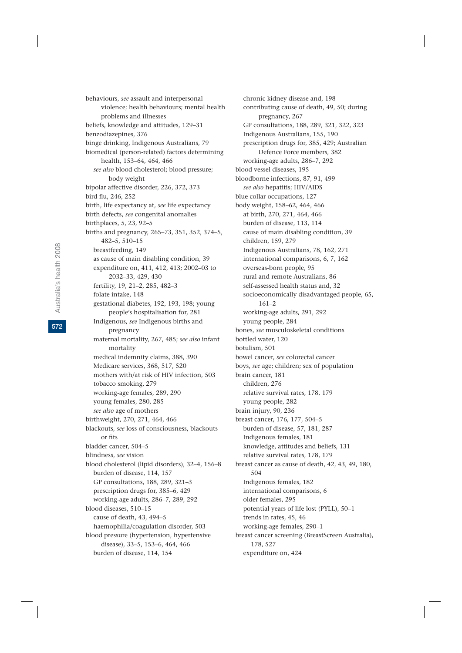behaviours, *see* assault and interpersonal violence; health behaviours; mental health problems and illnesses beliefs, knowledge and attitudes, 129–31 benzodiazepines, 376 binge drinking, Indigenous Australians, 79 biomedical (person-related) factors determining health, 153–64, 464, 466 *see also* blood cholesterol; blood pressure; body weight bipolar affective disorder, 226, 372, 373 bird flu, 246, 252 birth, life expectancy at, *see* life expectancy birth defects, *see* congenital anomalies birthplaces, 5, 23, 92–5 births and pregnancy, 265–73, 351, 352, 374–5, 482–5, 510–15 breastfeeding, 149 as cause of main disabling condition, 39 expenditure on, 411, 412, 413; 2002–03 to 2032–33, 429, 430 fertility, 19, 21–2, 285, 482–3 folate intake, 148 gestational diabetes, 192, 193, 198; young people's hospitalisation for, 281 Indigenous, *see* Indigenous births and pregnancy maternal mortality, 267, 485; *see also* infant mortality medical indemnity claims, 388, 390 Medicare services, 368, 517, 520 mothers with/at risk of HIV infection, 503 tobacco smoking, 279 working-age females, 289, 290 young females, 280, 285 *see also* age of mothers birthweight, 270, 271, 464, 466 blackouts, *see* loss of consciousness, blackouts or fits bladder cancer, 504–5 blindness, *see* vision blood cholesterol (lipid disorders), 32–4, 156–8 burden of disease, 114, 157 GP consultations, 188, 289, 321–3 prescription drugs for, 385–6, 429 working-age adults, 286–7, 289, 292 blood diseases, 510–15 cause of death, 43, 494–5 haemophilia/coagulation disorder, 503 blood pressure (hypertension, hypertensive disease), 33–5, 153–6, 464, 466 burden of disease, 114, 154

chronic kidney disease and, 198 contributing cause of death, 49, 50; during pregnancy, 267 GP consultations, 188, 289, 321, 322, 323 Indigenous Australians, 155, 190 prescription drugs for, 385, 429; Australian Defence Force members, 382 working-age adults, 286–7, 292 blood vessel diseases, 195 bloodborne infections, 87, 91, 499 *see also* hepatitis; HIV/AIDS blue collar occupations, 127 body weight, 158–62, 464, 466 at birth, 270, 271, 464, 466 burden of disease, 113, 114 cause of main disabling condition, 39 children, 159, 279 Indigenous Australians, 78, 162, 271 international comparisons, 6, 7, 162 overseas-born people, 95 rural and remote Australians, 86 self-assessed health status and, 32 socioeconomically disadvantaged people, 65, 161–2 working-age adults, 291, 292 young people, 284 bones, *see* musculoskeletal conditions bottled water, 120 botulism, 501 bowel cancer, *see* colorectal cancer boys, *see* age; children; sex of population brain cancer, 181 children, 276 relative survival rates, 178, 179 young people, 282 brain injury, 90, 236 breast cancer, 176, 177, 504–5 burden of disease, 57, 181, 287 Indigenous females, 181 knowledge, attitudes and beliefs, 131 relative survival rates, 178, 179 breast cancer as cause of death, 42, 43, 49, 180, 504 Indigenous females, 182 international comparisons, 6 older females, 295 potential years of life lost (PYLL), 50–1 trends in rates, 45, 46 working-age females, 290–1 breast cancer screening (BreastScreen Australia), 178, 527 expenditure on, 424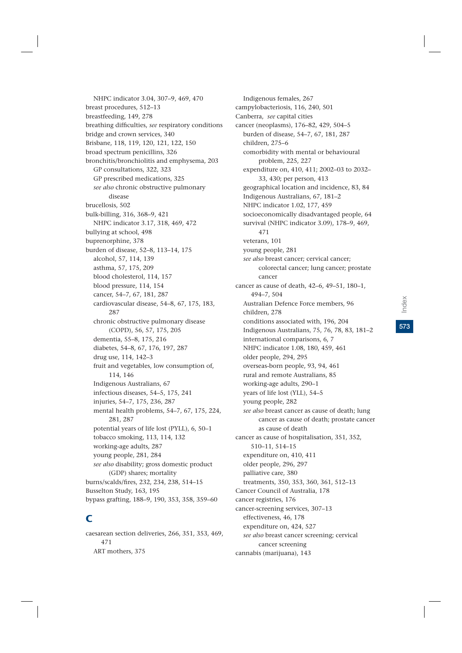NHPC indicator 3.04, 307–9, 469, 470 breast procedures, 512–13 breastfeeding, 149, 278 breathing difficulties, *see* respiratory conditions bridge and crown services, 340 Brisbane, 118, 119, 120, 121, 122, 150 broad spectrum penicillins, 326 bronchitis/bronchiolitis and emphysema, 203 GP consultations, 322, 323 GP prescribed medications, 325 *see also* chronic obstructive pulmonary disease brucellosis, 502 bulk-billing, 316, 368–9, 421 NHPC indicator 3.17, 318, 469, 472 bullying at school, 498 buprenorphine, 378 burden of disease, 52–8, 113–14, 175 alcohol, 57, 114, 139 asthma, 57, 175, 209 blood cholesterol, 114, 157 blood pressure, 114, 154 cancer, 54–7, 67, 181, 287 cardiovascular disease, 54–8, 67, 175, 183, 287 chronic obstructive pulmonary disease (COPD), 56, 57, 175, 205 dementia, 55–8, 175, 216 diabetes, 54–8, 67, 176, 197, 287 drug use, 114, 142–3 fruit and vegetables, low consumption of, 114, 146 Indigenous Australians, 67 infectious diseases, 54–5, 175, 241 injuries, 54–7, 175, 236, 287 mental health problems, 54–7, 67, 175, 224, 281, 287 potential years of life lost (PYLL), 6, 50–1 tobacco smoking, 113, 114, 132 working-age adults, 287 young people, 281, 284 *see also* disability; gross domestic product (GDP) shares; mortality burns/scalds/fires, 232, 234, 238, 514–15 Busselton Study, 163, 195 bypass grafting, 188–9, 190, 353, 358, 359–60

# C

caesarean section deliveries, 266, 351, 353, 469, 471 ART mothers, 375

Indigenous females, 267 campylobacteriosis, 116, 240, 501 Canberra, *see* capital cities cancer (neoplasms), 176–82, 429, 504–5 burden of disease, 54–7, 67, 181, 287 children, 275–6 comorbidity with mental or behavioural problem, 225, 227 expenditure on, 410, 411; 2002–03 to 2032– 33, 430; per person, 413 geographical location and incidence, 83, 84 Indigenous Australians, 67, 181–2 NHPC indicator 1.02, 177, 459 socioeconomically disadvantaged people, 64 survival (NHPC indicator 3.09), 178–9, 469, 471 veterans, 101 young people, 281 *see also* breast cancer; cervical cancer; colorectal cancer; lung cancer; prostate cancer cancer as cause of death, 42–6, 49–51, 180–1, 494–7, 504 Australian Defence Force members, 96 children, 278 conditions associated with, 196, 204 Indigenous Australians, 75, 76, 78, 83, 181–2 international comparisons, 6, 7 NHPC indicator 1.08, 180, 459, 461 older people, 294, 295 overseas-born people, 93, 94, 461 rural and remote Australians, 85 working-age adults, 290–1 years of life lost (YLL), 54–5 young people, 282 *see also* breast cancer as cause of death; lung cancer as cause of death; prostate cancer as cause of death cancer as cause of hospitalisation, 351, 352, 510–11, 514–15 expenditure on, 410, 411 older people, 296, 297 palliative care, 380 treatments, 350, 353, 360, 361, 512–13 Cancer Council of Australia, 178 cancer registries, 176 cancer-screening services, 307–13 effectiveness, 46, 178 expenditure on, 424, 527 *see also* breast cancer screening; cervical cancer screening

cannabis (marijuana), 143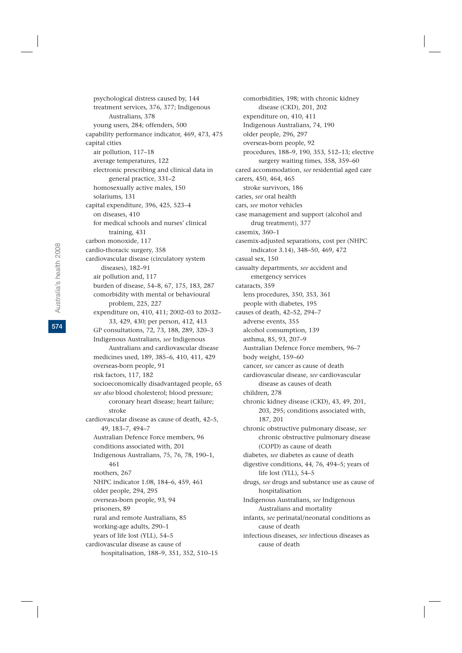psychological distress caused by, 144 treatment services, 376, 377; Indigenous Australians, 378 young users, 284; offenders, 500 capability performance indicator, 469, 473, 475 capital cities air pollution, 117–18 average temperatures, 122 electronic prescribing and clinical data in general practice, 331–2 homosexually active males, 150 solariums, 131 capital expenditure, 396, 425, 523–4 on diseases, 410 for medical schools and nurses' clinical training, 431 carbon monoxide, 117 cardio-thoracic surgery, 358 cardiovascular disease (circulatory system diseases), 182–91 air pollution and, 117 burden of disease, 54–8, 67, 175, 183, 287 comorbidity with mental or behavioural problem, 225, 227 expenditure on, 410, 411; 2002–03 to 2032– 33, 429, 430; per person, 412, 413 GP consultations, 72, 73, 188, 289, 320–3 Indigenous Australians, *see* Indigenous Australians and cardiovascular disease medicines used, 189, 385–6, 410, 411, 429 overseas-born people, 91 risk factors, 117, 182 socioeconomically disadvantaged people, 65 *see also* blood cholesterol; blood pressure; coronary heart disease; heart failure; stroke cardiovascular disease as cause of death, 42–5, 49, 183–7, 494–7 Australian Defence Force members, 96 conditions associated with, 201 Indigenous Australians, 75, 76, 78, 190–1, 461 mothers, 267 NHPC indicator 1.08, 184–6, 459, 461 older people, 294, 295 overseas-born people, 93, 94 prisoners, 89 rural and remote Australians, 85 working-age adults, 290–1 years of life lost (YLL), 54–5 cardiovascular disease as cause of hospitalisation, 188–9, 351, 352, 510–15

comorbidities, 198; with chronic kidney disease (CKD), 201, 202 expenditure on, 410, 411 Indigenous Australians, 74, 190 older people, 296, 297 overseas-born people, 92 procedures, 188–9, 190, 353, 512–13; elective surgery waiting times, 358, 359–60 cared accommodation, *see* residential aged care carers, 450, 464, 465 stroke survivors, 186 caries, *see* oral health cars, *see* motor vehicles case management and support (alcohol and drug treatment), 377 casemix, 360–1 casemix-adjusted separations, cost per (NHPC indicator 3.14), 348–50, 469, 472 casual sex, 150 casualty departments, *see* accident and emergency services cataracts, 359 lens procedures, 350, 353, 361 people with diabetes, 195 causes of death, 42–52, 294–7 adverse events, 355 alcohol consumption, 139 asthma, 85, 93, 207–9 Australian Defence Force members, 96–7 body weight, 159–60 cancer, *see* cancer as cause of death cardiovascular disease, *see* cardiovascular disease as causes of death children, 278 chronic kidney disease (CKD), 43, 49, 201, 203, 295; conditions associated with, 187, 201 chronic obstructive pulmonary disease, *see* chronic obstructive pulmonary disease (COPD) as cause of death diabetes, *see* diabetes as cause of death digestive conditions, 44, 76, 494–5; years of life lost (YLL), 54–5 drugs, *see* drugs and substance use as cause of hospitalisation Indigenous Australians, *see* Indigenous Australians and mortality infants, *see* perinatal/neonatal conditions as cause of death infectious diseases, *see* infectious diseases as cause of death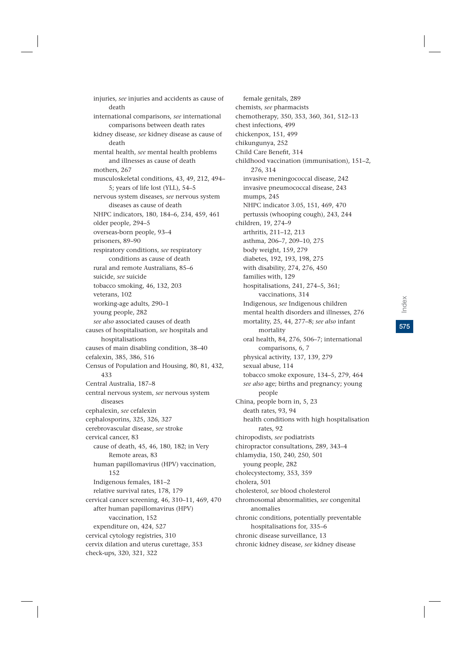injuries, *see* injuries and accidents as cause of death international comparisons, *see* international comparisons between death rates kidney disease, *see* kidney disease as cause of death mental health, *see* mental health problems and illnesses as cause of death mothers, 267 musculoskeletal conditions, 43, 49, 212, 494– 5; years of life lost (YLL), 54–5 nervous system diseases, *see* nervous system diseases as cause of death NHPC indicators, 180, 184–6, 234, 459, 461 older people, 294–5 overseas-born people, 93–4 prisoners, 89–90 respiratory conditions, *see* respiratory conditions as cause of death rural and remote Australians, 85–6 suicide, *see* suicide tobacco smoking, 46, 132, 203 veterans, 102 working-age adults, 290–1 young people, 282 *see also* associated causes of death causes of hospitalisation, *see* hospitals and hospitalisations causes of main disabling condition, 38–40 cefalexin, 385, 386, 516 Census of Population and Housing, 80, 81, 432, 433 Central Australia, 187–8 central nervous system, *see* nervous system diseases cephalexin, *see* cefalexin cephalosporins, 325, 326, 327 cerebrovascular disease, *see* stroke cervical cancer, 83 cause of death, 45, 46, 180, 182; in Very Remote areas, 83 human papillomavirus (HPV) vaccination, 152 Indigenous females, 181–2 relative survival rates, 178, 179 cervical cancer screening, 46, 310–11, 469, 470 after human papillomavirus (HPV) vaccination, 152 expenditure on, 424, 527 cervical cytology registries, 310 cervix dilation and uterus curettage, 353 check-ups, 320, 321, 322

female genitals, 289 chemists, *see* pharmacists chemotherapy, 350, 353, 360, 361, 512–13 chest infections, 499 chickenpox, 151, 499 chikungunya, 252 Child Care Benefit, 314 childhood vaccination (immunisation), 151–2, 276, 314 invasive meningococcal disease, 242 invasive pneumococcal disease, 243 mumps, 245 NHPC indicator 3.05, 151, 469, 470 pertussis (whooping cough), 243, 244 children, 19, 274–9 arthritis, 211–12, 213 asthma, 206–7, 209–10, 275 body weight, 159, 279 diabetes, 192, 193, 198, 275 with disability, 274, 276, 450 families with, 129 hospitalisations, 241, 274–5, 361; vaccinations, 314 Indigenous, *see* Indigenous children mental health disorders and illnesses, 276 mortality, 25, 44, 277–8; *see also* infant mortality oral health, 84, 276, 506–7; international comparisons, 6, 7 physical activity, 137, 139, 279 sexual abuse, 114 tobacco smoke exposure, 134–5, 279, 464 *see also* age; births and pregnancy; young people China, people born in, 5, 23 death rates, 93, 94 health conditions with high hospitalisation rates, 92 chiropodists, *see* podiatrists chiropractor consultations, 289, 343–4 chlamydia, 150, 240, 250, 501 young people, 282 cholecystectomy, 353, 359 cholera, 501 cholesterol, *see* blood cholesterol chromosomal abnormalities, *see* congenital anomalies chronic conditions, potentially preventable hospitalisations for, 335–6 chronic disease surveillance, 13 chronic kidney disease, *see* kidney disease

**575**Index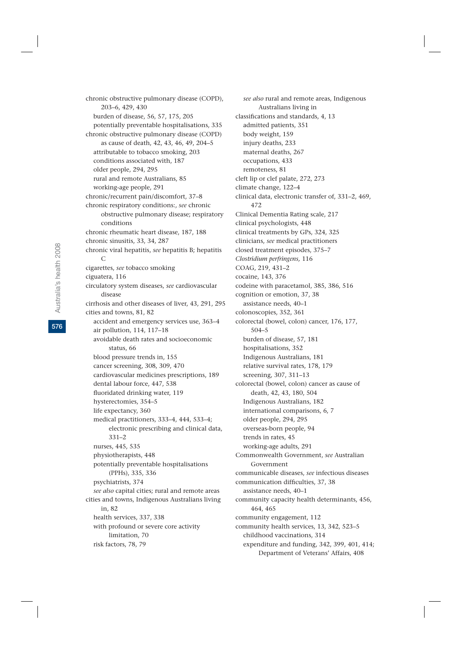chronic obstructive pulmonary disease (COPD), 203–6, 429, 430 burden of disease, 56, 57, 175, 205 potentially preventable hospitalisations, 335 chronic obstructive pulmonary disease (COPD) as cause of death, 42, 43, 46, 49, 204–5 attributable to tobacco smoking, 203 conditions associated with, 187 older people, 294, 295 rural and remote Australians, 85 working-age people, 291 chronic/recurrent pain/discomfort, 37–8 chronic respiratory conditions:, *see* chronic obstructive pulmonary disease; respiratory conditions chronic rheumatic heart disease, 187, 188 chronic sinusitis, 33, 34, 287 chronic viral hepatitis, *see* hepatitis B; hepatitis  $\mathcal{C}$ cigarettes, *see* tobacco smoking ciguatera, 116 circulatory system diseases, *see* cardiovascular disease cirrhosis and other diseases of liver, 43, 291, 295 cities and towns, 81, 82 accident and emergency services use, 363–4 air pollution, 114, 117–18 avoidable death rates and socioeconomic status, 66 blood pressure trends in, 155 cancer screening, 308, 309, 470 cardiovascular medicines prescriptions, 189 dental labour force, 447, 538 fluoridated drinking water, 119 hysterectomies, 354–5 life expectancy, 360 medical practitioners, 333–4, 444, 533–4; electronic prescribing and clinical data, 331–2 nurses, 445, 535 physiotherapists, 448 potentially preventable hospitalisations (PPHs), 335, 336 psychiatrists, 374 *see also* capital cities; rural and remote areas cities and towns, Indigenous Australians living in, 82 health services, 337, 338 with profound or severe core activity limitation, 70 risk factors, 78, 79

*see also* rural and remote areas, Indigenous Australians living in classifications and standards, 4, 13 admitted patients, 351 body weight, 159 injury deaths, 233 maternal deaths, 267 occupations, 433 remoteness, 81 cleft lip or clef palate, 272, 273 climate change, 122–4 clinical data, electronic transfer of, 331–2, 469, 472 Clinical Dementia Rating scale, 217 clinical psychologists, 448 clinical treatments by GPs, 324, 325 clinicians, *see* medical practitioners closed treatment episodes, 375–7 *Clostridium perfringens,* 116 COAG, 219, 431–2 cocaine, 143, 376 codeine with paracetamol, 385, 386, 516 cognition or emotion, 37, 38 assistance needs, 40–1 colonoscopies, 352, 361 colorectal (bowel, colon) cancer, 176, 177, 504–5 burden of disease, 57, 181 hospitalisations, 352 Indigenous Australians, 181 relative survival rates, 178, 179 screening, 307, 311–13 colorectal (bowel, colon) cancer as cause of death, 42, 43, 180, 504 Indigenous Australians, 182 international comparisons, 6, 7 older people, 294, 295 overseas-born people, 94 trends in rates, 45 working-age adults, 291 Commonwealth Government, *see* Australian Government communicable diseases, *see* infectious diseases communication difficulties, 37, 38 assistance needs, 40–1 community capacity health determinants, 456, 464, 465 community engagement, 112 community health services, 13, 342, 523–5 childhood vaccinations, 314 expenditure and funding, 342, 399, 401, 414; Department of Veterans' Affairs, 408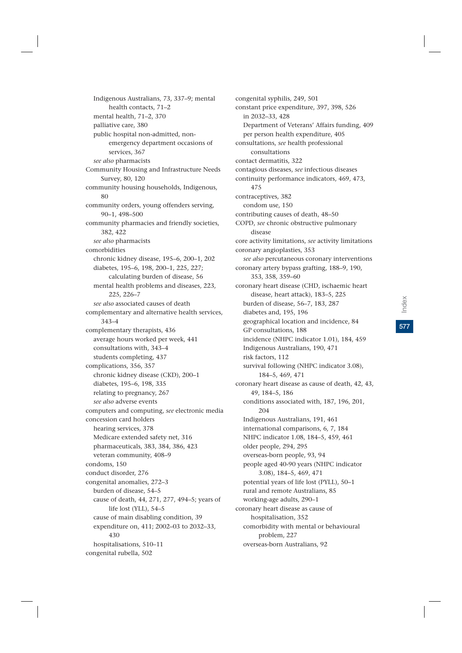Indigenous Australians, 73, 337–9; mental health contacts, 71–2 mental health, 71–2, 370 palliative care, 380 public hospital non-admitted, nonemergency department occasions of services, 367 *see also* pharmacists Community Housing and Infrastructure Needs Survey, 80, 120 community housing households, Indigenous, 80 community orders, young offenders serving, 90–1, 498–500 community pharmacies and friendly societies, 382, 422 *see also* pharmacists comorbidities chronic kidney disease, 195–6, 200–1, 202 diabetes, 195–6, 198, 200–1, 225, 227; calculating burden of disease, 56 mental health problems and diseases, 223, 225, 226–7 *see also* associated causes of death complementary and alternative health services, 343–4 complementary therapists, 436 average hours worked per week, 441 consultations with, 343–4 students completing, 437 complications, 356, 357 chronic kidney disease (CKD), 200–1 diabetes, 195–6, 198, 335 relating to pregnancy, 267 *see also* adverse events computers and computing, *see* electronic media concession card holders hearing services, 378 Medicare extended safety net, 316 pharmaceuticals, 383, 384, 386, 423 veteran community, 408–9 condoms, 150 conduct disorder, 276 congenital anomalies, 272–3 burden of disease, 54–5 cause of death, 44, 271, 277, 494–5; years of life lost (YLL), 54–5 cause of main disabling condition, 39 expenditure on, 411; 2002–03 to 2032–33, 430 hospitalisations, 510–11 congenital rubella, 502

congenital syphilis, 249, 501 constant price expenditure, 397, 398, 526 in 2032–33, 428 Department of Veterans' Affairs funding, 409 per person health expenditure, 405 consultations, *see* health professional consultations contact dermatitis, 322 contagious diseases, *see* infectious diseases continuity performance indicators, 469, 473, 475 contraceptives, 382 condom use, 150 contributing causes of death, 48–50 COPD, *see* chronic obstructive pulmonary disease core activity limitations, *see* activity limitations coronary angioplasties, 353 *see also* percutaneous coronary interventions coronary artery bypass grafting, 188–9, 190, 353, 358, 359–60 coronary heart disease (CHD, ischaemic heart disease, heart attack), 183–5, 225 burden of disease, 56–7, 183, 287 diabetes and, 195, 196 geographical location and incidence, 84 GP consultations, 188 incidence (NHPC indicator 1.01), 184, 459 Indigenous Australians, 190, 471 risk factors, 112 survival following (NHPC indicator 3.08), 184–5, 469, 471 coronary heart disease as cause of death, 42, 43, 49, 184–5, 186 conditions associated with, 187, 196, 201, 204 Indigenous Australians, 191, 461 international comparisons, 6, 7, 184 NHPC indicator 1.08, 184–5, 459, 461 older people, 294, 295 overseas-born people, 93, 94 people aged 40-90 years (NHPC indicator 3.08), 184–5, 469, 471 potential years of life lost (PYLL), 50–1 rural and remote Australians, 85 working-age adults, 290–1 coronary heart disease as cause of hospitalisation, 352 comorbidity with mental or behavioural problem, 227 overseas-born Australians, 92

**577**Index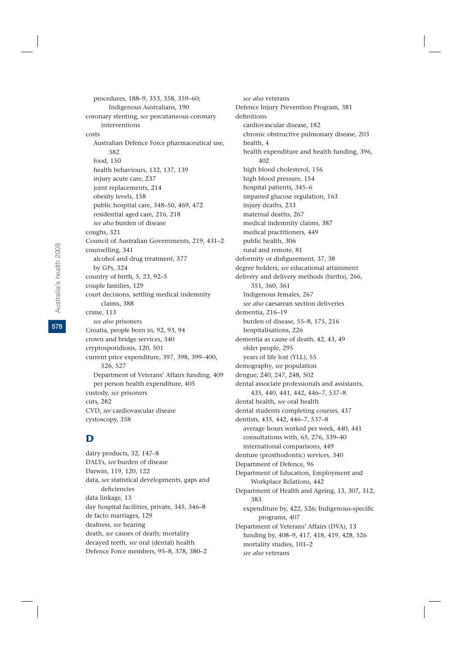procedures, 188–9, 353, 358, 359–60; Indigenous Australians, 190 coronary stenting, *see* percutaneous coronary interventions costs Australian Defence Force pharmaceutical use, 382 food, 150 health behaviours, 132, 137, 139 injury acute care, 237 joint replacements, 214 obesity levels, 158 public hospital care, 348–50, 469, 472 residential aged care, 216, 218 *see also* burden of disease coughs, 321 Council of Australian Governments, 219, 431–2 counselling, 341 alcohol and drug treatment, 377 by GPs, 324 country of birth, 5, 23, 92–5 couple families, 129 court decisions, settling medical indemnity claims, 388 crime, 113 *see also* prisoners Croatia, people born in, 92, 93, 94 crown and bridge services, 340 cryptosporidiosis, 120, 501 current price expenditure, 397, 398, 399–400, 526, 527 Department of Veterans' Affairs funding, 409 per person health expenditure, 405 custody, *see* prisoners cuts, 282 CVD, *see* cardiovascular disease cystoscopy, 358

# D

dairy products, 32, 147–8 DALYs, *see* burden of disease Darwin, 119, 120, 122 data, *see* statistical developments, gaps and deficiencies data linkage, 13 day hospital facilities, private, 345, 346–8 de facto marriages, 129 deafness, *see* hearing death, *see* causes of death; mortality decayed teeth, *see* oral (dental) health Defence Force members, 95–8, 378, 380–2

*see also* veterans Defence Injury Prevention Program, 381 definitions cardiovascular disease, 182 chronic obstructive pulmonary disease, 203 health, 4 health expenditure and health funding, 396, 402 high blood cholesterol, 156 high blood pressure, 154 hospital patients, 345–6 impaired glucose regulation, 163 injury deaths, 233 maternal deaths, 267 medical indemnity claims, 387 medical practitioners, 449 public health, 306 rural and remote, 81 deformity or disfigurement, 37, 38 degree holders, *see* educational attainment delivery and delivery methods (births), 266, 351, 360, 361 Indigenous females, 267 *see also* caesarean section deliveries dementia, 216–19 burden of disease, 55–8, 175, 216 hospitalisations, 226 dementia as cause of death, 42, 43, 49 older people, 295 years of life lost (YLL), 55 demography, *see* population dengue, 240, 247, 248, 502 dental associate professionals and assistants, 435, 440, 441, 442, 446–7, 537–8 dental health, *see* oral health dental students completing courses, 437 dentists, 435, 442, 446–7, 537–8 average hours worked per week, 440, 441 consultations with, 65, 276, 339–40 international comparisons, 449 denture (prosthodontic) services, 340 Department of Defence, 96 Department of Education, Employment and Workplace Relations, 442 Department of Health and Ageing, 13, 307, 312, 383 expenditure by, 422, 526; Indigenous-specific programs, 407 Department of Veterans' Affairs (DVA), 13 funding by, 408–9, 417, 418, 419, 428, 526 mortality studies, 101–2 *see also* veterans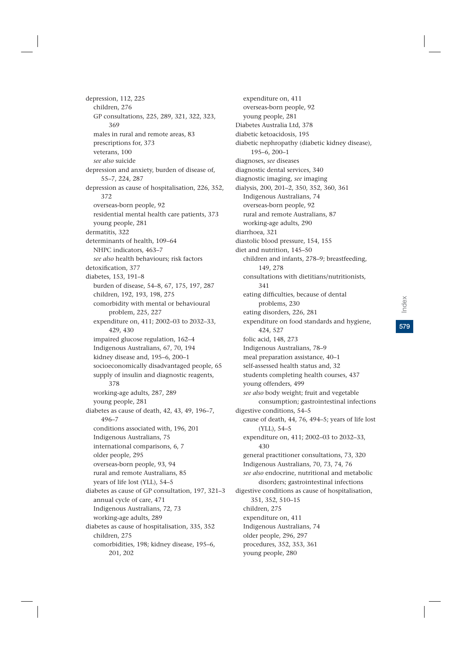depression, 112, 225 children, 276 GP consultations, 225, 289, 321, 322, 323, 369 males in rural and remote areas, 83 prescriptions for, 373 veterans, 100 *see also* suicide depression and anxiety, burden of disease of, 55–7, 224, 287 depression as cause of hospitalisation, 226, 352, 372 overseas-born people, 92 residential mental health care patients, 373 young people, 281 dermatitis, 322 determinants of health, 109–64 NHPC indicators, 463–7 *see also* health behaviours; risk factors detoxification, 377 diabetes, 153, 191–8 burden of disease, 54–8, 67, 175, 197, 287 children, 192, 193, 198, 275 comorbidity with mental or behavioural problem, 225, 227 expenditure on, 411; 2002–03 to 2032–33, 429, 430 impaired glucose regulation, 162–4 Indigenous Australians, 67, 70, 194 kidney disease and, 195–6, 200–1 socioeconomically disadvantaged people, 65 supply of insulin and diagnostic reagents, 378 working-age adults, 287, 289 young people, 281 diabetes as cause of death, 42, 43, 49, 196–7, 496–7 conditions associated with, 196, 201 Indigenous Australians, 75 international comparisons, 6, 7 older people, 295 overseas-born people, 93, 94 rural and remote Australians, 85 years of life lost (YLL), 54–5 diabetes as cause of GP consultation, 197, 321–3 annual cycle of care, 471 Indigenous Australians, 72, 73 working-age adults, 289 diabetes as cause of hospitalisation, 335, 352 children, 275 comorbidities, 198; kidney disease, 195–6, 201, 202

expenditure on, 411 overseas-born people, 92 young people, 281 Diabetes Australia Ltd, 378 diabetic ketoacidosis, 195 diabetic nephropathy (diabetic kidney disease), 195–6, 200–1 diagnoses, *see* diseases diagnostic dental services, 340 diagnostic imaging, *see* imaging dialysis, 200, 201–2, 350, 352, 360, 361 Indigenous Australians, 74 overseas-born people, 92 rural and remote Australians, 87 working-age adults, 290 diarrhoea, 321 diastolic blood pressure, 154, 155 diet and nutrition, 145–50 children and infants, 278–9; breastfeeding, 149, 278 consultations with dietitians/nutritionists, 341 eating difficulties, because of dental problems, 230 eating disorders, 226, 281 expenditure on food standards and hygiene, 424, 527 folic acid, 148, 273 Indigenous Australians, 78–9 meal preparation assistance, 40–1 self-assessed health status and, 32 students completing health courses, 437 young offenders, 499 *see also* body weight; fruit and vegetable consumption; gastrointestinal infections digestive conditions, 54–5 cause of death, 44, 76, 494–5; years of life lost (YLL), 54–5 expenditure on, 411; 2002–03 to 2032–33, 430 general practitioner consultations, 73, 320 Indigenous Australians, 70, 73, 74, 76 *see also* endocrine, nutritional and metabolic disorders; gastrointestinal infections digestive conditions as cause of hospitalisation, 351, 352, 510–15 children, 275 expenditure on, 411 Indigenous Australians, 74 older people, 296, 297 procedures, 352, 353, 361 young people, 280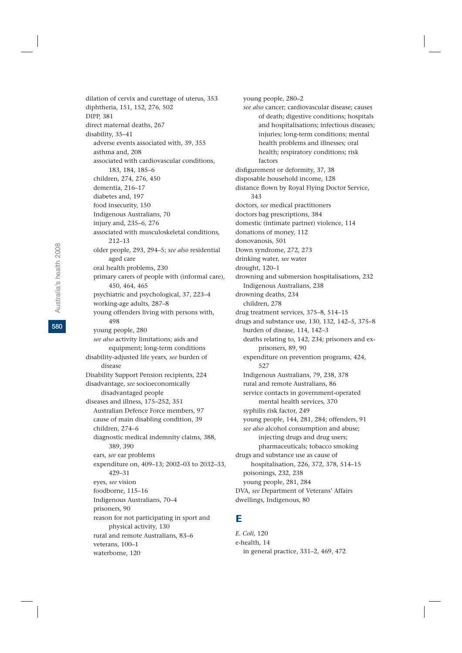dilation of cervix and curettage of uterus, 353 diphtheria, 151, 152, 276, 502 DIPP, 381 direct maternal deaths, 267 disability, 35–41 adverse events associated with, 39, 355 asthma and, 208 associated with cardiovascular conditions, 183, 184, 185–6 children, 274, 276, 450 dementia, 216–17 diabetes and, 197 food insecurity, 150 Indigenous Australians, 70 injury and, 235–6, 276 associated with musculoskeletal conditions, 212–13 older people, 293, 294–5; *see also* residential aged care oral health problems, 230 primary carers of people with (informal care), 450, 464, 465 psychiatric and psychological, 37, 223–4 working-age adults, 287–8 young offenders living with persons with, 498 young people, 280 *see also* activity limitations; aids and equipment; long-term conditions disability-adjusted life years, *see* burden of disease Disability Support Pension recipients, 224 disadvantage, *see* socioeconomically disadvantaged people diseases and illness, 175–252, 351 Australian Defence Force members, 97 cause of main disabling condition, 39 children, 274–6 diagnostic medical indemnity claims, 388, 389, 390 ears, *see* ear problems expenditure on, 409–13; 2002–03 to 2032–33, 429–31 eyes, *see* vision foodborne, 115–16 Indigenous Australians, 70–4 prisoners, 90 reason for not participating in sport and physical activity, 130 rural and remote Australians, 83–6 veterans, 100–1 waterborne, 120

young people, 280–2 *see also* cancer; cardiovascular disease; causes of death; digestive conditions; hospitals and hospitalisations; infectious diseases; injuries; long-term conditions; mental health problems and illnesses; oral health; respiratory conditions; risk factors disfigurement or deformity, 37, 38 disposable household income, 128 distance flown by Royal Flying Doctor Service, 343 doctors, *see* medical practitioners doctors bag prescriptions, 384 domestic (intimate partner) violence, 114 donations of money, 112 donovanosis, 501 Down syndrome, 272, 273 drinking water, *see* water drought, 120–1 drowning and submersion hospitalisations, 232 Indigenous Australians, 238 drowning deaths, 234 children, 278 drug treatment services, 375–8, 514–15 drugs and substance use, 130, 132, 142–5, 375–8 burden of disease, 114, 142–3 deaths relating to, 142, 234; prisoners and exprisoners, 89, 90 expenditure on prevention programs, 424, 527 Indigenous Australians, 79, 238, 378 rural and remote Australians, 86 service contacts in government-operated mental health services, 370 syphilis risk factor, 249 young people, 144, 281, 284; offenders, 91 *see also* alcohol consumption and abuse; injecting drugs and drug users; pharmaceuticals; tobacco smoking drugs and substance use as cause of hospitalisation, 226, 372, 378, 514–15 poisonings, 232, 238 young people, 281, 284 DVA, *see* Department of Veterans' Affairs dwellings, Indigenous, 80

### E

*E. Coli,* 120 e-health, 14 in general practice, 331–2, 469, 472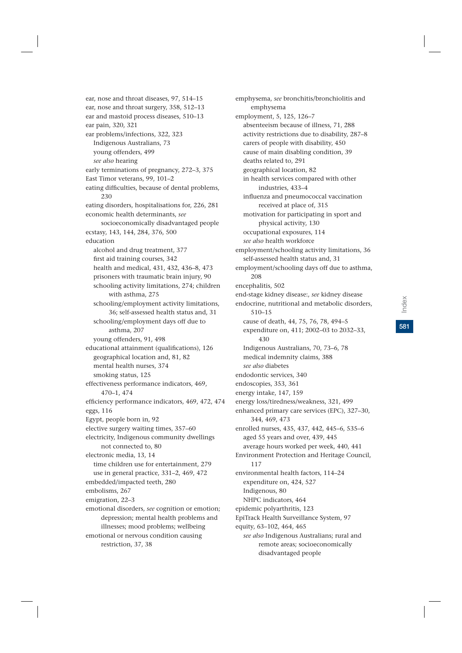emphysema employment, 5, 125, 126–7 absenteeism because of illness, 71, 288 activity restrictions due to disability, 287–8 carers of people with disability, 450 cause of main disabling condition, 39 deaths related to, 291 geographical location, 82 in health services compared with other industries, 433–4 influenza and pneumococcal vaccination received at place of, 315 motivation for participating in sport and physical activity, 130 occupational exposures, 114 *see also* health workforce employment/schooling activity limitations, 36 self-assessed health status and, 31 employment/schooling days off due to asthma, 208 encephalitis, 502 end-stage kidney disease:, *see* kidney disease endocrine, nutritional and metabolic disorders, 510–15 cause of death, 44, 75, 76, 78, 494–5 expenditure on, 411; 2002–03 to 2032–33, 430 Indigenous Australians, 70, 73–6, 78 medical indemnity claims, 388 *see also* diabetes endodontic services, 340 endoscopies, 353, 361 energy intake, 147, 159 energy loss/tiredness/weakness, 321, 499 344, 469, 473

emphysema, *see* bronchitis/bronchiolitis and

- enhanced primary care services (EPC), 327–30, enrolled nurses, 435, 437, 442, 445–6, 535–6 aged 55 years and over, 439, 445 average hours worked per week, 440, 441 Environment Protection and Heritage Council, 117 environmental health factors, 114–24 expenditure on, 424, 527
- Indigenous, 80 NHPC indicators, 464

epidemic polyarthritis, 123

EpiTrack Health Surveillance System, 97

equity, 63–102, 464, 465

*see also* Indigenous Australians; rural and remote areas; socioeconomically disadvantaged people

ear, nose and throat surgery, 358, 512–13 ear and mastoid process diseases, 510–13 ear pain, 320, 321 ear problems/infections, 322, 323 Indigenous Australians, 73 young offenders, 499 *see also* hearing early terminations of pregnancy, 272–3, 375 East Timor veterans, 99, 101–2 eating difficulties, because of dental problems, 230 eating disorders, hospitalisations for, 226, 281 economic health determinants, *see* socioeconomically disadvantaged people ecstasy, 143, 144, 284, 376, 500 education alcohol and drug treatment, 377 first aid training courses, 342 health and medical, 431, 432, 436–8, 473 prisoners with traumatic brain injury, 90 schooling activity limitations, 274; children with asthma, 275 schooling/employment activity limitations, 36; self-assessed health status and, 31 schooling/employment days off due to asthma, 207 young offenders, 91, 498 educational attainment (qualifications), 126 geographical location and, 81, 82 mental health nurses, 374 smoking status, 125 effectiveness performance indicators, 469, 470–1, 474 efficiency performance indicators, 469, 472, 474 eggs, 116 Egypt, people born in, 92 elective surgery waiting times, 357–60 electricity, Indigenous community dwellings not connected to, 80 electronic media, 13, 14 time children use for entertainment, 279 use in general practice, 331–2, 469, 472 embedded/impacted teeth, 280 embolisms, 267 emigration, 22–3 emotional disorders, *see* cognition or emotion; depression; mental health problems and illnesses; mood problems; wellbeing emotional or nervous condition causing

restriction, 37, 38

ear, nose and throat diseases, 97, 514–15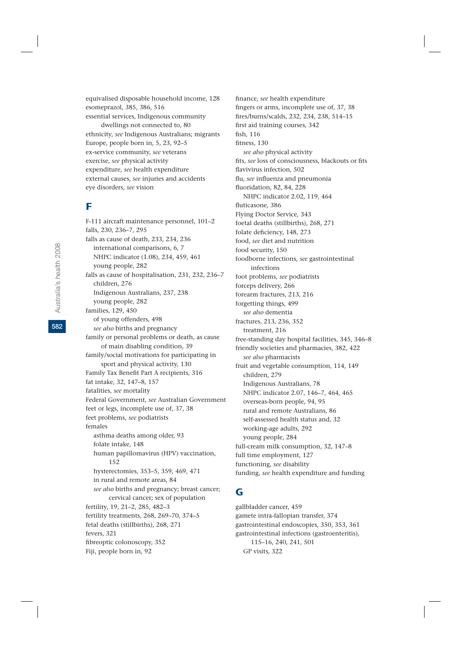equivalised disposable household income, 128 esomeprazol, 385, 386, 516 essential services, Indigenous community

dwellings not connected to, 80 ethnicity, *see* Indigenous Australians; migrants Europe, people born in, 5, 23, 92–5 ex-service community, *see* veterans exercise, *see* physical activity expenditure, *see* health expenditure external causes, *see* injuries and accidents eye disorders, *see* vision

## F

F-111 aircraft maintenance personnel, 101–2 falls, 230, 236–7, 295 falls as cause of death, 233, 234, 236 international comparisons, 6, 7 NHPC indicator (1.08), 234, 459, 461 young people, 282 falls as cause of hospitalisation, 231, 232, 236–7 children, 276 Indigenous Australians, 237, 238 young people, 282 families, 129, 450 of young offenders, 498 *see also* births and pregnancy family or personal problems or death, as cause of main disabling condition, 39 family/social motivations for participating in sport and physical activity, 130 Family Tax Benefit Part A recipients, 316 fat intake, 32, 147–8, 157 fatalities, *see* mortality Federal Government, *see* Australian Government feet or legs, incomplete use of, 37, 38 feet problems, *see* podiatrists females asthma deaths among older, 93 folate intake, 148 human papillomavirus (HPV) vaccination, 152 hysterectomies, 353–5, 359, 469, 471 in rural and remote areas, 84 *see also* births and pregnancy; breast cancer; cervical cancer; sex of population fertility, 19, 21–2, 285, 482–3 fertility treatments, 268, 269–70, 374–5 fetal deaths (stillbirths), 268, 271 fevers, 321 fibreoptic colonoscopy, 352 Fiji, people born in, 92

finance, *see* health expenditure fingers or arms, incomplete use of, 37, 38 fires/burns/scalds, 232, 234, 238, 514–15 first aid training courses, 342 fish, 116 fitness, 130 *see also* physical activity fits, *see* loss of consciousness, blackouts or fits flavivirus infection, 502 flu, *see* influenza and pneumonia fluoridation, 82, 84, 228 NHPC indicator 2.02, 119, 464 fluticasone, 386 Flying Doctor Service, 343 foetal deaths (stillbirths), 268, 271 folate deficiency, 148, 273 food, *see* diet and nutrition food security, 150 foodborne infections, *see* gastrointestinal infections foot problems, *see* podiatrists forceps delivery, 266 forearm fractures, 213, 216 forgetting things, 499 *see also* dementia fractures, 213, 236, 352 treatment, 216 free-standing day hospital facilities, 345, 346–8 friendly societies and pharmacies, 382, 422 *see also* pharmacists fruit and vegetable consumption, 114, 149 children, 279 Indigenous Australians, 78 NHPC indicator 2.07, 146–7, 464, 465 overseas-born people, 94, 95 rural and remote Australians, 86 self-assessed health status and, 32 working-age adults, 292 young people, 284 full-cream milk consumption, 32, 147–8 full time employment, 127 functioning, *see* disability funding, *see* health expenditure and funding

## G

gallbladder cancer, 459 gamete intra-fallopian transfer, 374 gastrointestinal endoscopies, 350, 353, 361 gastrointestinal infections (gastroenteritis), 115–16, 240, 241, 501 GP visits, 322

**582**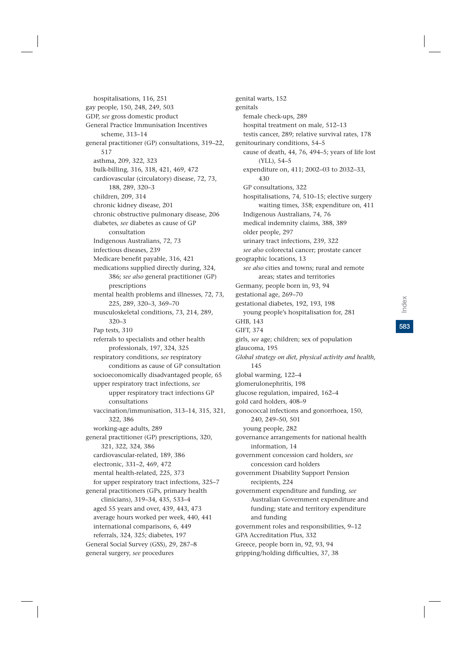hospitalisations, 116, 251 gay people, 150, 248, 249, 503 GDP, *see* gross domestic product General Practice Immunisation Incentives scheme, 313–14 general practitioner (GP) consultations, 319–22, 517 asthma, 209, 322, 323 bulk-billing, 316, 318, 421, 469, 472 cardiovascular (circulatory) disease, 72, 73, 188, 289, 320–3 children, 209, 314 chronic kidney disease, 201 chronic obstructive pulmonary disease, 206 diabetes, *see* diabetes as cause of GP consultation Indigenous Australians, 72, 73 infectious diseases, 239 Medicare benefit payable, 316, 421 medications supplied directly during, 324, 386; *see also* general practitioner (GP) prescriptions mental health problems and illnesses, 72, 73, 225, 289, 320–3, 369–70 musculoskeletal conditions, 73, 214, 289, 320–3 Pap tests, 310 referrals to specialists and other health professionals, 197, 324, 325 respiratory conditions, *see* respiratory conditions as cause of GP consultation socioeconomically disadvantaged people, 65 upper respiratory tract infections, *see* upper respiratory tract infections GP consultations vaccination/immunisation, 313–14, 315, 321, 322, 386 working-age adults, 289 general practitioner (GP) prescriptions, 320, 321, 322, 324, 386 cardiovascular-related, 189, 386 electronic, 331–2, 469, 472 mental health-related, 225, 373 for upper respiratory tract infections, 325–7 general practitioners (GPs, primary health clinicians), 319–34, 435, 533–4 aged 55 years and over, 439, 443, 473 average hours worked per week, 440, 441 international comparisons, 6, 449 referrals, 324, 325; diabetes, 197 General Social Survey (GSS), 29, 287–8 general surgery, *see* procedures

genital warts, 152 genitals female check-ups, 289 hospital treatment on male, 512–13 testis cancer, 289; relative survival rates, 178 genitourinary conditions, 54–5 cause of death, 44, 76, 494–5; years of life lost (YLL), 54–5 expenditure on, 411; 2002–03 to 2032–33, 430 GP consultations, 322 hospitalisations, 74, 510–15; elective surgery waiting times, 358; expenditure on, 411 Indigenous Australians, 74, 76 medical indemnity claims, 388, 389 older people, 297 urinary tract infections, 239, 322 *see also* colorectal cancer; prostate cancer geographic locations, 13 *see also* cities and towns; rural and remote areas; states and territories Germany, people born in, 93, 94 gestational age, 269–70 gestational diabetes, 192, 193, 198 young people's hospitalisation for, 281 GHB, 143 GIFT, 374 girls, *see* age; children; sex of population glaucoma, 195 *Global strategy on diet, physical activity and health,* 145 global warming, 122–4 glomerulonephritis, 198 glucose regulation, impaired, 162–4 gold card holders, 408–9 gonococcal infections and gonorrhoea, 150, 240, 249–50, 501 young people, 282 governance arrangements for national health information, 14 government concession card holders, *see* concession card holders government Disability Support Pension recipients, 224 government expenditure and funding, *see* Australian Government expenditure and funding; state and territory expenditure and funding government roles and responsibilities, 9–12 GPA Accreditation Plus, 332 Greece, people born in, 92, 93, 94 gripping/holding difficulties, 37, 38

**583**Index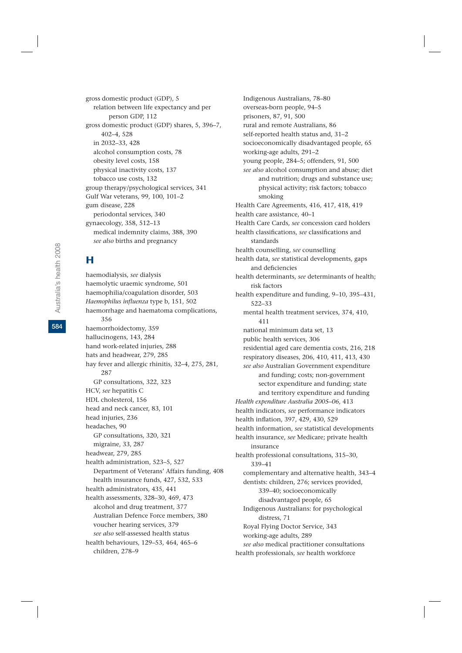gross domestic product (GDP), 5 relation between life expectancy and per person GDP, 112 gross domestic product (GDP) shares, 5, 396–7, 402–4, 528 in 2032–33, 428 alcohol consumption costs, 78 obesity level costs, 158 physical inactivity costs, 137 tobacco use costs, 132 group therapy/psychological services, 341 Gulf War veterans, 99, 100, 101–2 gum disease, 228 periodontal services, 340 gynaecology, 358, 512–13 medical indemnity claims, 388, 390 *see also* births and pregnancy

# H

haemodialysis, *see* dialysis haemolytic uraemic syndrome, 501 haemophilia/coagulation disorder, 503 *Haemophilus influenza* type b, 151, 502 haemorrhage and haematoma complications, 356 haemorrhoidectomy, 359 hallucinogens, 143, 284 hand work-related injuries, 288 hats and headwear, 279, 285 hay fever and allergic rhinitis, 32–4, 275, 281, 287 GP consultations, 322, 323 HCV, *see* hepatitis C HDL cholesterol, 156 head and neck cancer, 83, 101 head injuries, 236 headaches, 90 GP consultations, 320, 321 migraine, 33, 287 headwear, 279, 285 health administration, 523–5, 527 Department of Veterans' Affairs funding, 408 health insurance funds, 427, 532, 533 health administrators, 435, 441 health assessments, 328–30, 469, 473 alcohol and drug treatment, 377 Australian Defence Force members, 380 voucher hearing services, 379 *see also* self-assessed health status health behaviours, 129–53, 464, 465–6 children, 278–9

Indigenous Australians, 78–80 overseas-born people, 94–5 prisoners, 87, 91, 500 rural and remote Australians, 86 self-reported health status and, 31–2 socioeconomically disadvantaged people, 65 working-age adults, 291–2 young people, 284–5; offenders, 91, 500 *see also* alcohol consumption and abuse; diet and nutrition; drugs and substance use; physical activity; risk factors; tobacco smoking Health Care Agreements, 416, 417, 418, 419 health care assistance, 40–1 Health Care Cards, *see* concession card holders health classifications, *see* classifications and standards health counselling, *see* counselling health data, *see* statistical developments, gaps and deficiencies health determinants, *see* determinants of health; risk factors health expenditure and funding, 9–10, 395–431, 522–33 mental health treatment services, 374, 410, 411 national minimum data set, 13 public health services, 306 residential aged care dementia costs, 216, 218 respiratory diseases, 206, 410, 411, 413, 430 *see also* Australian Government expenditure and funding; costs; non-government sector expenditure and funding; state and territory expenditure and funding *Health expenditure Australia 2005–06,* 413 health indicators, *see* performance indicators health inflation, 397, 429, 430, 529 health information, *see* statistical developments health insurance, *see* Medicare; private health insurance health professional consultations, 315–30, 339–41 complementary and alternative health, 343–4 dentists: children, 276; services provided, 339–40; socioeconomically disadvantaged people, 65 Indigenous Australians: for psychological distress, 71 Royal Flying Doctor Service, 343 working-age adults, 289 *see also* medical practitioner consultations health professionals, *see* health workforce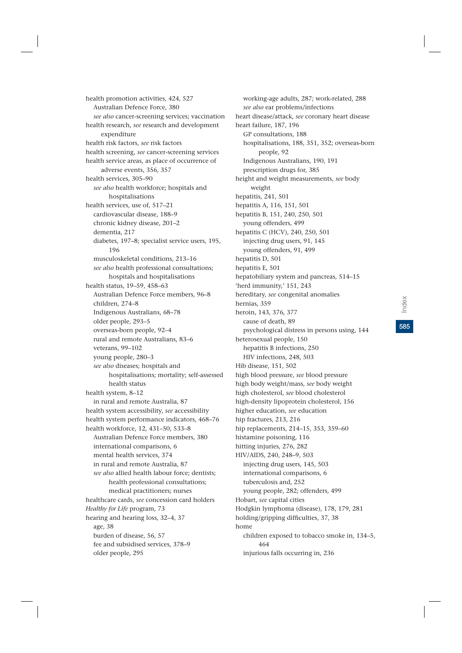health promotion activities, 424, 527 Australian Defence Force, 380 *see also* cancer-screening services; vaccination health research, *see* research and development expenditure health risk factors, *see* risk factors health screening, *see* cancer-screening services health service areas, as place of occurrence of adverse events, 356, 357 health services, 305–90 *see also* health workforce; hospitals and hospitalisations health services, use of, 517–21 cardiovascular disease, 188–9 chronic kidney disease, 201–2 dementia, 217 diabetes, 197–8; specialist service users, 195, 196 musculoskeletal conditions, 213–16 *see also* health professional consultations; hospitals and hospitalisations health status, 19–59, 458–63 Australian Defence Force members, 96–8 children, 274–8 Indigenous Australians, 68–78 older people, 293–5 overseas-born people, 92–4 rural and remote Australians, 83–6 veterans, 99–102 young people, 280–3 *see also* diseases; hospitals and hospitalisations; mortality; self-assessed health status health system, 8–12 in rural and remote Australia, 87 health system accessibility, *see* accessibility health system performance indicators, 468–76 health workforce, 12, 431–50, 533–8 Australian Defence Force members, 380 international comparisons, 6 mental health services, 374 in rural and remote Australia, 87 *see also* allied health labour force; dentists; health professional consultations; medical practitioners; nurses healthcare cards, *see* concession card holders *Healthy for Life* program, 73 hearing and hearing loss, 32–4, 37 age, 38 burden of disease, 56, 57 fee and subsidised services, 378–9 older people, 295

working-age adults, 287; work-related, 288 *see also* ear problems/infections heart disease/attack, *see* coronary heart disease heart failure, 187, 196 GP consultations, 188 hospitalisations, 188, 351, 352; overseas-born people, 92 Indigenous Australians, 190, 191 prescription drugs for, 385 height and weight measurements, *see* body weight hepatitis, 241, 501 hepatitis A, 116, 151, 501 hepatitis B, 151, 240, 250, 501 young offenders, 499 hepatitis C (HCV), 240, 250, 501 injecting drug users, 91, 145 young offenders, 91, 499 hepatitis D, 501 hepatitis E, 501 hepatobiliary system and pancreas, 514–15 'herd immunity,' 151, 243 hereditary, *see* congenital anomalies hernias, 359 heroin, 143, 376, 377 cause of death, 89 psychological distress in persons using, 144 heterosexual people, 150 hepatitis B infections, 250 HIV infections, 248, 503 Hib disease, 151, 502 high blood pressure, *see* blood pressure high body weight/mass, *see* body weight high cholesterol, *see* blood cholesterol high-density lipoprotein cholesterol, 156 higher education, *see* education hip fractures, 213, 216 hip replacements, 214–15, 353, 359–60 histamine poisoning, 116 hitting injuries, 276, 282 HIV/AIDS, 240, 248–9, 503 injecting drug users, 145, 503 international comparisons, 6 tuberculosis and, 252 young people, 282; offenders, 499 Hobart, *see* capital cities Hodgkin lymphoma (disease), 178, 179, 281 holding/gripping difficulties, 37, 38 home children exposed to tobacco smoke in, 134–5, 464 injurious falls occurring in, 236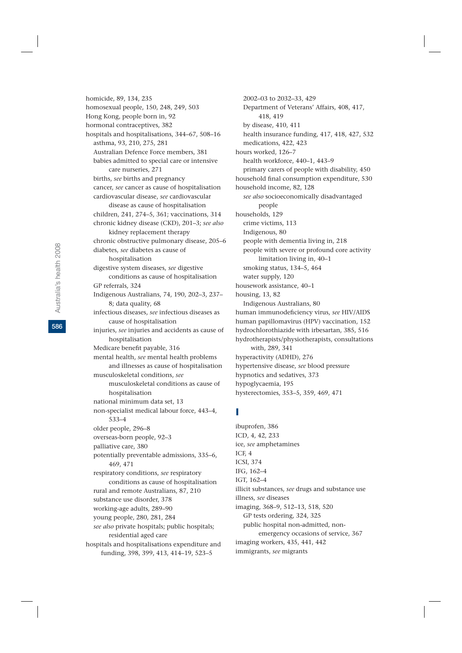homosexual people, 150, 248, 249, 503 Hong Kong, people born in, 92 hormonal contraceptives, 382 hospitals and hospitalisations, 344–67, 508–16 asthma, 93, 210, 275, 281 Australian Defence Force members, 381 babies admitted to special care or intensive care nurseries, 271 births, *see* births and pregnancy cancer, *see* cancer as cause of hospitalisation cardiovascular disease, *see* cardiovascular disease as cause of hospitalisation children, 241, 274–5, 361; vaccinations, 314 chronic kidney disease (CKD), 201–3; *see also* kidney replacement therapy chronic obstructive pulmonary disease, 205–6 diabetes, *see* diabetes as cause of hospitalisation digestive system diseases, *see* digestive conditions as cause of hospitalisation GP referrals, 324 Indigenous Australians, 74, 190, 202–3, 237– 8; data quality, 68 infectious diseases, *see* infectious diseases as cause of hospitalisation injuries, *see* injuries and accidents as cause of hospitalisation Medicare benefit payable, 316 mental health, *see* mental health problems and illnesses as cause of hospitalisation musculoskeletal conditions, *see* musculoskeletal conditions as cause of hospitalisation national minimum data set, 13 non-specialist medical labour force, 443–4, 533–4 older people, 296–8 overseas-born people, 92–3 palliative care, 380 potentially preventable admissions, 335–6, 469, 471

homicide, 89, 134, 235

respiratory conditions, *see* respiratory conditions as cause of hospitalisation rural and remote Australians, 87, 210 substance use disorder, 378 working-age adults, 289–90 young people, 280, 281, 284 *see also* private hospitals; public hospitals; residential aged care hospitals and hospitalisations expenditure and funding, 398, 399, 413, 414–19, 523–5

2002–03 to 2032–33, 429 Department of Veterans' Affairs, 408, 417, 418, 419 by disease, 410, 411 health insurance funding, 417, 418, 427, 532 medications, 422, 423 hours worked, 126–7 health workforce, 440–1, 443–9 primary carers of people with disability, 450 household final consumption expenditure, 530 household income, 82, 128 *see also* socioeconomically disadvantaged people households, 129 crime victims, 113 Indigenous, 80 people with dementia living in, 218 people with severe or profound core activity limitation living in, 40–1 smoking status, 134–5, 464 water supply, 120 housework assistance, 40–1 housing, 13, 82 Indigenous Australians, 80 human immunodeficiency virus, *see* HIV/AIDS human papillomavirus (HPV) vaccination, 152 hydrochlorothiazide with irbesartan, 385, 516 hydrotherapists/physiotherapists, consultations with, 289, 341 hyperactivity (ADHD), 276 hypertensive disease, *see* blood pressure hypnotics and sedatives, 373 hypoglycaemia, 195 hysterectomies, 353–5, 359, 469, 471

#### I

ibuprofen, 386 ICD, 4, 42, 233 ice, *see* amphetamines ICF, 4 ICSI, 374 IFG, 162–4 IGT, 162–4 illicit substances, *see* drugs and substance use illness, *see* diseases imaging, 368–9, 512–13, 518, 520 GP tests ordering, 324, 325 public hospital non-admitted, nonemergency occasions of service, 367 imaging workers, 435, 441, 442 immigrants, *see* migrants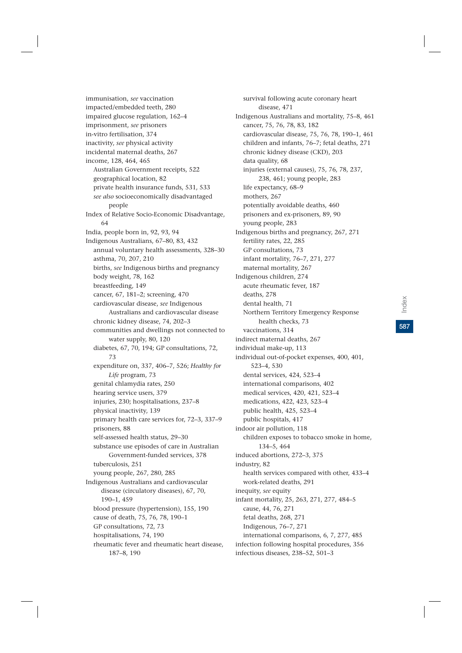immunisation, *see* vaccination impacted/embedded teeth, 280 impaired glucose regulation, 162–4 imprisonment, *see* prisoners in-vitro fertilisation, 374 inactivity, *see* physical activity incidental maternal deaths, 267 income, 128, 464, 465 Australian Government receipts, 522 geographical location, 82 private health insurance funds, 531, 533 *see also* socioeconomically disadvantaged people Index of Relative Socio-Economic Disadvantage, 64 India, people born in, 92, 93, 94 Indigenous Australians, 67–80, 83, 432 annual voluntary health assessments, 328–30 asthma, 70, 207, 210 births, *see* Indigenous births and pregnancy body weight, 78, 162 breastfeeding, 149 cancer, 67, 181–2; screening, 470 cardiovascular disease, *see* Indigenous Australians and cardiovascular disease chronic kidney disease, 74, 202–3 communities and dwellings not connected to water supply, 80, 120 diabetes, 67, 70, 194; GP consultations, 72, 73 expenditure on, 337, 406–7, 526; *Healthy for Life* program, 73 genital chlamydia rates, 250 hearing service users, 379 injuries, 230; hospitalisations, 237–8 physical inactivity, 139 primary health care services for, 72–3, 337–9 prisoners, 88 self-assessed health status, 29–30 substance use episodes of care in Australian Government-funded services, 378 tuberculosis, 251 young people, 267, 280, 285 Indigenous Australians and cardiovascular disease (circulatory diseases), 67, 70, 190–1, 459 blood pressure (hypertension), 155, 190 cause of death, 75, 76, 78, 190–1 GP consultations, 72, 73 hospitalisations, 74, 190 rheumatic fever and rheumatic heart disease, 187–8, 190

survival following acute coronary heart disease, 471 Indigenous Australians and mortality, 75–8, 461 cancer, 75, 76, 78, 83, 182 cardiovascular disease, 75, 76, 78, 190–1, 461 children and infants, 76–7; fetal deaths, 271 chronic kidney disease (CKD), 203 data quality, 68 injuries (external causes), 75, 76, 78, 237, 238, 461; young people, 283 life expectancy, 68–9 mothers, 267 potentially avoidable deaths, 460 prisoners and ex-prisoners, 89, 90 young people, 283 Indigenous births and pregnancy, 267, 271 fertility rates, 22, 285 GP consultations, 73 infant mortality, 76–7, 271, 277 maternal mortality, 267 Indigenous children, 274 acute rheumatic fever, 187 deaths, 278 dental health, 71 Northern Territory Emergency Response health checks, 73 vaccinations, 314 indirect maternal deaths, 267 individual make-up, 113 individual out-of-pocket expenses, 400, 401, 523–4, 530 dental services, 424, 523–4 international comparisons, 402 medical services, 420, 421, 523–4 medications, 422, 423, 523–4 public health, 425, 523–4 public hospitals, 417 indoor air pollution, 118 children exposes to tobacco smoke in home, 134–5, 464 induced abortions, 272–3, 375 industry, 82 health services compared with other, 433–4 work-related deaths, 291 inequity, *see* equity infant mortality, 25, 263, 271, 277, 484–5 cause, 44, 76, 271 fetal deaths, 268, 271 Indigenous, 76–7, 271 international comparisons, 6, 7, 277, 485 infection following hospital procedures, 356 infectious diseases, 238–52, 501–3

**587**Index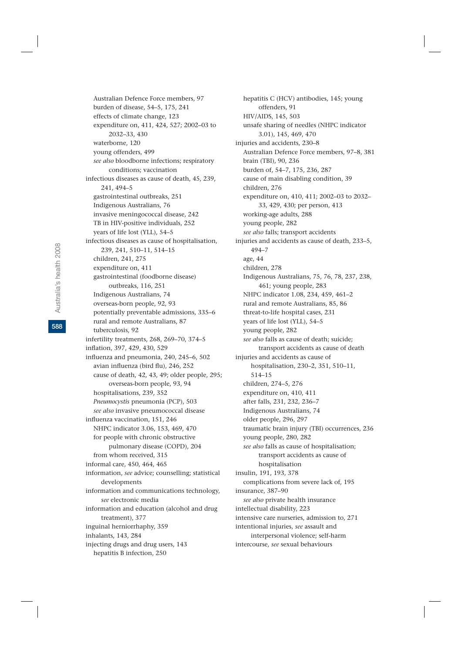Australia's health 2008 Australia's health 2008

2032–33, 430 waterborne, 120 young offenders, 499 *see also* bloodborne infections; respiratory conditions; vaccination infectious diseases as cause of death, 45, 239, 241, 494–5 gastrointestinal outbreaks, 251 Indigenous Australians, 76 invasive meningococcal disease, 242 TB in HIV-positive individuals, 252 years of life lost (YLL), 54–5 infectious diseases as cause of hospitalisation, 239, 241, 510–11, 514–15 children, 241, 275 expenditure on, 411 gastrointestinal (foodborne disease) outbreaks, 116, 251 Indigenous Australians, 74 overseas-born people, 92, 93 potentially preventable admissions, 335–6 rural and remote Australians, 87 tuberculosis, 92 infertility treatments, 268, 269–70, 374–5 inflation, 397, 429, 430, 529 influenza and pneumonia, 240, 245–6, 502 avian influenza (bird flu), 246, 252 cause of death, 42, 43, 49; older people, 295; overseas-born people, 93, 94 hospitalisations, 239, 352 *Pneumocystis* pneumonia (PCP), 503 *see also* invasive pneumococcal disease influenza vaccination, 151, 246 NHPC indicator 3.06, 153, 469, 470 for people with chronic obstructive pulmonary disease (COPD), 204 from whom received, 315 informal care, 450, 464, 465 information, *see* advice; counselling; statistical developments information and communications technology, *see* electronic media information and education (alcohol and drug treatment), 377 inguinal herniorrhaphy, 359 inhalants, 143, 284 injecting drugs and drug users, 143

hepatitis B infection, 250

Australian Defence Force members, 97 burden of disease, 54–5, 175, 241 effects of climate change, 123

expenditure on, 411, 424, 527; 2002–03 to

hepatitis C (HCV) antibodies, 145; young offenders, 91 HIV/AIDS, 145, 503 unsafe sharing of needles (NHPC indicator 3.01), 145, 469, 470 injuries and accidents, 230–8 Australian Defence Force members, 97–8, 381 brain (TBI), 90, 236 burden of, 54–7, 175, 236, 287 cause of main disabling condition, 39 children, 276 expenditure on, 410, 411; 2002–03 to 2032– 33, 429, 430; per person, 413 working-age adults, 288 young people, 282 *see also* falls; transport accidents injuries and accidents as cause of death, 233–5, 494–7 age, 44 children, 278 Indigenous Australians, 75, 76, 78, 237, 238, 461; young people, 283 NHPC indicator 1.08, 234, 459, 461–2 rural and remote Australians, 85, 86 threat-to-life hospital cases, 231 years of life lost (YLL), 54–5 young people, 282 *see also* falls as cause of death; suicide; transport accidents as cause of death injuries and accidents as cause of hospitalisation, 230–2, 351, 510–11, 514–15 children, 274–5, 276 expenditure on, 410, 411 after falls, 231, 232, 236–7 Indigenous Australians, 74 older people, 296, 297 traumatic brain injury (TBI) occurrences, 236 young people, 280, 282 *see also* falls as cause of hospitalisation; transport accidents as cause of hospitalisation insulin, 191, 193, 378 complications from severe lack of, 195 insurance, 387–90 *see also* private health insurance intellectual disability, 223 intensive care nurseries, admission to, 271 intentional injuries, *see* assault and interpersonal violence; self-harm intercourse, *see* sexual behaviours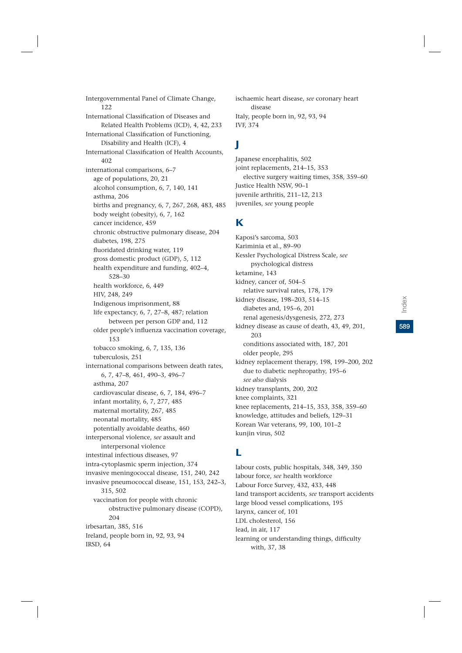Intergovernmental Panel of Climate Change, 122 International Classification of Diseases and Related Health Problems (ICD), 4, 42, 233 International Classification of Functioning, Disability and Health (ICF), 4 International Classification of Health Accounts, 402 international comparisons, 6–7 age of populations, 20, 21 alcohol consumption, 6, 7, 140, 141 asthma, 206 births and pregnancy, 6, 7, 267, 268, 483, 485 body weight (obesity), 6, 7, 162 cancer incidence, 459 chronic obstructive pulmonary disease, 204 diabetes, 198, 275 fluoridated drinking water, 119 gross domestic product (GDP), 5, 112 health expenditure and funding, 402–4, 528–30 health workforce, 6, 449 HIV, 248, 249 Indigenous imprisonment, 88 life expectancy, 6, 7, 27–8, 487; relation between per person GDP and, 112 older people's influenza vaccination coverage, 153 tobacco smoking, 6, 7, 135, 136 tuberculosis, 251 international comparisons between death rates, 6, 7, 47–8, 461, 490–3, 496–7 asthma, 207 cardiovascular disease, 6, 7, 184, 496–7 infant mortality, 6, 7, 277, 485 maternal mortality, 267, 485 neonatal mortality, 485 potentially avoidable deaths, 460 interpersonal violence, *see* assault and interpersonal violence intestinal infectious diseases, 97 intra-cytoplasmic sperm injection, 374 invasive meningococcal disease, 151, 240, 242 invasive pneumococcal disease, 151, 153, 242–3, 315, 502 vaccination for people with chronic obstructive pulmonary disease (COPD), 204 irbesartan, 385, 516 Ireland, people born in, 92, 93, 94 IRSD, 64

ischaemic heart disease, *see* coronary heart disease Italy, people born in, 92, 93, 94 IVF, 374

# J

Japanese encephalitis, 502 joint replacements, 214–15, 353 elective surgery waiting times, 358, 359–60 Justice Health NSW, 90–1 juvenile arthritis, 211–12, 213 juveniles, *see* young people

#### K

Kaposi's sarcoma, 503 Kariminia et al., 89–90 Kessler Psychological Distress Scale, *see* psychological distress ketamine, 143 kidney, cancer of, 504–5 relative survival rates, 178, 179 kidney disease, 198–203, 514–15 diabetes and, 195–6, 201 renal agenesis/dysgenesis, 272, 273 kidney disease as cause of death, 43, 49, 201, 203 conditions associated with, 187, 201 older people, 295 kidney replacement therapy, 198, 199–200, 202 due to diabetic nephropathy, 195–6 *see also* dialysis kidney transplants, 200, 202 knee complaints, 321 knee replacements, 214–15, 353, 358, 359–60 knowledge, attitudes and beliefs, 129–31 Korean War veterans, 99, 100, 101–2 kunjin virus, 502

### L

labour costs, public hospitals, 348, 349, 350 labour force, *see* health workforce Labour Force Survey, 432, 433, 448 land transport accidents, *see* transport accidents large blood vessel complications, 195 larynx, cancer of, 101 LDL cholesterol, 156 lead, in air, 117 learning or understanding things, difficulty with, 37, 38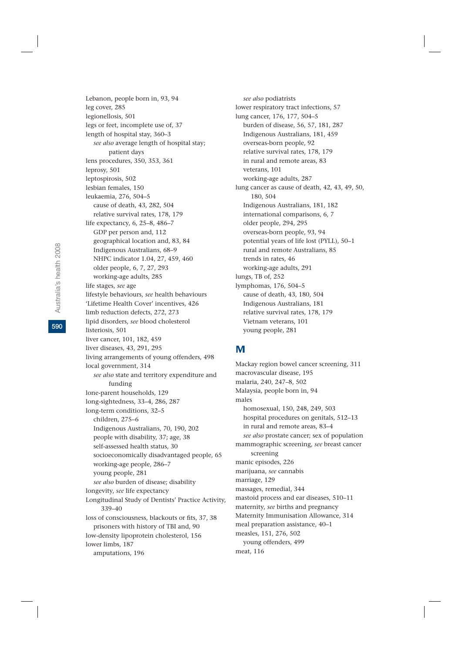Lebanon, people born in, 93, 94 leg cover, 285 legionellosis, 501 legs or feet, incomplete use of, 37 length of hospital stay, 360–3 *see also* average length of hospital stay; patient days lens procedures, 350, 353, 361 leprosy, 501 leptospirosis, 502 lesbian females, 150 leukaemia, 276, 504–5 cause of death, 43, 282, 504 relative survival rates, 178, 179 life expectancy, 6, 25–8, 486–7 GDP per person and, 112 geographical location and, 83, 84 Indigenous Australians, 68–9 NHPC indicator 1.04, 27, 459, 460 older people, 6, 7, 27, 293 working-age adults, 285 life stages, *see* age lifestyle behaviours, *see* health behaviours 'Lifetime Health Cover' incentives, 426 limb reduction defects, 272, 273 lipid disorders, *see* blood cholesterol listeriosis, 501 liver cancer, 101, 182, 459 liver diseases, 43, 291, 295 living arrangements of young offenders, 498 local government, 314 *see also* state and territory expenditure and funding lone-parent households, 129 long-sightedness, 33–4, 286, 287 long-term conditions, 32–5 children, 275–6 Indigenous Australians, 70, 190, 202 people with disability, 37; age, 38 self-assessed health status, 30 socioeconomically disadvantaged people, 65 working-age people, 286–7 young people, 281 *see also* burden of disease; disability longevity, *see* life expectancy Longitudinal Study of Dentists' Practice Activity, 339–40 loss of consciousness, blackouts or fits, 37, 38 prisoners with history of TBI and, 90 low-density lipoprotein cholesterol, 156 lower limbs, 187 amputations, 196

*see also* podiatrists lower respiratory tract infections, 57 lung cancer, 176, 177, 504–5 burden of disease, 56, 57, 181, 287 Indigenous Australians, 181, 459 overseas-born people, 92 relative survival rates, 178, 179 in rural and remote areas, 83 veterans, 101 working-age adults, 287 lung cancer as cause of death, 42, 43, 49, 50, 180, 504 Indigenous Australians, 181, 182 international comparisons, 6, 7 older people, 294, 295 overseas-born people, 93, 94 potential years of life lost (PYLL), 50–1 rural and remote Australians, 85 trends in rates, 46 working-age adults, 291 lungs, TB of, 252 lymphomas, 176, 504–5 cause of death, 43, 180, 504 Indigenous Australians, 181 relative survival rates, 178, 179 Vietnam veterans, 101 young people, 281

#### M

Mackay region bowel cancer screening, 311 macrovascular disease, 195 malaria, 240, 247–8, 502 Malaysia, people born in, 94 males homosexual, 150, 248, 249, 503 hospital procedures on genitals, 512–13 in rural and remote areas, 83–4 *see also* prostate cancer; sex of population mammographic screening, *see* breast cancer screening manic episodes, 226 marijuana, *see* cannabis marriage, 129 massages, remedial, 344 mastoid process and ear diseases, 510–11 maternity, *see* births and pregnancy Maternity Immunisation Allowance, 314 meal preparation assistance, 40–1 measles, 151, 276, 502 young offenders, 499 meat, 116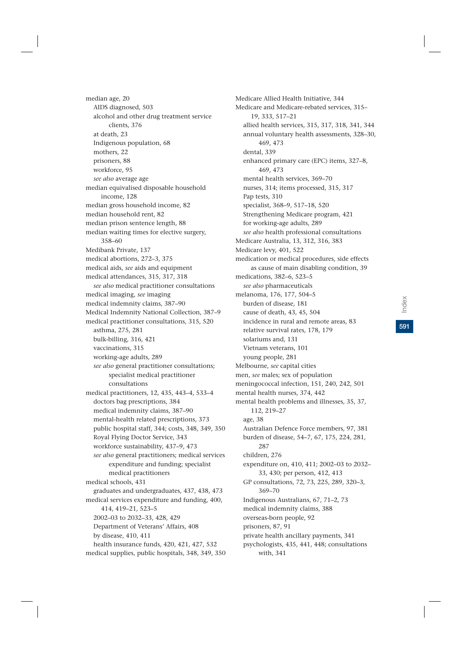**591**Index

AIDS diagnosed, 503 alcohol and other drug treatment service clients, 376 at death, 23 Indigenous population, 68 mothers, 22 prisoners, 88 workforce, 95 *see also* average age median equivalised disposable household income, 128 median gross household income, 82 median household rent, 82 median prison sentence length, 88 median waiting times for elective surgery, 358–60 Medibank Private, 137 medical abortions, 272–3, 375 medical aids, *see* aids and equipment medical attendances, 315, 317, 318 *see also* medical practitioner consultations medical imaging, *see* imaging medical indemnity claims, 387–90 Medical Indemnity National Collection, 387–9 medical practitioner consultations, 315, 520 asthma, 275, 281 bulk-billing, 316, 421 vaccinations, 315 working-age adults, 289 *see also* general practitioner consultations; specialist medical practitioner consultations medical practitioners, 12, 435, 443–4, 533–4 doctors bag prescriptions, 384 medical indemnity claims, 387–90 mental-health related prescriptions, 373 public hospital staff, 344; costs, 348, 349, 350 Royal Flying Doctor Service, 343 workforce sustainability, 437–9, 473 *see also* general practitioners; medical services expenditure and funding; specialist medical practitioners medical schools, 431 graduates and undergraduates, 437, 438, 473 medical services expenditure and funding, 400, 414, 419–21, 523–5 2002–03 to 2032–33, 428, 429 Department of Veterans' Affairs, 408 by disease, 410, 411 health insurance funds, 420, 421, 427, 532 medical supplies, public hospitals, 348, 349, 350

median age, 20

Medicare Allied Health Initiative, 344 Medicare and Medicare-rebated services, 315– 19, 333, 517–21 allied health services, 315, 317, 318, 341, 344 annual voluntary health assessments, 328–30, 469, 473 dental, 339 enhanced primary care (EPC) items, 327–8, 469, 473 mental health services, 369–70 nurses, 314; items processed, 315, 317 Pap tests, 310 specialist, 368–9, 517–18, 520 Strengthening Medicare program, 421 for working-age adults, 289 *see also* health professional consultations Medicare Australia, 13, 312, 316, 383 Medicare levy, 401, 522 medication or medical procedures, side effects as cause of main disabling condition, 39 medications, 382–6, 523–5 *see also* pharmaceuticals melanoma, 176, 177, 504–5 burden of disease, 181 cause of death, 43, 45, 504 incidence in rural and remote areas, 83 relative survival rates, 178, 179 solariums and, 131 Vietnam veterans, 101 young people, 281 Melbourne, *see* capital cities men, *see* males; sex of population meningococcal infection, 151, 240, 242, 501 mental health nurses, 374, 442 mental health problems and illnesses, 35, 37, 112, 219–27 age, 38 Australian Defence Force members, 97, 381 burden of disease, 54–7, 67, 175, 224, 281, 287 children, 276 expenditure on, 410, 411; 2002–03 to 2032– 33, 430; per person, 412, 413 GP consultations, 72, 73, 225, 289, 320–3, 369–70 Indigenous Australians, 67, 71–2, 73 medical indemnity claims, 388 overseas-born people, 92 prisoners, 87, 91 private health ancillary payments, 341 psychologists, 435, 441, 448; consultations with, 341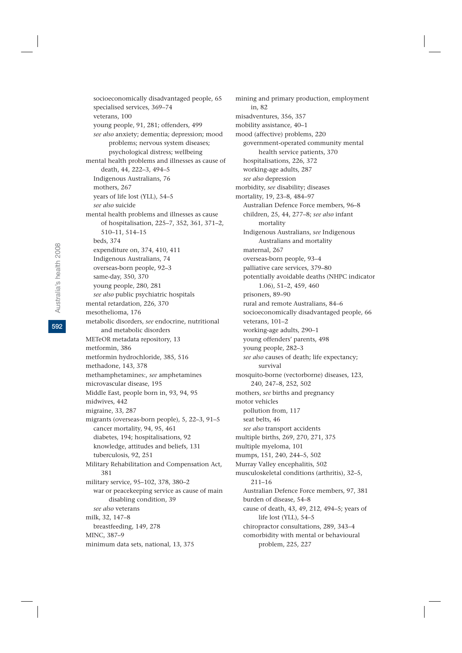socioeconomically disadvantaged people, 65 specialised services, 369–74 veterans, 100 young people, 91, 281; offenders, 499 *see also* anxiety; dementia; depression; mood problems; nervous system diseases; psychological distress; wellbeing mental health problems and illnesses as cause of death, 44, 222–3, 494–5 Indigenous Australians, 76 mothers, 267 years of life lost (YLL), 54–5 *see also* suicide mental health problems and illnesses as cause of hospitalisation, 225–7, 352, 361, 371–2, 510–11, 514–15 beds, 374 expenditure on, 374, 410, 411 Indigenous Australians, 74 overseas-born people, 92–3 same-day, 350, 370 young people, 280, 281 *see also* public psychiatric hospitals mental retardation, 226, 370 mesothelioma, 176 metabolic disorders, *see* endocrine, nutritional and metabolic disorders METeOR metadata repository, 13 metformin, 386 metformin hydrochloride, 385, 516 methadone, 143, 378 methamphetamines:, *see* amphetamines microvascular disease, 195 Middle East, people born in, 93, 94, 95 midwives, 442 migraine, 33, 287 migrants (overseas-born people), 5, 22–3, 91–5 cancer mortality, 94, 95, 461 diabetes, 194; hospitalisations, 92 knowledge, attitudes and beliefs, 131 tuberculosis, 92, 251 Military Rehabilitation and Compensation Act, 381 military service, 95–102, 378, 380–2 war or peacekeeping service as cause of main disabling condition, 39 *see also* veterans milk, 32, 147–8 breastfeeding, 149, 278 MINC, 387–9 minimum data sets, national, 13, 375

mining and primary production, employment in, 82 misadventures, 356, 357 mobility assistance, 40–1 mood (affective) problems, 220 government-operated community mental health service patients, 370 hospitalisations, 226, 372 working-age adults, 287 *see also* depression morbidity, *see* disability; diseases mortality, 19, 23–8, 484–97 Australian Defence Force members, 96–8 children, 25, 44, 277–8; *see also* infant mortality Indigenous Australians, *see* Indigenous Australians and mortality maternal, 267 overseas-born people, 93–4 palliative care services, 379–80 potentially avoidable deaths (NHPC indicator 1.06), 51–2, 459, 460 prisoners, 89–90 rural and remote Australians, 84–6 socioeconomically disadvantaged people, 66 veterans, 101–2 working-age adults, 290–1 young offenders' parents, 498 young people, 282–3 *see also* causes of death; life expectancy; survival mosquito-borne (vectorborne) diseases, 123, 240, 247–8, 252, 502 mothers, *see* births and pregnancy motor vehicles pollution from, 117 seat belts, 46 *see also* transport accidents multiple births, 269, 270, 271, 375 multiple myeloma, 101 mumps, 151, 240, 244–5, 502 Murray Valley encephalitis, 502 musculoskeletal conditions (arthritis), 32–5, 211–16 Australian Defence Force members, 97, 381 burden of disease, 54–8 cause of death, 43, 49, 212, 494–5; years of life lost (YLL), 54–5 chiropractor consultations, 289, 343–4 comorbidity with mental or behavioural problem, 225, 227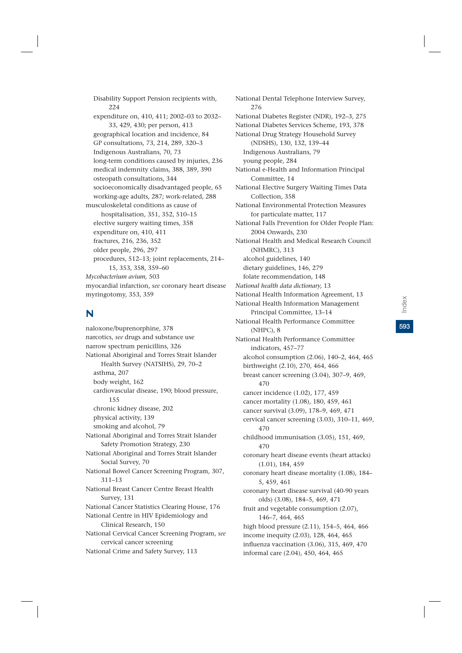Disability Support Pension recipients with, 224 expenditure on, 410, 411; 2002–03 to 2032– 33, 429, 430; per person, 413 geographical location and incidence, 84 GP consultations, 73, 214, 289, 320–3 Indigenous Australians, 70, 73 long-term conditions caused by injuries, 236 medical indemnity claims, 388, 389, 390 osteopath consultations, 344 socioeconomically disadvantaged people, 65 working-age adults, 287; work-related, 288 musculoskeletal conditions as cause of hospitalisation, 351, 352, 510–15 elective surgery waiting times, 358 expenditure on, 410, 411 fractures, 216, 236, 352 older people, 296, 297 procedures, 512–13; joint replacements, 214– 15, 353, 358, 359–60 *Mycobacterium avium,* 503 myocardial infarction, *see* coronary heart disease myringotomy, 353, 359

### N

naloxone/buprenorphine, 378 narcotics, *see* drugs and substance use narrow spectrum penicillins, 326 National Aboriginal and Torres Strait Islander Health Survey (NATSIHS), 29, 70–2 asthma, 207 body weight, 162 cardiovascular disease, 190; blood pressure, 155 chronic kidney disease, 202 physical activity, 139 smoking and alcohol, 79 National Aboriginal and Torres Strait Islander Safety Promotion Strategy, 230 National Aboriginal and Torres Strait Islander Social Survey, 70 National Bowel Cancer Screening Program, 307, 311–13 National Breast Cancer Centre Breast Health Survey, 131 National Cancer Statistics Clearing House, 176 National Centre in HIV Epidemiology and Clinical Research, 150 National Cervical Cancer Screening Program, *see* cervical cancer screening National Crime and Safety Survey, 113

National Dental Telephone Interview Survey, 276 National Diabetes Register (NDR), 192–3, 275 National Diabetes Services Scheme, 193, 378 National Drug Strategy Household Survey (NDSHS), 130, 132, 139–44 Indigenous Australians, 79 young people, 284 National e-Health and Information Principal Committee, 14 National Elective Surgery Waiting Times Data Collection, 358 National Environmental Protection Measures for particulate matter, 117 National Falls Prevention for Older People Plan: 2004 Onwards, 230 National Health and Medical Research Council (NHMRC), 313 alcohol guidelines, 140 dietary guidelines, 146, 279 folate recommendation, 148 *National health data dictionary,* 13 National Health Information Agreement, 13 National Health Information Management Principal Committee, 13–14 National Health Performance Committee (NHPC), 8 National Health Performance Committee indicators, 457–77 alcohol consumption (2.06), 140–2, 464, 465 birthweight (2.10), 270, 464, 466 breast cancer screening (3.04), 307–9, 469, 470 cancer incidence (1.02), 177, 459 cancer mortality (1.08), 180, 459, 461 cancer survival (3.09), 178–9, 469, 471 cervical cancer screening (3.03), 310–11, 469, 470 childhood immunisation (3.05), 151, 469, 470 coronary heart disease events (heart attacks) (1.01), 184, 459 coronary heart disease mortality (1.08), 184– 5, 459, 461 coronary heart disease survival (40-90 years olds) (3.08), 184–5, 469, 471 fruit and vegetable consumption (2.07), 146–7, 464, 465 high blood pressure (2.11), 154–5, 464, 466 income inequity (2.03), 128, 464, 465 influenza vaccination (3.06), 315, 469, 470 informal care (2.04), 450, 464, 465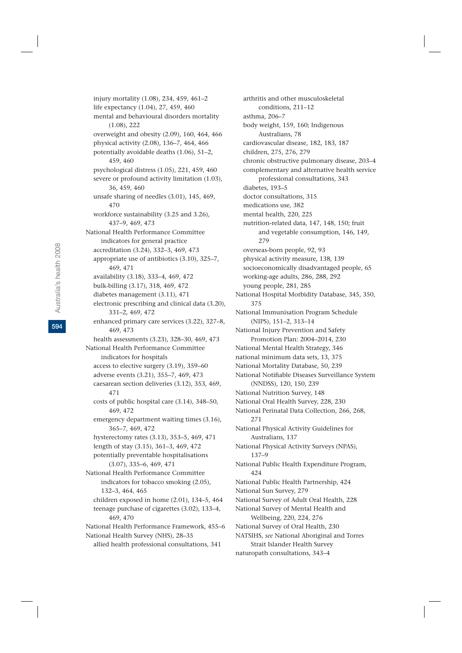injury mortality (1.08), 234, 459, 461–2 life expectancy (1.04), 27, 459, 460 mental and behavioural disorders mortality (1.08), 222 overweight and obesity (2.09), 160, 464, 466 physical activity (2.08), 136–7, 464, 466 potentially avoidable deaths (1.06), 51–2, 459, 460 psychological distress (1.05), 221, 459, 460 severe or profound activity limitation (1.03), 36, 459, 460 unsafe sharing of needles (3.01), 145, 469, 470 workforce sustainability (3.25 and 3.26), 437–9, 469, 473 National Health Performance Committee indicators for general practice accreditation (3.24), 332–3, 469, 473 appropriate use of antibiotics (3.10), 325–7, 469, 471 availability (3.18), 333–4, 469, 472 bulk-billing (3.17), 318, 469, 472 diabetes management (3.11), 471 electronic prescribing and clinical data (3.20), 331–2, 469, 472 enhanced primary care services (3.22), 327–8, 469, 473 health assessments (3.23), 328–30, 469, 473 National Health Performance Committee indicators for hospitals access to elective surgery (3.19), 359–60 adverse events (3.21), 355–7, 469, 473 caesarean section deliveries (3.12), 353, 469, 471 costs of public hospital care (3.14), 348–50, 469, 472 emergency department waiting times (3.16), 365–7, 469, 472 hysterectomy rates (3.13), 353–5, 469, 471 length of stay (3.15), 361–3, 469, 472 potentially preventable hospitalisations (3.07), 335–6, 469, 471 National Health Performance Committee indicators for tobacco smoking (2.05), 132–3, 464, 465 children exposed in home (2.01), 134–5, 464 teenage purchase of cigarettes (3.02), 133–4, 469, 470 National Health Performance Framework, 455–6 National Health Survey (NHS), 28–35 allied health professional consultations, 341

arthritis and other musculoskeletal conditions, 211–12 asthma, 206–7 body weight, 159, 160; Indigenous Australians, 78 cardiovascular disease, 182, 183, 187 children, 275, 276, 279 chronic obstructive pulmonary disease, 203–4 complementary and alternative health service professional consultations, 343 diabetes, 193–5 doctor consultations, 315 medications use, 382 mental health, 220, 225 nutrition-related data, 147, 148, 150; fruit and vegetable consumption, 146, 149, 279 overseas-born people, 92, 93 physical activity measure, 138, 139 socioeconomically disadvantaged people, 65 working-age adults, 286, 288, 292 young people, 281, 285 National Hospital Morbidity Database, 345, 350, 375 National Immunisation Program Schedule (NIPS), 151–2, 313–14 National Injury Prevention and Safety Promotion Plan: 2004–2014, 230 National Mental Health Strategy, 346 national minimum data sets, 13, 375 National Mortality Database, 50, 239 National Notifiable Diseases Surveillance System (NNDSS), 120, 150, 239 National Nutrition Survey, 148 National Oral Health Survey, 228, 230 National Perinatal Data Collection, 266, 268, 271 National Physical Activity Guidelines for Australians, 137 National Physical Activity Surveys (NPAS), 137–9 National Public Health Expenditure Program, 424 National Public Health Partnership, 424 National Sun Survey, 279 National Survey of Adult Oral Health, 228 National Survey of Mental Health and Wellbeing, 220, 224, 276 National Survey of Oral Health, 230 NATSIHS, *see* National Aboriginal and Torres Strait Islander Health Survey naturopath consultations, 343–4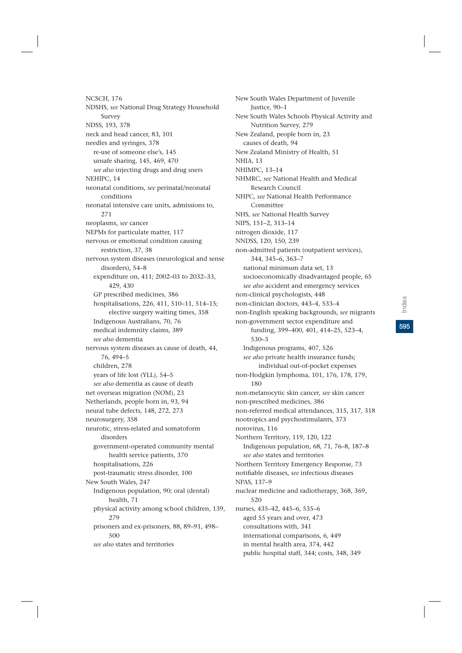NCSCH, 176 NDSHS, *see* National Drug Strategy Household Survey NDSS, 193, 378 neck and head cancer, 83, 101 needles and syringes, 378 re-use of someone else's, 145 unsafe sharing, 145, 469, 470 *see also* injecting drugs and drug users NEHIPC, 14 neonatal conditions, *see* perinatal/neonatal conditions neonatal intensive care units, admissions to, 271 neoplasms, *see* cancer NEPMs for particulate matter, 117 nervous or emotional condition causing restriction, 37, 38 nervous system diseases (neurological and sense disorders), 54–8 expenditure on, 411; 2002–03 to 2032–33, 429, 430 GP prescribed medicines, 386 hospitalisations, 226, 411, 510–11, 514–15; elective surgery waiting times, 358 Indigenous Australians, 70, 76 medical indemnity claims, 389 *see also* dementia nervous system diseases as cause of death, 44, 76, 494–5 children, 278 years of life lost (YLL), 54–5 *see also* dementia as cause of death net overseas migration (NOM), 23 Netherlands, people born in, 93, 94 neural tube defects, 148, 272, 273 neurosurgery, 358 neurotic, stress-related and somatoform disorders government-operated community mental health service patients, 370 hospitalisations, 226 post-traumatic stress disorder, 100 New South Wales, 247 Indigenous population, 90; oral (dental) health, 71 physical activity among school children, 139, 279 prisoners and ex-prisoners, 88, 89–91, 498– 500 *see also* states and territories

New South Wales Department of Juvenile Justice, 90–1 New South Wales Schools Physical Activity and Nutrition Survey, 279 New Zealand, people born in, 23 causes of death, 94 New Zealand Ministry of Health, 51 NHIA, 13 NHIMPC, 13–14 NHMRC, *see* National Health and Medical Research Council NHPC, *see* National Health Performance Committee NHS, *see* National Health Survey NIPS, 151–2, 313–14 nitrogen dioxide, 117 NNDSS, 120, 150, 239 non-admitted patients (outpatient services), 344, 345–6, 363–7 national minimum data set, 13 socioeconomically disadvantaged people, 65 *see also* accident and emergency services non-clinical psychologists, 448 non-clinician doctors, 443–4, 533–4 non-English speaking backgrounds, *see* migrants non-government sector expenditure and funding, 399–400, 401, 414–25, 523–4, 530–3 Indigenous programs, 407, 526 *see also* private health insurance funds; individual out-of-pocket expenses non-Hodgkin lymphoma, 101, 176, 178, 179, 180 non-melanocytic skin cancer, *see* skin cancer non-prescribed medicines, 386 non-referred medical attendances, 315, 317, 318 nootropics and psychostimulants, 373 norovirus, 116 Northern Territory, 119, 120, 122 Indigenous population, 68, 71, 76–8, 187–8 *see also* states and territories Northern Territory Emergency Response, 73 notifiable diseases, *see* infectious diseases NPAS, 137–9 nuclear medicine and radiotherapy, 368, 369, 520 nurses, 435–42, 445–6, 535–6 aged 55 years and over, 473 consultations with, 341 international comparisons, 6, 449 in mental health area, 374, 442

public hospital staff, 344; costs, 348, 349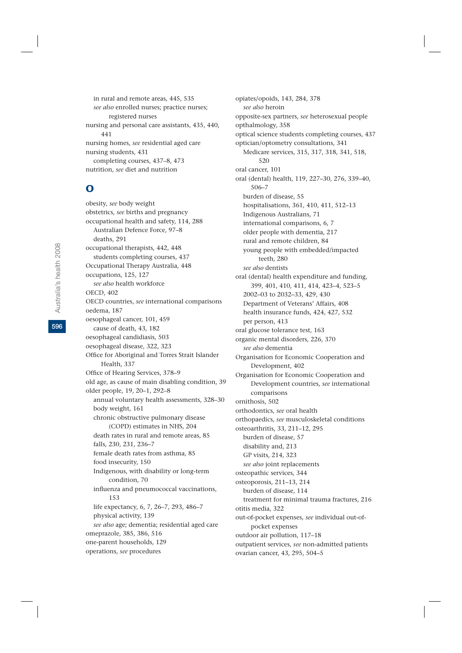in rural and remote areas, 445, 535 *see also* enrolled nurses; practice nurses; registered nurses nursing and personal care assistants, 435, 440, 441 nursing homes, *see* residential aged care nursing students, 431 completing courses, 437–8, 473 nutrition, *see* diet and nutrition

## O

obesity, *see* body weight obstetrics, *see* births and pregnancy occupational health and safety, 114, 288 Australian Defence Force, 97–8 deaths, 291 occupational therapists, 442, 448 students completing courses, 437 Occupational Therapy Australia, 448 occupations, 125, 127 *see also* health workforce OECD, 402 OECD countries, *see* international comparisons oedema, 187 oesophageal cancer, 101, 459 cause of death, 43, 182 oesophageal candidiasis, 503 oesophageal disease, 322, 323 Office for Aboriginal and Torres Strait Islander Health, 337 Office of Hearing Services, 378–9 old age, as cause of main disabling condition, 39 older people, 19, 20–1, 292–8 annual voluntary health assessments, 328–30 body weight, 161 chronic obstructive pulmonary disease (COPD) estimates in NHS, 204 death rates in rural and remote areas, 85 falls, 230, 231, 236–7 female death rates from asthma, 85 food insecurity, 150 Indigenous, with disability or long-term condition, 70 influenza and pneumococcal vaccinations, 153 life expectancy, 6, 7, 26–7, 293, 486–7 physical activity, 139 *see also* age; dementia; residential aged care omeprazole, 385, 386, 516 one-parent households, 129 operations, *see* procedures

opiates/opoids, 143, 284, 378 *see also* heroin opposite-sex partners, *see* heterosexual people opthalmology, 358 optical science students completing courses, 437 optician/optometry consultations, 341 Medicare services, 315, 317, 318, 341, 518, 520 oral cancer, 101 oral (dental) health, 119, 227–30, 276, 339–40, 506–7 burden of disease, 55 hospitalisations, 361, 410, 411, 512–13 Indigenous Australians, 71 international comparisons, 6, 7 older people with dementia, 217 rural and remote children, 84 young people with embedded/impacted teeth, 280 *see also* dentists oral (dental) health expenditure and funding, 399, 401, 410, 411, 414, 423–4, 523–5 2002–03 to 2032–33, 429, 430 Department of Veterans' Affairs, 408 health insurance funds, 424, 427, 532 per person, 413 oral glucose tolerance test, 163 organic mental disorders, 226, 370 *see also* dementia Organisation for Economic Cooperation and Development, 402 Organisation for Economic Cooperation and Development countries, *see* international comparisons ornithosis, 502 orthodontics, *see* oral health orthopaedics, *see* musculoskeletal conditions osteoarthritis, 33, 211–12, 295 burden of disease, 57 disability and, 213 GP visits, 214, 323 *see also* joint replacements osteopathic services, 344 osteoporosis, 211–13, 214 burden of disease, 114 treatment for minimal trauma fractures, 216 otitis media, 322 out-of-pocket expenses, *see* individual out-ofpocket expenses outdoor air pollution, 117–18 outpatient services, *see* non-admitted patients ovarian cancer, 43, 295, 504–5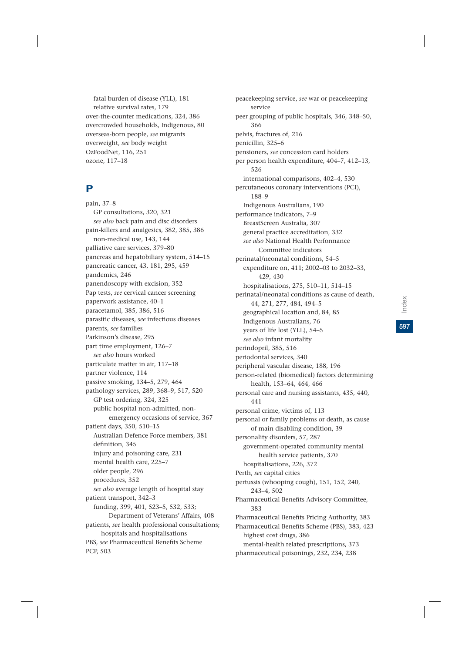fatal burden of disease (YLL), 181 relative survival rates, 179 over-the-counter medications, 324, 386 overcrowded households, Indigenous, 80 overseas-born people, *see* migrants overweight, *see* body weight OzFoodNet, 116, 251 ozone, 117–18

#### P

pain, 37–8 GP consultations, 320, 321 *see also* back pain and disc disorders pain-killers and analgesics, 382, 385, 386 non-medical use, 143, 144 palliative care services, 379–80 pancreas and hepatobiliary system, 514–15 pancreatic cancer, 43, 181, 295, 459 pandemics, 246 panendoscopy with excision, 352 Pap tests, *see* cervical cancer screening paperwork assistance, 40–1 paracetamol, 385, 386, 516 parasitic diseases, *see* infectious diseases parents, *see* families Parkinson's disease, 295 part time employment, 126–7 *see also* hours worked particulate matter in air, 117–18 partner violence, 114 passive smoking, 134–5, 279, 464 pathology services, 289, 368–9, 517, 520 GP test ordering, 324, 325 public hospital non-admitted, nonemergency occasions of service, 367 patient days, 350, 510–15 Australian Defence Force members, 381 definition, 345 injury and poisoning care, 231 mental health care, 225–7 older people, 296 procedures, 352 *see also* average length of hospital stay patient transport, 342–3 funding, 399, 401, 523–5, 532, 533; Department of Veterans' Affairs, 408 patients, *see* health professional consultations; hospitals and hospitalisations PBS, *see* Pharmaceutical Benefits Scheme PCP, 503

peacekeeping service, *see* war or peacekeeping service peer grouping of public hospitals, 346, 348–50, 366 pelvis, fractures of, 216 penicillin, 325–6 pensioners, *see* concession card holders per person health expenditure, 404–7, 412–13, 526 international comparisons, 402–4, 530 percutaneous coronary interventions (PCI), 188–9 Indigenous Australians, 190 performance indicators, 7–9 BreastScreen Australia, 307 general practice accreditation, 332 *see also* National Health Performance Committee indicators perinatal/neonatal conditions, 54–5 expenditure on, 411; 2002–03 to 2032–33, 429, 430 hospitalisations, 275, 510–11, 514–15 perinatal/neonatal conditions as cause of death, 44, 271, 277, 484, 494–5 geographical location and, 84, 85 Indigenous Australians, 76 years of life lost (YLL), 54–5 *see also* infant mortality perindopril, 385, 516 periodontal services, 340 peripheral vascular disease, 188, 196 person-related (biomedical) factors determining health, 153–64, 464, 466 personal care and nursing assistants, 435, 440, 441 personal crime, victims of, 113 personal or family problems or death, as cause of main disabling condition, 39 personality disorders, 57, 287 government-operated community mental health service patients, 370 hospitalisations, 226, 372 Perth, *see* capital cities pertussis (whooping cough), 151, 152, 240, 243–4, 502 Pharmaceutical Benefits Advisory Committee, 383 Pharmaceutical Benefits Pricing Authority, 383 Pharmaceutical Benefits Scheme (PBS), 383, 423 highest cost drugs, 386 mental-health related prescriptions, 373 pharmaceutical poisonings, 232, 234, 238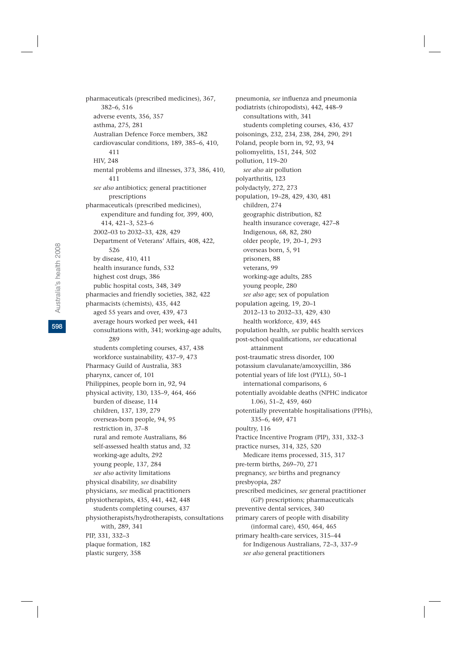pharmaceuticals (prescribed medicines), 367, 382–6, 516 adverse events, 356, 357 asthma, 275, 281 Australian Defence Force members, 382 cardiovascular conditions, 189, 385–6, 410, 411 HIV, 248 mental problems and illnesses, 373, 386, 410, 411 *see also* antibiotics; general practitioner prescriptions pharmaceuticals (prescribed medicines), expenditure and funding for, 399, 400, 414, 421–3, 523–6 2002–03 to 2032–33, 428, 429 Department of Veterans' Affairs, 408, 422, 526 by disease, 410, 411 health insurance funds, 532 highest cost drugs, 386 public hospital costs, 348, 349 pharmacies and friendly societies, 382, 422 pharmacists (chemists), 435, 442 aged 55 years and over, 439, 473 average hours worked per week, 441 consultations with, 341; working-age adults, 289 students completing courses, 437, 438 workforce sustainability, 437–9, 473 Pharmacy Guild of Australia, 383 pharynx, cancer of, 101 Philippines, people born in, 92, 94 physical activity, 130, 135–9, 464, 466 burden of disease, 114 children, 137, 139, 279 overseas-born people, 94, 95 restriction in, 37–8 rural and remote Australians, 86 self-assessed health status and, 32 working-age adults, 292 young people, 137, 284 *see also* activity limitations physical disability, *see* disability physicians, *see* medical practitioners physiotherapists, 435, 441, 442, 448 students completing courses, 437 physiotherapists/hydrotherapists, consultations with, 289, 341 PIP, 331, 332–3 plaque formation, 182 plastic surgery, 358

pneumonia, *see* influenza and pneumonia podiatrists (chiropodists), 442, 448–9 consultations with, 341 students completing courses, 436, 437 poisonings, 232, 234, 238, 284, 290, 291 Poland, people born in, 92, 93, 94 poliomyelitis, 151, 244, 502 pollution, 119–20 *see also* air pollution polyarthritis, 123 polydactyly, 272, 273 population, 19–28, 429, 430, 481 children, 274 geographic distribution, 82 health insurance coverage, 427–8 Indigenous, 68, 82, 280 older people, 19, 20–1, 293 overseas born, 5, 91 prisoners, 88 veterans, 99 working-age adults, 285 young people, 280 *see also* age; sex of population population ageing, 19, 20–1 2012–13 to 2032–33, 429, 430 health workforce, 439, 445 population health, *see* public health services post-school qualifications, *see* educational attainment post-traumatic stress disorder, 100 potassium clavulanate/amoxycillin, 386 potential years of life lost (PYLL), 50–1 international comparisons, 6 potentially avoidable deaths (NPHC indicator 1.06), 51–2, 459, 460 potentially preventable hospitalisations (PPHs), 335–6, 469, 471 poultry, 116 Practice Incentive Program (PIP), 331, 332–3 practice nurses, 314, 325, 520 Medicare items processed, 315, 317 pre-term births, 269–70, 271 pregnancy, *see* births and pregnancy presbyopia, 287 prescribed medicines, *see* general practitioner (GP) prescriptions; pharmaceuticals preventive dental services, 340 primary carers of people with disability (informal care), 450, 464, 465 primary health-care services, 315–44 for Indigenous Australians, 72–3, 337–9 *see also* general practitioners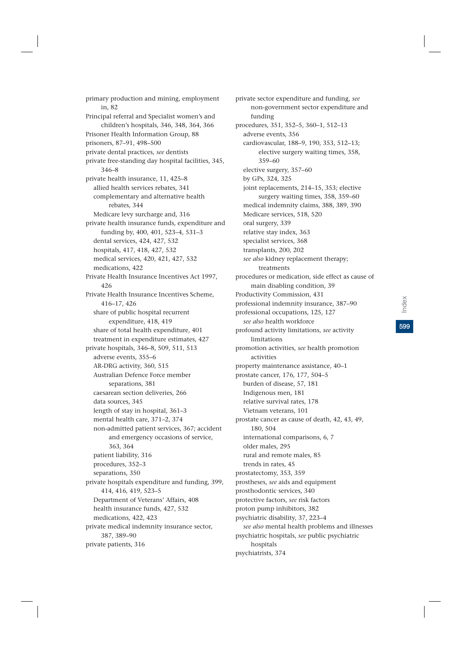primary production and mining, employment in, 82 Principal referral and Specialist women's and children's hospitals, 346, 348, 364, 366 Prisoner Health Information Group, 88 prisoners, 87–91, 498–500 private dental practices, *see* dentists private free-standing day hospital facilities, 345, 346–8 private health insurance, 11, 425–8 allied health services rebates, 341 complementary and alternative health rebates, 344 Medicare levy surcharge and, 316 private health insurance funds, expenditure and funding by, 400, 401, 523–4, 531–3 dental services, 424, 427, 532 hospitals, 417, 418, 427, 532 medical services, 420, 421, 427, 532 medications, 422 Private Health Insurance Incentives Act 1997, 426 Private Health Insurance Incentives Scheme, 416–17, 426 share of public hospital recurrent expenditure, 418, 419 share of total health expenditure, 401 treatment in expenditure estimates, 427 private hospitals, 346–8, 509, 511, 513 adverse events, 355–6 AR-DRG activity, 360, 515 Australian Defence Force member separations, 381 caesarean section deliveries, 266 data sources, 345 length of stay in hospital, 361–3 mental health care, 371–2, 374 non-admitted patient services, 367; accident and emergency occasions of service, 363, 364 patient liability, 316 procedures, 352–3 separations, 350 private hospitals expenditure and funding, 399, 414, 416, 419, 523–5 Department of Veterans' Affairs, 408 health insurance funds, 427, 532 medications, 422, 423 private medical indemnity insurance sector, 387, 389–90 private patients, 316

private sector expenditure and funding, *see* non-government sector expenditure and funding procedures, 351, 352–5, 360–1, 512–13 adverse events, 356 cardiovascular, 188–9, 190, 353, 512–13; elective surgery waiting times, 358, 359–60 elective surgery, 357–60 by GPs, 324, 325 joint replacements, 214–15, 353; elective surgery waiting times, 358, 359–60 medical indemnity claims, 388, 389, 390 Medicare services, 518, 520 oral surgery, 339 relative stay index, 363 specialist services, 368 transplants, 200, 202 *see also* kidney replacement therapy; treatments procedures or medication, side effect as cause of main disabling condition, 39 Productivity Commission, 431 professional indemnity insurance, 387–90 professional occupations, 125, 127 *see also* health workforce profound activity limitations, *see* activity limitations promotion activities, *see* health promotion activities property maintenance assistance, 40–1 prostate cancer, 176, 177, 504–5 burden of disease, 57, 181 Indigenous men, 181 relative survival rates, 178 Vietnam veterans, 101 prostate cancer as cause of death, 42, 43, 49, 180, 504 international comparisons, 6, 7 older males, 295 rural and remote males, 85 trends in rates, 45 prostatectomy, 353, 359 prostheses, *see* aids and equipment prosthodontic services, 340 protective factors, *see* risk factors proton pump inhibitors, 382 psychiatric disability, 37, 223–4 *see also* mental health problems and illnesses psychiatric hospitals, *see* public psychiatric hospitals psychiatrists, 374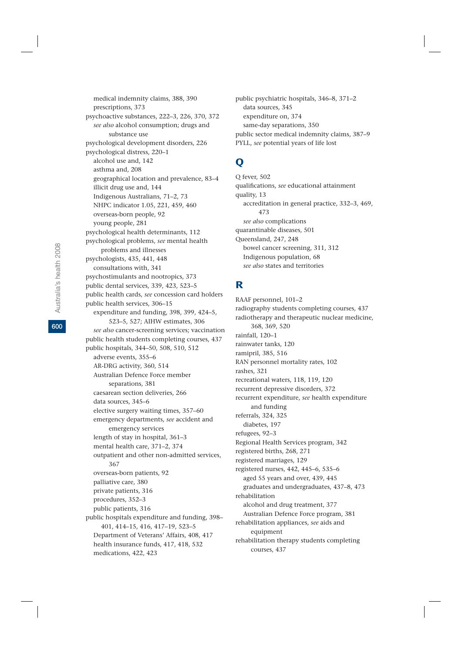medical indemnity claims, 388, 390 prescriptions, 373 psychoactive substances, 222–3, 226, 370, 372 *see also* alcohol consumption; drugs and substance use psychological development disorders, 226 psychological distress, 220–1 alcohol use and, 142 asthma and, 208 geographical location and prevalence, 83–4 illicit drug use and, 144 Indigenous Australians, 71–2, 73 NHPC indicator 1.05, 221, 459, 460 overseas-born people, 92 young people, 281 psychological health determinants, 112 psychological problems, *see* mental health problems and illnesses psychologists, 435, 441, 448 consultations with, 341 psychostimulants and nootropics, 373 public dental services, 339, 423, 523–5 public health cards, *see* concession card holders public health services, 306–15 expenditure and funding, 398, 399, 424–5, 523–5, 527; AIHW estimates, 306 *see also* cancer-screening services; vaccination public health students completing courses, 437 public hospitals, 344–50, 508, 510, 512 adverse events, 355–6 AR-DRG activity, 360, 514 Australian Defence Force member separations, 381 caesarean section deliveries, 266 data sources, 345–6 elective surgery waiting times, 357–60 emergency departments, *see* accident and emergency services length of stay in hospital, 361–3 mental health care, 371–2, 374 outpatient and other non-admitted services, 367 overseas-born patients, 92 palliative care, 380 private patients, 316 procedures, 352–3 public patients, 316 public hospitals expenditure and funding, 398– 401, 414–15, 416, 417–19, 523–5 Department of Veterans' Affairs, 408, 417 health insurance funds, 417, 418, 532 medications, 422, 423

public psychiatric hospitals, 346–8, 371–2 data sources, 345 expenditure on, 374 same-day separations, 350 public sector medical indemnity claims, 387–9 PYLL, *see* potential years of life lost

## $\mathbf 0$

Q fever, 502 qualifications, *see* educational attainment quality, 13 accreditation in general practice, 332–3, 469, 473 *see also* complications quarantinable diseases, 501 Queensland, 247, 248 bowel cancer screening, 311, 312 Indigenous population, 68 *see also* states and territories

### R

RAAF personnel, 101–2 radiography students completing courses, 437 radiotherapy and therapeutic nuclear medicine, 368, 369, 520 rainfall, 120–1 rainwater tanks, 120 ramipril, 385, 516 RAN personnel mortality rates, 102 rashes, 321 recreational waters, 118, 119, 120 recurrent depressive disorders, 372 recurrent expenditure, *see* health expenditure and funding referrals, 324, 325 diabetes, 197 refugees, 92–3 Regional Health Services program, 342 registered births, 268, 271 registered marriages, 129 registered nurses, 442, 445–6, 535–6 aged 55 years and over, 439, 445 graduates and undergraduates, 437–8, 473 rehabilitation alcohol and drug treatment, 377 Australian Defence Force program, 381 rehabilitation appliances, *see* aids and equipment rehabilitation therapy students completing courses, 437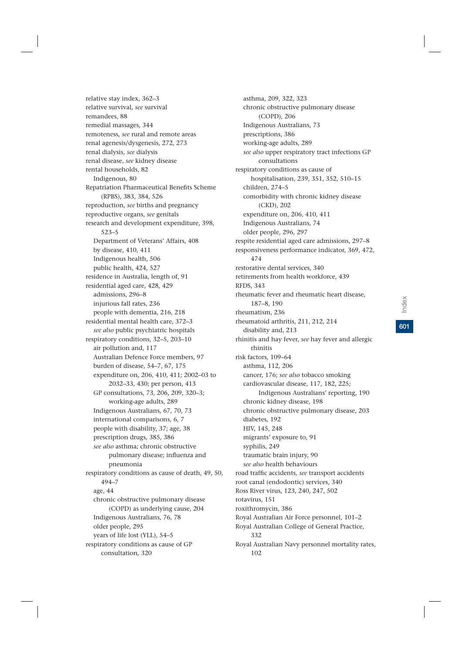relative stay index, 362–3 relative survival, *see* survival remandees, 88 remedial massages, 344 remoteness, *see* rural and remote areas renal agenesis/dysgenesis, 272, 273 renal dialysis, *see* dialysis renal disease, *see* kidney disease rental households, 82 Indigenous, 80 Repatriation Pharmaceutical Benefits Scheme (RPBS), 383, 384, 526 reproduction, *see* births and pregnancy reproductive organs, *see* genitals research and development expenditure, 398, 523–5 Department of Veterans' Affairs, 408 by disease, 410, 411 Indigenous health, 506 public health, 424, 527 residence in Australia, length of, 91 residential aged care, 428, 429 admissions, 296–8 injurious fall rates, 236 people with dementia, 216, 218 residential mental health care, 372–3 *see also* public psychiatric hospitals respiratory conditions, 32–5, 203–10 air pollution and, 117 Australian Defence Force members, 97 burden of disease, 54–7, 67, 175 expenditure on, 206, 410, 411; 2002–03 to 2032–33, 430; per person, 413 GP consultations, 73, 206, 209, 320–3; working-age adults, 289 Indigenous Australians, 67, 70, 73 international comparisons, 6, 7 people with disability, 37; age, 38 prescription drugs, 385, 386 *see also* asthma; chronic obstructive pulmonary disease; influenza and pneumonia respiratory conditions as cause of death, 49, 50, 494–7 age, 44 chronic obstructive pulmonary disease (COPD) as underlying cause, 204 Indigenous Australians, 76, 78 older people, 295 years of life lost (YLL), 54–5 respiratory conditions as cause of GP consultation, 320

asthma, 209, 322, 323 chronic obstructive pulmonary disease (COPD), 206 Indigenous Australians, 73 prescriptions, 386 working-age adults, 289 *see also* upper respiratory tract infections GP consultations respiratory conditions as cause of hospitalisation, 239, 351, 352, 510–15 children, 274–5 comorbidity with chronic kidney disease (CKD), 202 expenditure on, 206, 410, 411 Indigenous Australians, 74 older people, 296, 297 respite residential aged care admissions, 297–8 responsiveness performance indicator, 369, 472, 474 restorative dental services, 340 retirements from health workforce, 439 RFDS, 343 rheumatic fever and rheumatic heart disease, 187–8, 190 rheumatism, 236 rheumatoid arthritis, 211, 212, 214 disability and, 213 rhinitis and hay fever, *see* hay fever and allergic rhinitis risk factors, 109–64 asthma, 112, 206 cancer, 176; *see also* tobacco smoking cardiovascular disease, 117, 182, 225; Indigenous Australians' reporting, 190 chronic kidney disease, 198 chronic obstructive pulmonary disease, 203 diabetes, 192 HIV, 145, 248 migrants' exposure to, 91 syphilis, 249 traumatic brain injury, 90 *see also* health behaviours road traffic accidents, *see* transport accidents root canal (endodontic) services, 340 Ross River virus, 123, 240, 247, 502 rotavirus, 151 roxithromycin, 386 Royal Australian Air Force personnel, 101–2 Royal Australian College of General Practice, 332 Royal Australian Navy personnel mortality rates,

102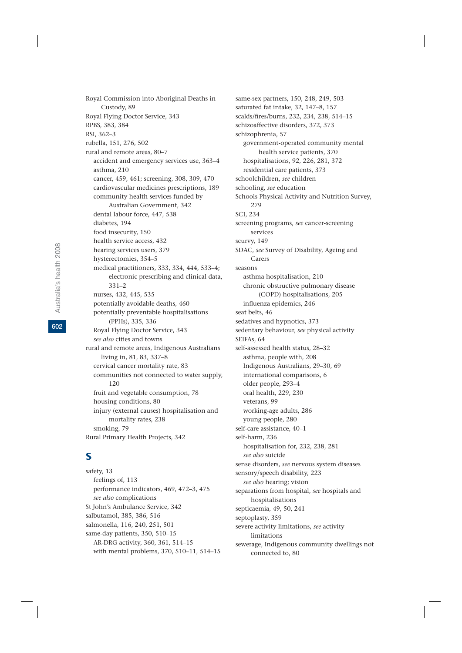Royal Commission into Aboriginal Deaths in Custody, 89 Royal Flying Doctor Service, 343 RPBS, 383, 384 RSI, 362–3 rubella, 151, 276, 502 rural and remote areas, 80–7 accident and emergency services use, 363–4 asthma, 210 cancer, 459, 461; screening, 308, 309, 470 cardiovascular medicines prescriptions, 189 community health services funded by Australian Government, 342 dental labour force, 447, 538 diabetes, 194 food insecurity, 150 health service access, 432 hearing services users, 379 hysterectomies, 354–5 medical practitioners, 333, 334, 444, 533–4; electronic prescribing and clinical data, 331–2 nurses, 432, 445, 535 potentially avoidable deaths, 460 potentially preventable hospitalisations (PPHs), 335, 336 Royal Flying Doctor Service, 343 *see also* cities and towns rural and remote areas, Indigenous Australians living in, 81, 83, 337–8 cervical cancer mortality rate, 83 communities not connected to water supply, 120 fruit and vegetable consumption, 78 housing conditions, 80 injury (external causes) hospitalisation and mortality rates, 238 smoking, 79 Rural Primary Health Projects, 342

## S

safety, 13 feelings of, 113 performance indicators, 469, 472–3, 475 *see also* complications St John's Ambulance Service, 342 salbutamol, 385, 386, 516 salmonella, 116, 240, 251, 501 same-day patients, 350, 510–15 AR-DRG activity, 360, 361, 514–15 with mental problems, 370, 510–11, 514–15 same-sex partners, 150, 248, 249, 503 saturated fat intake, 32, 147–8, 157 scalds/fires/burns, 232, 234, 238, 514–15 schizoaffective disorders, 372, 373 schizophrenia, 57 government-operated community mental health service patients, 370 hospitalisations, 92, 226, 281, 372 residential care patients, 373 schoolchildren, *see* children schooling, *see* education Schools Physical Activity and Nutrition Survey, 279 SCI, 234 screening programs, *see* cancer-screening services scurvy, 149 SDAC, *see* Survey of Disability, Ageing and Carers seasons asthma hospitalisation, 210 chronic obstructive pulmonary disease (COPD) hospitalisations, 205 influenza epidemics, 246 seat belts, 46 sedatives and hypnotics, 373 sedentary behaviour, *see* physical activity SEIFAs, 64 self-assessed health status, 28–32 asthma, people with, 208 Indigenous Australians, 29–30, 69 international comparisons, 6 older people, 293–4 oral health, 229, 230 veterans, 99 working-age adults, 286 young people, 280 self-care assistance, 40–1 self-harm, 236 hospitalisation for, 232, 238, 281 *see also* suicide sense disorders, *see* nervous system diseases sensory/speech disability, 223 *see also* hearing; vision separations from hospital, *see* hospitals and hospitalisations septicaemia, 49, 50, 241 septoplasty, 359 severe activity limitations, *see* activity limitations sewerage, Indigenous community dwellings not connected to, 80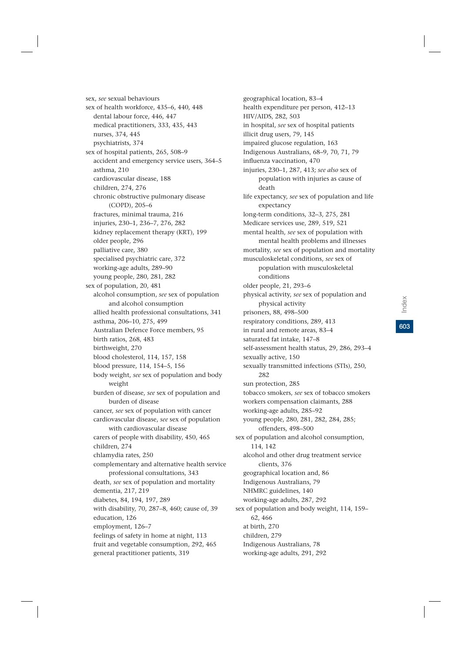geographical location, 83–4 health expenditure per person, 412–13 HIV/AIDS, 282, 503 in hospital, *see* sex of hospital patients illicit drug users, 79, 145 impaired glucose regulation, 163 Indigenous Australians, 68–9, 70, 71, 79 influenza vaccination, 470 injuries, 230–1, 287, 413; *see also* sex of population with injuries as cause of death life expectancy, *see* sex of population and life expectancy long-term conditions, 32–3, 275, 281 Medicare services use, 289, 519, 521 musculoskeletal conditions, *see* sex of conditions older people, 21, 293–6 physical activity prisoners, 88, 498–500 respiratory conditions, 289, 413 sexually active, 150 282 sun protection, 285 working-age adults, 285–92 offenders, 498–500 114, 142 clients, 376

mental health, *see* sex of population with mental health problems and illnesses mortality, *see* sex of population and mortality population with musculoskeletal

physical activity, *see* sex of population and

in rural and remote areas, 83–4

saturated fat intake, 147–8

self-assessment health status, 29, 286, 293–4 sexually transmitted infections (STIs), 250,

tobacco smokers, *see* sex of tobacco smokers workers compensation claimants, 288

young people, 280, 281, 282, 284, 285; sex of population and alcohol consumption, alcohol and other drug treatment service geographical location and, 86 Indigenous Australians, 79 NHMRC guidelines, 140 working-age adults, 287, 292

sex of population and body weight, 114, 159– 62, 466 at birth, 270 children, 279

Indigenous Australians, 78

working-age adults, 291, 292

sex of hospital patients, 265, 508–9 accident and emergency service users, 364–5 asthma, 210 cardiovascular disease, 188 children, 274, 276 chronic obstructive pulmonary disease (COPD), 205–6 fractures, minimal trauma, 216 injuries, 230–1, 236–7, 276, 282 kidney replacement therapy (KRT), 199 older people, 296 palliative care, 380 specialised psychiatric care, 372 working-age adults, 289–90 young people, 280, 281, 282 sex of population, 20, 481 alcohol consumption, *see* sex of population and alcohol consumption allied health professional consultations, 341 asthma, 206–10, 275, 499 Australian Defence Force members, 95 birth ratios, 268, 483 birthweight, 270 blood cholesterol, 114, 157, 158 blood pressure, 114, 154–5, 156 body weight, *see* sex of population and body weight burden of disease, *see* sex of population and burden of disease cancer, *see* sex of population with cancer cardiovascular disease, *see* sex of population with cardiovascular disease carers of people with disability, 450, 465 children, 274 chlamydia rates, 250 complementary and alternative health service professional consultations, 343 death, *see* sex of population and mortality dementia, 217, 219 diabetes, 84, 194, 197, 289 with disability, 70, 287–8, 460; cause of, 39 education, 126 employment, 126–7 feelings of safety in home at night, 113 fruit and vegetable consumption, 292, 465 general practitioner patients, 319

sex, *see* sexual behaviours

nurses, 374, 445 psychiatrists, 374

sex of health workforce, 435–6, 440, 448 dental labour force, 446, 447 medical practitioners, 333, 435, 443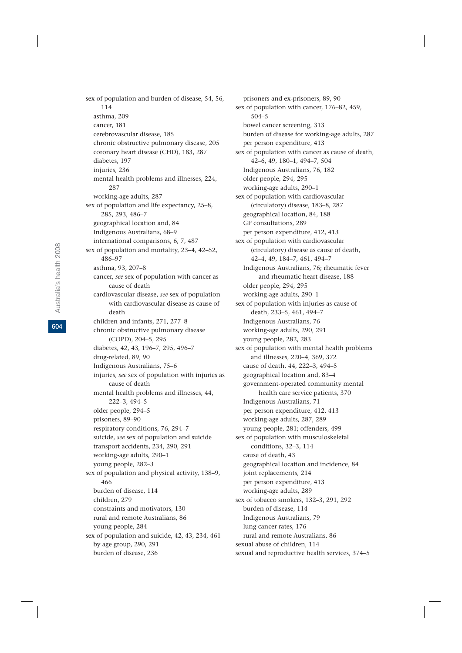sex of population and burden of disease, 54, 56, 114 asthma, 209 cancer, 181 cerebrovascular disease, 185 chronic obstructive pulmonary disease, 205 coronary heart disease (CHD), 183, 287 diabetes, 197 injuries, 236 mental health problems and illnesses, 224, 287 working-age adults, 287 sex of population and life expectancy, 25–8, 285, 293, 486–7 geographical location and, 84 Indigenous Australians, 68–9 international comparisons, 6, 7, 487 sex of population and mortality, 23–4, 42–52, 486–97 asthma, 93, 207–8 cancer, *see* sex of population with cancer as cause of death cardiovascular disease, *see* sex of population with cardiovascular disease as cause of death children and infants, 271, 277–8 chronic obstructive pulmonary disease (COPD), 204–5, 295 diabetes, 42, 43, 196–7, 295, 496–7 drug-related, 89, 90 Indigenous Australians, 75–6 injuries, *see* sex of population with injuries as cause of death mental health problems and illnesses, 44, 222–3, 494–5 older people, 294–5 prisoners, 89–90 respiratory conditions, 76, 294–7 suicide, *see* sex of population and suicide transport accidents, 234, 290, 291 working-age adults, 290–1 young people, 282–3 sex of population and physical activity, 138–9, 466 burden of disease, 114 children, 279 constraints and motivators, 130 rural and remote Australians, 86 young people, 284 sex of population and suicide, 42, 43, 234, 461 by age group, 290, 291 burden of disease, 236

prisoners and ex-prisoners, 89, 90 sex of population with cancer, 176–82, 459, 504–5 bowel cancer screening, 313 burden of disease for working-age adults, 287 per person expenditure, 413 sex of population with cancer as cause of death, 42–6, 49, 180–1, 494–7, 504 Indigenous Australians, 76, 182 older people, 294, 295 working-age adults, 290–1 sex of population with cardiovascular (circulatory) disease, 183–8, 287 geographical location, 84, 188 GP consultations, 289 per person expenditure, 412, 413 sex of population with cardiovascular (circulatory) disease as cause of death, 42–4, 49, 184–7, 461, 494–7 Indigenous Australians, 76; rheumatic fever and rheumatic heart disease, 188 older people, 294, 295 working-age adults, 290–1 sex of population with injuries as cause of death, 233–5, 461, 494–7 Indigenous Australians, 76 working-age adults, 290, 291 young people, 282, 283 sex of population with mental health problems and illnesses, 220–4, 369, 372 cause of death, 44, 222–3, 494–5 geographical location and, 83–4 government-operated community mental health care service patients, 370 Indigenous Australians, 71 per person expenditure, 412, 413 working-age adults, 287, 289 young people, 281; offenders, 499 sex of population with musculoskeletal conditions, 32–3, 114 cause of death, 43 geographical location and incidence, 84 joint replacements, 214 per person expenditure, 413 working-age adults, 289 sex of tobacco smokers, 132–3, 291, 292 burden of disease, 114 Indigenous Australians, 79 lung cancer rates, 176 rural and remote Australians, 86 sexual abuse of children, 114 sexual and reproductive health services, 374–5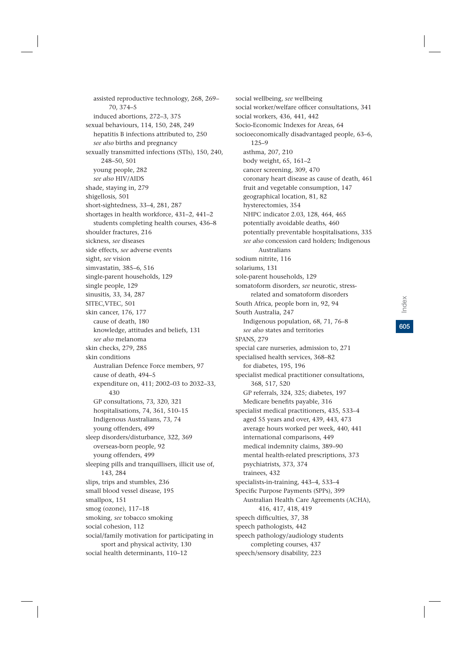assisted reproductive technology, 268, 269– 70, 374–5 induced abortions, 272–3, 375 sexual behaviours, 114, 150, 248, 249 hepatitis B infections attributed to, 250 *see also* births and pregnancy sexually transmitted infections (STIs), 150, 240, 248–50, 501 young people, 282 *see also* HIV/AIDS shade, staying in, 279 shigellosis, 501 short-sightedness, 33–4, 281, 287 shortages in health workforce, 431–2, 441–2 students completing health courses, 436–8 shoulder fractures, 216 sickness, *see* diseases side effects, *see* adverse events sight, *see* vision simvastatin, 385–6, 516 single-parent households, 129 single people, 129 sinusitis, 33, 34, 287 SITEC,VTEC, 501 skin cancer, 176, 177 cause of death, 180 knowledge, attitudes and beliefs, 131 *see also* melanoma skin checks, 279, 285 skin conditions Australian Defence Force members, 97 cause of death, 494–5 expenditure on, 411; 2002–03 to 2032–33, 430 GP consultations, 73, 320, 321 hospitalisations, 74, 361, 510–15 Indigenous Australians, 73, 74 young offenders, 499 sleep disorders/disturbance, 322, 369 overseas-born people, 92 young offenders, 499 sleeping pills and tranquillisers, illicit use of, 143, 284 slips, trips and stumbles, 236 small blood vessel disease, 195 smallpox, 151 smog (ozone), 117–18 smoking, *see* tobacco smoking social cohesion, 112 social/family motivation for participating in sport and physical activity, 130 social health determinants, 110–12

social wellbeing, *see* wellbeing social worker/welfare officer consultations, 341 social workers, 436, 441, 442 Socio-Economic Indexes for Areas, 64 socioeconomically disadvantaged people, 63–6, 125–9 asthma, 207, 210 body weight, 65, 161–2 cancer screening, 309, 470 coronary heart disease as cause of death, 461 fruit and vegetable consumption, 147 geographical location, 81, 82 hysterectomies, 354 NHPC indicator 2.03, 128, 464, 465 potentially avoidable deaths, 460 potentially preventable hospitalisations, 335 *see also* concession card holders; Indigenous Australians sodium nitrite, 116 solariums, 131 sole-parent households, 129 somatoform disorders, *see* neurotic, stressrelated and somatoform disorders South Africa, people born in, 92, 94 South Australia, 247 Indigenous population, 68, 71, 76–8 *see also* states and territories SPANS, 279 special care nurseries, admission to, 271 specialised health services, 368–82 for diabetes, 195, 196 specialist medical practitioner consultations, 368, 517, 520 GP referrals, 324, 325; diabetes, 197 Medicare benefits payable, 316 specialist medical practitioners, 435, 533–4 aged 55 years and over, 439, 443, 473 average hours worked per week, 440, 441 international comparisons, 449 medical indemnity claims, 389–90 mental health-related prescriptions, 373 psychiatrists, 373, 374 trainees, 432 specialists-in-training, 443–4, 533–4 Specific Purpose Payments (SPPs), 399 Australian Health Care Agreements (ACHA), 416, 417, 418, 419 speech difficulties, 37, 38 speech pathologists, 442 speech pathology/audiology students completing courses, 437 speech/sensory disability, 223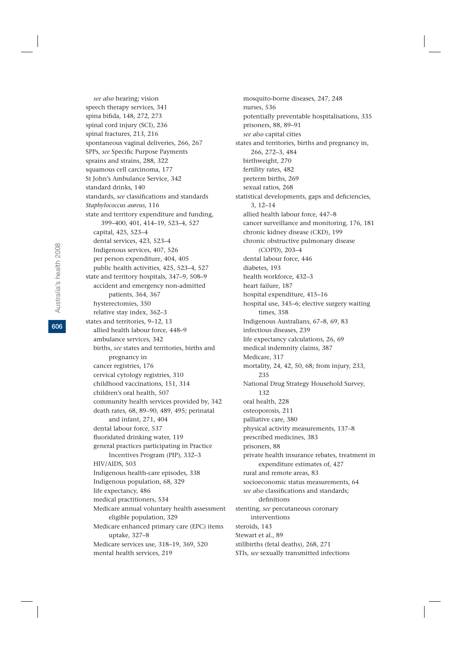*see also* hearing; vision speech therapy services, 341 spina bifida, 148, 272, 273 spinal cord injury (SCI), 236 spinal fractures, 213, 216 spontaneous vaginal deliveries, 266, 267 SPPs, *see* Specific Purpose Payments sprains and strains, 288, 322 squamous cell carcinoma, 177 St John's Ambulance Service, 342 standard drinks, 140 standards, *see* classifications and standards *Staphylococcus aureus,* 116 state and territory expenditure and funding, 399–400, 401, 414–19, 523–4, 527 capital, 425, 523–4 dental services, 423, 523–4 Indigenous services, 407, 526 per person expenditure, 404, 405 public health activities, 425, 523–4, 527 state and territory hospitals, 347–9, 508–9 accident and emergency non-admitted patients, 364, 367 hysterectomies, 350 relative stay index, 362–3 states and territories, 9–12, 13 allied health labour force, 448–9 ambulance services, 342 births, *see* states and territories, births and pregnancy in cancer registries, 176 cervical cytology registries, 310 childhood vaccinations, 151, 314 children's oral health, 507 community health services provided by, 342 death rates, 68, 89–90, 489, 495; perinatal and infant, 271, 404 dental labour force, 537 fluoridated drinking water, 119 general practices participating in Practice Incentives Program (PIP), 332–3 HIV/AIDS, 503 Indigenous health-care episodes, 338 Indigenous population, 68, 329 life expectancy, 486 medical practitioners, 534 Medicare annual voluntary health assessment eligible population, 329 Medicare enhanced primary care (EPC) items uptake, 327–8 Medicare services use, 318–19, 369, 520 mental health services, 219

mosquito-borne diseases, 247, 248 nurses, 536 potentially preventable hospitalisations, 335 prisoners, 88, 89–91 *see also* capital cities states and territories, births and pregnancy in, 266, 272–3, 484 birthweight, 270 fertility rates, 482 preterm births, 269 sexual ratios, 268 statistical developments, gaps and deficiencies, 3, 12–14 allied health labour force, 447–8 cancer surveillance and monitoring, 176, 181 chronic kidney disease (CKD), 199 chronic obstructive pulmonary disease (COPD), 203–4 dental labour force, 446 diabetes, 193 health workforce, 432–3 heart failure, 187 hospital expenditure, 415–16 hospital use, 345–6; elective surgery waiting times, 358 Indigenous Australians, 67–8, 69, 83 infectious diseases, 239 life expectancy calculations, 26, 69 medical indemnity claims, 387 Medicare, 317 mortality, 24, 42, 50, 68; from injury, 233, 235 National Drug Strategy Household Survey, 132 oral health, 228 osteoporosis, 211 palliative care, 380 physical activity measurements, 137–8 prescribed medicines, 383 prisoners, 88 private health insurance rebates, treatment in expenditure estimates of, 427 rural and remote areas, 83 socioeconomic status measurements, 64 *see also* classifications and standards; definitions stenting, *see* percutaneous coronary interventions steroids, 143 Stewart et al., 89 stillbirths (fetal deaths), 268, 271 STIs, *see* sexually transmitted infections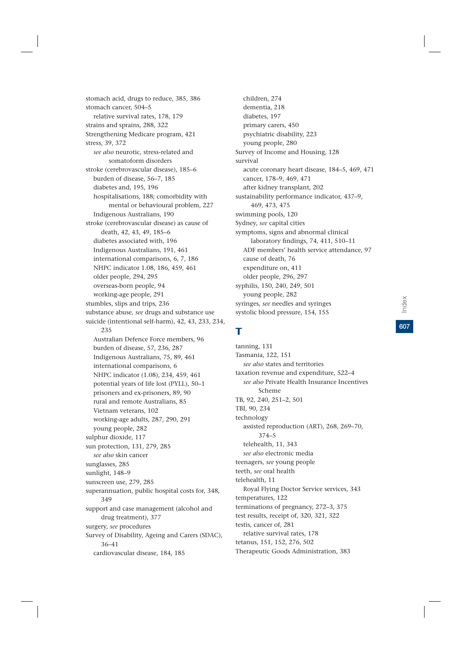stomach acid, drugs to reduce, 385, 386 stomach cancer, 504–5 relative survival rates, 178, 179 strains and sprains, 288, 322 Strengthening Medicare program, 421 stress, 39, 372 *see also* neurotic, stress-related and somatoform disorders stroke (cerebrovascular disease), 185–6 burden of disease, 56–7, 185 diabetes and, 195, 196 hospitalisations, 188; comorbidity with mental or behavioural problem, 227 Indigenous Australians, 190 stroke (cerebrovascular disease) as cause of death, 42, 43, 49, 185–6 diabetes associated with, 196 Indigenous Australians, 191, 461 international comparisons, 6, 7, 186 NHPC indicator 1.08, 186, 459, 461 older people, 294, 295 overseas-born people, 94 working-age people, 291 stumbles, slips and trips, 236 substance abuse, *see* drugs and substance use suicide (intentional self-harm), 42, 43, 233, 234, 235 Australian Defence Force members, 96 burden of disease, 57, 236, 287 Indigenous Australians, 75, 89, 461 international comparisons, 6 NHPC indicator (1.08), 234, 459, 461 potential years of life lost (PYLL), 50–1 prisoners and ex-prisoners, 89, 90 rural and remote Australians, 85 Vietnam veterans, 102 working-age adults, 287, 290, 291 young people, 282 sulphur dioxide, 117 sun protection, 131, 279, 285 *see also* skin cancer sunglasses, 285 sunlight, 148–9 sunscreen use, 279, 285 superannuation, public hospital costs for, 348, 349 support and case management (alcohol and drug treatment), 377 surgery, *see* procedures Survey of Disability, Ageing and Carers (SDAC), 36–41 cardiovascular disease, 184, 185

children, 274 dementia, 218 diabetes, 197 primary carers, 450 psychiatric disability, 223 young people, 280 Survey of Income and Housing, 128 survival acute coronary heart disease, 184–5, 469, 471 cancer, 178–9, 469, 471 after kidney transplant, 202 sustainability performance indicator, 437–9, 469, 473, 475 swimming pools, 120 Sydney, *see* capital cities symptoms, signs and abnormal clinical laboratory findings, 74, 411, 510–11 ADF members' health service attendance, 97 cause of death, 76 expenditure on, 411 older people, 296, 297 syphilis, 150, 240, 249, 501 young people, 282 syringes, *see* needles and syringes systolic blood pressure, 154, 155

## T

tanning, 131 Tasmania, 122, 151 *see also* states and territories taxation revenue and expenditure, 522–4 *see also* Private Health Insurance Incentives Scheme TB, 92, 240, 251–2, 501 TBI, 90, 234 technology assisted reproduction (ART), 268, 269–70, 374–5 telehealth, 11, 343 *see also* electronic media teenagers, *see* young people teeth, *see* oral health telehealth, 11 Royal Flying Doctor Service services, 343 temperatures, 122 terminations of pregnancy, 272–3, 375 test results, receipt of, 320, 321, 322 testis, cancer of, 281 relative survival rates, 178 tetanus, 151, 152, 276, 502 Therapeutic Goods Administration, 383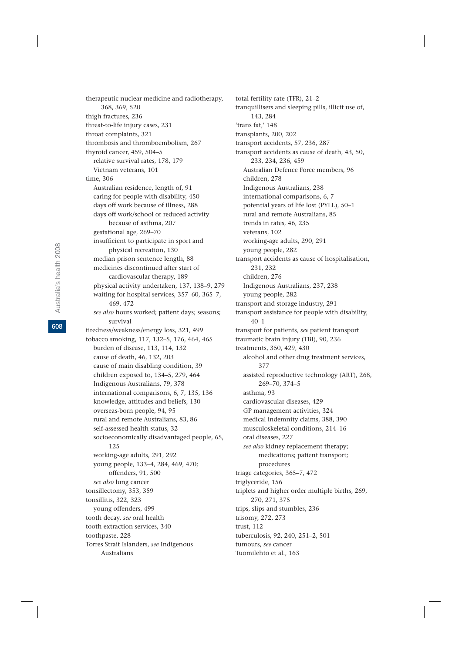therapeutic nuclear medicine and radiotherapy, 368, 369, 520 thigh fractures, 236 threat-to-life injury cases, 231 throat complaints, 321 thrombosis and thromboembolism, 267 thyroid cancer, 459, 504–5 relative survival rates, 178, 179 Vietnam veterans, 101 time, 306 Australian residence, length of, 91 caring for people with disability, 450 days off work because of illness, 288 days off work/school or reduced activity because of asthma, 207 gestational age, 269–70 insufficient to participate in sport and physical recreation, 130 median prison sentence length, 88 medicines discontinued after start of cardiovascular therapy, 189 physical activity undertaken, 137, 138–9, 279 waiting for hospital services, 357–60, 365–7, 469, 472 *see also* hours worked; patient days; seasons; survival tiredness/weakness/energy loss, 321, 499 tobacco smoking, 117, 132–5, 176, 464, 465 burden of disease, 113, 114, 132 cause of death, 46, 132, 203 cause of main disabling condition, 39 children exposed to, 134–5, 279, 464 Indigenous Australians, 79, 378 international comparisons, 6, 7, 135, 136 knowledge, attitudes and beliefs, 130 overseas-born people, 94, 95 rural and remote Australians, 83, 86 self-assessed health status, 32 socioeconomically disadvantaged people, 65, 125 working-age adults, 291, 292 young people, 133–4, 284, 469, 470; offenders, 91, 500 *see also* lung cancer tonsillectomy, 353, 359 tonsillitis, 322, 323 young offenders, 499 tooth decay, *see* oral health tooth extraction services, 340 toothpaste, 228 Torres Strait Islanders, *see* Indigenous Australians

total fertility rate (TFR), 21–2 tranquillisers and sleeping pills, illicit use of, 143, 284 'trans fat,' 148 transplants, 200, 202 transport accidents, 57, 236, 287 transport accidents as cause of death, 43, 50, 233, 234, 236, 459 Australian Defence Force members, 96 children, 278 Indigenous Australians, 238 international comparisons, 6, 7 potential years of life lost (PYLL), 50–1 rural and remote Australians, 85 trends in rates, 46, 235 veterans, 102 working-age adults, 290, 291 young people, 282 transport accidents as cause of hospitalisation, 231, 232 children, 276 Indigenous Australians, 237, 238 young people, 282 transport and storage industry, 291 transport assistance for people with disability, 40–1 transport for patients, *see* patient transport traumatic brain injury (TBI), 90, 236 treatments, 350, 429, 430 alcohol and other drug treatment services, 377 assisted reproductive technology (ART), 268, 269–70, 374–5 asthma, 93 cardiovascular diseases, 429 GP management activities, 324 medical indemnity claims, 388, 390 musculoskeletal conditions, 214–16 oral diseases, 227 *see also* kidney replacement therapy; medications; patient transport; procedures triage categories, 365–7, 472 triglyceride, 156 triplets and higher order multiple births, 269, 270, 271, 375 trips, slips and stumbles, 236 trisomy, 272, 273 trust, 112 tuberculosis, 92, 240, 251–2, 501 tumours, *see* cancer Tuomilehto et al., 163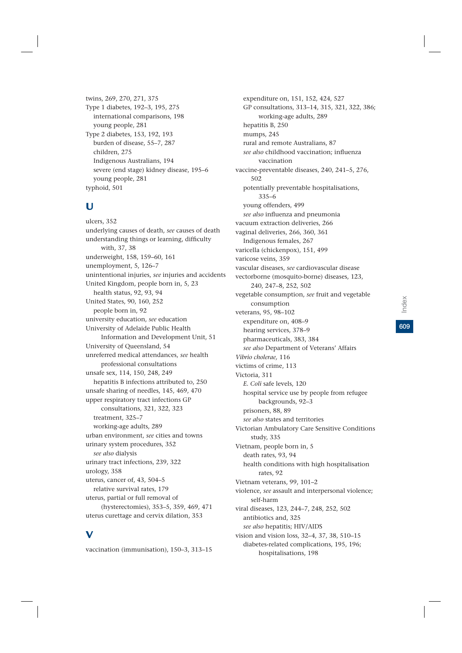twins, 269, 270, 271, 375 Type 1 diabetes, 192–3, 195, 275 international comparisons, 198 young people, 281 Type 2 diabetes, 153, 192, 193 burden of disease, 55–7, 287 children, 275 Indigenous Australians, 194 severe (end stage) kidney disease, 195–6 young people, 281 typhoid, 501

#### U

ulcers, 352 underlying causes of death, *see* causes of death understanding things or learning, difficulty with, 37, 38 underweight, 158, 159–60, 161 unemployment, 5, 126–7 unintentional injuries, *see* injuries and accidents United Kingdom, people born in, 5, 23 health status, 92, 93, 94 United States, 90, 160, 252 people born in, 92 university education, *see* education University of Adelaide Public Health Information and Development Unit, 51 University of Queensland, 54 unreferred medical attendances, *see* health professional consultations unsafe sex, 114, 150, 248, 249 hepatitis B infections attributed to, 250 unsafe sharing of needles, 145, 469, 470 upper respiratory tract infections GP consultations, 321, 322, 323 treatment, 325–7 working-age adults, 289 urban environment, *see* cities and towns urinary system procedures, 352 *see also* dialysis urinary tract infections, 239, 322 urology, 358 uterus, cancer of, 43, 504–5 relative survival rates, 179 uterus, partial or full removal of (hysterectomies), 353–5, 359, 469, 471 uterus curettage and cervix dilation, 353

# V

vaccination (immunisation), 150–3, 313–15

expenditure on, 151, 152, 424, 527 GP consultations, 313–14, 315, 321, 322, 386; working-age adults, 289 hepatitis B, 250 mumps, 245 rural and remote Australians, 87 *see also* childhood vaccination; influenza vaccination vaccine-preventable diseases, 240, 241–5, 276, 502 potentially preventable hospitalisations, 335–6 young offenders, 499 *see also* influenza and pneumonia vacuum extraction deliveries, 266 vaginal deliveries, 266, 360, 361 Indigenous females, 267 varicella (chickenpox), 151, 499 varicose veins, 359 vascular diseases, *see* cardiovascular disease vectorborne (mosquito-borne) diseases, 123, 240, 247–8, 252, 502 vegetable consumption, *see* fruit and vegetable consumption veterans, 95, 98–102 expenditure on, 408–9 hearing services, 378–9 pharmaceuticals, 383, 384 *see also* Department of Veterans' Affairs *Vibrio cholerae,* 116 victims of crime, 113 Victoria, 311 *E. Coli* safe levels, 120 hospital service use by people from refugee backgrounds, 92–3 prisoners, 88, 89 *see also* states and territories Victorian Ambulatory Care Sensitive Conditions study, 335 Vietnam, people born in, 5 death rates, 93, 94 health conditions with high hospitalisation rates, 92 Vietnam veterans, 99, 101–2 violence, *see* assault and interpersonal violence; self-harm viral diseases, 123, 244–7, 248, 252, 502 antibiotics and, 325 *see also* hepatitis; HIV/AIDS vision and vision loss, 32–4, 37, 38, 510–15 diabetes-related complications, 195, 196; hospitalisations, 198